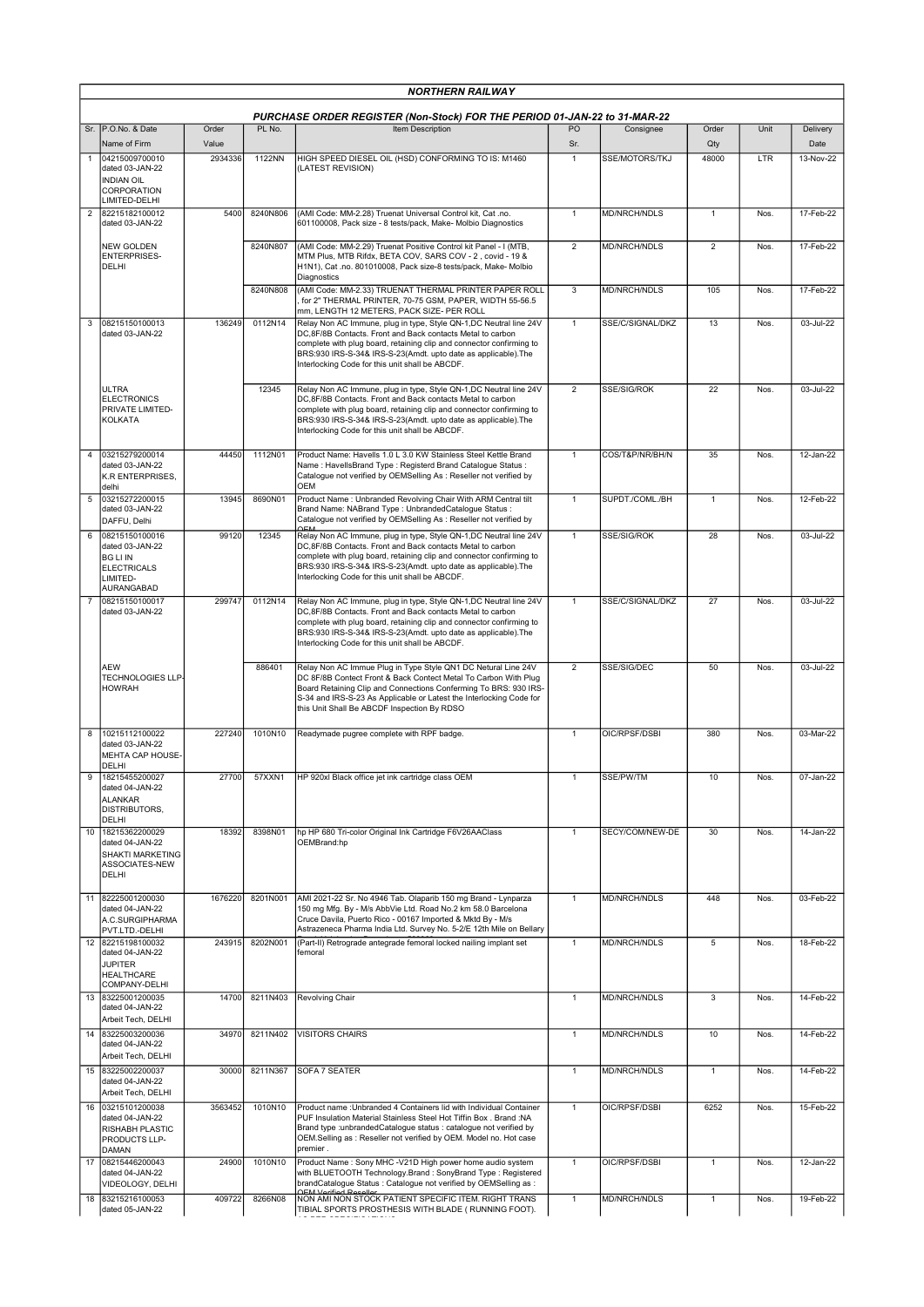|                | <b>NORTHERN RAILWAY</b>                                                                              |                  |          |                                                                                                                                                                                                                                                                                                                              |                |                     |                |      |                   |  |  |  |
|----------------|------------------------------------------------------------------------------------------------------|------------------|----------|------------------------------------------------------------------------------------------------------------------------------------------------------------------------------------------------------------------------------------------------------------------------------------------------------------------------------|----------------|---------------------|----------------|------|-------------------|--|--|--|
|                |                                                                                                      |                  |          | PURCHASE ORDER REGISTER (Non-Stock) FOR THE PERIOD 01-JAN-22 to 31-MAR-22                                                                                                                                                                                                                                                    |                |                     |                |      |                   |  |  |  |
|                | Sr. P.O.No. & Date                                                                                   | Order            | PL No.   | Item Description                                                                                                                                                                                                                                                                                                             | PO             | Consignee           | Order          | Unit | Delivery          |  |  |  |
|                | Name of Firm<br>04215009700010<br>dated 03-JAN-22<br>INDIAN OIL<br><b>CORPORATION</b>                | Value<br>2934336 | 1122NN   | HIGH SPEED DIESEL OIL (HSD) CONFORMING TO IS: M1460<br>(LATEST REVISION)                                                                                                                                                                                                                                                     | Sr.<br>1       | SSE/MOTORS/TKJ      | Qty<br>48000   | LTR  | Date<br>13-Nov-22 |  |  |  |
| $\overline{2}$ | LIMITED-DELHI<br>82215182100012<br>dated 03-JAN-22                                                   | 5400             | 8240N806 | (AMI Code: MM-2.28) Truenat Universal Control kit, Cat .no.<br>601100008, Pack size - 8 tests/pack, Make- Molbio Diagnostics                                                                                                                                                                                                 | $\mathbf{1}$   | <b>MD/NRCH/NDLS</b> | $\mathbf{1}$   | Nos. | 17-Feb-22         |  |  |  |
|                | <b>NEW GOLDEN</b><br><b>ENTERPRISES-</b><br>DELHI                                                    |                  | 8240N807 | (AMI Code: MM-2.29) Truenat Positive Control kit Panel - I (MTB,<br>MTM Plus, MTB Rifdx, BETA COV, SARS COV - 2, covid - 19 &<br>H1N1), Cat .no. 801010008, Pack size-8 tests/pack, Make- Molbio<br>Diagnostics                                                                                                              | $\overline{2}$ | MD/NRCH/NDLS        | $\overline{2}$ | Nos. | 17-Feb-22         |  |  |  |
|                |                                                                                                      |                  | 8240N808 | (AMI Code: MM-2.33) TRUENAT THERMAL PRINTER PAPER ROLL<br>for 2" THERMAL PRINTER, 70-75 GSM, PAPER, WIDTH 55-56.5<br>mm, LENGTH 12 METERS, PACK SIZE- PER ROLL                                                                                                                                                               | 3              | MD/NRCH/NDLS        | 105            | Nos. | 17-Feb-22         |  |  |  |
| 3              | 08215150100013<br>dated 03-JAN-22                                                                    | 136249           | 0112N14  | Relay Non AC Immune, plug in type, Style QN-1,DC Neutral line 24V<br>DC,8F/8B Contacts. Front and Back contacts Metal to carbon<br>complete with plug board, retaining clip and connector confirming to<br>BRS:930 IRS-S-34& IRS-S-23(Amdt. upto date as applicable). The<br>Interlocking Code for this unit shall be ABCDF. | $\mathbf{1}$   | SSE/C/SIGNAL/DKZ    | 13             | Nos. | 03-Jul-22         |  |  |  |
|                | <b>ULTRA</b><br><b>ELECTRONICS</b><br>PRIVATE LIMITED-<br><b>KOLKATA</b>                             |                  | 12345    | Relay Non AC Immune, plug in type, Style QN-1,DC Neutral line 24V<br>DC,8F/8B Contacts. Front and Back contacts Metal to carbon<br>complete with plug board, retaining clip and connector confirming to<br>BRS:930 IRS-S-34& IRS-S-23(Amdt. upto date as applicable). The<br>Interlocking Code for this unit shall be ABCDF. | $\overline{2}$ | <b>SSE/SIG/ROK</b>  | 22             | Nos. | 03-Jul-22         |  |  |  |
|                | 03215279200014<br>dated 03-JAN-22<br>K.R ENTERPRISES,                                                | 44450            | 1112N01  | Product Name: Havells 1.0 L 3.0 KW Stainless Steel Kettle Brand<br>Name: HavellsBrand Type: Registerd Brand Catalogue Status:<br>Catalogue not verified by OEMSelling As : Reseller not verified by<br><b>OEM</b>                                                                                                            | $\overline{1}$ | COS/T&P/NR/BH/N     | 35             | Nos. | 12-Jan-22         |  |  |  |
| 5              | ldelhi<br>03215272200015<br>dated 03-JAN-22<br>DAFFU, Delhi                                          | 13945            | 8690N01  | Product Name: Unbranded Revolving Chair With ARM Central tilt<br>Brand Name: NABrand Type : UnbrandedCatalogue Status :<br>Catalogue not verified by OEMSelling As : Reseller not verified by                                                                                                                                | 1              | SUPDT./COML./BH     | $\mathbf{1}$   | Nos. | 12-Feb-22         |  |  |  |
| 6              | 08215150100016<br>dated 03-JAN-22<br><b>BG LI IN</b><br><b>ELECTRICALS</b><br>LIMITED-<br>AURANGABAD | 99120            | 12345    | Relay Non AC Immune, plug in type, Style QN-1,DC Neutral line 24V<br>DC,8F/8B Contacts. Front and Back contacts Metal to carbon<br>complete with plug board, retaining clip and connector confirming to<br>BRS:930 IRS-S-34& IRS-S-23(Amdt. upto date as applicable). The<br>Interlocking Code for this unit shall be ABCDF. | $\mathbf{1}$   | SSE/SIG/ROK         | 28             | Nos. | 03-Jul-22         |  |  |  |
| $\overline{7}$ | 08215150100017<br>dated 03-JAN-22                                                                    | 299747           | 0112N14  | Relay Non AC Immune, plug in type, Style QN-1,DC Neutral line 24V<br>DC,8F/8B Contacts. Front and Back contacts Metal to carbon<br>complete with plug board, retaining clip and connector confirming to<br>BRS:930 IRS-S-34& IRS-S-23(Amdt. upto date as applicable). The<br>Interlocking Code for this unit shall be ABCDF. | $\mathbf{1}$   | SSE/C/SIGNAL/DKZ    | 27             | Nos. | 03-Jul-22         |  |  |  |
|                | <b>AEW</b><br><b>TECHNOLOGIES LLP</b><br><b>HOWRAH</b>                                               |                  | 886401   | Relay Non AC Immue Plug in Type Style QN1 DC Netural Line 24V<br>DC 8F/8B Contect Front & Back Contect Metal To Carbon With Plug<br>Board Retaining Clip and Connections Conferming To BRS: 930 IRS-<br>S-34 and IRS-S-23 As Applicable or Latest the Interlocking Code for<br>this Unit Shall Be ABCDF Inspection By RDSO   | $\overline{2}$ | SSE/SIG/DEC         | 50             | Nos. | 03-Jul-22         |  |  |  |
| 8              | 10215112100022<br>dated 03-JAN-22<br>MEHTA CAP HOUSE-<br>DELHI                                       | 227240           | 1010N10  | Readymade pugree complete with RPF badge.                                                                                                                                                                                                                                                                                    | $\mathbf{1}$   | OIC/RPSF/DSBI       | 380            | Nos. | 03-Mar-22         |  |  |  |
| 9              | 18215455200027<br>dated 04-JAN-22<br><b>ALANKAR</b><br><b>DISTRIBUTORS,</b><br>DELHI                 | 27700            | 57XXN1   | HP 920xl Black office jet ink cartridge class OEM                                                                                                                                                                                                                                                                            | $\mathbf{1}$   | SSE/PW/TM           | 10             | Nos. | 07-Jan-22         |  |  |  |
| 10             | 18215362200029<br>dated 04-JAN-22<br>SHAKTI MARKETING<br>ASSOCIATES-NEW<br>DELHI                     | 18392            | 8398N01  | hp HP 680 Tri-color Original Ink Cartridge F6V26AAClass<br>OEMBrand:hp                                                                                                                                                                                                                                                       | $\mathbf{1}$   | SECY/COM/NEW-DE     | 30             | Nos. | 14-Jan-22         |  |  |  |
|                | 11 82225001200030<br>dated 04-JAN-22<br>A.C.SURGIPHARMA<br>PVT.LTD.-DELHI                            | 1676220          | 8201N001 | AMI 2021-22 Sr. No 4946 Tab. Olaparib 150 mg Brand - Lynparza<br>150 mg Mfg. By - M/s AbbVie Ltd. Road No.2 km 58.0 Barcelona<br>Cruce Davila, Puerto Rico - 00167 Imported & Mktd By - M/s<br>Astrazeneca Pharma India Ltd. Survey No. 5-2/E 12th Mile on Bellary                                                           | $\mathbf{1}$   | MD/NRCH/NDLS        | 448            | Nos. | 03-Feb-22         |  |  |  |
|                | 12 82215198100032<br>dated 04-JAN-22<br><b>JUPITER</b><br><b>HEALTHCARE</b><br>COMPANY-DELHI         | 243915           | 8202N001 | (Part-II) Retrograde antegrade femoral locked nailing implant set<br>femoral                                                                                                                                                                                                                                                 | $\mathbf{1}$   | <b>MD/NRCH/NDLS</b> | 5              | Nos. | 18-Feb-22         |  |  |  |
| 13             | 83225001200035<br>dated 04-JAN-22<br>Arbeit Tech, DELHI                                              | 14700            | 8211N403 | Revolving Chair                                                                                                                                                                                                                                                                                                              | $\mathbf{1}$   | <b>MD/NRCH/NDLS</b> | 3              | Nos. | 14-Feb-22         |  |  |  |
|                | 14 83225003200036<br>dated 04-JAN-22<br>Arbeit Tech, DELHI                                           | 34970            | 8211N402 | <b>VISITORS CHAIRS</b>                                                                                                                                                                                                                                                                                                       | $\mathbf{1}$   | MD/NRCH/NDLS        | 10             | Nos. | 14-Feb-22         |  |  |  |
|                | 15 83225002200037<br>dated 04-JAN-22<br>Arbeit Tech, DELHI                                           | 30000            | 8211N367 | SOFA 7 SEATER                                                                                                                                                                                                                                                                                                                | $\overline{1}$ | MD/NRCH/NDLS        | $\overline{1}$ | Nos. | 14-Feb-22         |  |  |  |
| 16             | 03215101200038<br>dated 04-JAN-22<br><b>RISHABH PLASTIC</b><br>PRODUCTS LLP-<br>DAMAN                | 3563452          | 1010N10  | Product name : Unbranded 4 Containers lid with Individual Container<br>PUF Insulation Material Stainless Steel Hot Tiffin Box . Brand :NA<br>Brand type : unbrandedCatalogue status : catalogue not verified by<br>OEM.Selling as : Reseller not verified by OEM. Model no. Hot case<br>premier.                             | $\overline{1}$ | OIC/RPSF/DSBI       | 6252           | Nos. | 15-Feb-22         |  |  |  |
|                | 17 08215446200043<br>dated 04-JAN-22<br>VIDEOLOGY, DELHI                                             | 24900            | 1010N10  | Product Name: Sony MHC -V21D High power home audio system<br>with BLUETOOTH Technology.Brand: SonyBrand Type: Registered<br>brandCatalogue Status : Catalogue not verified by OEMSelling as :                                                                                                                                | $\mathbf{1}$   | OIC/RPSF/DSBI       | $\mathbf{1}$   | Nos. | 12-Jan-22         |  |  |  |
|                | 18 83215216100053<br>dated 05-JAN-22                                                                 | 409722           | 8266N08  | NON AMI NON STOCK PATIENT SPECIFIC ITEM. RIGHT TRANS<br>TIBIAL SPORTS PROSTHESIS WITH BLADE ( RUNNING FOOT).                                                                                                                                                                                                                 | $\mathbf{1}$   | MD/NRCH/NDLS        | 1              | Nos. | 19-Feb-22         |  |  |  |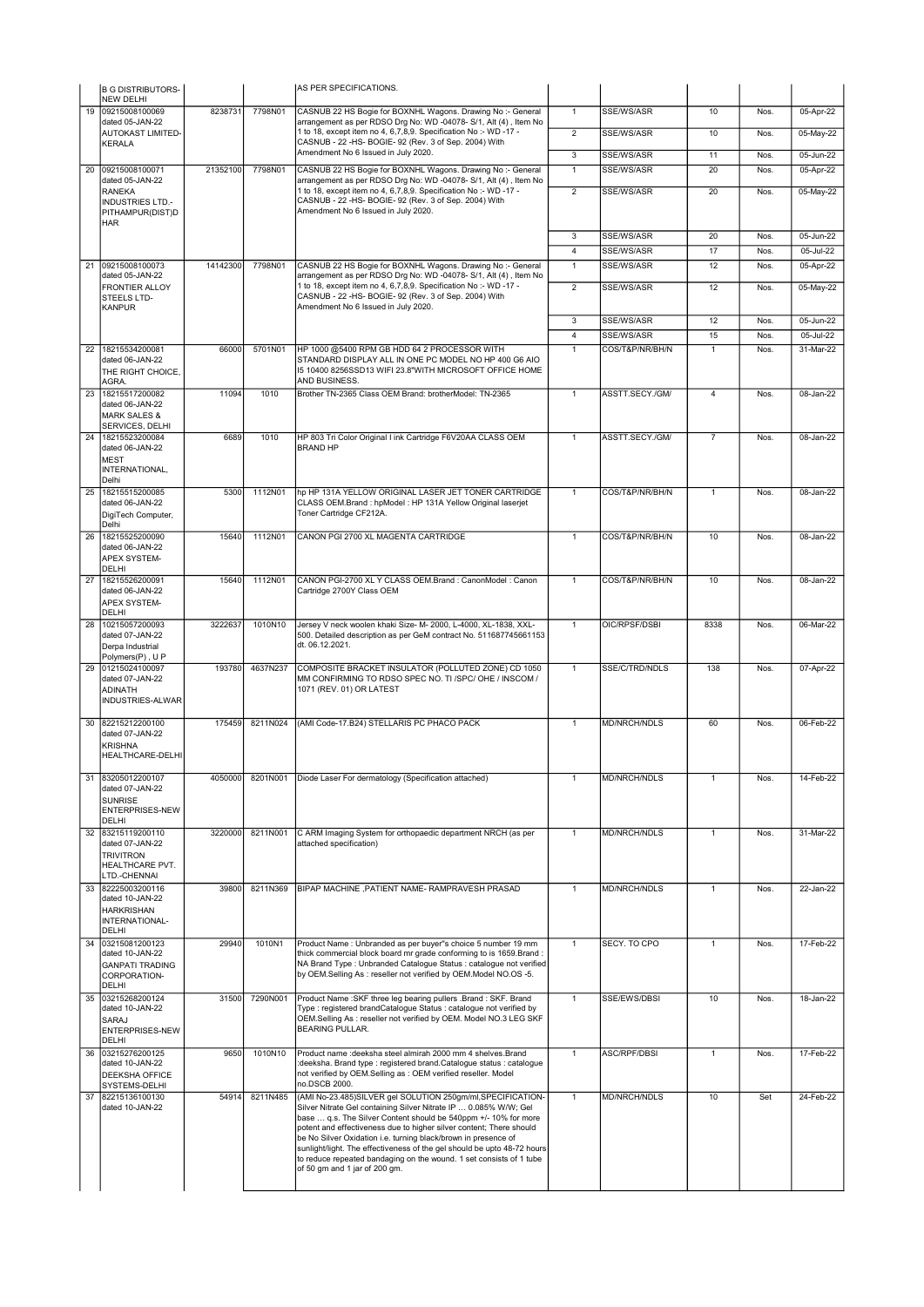|    | <b>B G DISTRIBUTORS-</b><br>NEW DELHI                                                    |          |          | AS PER SPECIFICATIONS.                                                                                                                                                                                                                                                                                                                                                                                                                                                                                                         |                |                     |                |      |                         |
|----|------------------------------------------------------------------------------------------|----------|----------|--------------------------------------------------------------------------------------------------------------------------------------------------------------------------------------------------------------------------------------------------------------------------------------------------------------------------------------------------------------------------------------------------------------------------------------------------------------------------------------------------------------------------------|----------------|---------------------|----------------|------|-------------------------|
|    | 19 09215008100069                                                                        | 8238731  | 7798N01  | CASNUB 22 HS Bogie for BOXNHL Wagons. Drawing No :- General                                                                                                                                                                                                                                                                                                                                                                                                                                                                    | $\mathbf{1}$   | SSE/WS/ASR          | 10             | Nos. | 05-Apr-22               |
|    | dated 05-JAN-22<br><b>AUTOKAST LIMITED-</b>                                              |          |          | arrangement as per RDSO Drg No: WD -04078- S/1, Alt (4), Item No<br>1 to 18, except item no 4, 6, 7, 8, 9. Specification No :- WD -17 -                                                                                                                                                                                                                                                                                                                                                                                        | $\overline{2}$ | SSE/WS/ASR          | 10             | Nos. | 05-May-22               |
|    | <b>KERALA</b>                                                                            |          |          | CASNUB - 22 -HS- BOGIE- 92 (Rev. 3 of Sep. 2004) With                                                                                                                                                                                                                                                                                                                                                                                                                                                                          |                |                     |                |      |                         |
|    |                                                                                          |          |          | Amendment No 6 Issued in July 2020.                                                                                                                                                                                                                                                                                                                                                                                                                                                                                            | 3              | SSE/WS/ASR          | 11             | Nos. | 05-Jun-22               |
| 20 | 09215008100071                                                                           | 21352100 | 7798N01  | CASNUB 22 HS Bogie for BOXNHL Wagons. Drawing No :- General                                                                                                                                                                                                                                                                                                                                                                                                                                                                    | $\overline{1}$ | SSE/WS/ASR          | 20             | Nos. | 05-Apr-22               |
|    | dated 05-JAN-22<br>RANEKA                                                                |          |          | arrangement as per RDSO Drg No: WD -04078- S/1, Alt (4), Item No<br>1 to 18, except item no 4, 6, 7, 8, 9. Specification No :- WD -17 -                                                                                                                                                                                                                                                                                                                                                                                        | $\overline{2}$ | SSE/WS/ASR          | 20             | Nos. | 05-May-22               |
|    | <b>INDUSTRIES LTD.-</b><br>PITHAMPUR(DIST)D<br><b>HAR</b>                                |          |          | CASNUB - 22 -HS- BOGIE- 92 (Rev. 3 of Sep. 2004) With<br>Amendment No 6 Issued in July 2020.                                                                                                                                                                                                                                                                                                                                                                                                                                   |                |                     |                |      |                         |
|    |                                                                                          |          |          |                                                                                                                                                                                                                                                                                                                                                                                                                                                                                                                                | 3              | SSE/WS/ASR          | 20             | Nos. | 05-Jun-22               |
|    |                                                                                          |          |          |                                                                                                                                                                                                                                                                                                                                                                                                                                                                                                                                | $\overline{4}$ | <b>SSE/WS/ASR</b>   | 17             | Nos. | 05-Jul-22               |
| 21 | 09215008100073                                                                           | 14142300 | 7798N01  | CASNUB 22 HS Bogie for BOXNHL Wagons. Drawing No :- General                                                                                                                                                                                                                                                                                                                                                                                                                                                                    | $\overline{1}$ | SSE/WS/ASR          | 12             | Nos. | 05-Apr-22               |
|    | dated 05-JAN-22<br>FRONTIER ALLOY<br>STEELS LTD-<br><b>KANPUR</b>                        |          |          | arrangement as per RDSO Drg No: WD -04078- S/1, Alt (4), Item No<br>1 to 18, except item no 4, 6, 7, 8, 9. Specification No :- WD -17 -<br>CASNUB - 22 -HS- BOGIE- 92 (Rev. 3 of Sep. 2004) With<br>Amendment No 6 Issued in July 2020.                                                                                                                                                                                                                                                                                        | $\overline{2}$ | SSE/WS/ASR          | 12             | Nos. | 05-May-22               |
|    |                                                                                          |          |          |                                                                                                                                                                                                                                                                                                                                                                                                                                                                                                                                | 3              | SSE/WS/ASR          | 12             | Nos. | 05-Jun-22               |
|    |                                                                                          |          |          |                                                                                                                                                                                                                                                                                                                                                                                                                                                                                                                                | $\overline{4}$ | SSE/WS/ASR          | 15             | Nos. | 05-Jul-22               |
|    | 22 18215534200081<br>dated 06-JAN-22<br>THE RIGHT CHOICE,<br>AGRA.                       | 66000    | 5701N01  | HP 1000 @5400 RPM GB HDD 64 2 PROCESSOR WITH<br>STANDARD DISPLAY ALL IN ONE PC MODEL NO HP 400 G6 AIO<br>15 10400 8256SSD13 WIFI 23.8"WITH MICROSOFT OFFICE HOME<br>AND BUSINESS.                                                                                                                                                                                                                                                                                                                                              | $\overline{1}$ | COS/T&P/NR/BH/N     | $\mathbf{1}$   | Nos. | 31-Mar-22               |
| 23 | 18215517200082                                                                           | 11094    | 1010     | Brother TN-2365 Class OEM Brand: brotherModel: TN-2365                                                                                                                                                                                                                                                                                                                                                                                                                                                                         | $\mathbf{1}$   | ASSTT.SECY./GM/     | 4              | Nos. | $\overline{08}$ -Jan-22 |
|    | dated 06-JAN-22<br><b>MARK SALES &amp;</b><br>SERVICES, DELHI                            |          |          |                                                                                                                                                                                                                                                                                                                                                                                                                                                                                                                                |                |                     |                |      |                         |
|    | 24 18215523200084<br>dated 06-JAN-22<br><b>MEST</b><br>INTERNATIONAL,<br>Delhi           | 6689     | 1010     | HP 803 Tri Color Original I ink Cartridge F6V20AA CLASS OEM<br><b>BRAND HP</b>                                                                                                                                                                                                                                                                                                                                                                                                                                                 | $\mathbf{1}$   | ASSTT.SECY./GM/     | $\overline{7}$ | Nos. | 08-Jan-22               |
|    | 25 18215515200085<br>dated 06-JAN-22<br>DigiTech Computer,<br>Delhi                      | 5300     | 1112N01  | hp HP 131A YELLOW ORIGINAL LASER JET TONER CARTRIDGE<br>CLASS OEM.Brand : hpModel : HP 131A Yellow Original laserjet<br>Toner Cartridge CF212A.                                                                                                                                                                                                                                                                                                                                                                                | $\mathbf{1}$   | COS/T&P/NR/BH/N     | $\mathbf{1}$   | Nos. | 08-Jan-22               |
| 26 | 18215525200090<br>dated 06-JAN-22<br>APEX SYSTEM-<br>DELHI                               | 15640    | 1112N01  | CANON PGI 2700 XL MAGENTA CARTRIDGE                                                                                                                                                                                                                                                                                                                                                                                                                                                                                            | $\overline{1}$ | COS/T&P/NR/BH/N     | 10             | Nos. | 08-Jan-22               |
| 27 | 18215526200091<br>dated 06-JAN-22<br>APEX SYSTEM-<br>DELHI                               | 15640    | 1112N01  | CANON PGI-2700 XL Y CLASS OEM.Brand : CanonModel : Canon<br>Cartridge 2700Y Class OEM                                                                                                                                                                                                                                                                                                                                                                                                                                          | $\mathbf{1}$   | COS/T&P/NR/BH/N     | 10             | Nos. | 08-Jan-22               |
| 28 | 10215057200093<br>dated 07-JAN-22<br>Derpa Industrial<br>Polymers(P), UP                 | 3222637  | 1010N10  | Jersey V neck woolen khaki Size- M- 2000, L-4000, XL-1838, XXL-<br>500. Detailed description as per GeM contract No. 511687745661153<br>dt. 06.12.2021.                                                                                                                                                                                                                                                                                                                                                                        | $\mathbf{1}$   | OIC/RPSF/DSBI       | 8338           | Nos. | 06-Mar-22               |
|    | 29 01215024100097<br>dated 07-JAN-22<br><b>ADINATH</b><br>INDUSTRIES-ALWAR               | 193780   | 4637N237 | COMPOSITE BRACKET INSULATOR (POLLUTED ZONE) CD 1050<br>MM CONFIRMING TO RDSO SPEC NO. TI /SPC/ OHE / INSCOM /<br>1071 (REV. 01) OR LATEST                                                                                                                                                                                                                                                                                                                                                                                      | $\mathbf{1}$   | SSE/C/TRD/NDLS      | 138            | Nos. | 07-Apr-22               |
|    | 30 82215212200100<br>dated 07-JAN-22<br><b>KRISHNA</b><br>HEALTHCARE-DELHI               | 175459   | 8211N024 | (AMI Code-17.B24) STELLARIS PC PHACO PACK                                                                                                                                                                                                                                                                                                                                                                                                                                                                                      | $\mathbf{1}$   | MD/NRCH/NDLS        | 60             | Nos. | 06-Feb-22               |
|    | 83205012200107<br>dated 07-JAN-22<br><b>SUNRISE</b><br>ENTERPRISES-NEW<br>DELHI          | 40500001 |          | 8201N001   Diode Laser For dermatology (Specification attached)                                                                                                                                                                                                                                                                                                                                                                                                                                                                |                | MD/NRCH/NDLS        |                | Nos. | 14-Feb-22               |
| 32 | 83215119200110<br>dated 07-JAN-22<br><b>TRIVITRON</b><br>HEALTHCARE PVT.<br>LTD.-CHENNAI | 3220000  | 8211N001 | C ARM Imaging System for orthopaedic department NRCH (as per<br>attached specification)                                                                                                                                                                                                                                                                                                                                                                                                                                        | $\mathbf{1}$   | MD/NRCH/NDLS        | $\mathbf{1}$   | Nos. | 31-Mar-22               |
| 33 | 82225003200116<br>dated 10-JAN-22<br><b>HARKRISHAN</b><br>INTERNATIONAL-<br>DELHI        | 39800    | 8211N369 | BIPAP MACHINE , PATIENT NAME- RAMPRAVESH PRASAD                                                                                                                                                                                                                                                                                                                                                                                                                                                                                | $\mathbf{1}$   | MD/NRCH/NDLS        | $\mathbf{1}$   | Nos. | 22-Jan-22               |
| 34 | 03215081200123<br>dated 10-JAN-22<br><b>GANPATI TRADING</b><br>CORPORATION-<br>DELHI     | 29940    | 1010N1   | Product Name : Unbranded as per buyer"s choice 5 number 19 mm<br>thick commercial block board mr grade conforming to is 1659. Brand:<br>NA Brand Type: Unbranded Catalogue Status: catalogue not verified<br>by OEM.Selling As : reseller not verified by OEM.Model NO.OS -5.                                                                                                                                                                                                                                                  | $\mathbf{1}$   | SECY. TO CPO        | $\mathbf{1}$   | Nos. | 17-Feb-22               |
| 35 | 03215268200124<br>dated 10-JAN-22<br>SARAJ<br>ENTERPRISES-NEW<br>DELHI                   | 31500    | 7290N001 | Product Name: SKF three leg bearing pullers .Brand: SKF. Brand<br>Type : registered brandCatalogue Status : catalogue not verified by<br>OEM.Selling As : reseller not verified by OEM. Model NO.3 LEG SKF<br><b>BEARING PULLAR.</b>                                                                                                                                                                                                                                                                                           | $\mathbf{1}$   | SSE/EWS/DBSI        | 10             | Nos. | 18-Jan-22               |
| 36 | 03215276200125<br>dated 10-JAN-22<br>DEEKSHA OFFICE<br>SYSTEMS-DELHI                     | 9650     | 1010N10  | Product name : deeksha steel almirah 2000 mm 4 shelves. Brand<br>:deeksha. Brand type : registered brand.Catalogue status : catalogue<br>not verified by OEM.Selling as : OEM verified reseller. Model<br>no.DSCB 2000.                                                                                                                                                                                                                                                                                                        | $\mathbf{1}$   | <b>ASC/RPF/DBSI</b> | $\mathbf{1}$   | Nos. | 17-Feb-22               |
| 37 | 82215136100130<br>dated 10-JAN-22                                                        | 54914    | 8211N485 | (AMI No-23.485)SILVER gel SOLUTION 250gm/ml, SPECIFICATION-<br>Silver Nitrate Gel containing Silver Nitrate IP  0.085% W/W; Gel<br>base  q.s. The Silver Content should be 540ppm +/- 10% for more<br>potent and effectiveness due to higher silver content; There should<br>be No Silver Oxidation i.e. turning black/brown in presence of<br>sunlight/light. The effectiveness of the gel should be upto 48-72 hours<br>to reduce repeated bandaging on the wound. 1 set consists of 1 tube<br>of 50 gm and 1 jar of 200 gm. | $\mathbf{1}$   | MD/NRCH/NDLS        | 10             | Set  | 24-Feb-22               |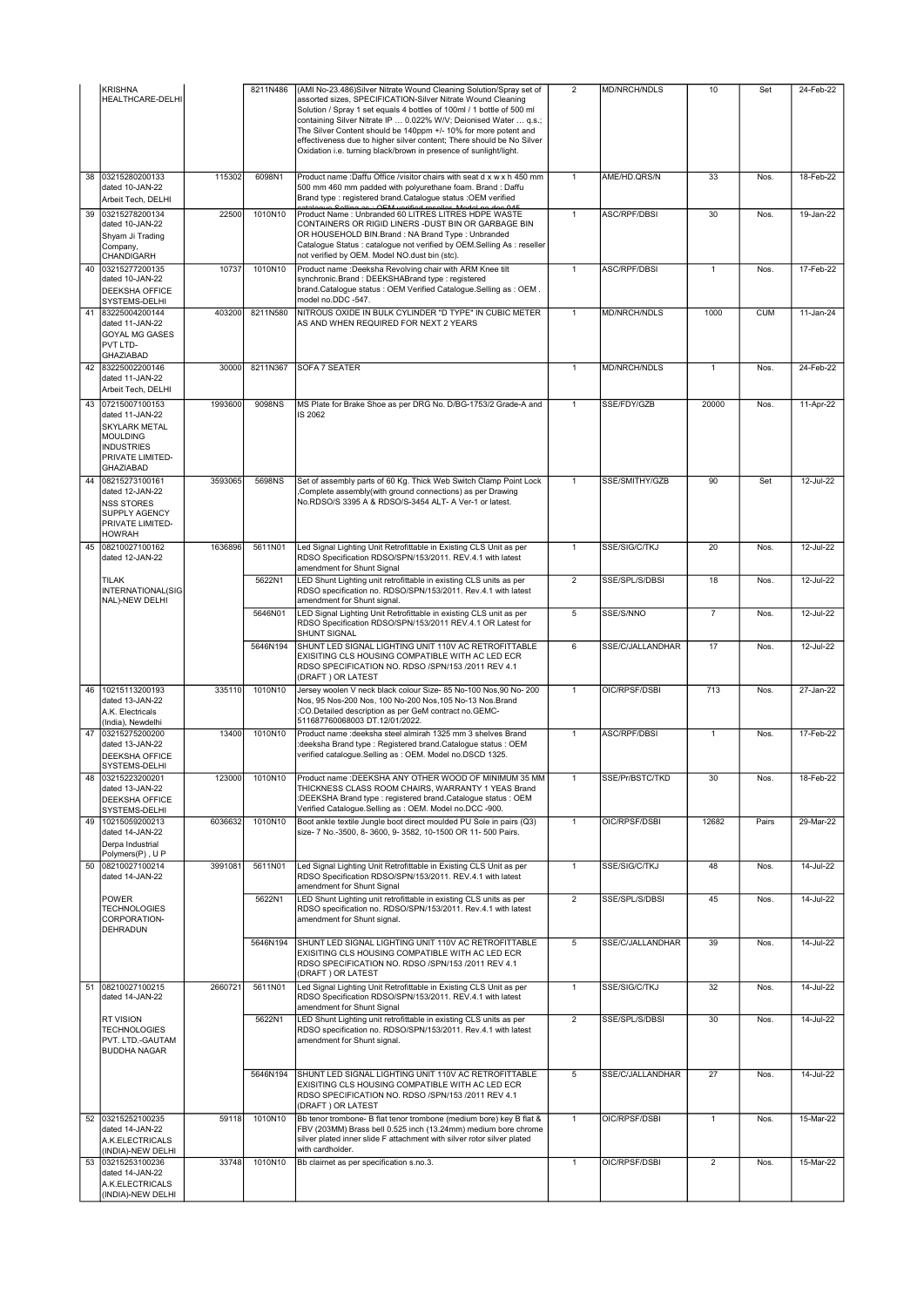|    | KRISHNA<br>HEALTHCARE-DELHI                                                                                                                  |         | 8211N486 | (AMI No-23.486) Silver Nitrate Wound Cleaning Solution/Spray set of<br>assorted sizes, SPECIFICATION-Silver Nitrate Wound Cleaning                                                                                                                                                                                                                         | $\overline{2}$ | MD/NRCH/NDLS        | 10             | Set        | 24-Feb-22     |
|----|----------------------------------------------------------------------------------------------------------------------------------------------|---------|----------|------------------------------------------------------------------------------------------------------------------------------------------------------------------------------------------------------------------------------------------------------------------------------------------------------------------------------------------------------------|----------------|---------------------|----------------|------------|---------------|
|    |                                                                                                                                              |         |          | Solution / Spray 1 set equals 4 bottles of 100ml / 1 bottle of 500 ml<br>containing Silver Nitrate IP  0.022% W/V; Deionised Water  q.s.;<br>The Silver Content should be 140ppm +/- 10% for more potent and<br>effectiveness due to higher silver content; There should be No Silver<br>Oxidation i.e. turning black/brown in presence of sunlight/light. |                |                     |                |            |               |
|    | 38 03215280200133<br>dated 10-JAN-22<br>Arbeit Tech, DELHI                                                                                   | 115302  | 6098N1   | Product name :Daffu Office /visitor chairs with seat d x w x h 450 mm<br>500 mm 460 mm padded with polyurethane foam. Brand : Daffu<br>Brand type : registered brand.Catalogue status : OEM verified                                                                                                                                                       | $\mathbf{1}$   | AME/HD.QRS/N        | 33             | Nos.       | 18-Feb-22     |
|    | 39 03215278200134<br>dated 10-JAN-22<br>Shyam Ji Trading<br>Company,<br>CHANDIGARH                                                           | 22500   | 1010N10  | on : OEM vorified regeller Model no den 045<br>Product Name : Unbranded 60 LITRES LITRES HDPE WASTE<br>CONTAINERS OR RIGID LINERS - DUST BIN OR GARBAGE BIN<br>OR HOUSEHOLD BIN.Brand: NA Brand Type: Unbranded<br>Catalogue Status : catalogue not verified by OEM.Selling As : reseller<br>not verified by OEM. Model NO.dust bin (stc).                 | $\mathbf{1}$   | ASC/RPF/DBSI        | 30             | Nos.       | 19-Jan-22     |
| 40 | 03215277200135<br>dated 10-JAN-22<br><b>DEEKSHA OFFICE</b><br>SYSTEMS-DELHI                                                                  | 10737   | 1010N10  | Product name : Deeksha Revolving chair with ARM Knee tilt<br>synchronic.Brand: DEEKSHABrand type: registered<br>brand.Catalogue status: OEM Verified Catalogue.Selling as: OEM.<br>model no.DDC -547.                                                                                                                                                      | $\overline{1}$ | <b>ASC/RPF/DBSI</b> | $\overline{1}$ | Nos.       | 17-Feb-22     |
|    | 41 83225004200144<br>dated 11-JAN-22<br><b>GOYAL MG GASES</b><br>PVT LTD-<br><b>GHAZIABAD</b>                                                | 403200  | 8211N580 | NITROUS OXIDE IN BULK CYLINDER "D TYPE" IN CUBIC METER<br>AS AND WHEN REQUIRED FOR NEXT 2 YEARS                                                                                                                                                                                                                                                            | $\mathbf{1}$   | MD/NRCH/NDLS        | 1000           | <b>CUM</b> | 11-Jan-24     |
| 42 | 83225002200146<br>dated 11-JAN-22<br>Arbeit Tech, DELHI                                                                                      | 30000   | 8211N367 | <b>SOFA 7 SEATER</b>                                                                                                                                                                                                                                                                                                                                       | $\mathbf{1}$   | MD/NRCH/NDLS        | 1              | Nos.       | 24-Feb-22     |
|    | 43 07215007100153<br>dated 11-JAN-22<br><b>SKYLARK METAL</b><br><b>MOULDING</b><br><b>INDUSTRIES</b><br>PRIVATE LIMITED-<br><b>GHAZIABAD</b> | 1993600 | 9098NS   | MS Plate for Brake Shoe as per DRG No. D/BG-1753/2 Grade-A and<br>IS 2062                                                                                                                                                                                                                                                                                  | $\mathbf{1}$   | SSE/FDY/GZB         | 20000          | Nos.       | 11-Apr-22     |
|    | 44 08215273100161<br>dated 12-JAN-22<br><b>NSS STORES</b><br><b>SUPPLY AGENCY</b><br>PRIVATE LIMITED-<br><b>HOWRAH</b>                       | 3593065 | 5698NS   | Set of assembly parts of 60 Kg. Thick Web Switch Clamp Point Lock<br>Complete assembly(with ground connections) as per Drawing<br>No.RDSO/S 3395 A & RDSO/S-3454 ALT- A Ver-1 or latest.                                                                                                                                                                   | $\mathbf{1}$   | SSE/SMITHY/GZB      | 90             | Set        | 12-Jul-22     |
| 45 | 08210027100162<br>dated 12-JAN-22                                                                                                            | 1636896 | 5611N01  | Led Signal Lighting Unit Retrofittable in Existing CLS Unit as per<br>RDSO Specification RDSO/SPN/153/2011. REV.4.1 with latest<br>amendment for Shunt Signal                                                                                                                                                                                              | $\mathbf{1}$   | SSE/SIG/C/TKJ       | 20             | Nos.       | 12-Jul-22     |
|    | <b>TILAK</b><br>INTERNATIONAL(SIG<br>NAL)-NEW DELHI                                                                                          |         | 5622N1   | LED Shunt Lighting unit retrofittable in existing CLS units as per<br>RDSO specification no. RDSO/SPN/153/2011. Rev.4.1 with latest<br>amendment for Shunt signal.                                                                                                                                                                                         | $\overline{2}$ | SSE/SPL/S/DBSI      | 18             | Nos.       | 12-Jul-22     |
|    |                                                                                                                                              |         | 5646N01  | LED Signal Lighting Unit Retrofittable in existing CLS unit as per<br>RDSO Specification RDSO/SPN/153/2011 REV.4.1 OR Latest for                                                                                                                                                                                                                           | $\overline{5}$ | SSE/S/NNO           | $\overline{7}$ | Nos.       | 12-Jul-22     |
|    |                                                                                                                                              |         | 5646N194 | SHUNT SIGNAL<br>SHUNT LED SIGNAL LIGHTING UNIT 110V AC RETROFITTABLE<br>EXISITING CLS HOUSING COMPATIBLE WITH AC LED ECR<br>RDSO SPECIFICATION NO. RDSO /SPN/153 /2011 REV 4.1<br>(DRAFT) OR LATEST                                                                                                                                                        | 6              | SSE/C/JALLANDHAR    | 17             | Nos.       | 12-Jul-22     |
| 46 | 10215113200193<br>dated 13-JAN-22<br>A.K. Electricals<br>(India), Newdelhi                                                                   | 335110  | 1010N10  | Jersey woolen V neck black colour Size- 85 No-100 Nos, 90 No- 200<br>Nos, 95 Nos-200 Nos, 100 No-200 Nos, 105 No-13 Nos. Brand<br>:CO.Detailed description as per GeM contract no.GEMC-<br>511687760068003 DT.12/01/2022.                                                                                                                                  | $\mathbf{1}$   | OIC/RPSF/DSBI       | 713            | Nos.       | $27 - Jan-22$ |
| 47 | 03215275200200<br>dated 13-JAN-22<br><b>DEEKSHA OFFICE</b><br>SYSTEMS-DELHI                                                                  | 13400   | 1010N10  | Product name : deeksha steel almirah 1325 mm 3 shelves Brand<br>deeksha Brand type: Registered brand.Catalogue status: OEM<br>verified catalogue.Selling as : OEM. Model no.DSCD 1325.                                                                                                                                                                     | $\mathbf{1}$   | <b>ASC/RPF/DBSI</b> | $\mathbf{1}$   | Nos.       | 17-Feb-22     |
| 48 | 103215223200201<br>dated 13-JAN-22<br>DEEKSHA OFFICE<br>SYSTEMS-DELHI                                                                        | 1230001 | 1010N10  | Product name :DEEKSHA ANY OTHER WOOD OF MINIMUM 35 MM<br>THICKNESS CLASS ROOM CHAIRS, WARRANTY 1 YEAS Brand<br>:DEEKSHA Brand type : registered brand.Catalogue status : OEM<br>Verified Catalogue.Selling as : OEM. Model no.DCC -900.                                                                                                                    |                | SSE/Pr/BSTC/TKD     | 30             | Nos.       | 18-Feb-22     |
| 49 | 10215059200213<br>dated 14-JAN-22<br>Derpa Industrial<br>Polymers(P), UP                                                                     | 6036632 | 1010N10  | Boot ankle textile Jungle boot direct moulded PU Sole in pairs (Q3)<br>size- 7 No.-3500, 8- 3600, 9- 3582, 10-1500 OR 11- 500 Pairs.                                                                                                                                                                                                                       | $\mathbf{1}$   | OIC/RPSF/DSBI       | 12682          | Pairs      | 29-Mar-22     |
|    | 50 08210027100214<br>dated 14-JAN-22                                                                                                         | 3991081 | 5611N01  | Led Signal Lighting Unit Retrofittable in Existing CLS Unit as per<br>RDSO Specification RDSO/SPN/153/2011. REV.4.1 with latest<br>amendment for Shunt Signal                                                                                                                                                                                              | $\overline{1}$ | SSE/SIG/C/TKJ       | 48             | Nos.       | 14-Jul-22     |
|    | <b>POWER</b><br><b>TECHNOLOGIES</b><br>CORPORATION-<br>DEHRADUN                                                                              |         | 5622N1   | LED Shunt Lighting unit retrofittable in existing CLS units as per<br>RDSO specification no. RDSO/SPN/153/2011. Rev.4.1 with latest<br>amendment for Shunt signal.                                                                                                                                                                                         | $\overline{2}$ | SSE/SPL/S/DBSI      | 45             | Nos.       | 14-Jul-22     |
|    |                                                                                                                                              |         | 5646N194 | SHUNT LED SIGNAL LIGHTING UNIT 110V AC RETROFITTABLE<br>EXISITING CLS HOUSING COMPATIBLE WITH AC LED ECR<br>RDSO SPECIFICATION NO. RDSO /SPN/153 /2011 REV 4.1<br>(DRAFT) OR LATEST                                                                                                                                                                        | 5              | SSE/C/JALLANDHAR    | 39             | Nos.       | 14-Jul-22     |
|    | 51 08210027100215<br>dated 14-JAN-22                                                                                                         | 2660721 | 5611N01  | Led Signal Lighting Unit Retrofittable in Existing CLS Unit as per<br>RDSO Specification RDSO/SPN/153/2011. REV.4.1 with latest<br>amendment for Shunt Signal                                                                                                                                                                                              | $\mathbf{1}$   | SSE/SIG/C/TKJ       | 32             | Nos.       | 14-Jul-22     |
|    | <b>RT VISION</b><br><b>TECHNOLOGIES</b><br>PVT. LTD.-GAUTAM<br><b>BUDDHA NAGAR</b>                                                           |         | 5622N1   | LED Shunt Lighting unit retrofittable in existing CLS units as per<br>RDSO specification no. RDSO/SPN/153/2011. Rev.4.1 with latest<br>amendment for Shunt signal.                                                                                                                                                                                         | $\overline{2}$ | SSE/SPL/S/DBSI      | 30             | Nos.       | 14-Jul-22     |
|    |                                                                                                                                              |         | 5646N194 | SHUNT LED SIGNAL LIGHTING UNIT 110V AC RETROFITTABLE<br>EXISITING CLS HOUSING COMPATIBLE WITH AC LED ECR<br>RDSO SPECIFICATION NO. RDSO /SPN/153 /2011 REV 4.1<br>(DRAFT) OR LATEST                                                                                                                                                                        | 5              | SSE/C/JALLANDHAR    | 27             | Nos.       | 14-Jul-22     |
|    | 52 03215252100235<br>dated 14-JAN-22<br>A.K.ELECTRICALS<br>(INDIA)-NEW DELHI                                                                 | 59118   | 1010N10  | Bb tenor trombone- B flat tenor trombone (medium bore) key B flat &<br>FBV (203MM) Brass bell 0.525 inch (13.24mm) medium bore chrome<br>silver plated inner slide F attachment with silver rotor silver plated<br>with cardholder.                                                                                                                        | $\mathbf{1}$   | OIC/RPSF/DSBI       | $\mathbf{1}$   | Nos.       | 15-Mar-22     |
|    | 53 03215253100236<br>dated 14-JAN-22<br>A.K.ELECTRICALS<br>(INDIA)-NEW DELHI                                                                 | 33748   | 1010N10  | Bb clairnet as per specification s.no.3.                                                                                                                                                                                                                                                                                                                   | $\mathbf{1}$   | OIC/RPSF/DSBI       | $\overline{2}$ | Nos.       | 15-Mar-22     |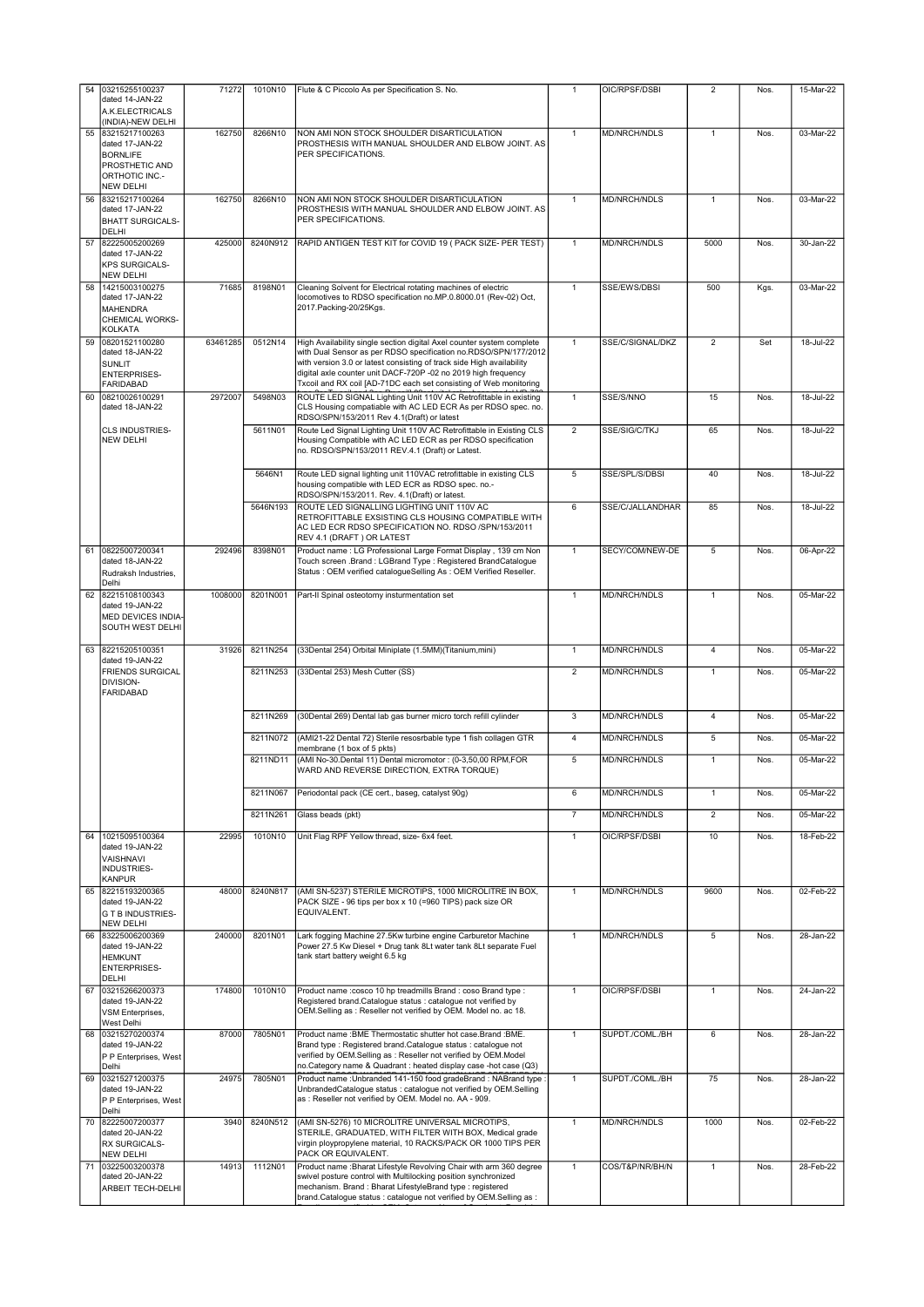|    | 54 03215255100237                                                   | 71272    | 1010N10  | Flute & C Piccolo As per Specification S. No.                                                                                                                                                         | 1              | OIC/RPSF/DSBI       | $\overline{2}$ | Nos. | 15-Mar-22 |
|----|---------------------------------------------------------------------|----------|----------|-------------------------------------------------------------------------------------------------------------------------------------------------------------------------------------------------------|----------------|---------------------|----------------|------|-----------|
|    | dated 14-JAN-22<br>A.K.ELECTRICALS<br>(INDIA)-NEW DELHI             |          |          |                                                                                                                                                                                                       |                |                     |                |      |           |
| 55 | 83215217100263<br>dated 17-JAN-22                                   | 162750   | 8266N10  | NON AMI NON STOCK SHOULDER DISARTICULATION<br>PROSTHESIS WITH MANUAL SHOULDER AND ELBOW JOINT. AS                                                                                                     | $\mathbf{1}$   | <b>MD/NRCH/NDLS</b> | $\mathbf{1}$   | Nos. | 03-Mar-22 |
|    | <b>BORNLIFE</b><br>PROSTHETIC AND                                   |          |          | PER SPECIFICATIONS.                                                                                                                                                                                   |                |                     |                |      |           |
|    | ORTHOTIC INC.-<br><b>NEW DELHI</b>                                  |          |          |                                                                                                                                                                                                       |                |                     |                |      |           |
| 56 | 83215217100264<br>dated 17-JAN-22                                   | 162750   | 8266N10  | NON AMI NON STOCK SHOULDER DISARTICULATION<br>PROSTHESIS WITH MANUAL SHOULDER AND ELBOW JOINT. AS                                                                                                     | $\mathbf{1}$   | MD/NRCH/NDLS        | $\mathbf{1}$   | Nos. | 03-Mar-22 |
|    | <b>BHATT SURGICALS-</b><br>DELHI                                    |          |          | PER SPECIFICATIONS.                                                                                                                                                                                   |                |                     |                |      |           |
| 57 | 82225005200269<br>dated 17-JAN-22                                   | 425000   | 8240N912 | RAPID ANTIGEN TEST KIT for COVID 19 ( PACK SIZE- PER TEST)                                                                                                                                            | $\mathbf{1}$   | <b>MD/NRCH/NDLS</b> | 5000           | Nos. | 30-Jan-22 |
|    | <b>KPS SURGICALS-</b><br><b>NEW DELHI</b>                           |          |          |                                                                                                                                                                                                       |                |                     |                |      |           |
| 58 | 14215003100275<br>dated 17-JAN-22                                   | 71685    | 8198N01  | Cleaning Solvent for Electrical rotating machines of electric<br>locomotives to RDSO specification no.MP.0.8000.01 (Rev-02) Oct,                                                                      | $\mathbf{1}$   | SSE/EWS/DBSI        | 500            | Kgs. | 03-Mar-22 |
|    | MAHENDRA<br>CHEMICAL WORKS-<br><b>KOLKATA</b>                       |          |          | 2017. Packing-20/25Kgs.                                                                                                                                                                               |                |                     |                |      |           |
| 59 | 08201521100280<br>dated 18-JAN-22                                   | 63461285 | 0512N14  | High Availability single section digital Axel counter system complete<br>with Dual Sensor as per RDSO specification no.RDSO/SPN/177/2012                                                              | $\mathbf{1}$   | SSE/C/SIGNAL/DKZ    | $\overline{2}$ | Set  | 18-Jul-22 |
|    | Isunlit<br><b>ENTERPRISES-</b>                                      |          |          | with version 3.0 or latest consisting of track side High availability<br>digital axle counter unit DACF-720P -02 no 2019 high frequency                                                               |                |                     |                |      |           |
| 60 | FARIDABAD<br>08210026100291                                         | 2972007  | 5498N03  | Txcoil and RX coil [AD-71DC each set consisting of Web monitoring<br>ROUTE LED SIGNAL Lighting Unit 110V AC Retrofittable in existing                                                                 | $\mathbf{1}$   | SSE/S/NNO           | 15             | Nos. | 18-Jul-22 |
|    | dated 18-JAN-22                                                     |          |          | CLS Housing compatiable with AC LED ECR As per RDSO spec. no.<br>RDSO/SPN/153/2011 Rev 4.1(Draft) or latest                                                                                           |                |                     |                |      |           |
|    | <b>CLS INDUSTRIES-</b><br><b>NEW DELHI</b>                          |          | 5611N01  | Route Led Signal Lighting Unit 110V AC Retrofittable in Existing CLS<br>Housing Compatible with AC LED ECR as per RDSO specification                                                                  | $\overline{2}$ | SSE/SIG/C/TKJ       | 65             | Nos. | 18-Jul-22 |
|    |                                                                     |          |          | no. RDSO/SPN/153/2011 REV.4.1 (Draft) or Latest.                                                                                                                                                      |                |                     |                |      |           |
|    |                                                                     |          | 5646N1   | Route LED signal lighting unit 110VAC retrofittable in existing CLS<br>housing compatible with LED ECR as RDSO spec. no.-<br>RDSO/SPN/153/2011. Rev. 4.1(Draft) or latest.                            | 5              | SSE/SPL/S/DBSI      | 40             | Nos. | 18-Jul-22 |
|    |                                                                     |          | 5646N193 | ROUTE LED SIGNALLING LIGHTING UNIT 110V AC<br>RETROFITTABLE EXSISTING CLS HOUSING COMPATIBLE WITH                                                                                                     | 6              | SSE/C/JALLANDHAR    | 85             | Nos. | 18-Jul-22 |
|    |                                                                     |          |          | AC LED ECR RDSO SPECIFICATION NO. RDSO /SPN/153/2011<br>REV 4.1 (DRAFT) OR LATEST                                                                                                                     |                |                     |                |      |           |
| 61 | 08225007200341<br>dated 18-JAN-22                                   | 292496   | 8398N01  | Product name : LG Professional Large Format Display, 139 cm Non<br>Touch screen .Brand : LGBrand Type : Registered BrandCatalogue                                                                     | $\mathbf{1}$   | SECY/COM/NEW-DE     | 5              | Nos. | 06-Apr-22 |
|    | Rudraksh Industries,<br>Delhi                                       |          |          | Status : OEM verified catalogueSelling As : OEM Verified Reseller.                                                                                                                                    |                |                     |                |      |           |
| 62 | 82215108100343<br>dated 19-JAN-22                                   | 1008000  | 8201N001 | Part-II Spinal osteotomy insturmentation set                                                                                                                                                          | $\mathbf{1}$   | MD/NRCH/NDLS        | 1              | Nos. | 05-Mar-22 |
|    | MED DEVICES INDIA-<br>SOUTH WEST DELHI                              |          |          |                                                                                                                                                                                                       |                |                     |                |      |           |
|    | 63 82215205100351                                                   | 31926    | 8211N254 | (33Dental 254) Orbital Miniplate (1.5MM)(Titanium,mini)                                                                                                                                               | $\mathbf{1}$   | MD/NRCH/NDLS        | $\overline{4}$ | Nos. | 05-Mar-22 |
|    | dated 19-JAN-22<br><b>FRIENDS SURGICAL</b>                          |          | 8211N253 | (33Dental 253) Mesh Cutter (SS)                                                                                                                                                                       | $\overline{2}$ | MD/NRCH/NDLS        | $\mathbf{1}$   | Nos. | 05-Mar-22 |
|    | DIVISION-<br><b>FARIDABAD</b>                                       |          |          |                                                                                                                                                                                                       |                |                     |                |      |           |
|    |                                                                     |          | 8211N269 | (30Dental 269) Dental lab gas burner micro torch refill cylinder                                                                                                                                      | 3              | MD/NRCH/NDLS        | 4              | Nos. | 05-Mar-22 |
|    |                                                                     |          | 8211N072 | (AMI21-22 Dental 72) Sterile resosrbable type 1 fish collagen GTR<br>membrane (1 box of 5 pkts)                                                                                                       | $\overline{4}$ | MD/NRCH/NDLS        | 5              | Nos. | 05-Mar-22 |
|    |                                                                     |          | 8211ND11 | (AMI No-30.Dental 11) Dental micromotor : (0-3,50,00 RPM,FOR<br>WARD AND REVERSE DIRECTION, EXTRA TORQUE)                                                                                             | 5              | <b>MD/NRCH/NDLS</b> | $\mathbf{1}$   | Nos. | 05-Mar-22 |
|    |                                                                     |          | 8211N067 | Periodontal pack (CE cert., baseg, catalyst 90g)                                                                                                                                                      | 6              | MD/NRCH/NDLS        | $\mathbf{1}$   | Nos. | 05-Mar-22 |
|    |                                                                     |          | 8211N261 | Glass beads (pkt)                                                                                                                                                                                     | $\overline{7}$ | MD/NRCH/NDLS        | $\overline{2}$ | Nos. | 05-Mar-22 |
| 64 | 10215095100364<br>dated 19-JAN-22                                   | 22995    | 1010N10  | Unit Flag RPF Yellow thread, size- 6x4 feet.                                                                                                                                                          | $\mathbf{1}$   | OIC/RPSF/DSBI       | 10             | Nos. | 18-Feb-22 |
|    | VAISHNAVI<br>INDUSTRIES-                                            |          |          |                                                                                                                                                                                                       |                |                     |                |      |           |
|    | KANPUR                                                              |          | 8240N817 |                                                                                                                                                                                                       | $\mathbf{1}$   |                     |                |      |           |
| 65 | 82215193200365<br>dated 19-JAN-22<br>G T B INDUSTRIES-<br>NEW DELHI | 48000    |          | (AMI SN-5237) STERILE MICROTIPS, 1000 MICROLITRE IN BOX,<br>PACK SIZE - 96 tips per box x 10 (=960 TIPS) pack size OR<br>EQUIVALENT.                                                                  |                | MD/NRCH/NDLS        | 9600           | Nos. | 02-Feb-22 |
| 66 | 83225006200369<br>dated 19-JAN-22                                   | 240000   | 8201N01  | Lark fogging Machine 27.5Kw turbine engine Carburetor Machine<br>Power 27.5 Kw Diesel + Drug tank 8Lt water tank 8Lt separate Fuel                                                                    | $\mathbf{1}$   | MD/NRCH/NDLS        | 5              | Nos. | 28-Jan-22 |
|    | <b>HEMKUNT</b><br><b>ENTERPRISES-</b><br>DELHI                      |          |          | tank start battery weight 6.5 kg                                                                                                                                                                      |                |                     |                |      |           |
| 67 | 03215266200373<br>dated 19-JAN-22                                   | 174800   | 1010N10  | Product name : cosco 10 hp treadmills Brand : coso Brand type :                                                                                                                                       | $\mathbf{1}$   | OIC/RPSF/DSBI       | 1              | Nos. | 24-Jan-22 |
|    | VSM Enterprises,<br>West Delhi                                      |          |          | Registered brand.Catalogue status : catalogue not verified by<br>OEM.Selling as : Reseller not verified by OEM. Model no. ac 18.                                                                      |                |                     |                |      |           |
| 68 | 03215270200374                                                      | 87000    | 7805N01  | Product name : BME Thermostatic shutter hot case. Brand : BME.                                                                                                                                        | $\mathbf{1}$   | SUPDT./COML./BH     | 6              | Nos. | 28-Jan-22 |
|    | dated 19-JAN-22<br>P P Enterprises, West<br>Delhi                   |          |          | Brand type : Registered brand.Catalogue status : catalogue not<br>verified by OEM.Selling as : Reseller not verified by OEM.Model<br>no.Category name & Quadrant : heated display case -hot case (Q3) |                |                     |                |      |           |
| 69 | 03215271200375<br>dated 19-JAN-22<br>P P Enterprises, West<br>Delhi | 24975    | 7805N01  | Product name : Unbranded 141-150 food gradeBrand : NABrand type :<br>UnbrandedCatalogue status : catalogue not verified by OEM.Selling<br>as : Reseller not verified by OEM. Model no. AA - 909.      | $\mathbf{1}$   | SUPDT./COML./BH     | 75             | Nos. | 28-Jan-22 |
| 70 | 82225007200377<br>dated 20-JAN-22                                   | 3940     | 8240N512 | (AMI SN-5276) 10 MICROLITRE UNIVERSAL MICROTIPS,<br>STERILE, GRADUATED, WITH FILTER WITH BOX, Medical grade                                                                                           | $\mathbf{1}$   | MD/NRCH/NDLS        | 1000           | Nos. | 02-Feb-22 |
|    | RX SURGICALS-<br><b>NEW DELHI</b>                                   |          |          | virgin ploypropylene material, 10 RACKS/PACK OR 1000 TIPS PER<br>PACK OR EQUIVALENT.                                                                                                                  |                |                     |                |      |           |
|    | 71 03225003200378<br>dated 20-JAN-22                                | 14913    | 1112N01  | Product name : Bharat Lifestyle Revolving Chair with arm 360 degree<br>swivel posture control with Multilocking position synchronized                                                                 | $\mathbf{1}$   | COS/T&P/NR/BH/N     | $\mathbf{1}$   | Nos. | 28-Feb-22 |
|    | <b>ARBEIT TECH-DELHI</b>                                            |          |          | mechanism. Brand: Bharat LifestyleBrand type: registered<br>brand.Catalogue status : catalogue not verified by OEM.Selling as :                                                                       |                |                     |                |      |           |
|    |                                                                     |          |          |                                                                                                                                                                                                       |                |                     |                |      |           |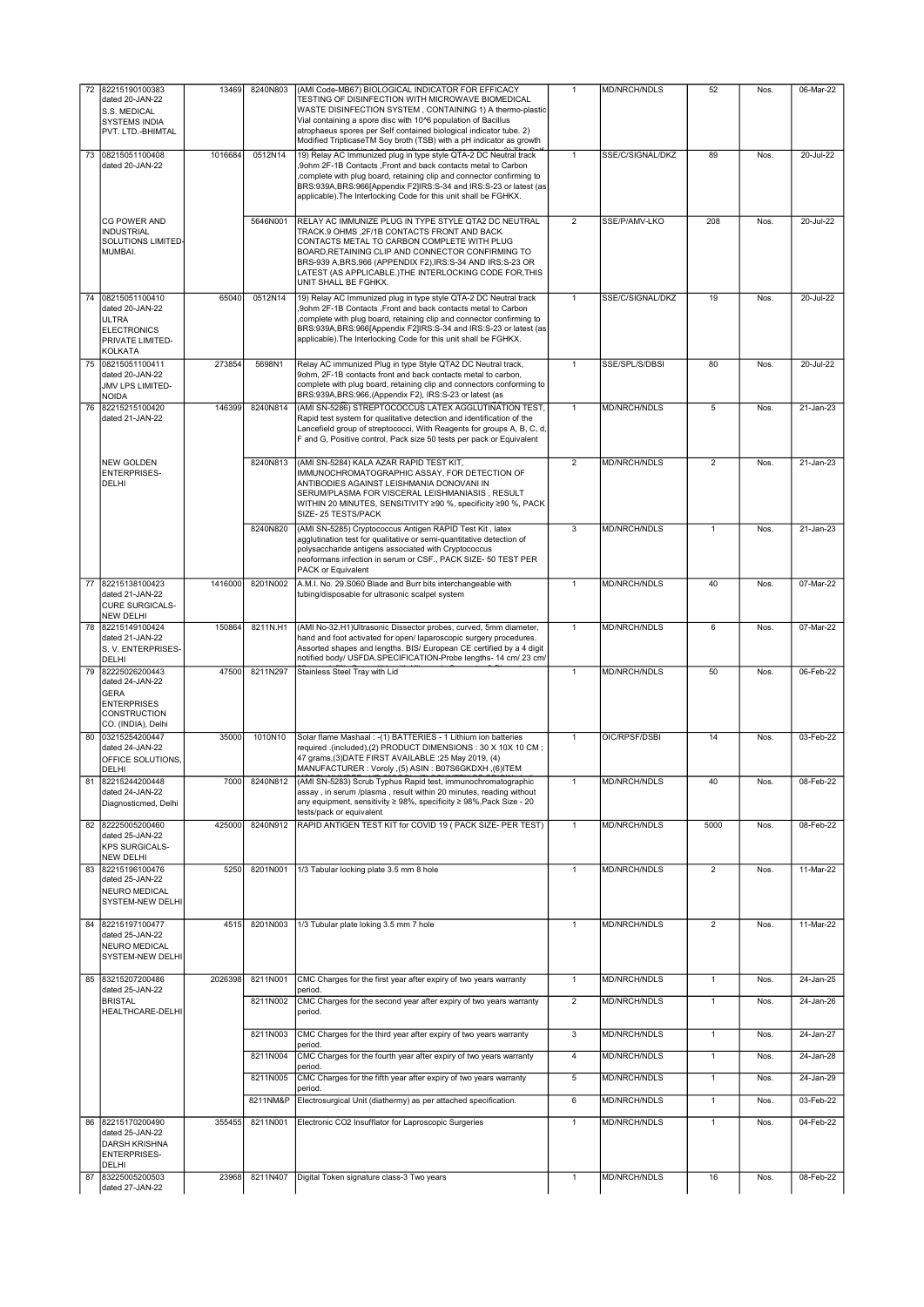|    |                                                                                                              |         |          | (AMI Code-MB67) BIOLOGICAL INDICATOR FOR EFFICACY                                                                                                                                                                                                                                                                                                        |                         |                     |                |      |                 |
|----|--------------------------------------------------------------------------------------------------------------|---------|----------|----------------------------------------------------------------------------------------------------------------------------------------------------------------------------------------------------------------------------------------------------------------------------------------------------------------------------------------------------------|-------------------------|---------------------|----------------|------|-----------------|
|    | 72 82215190100383<br>dated 20-JAN-22<br>S.S. MEDICAL<br><b>SYSTEMS INDIA</b><br>PVT. LTD.-BHIMTAL            | 13469   | 8240N803 | TESTING OF DISINFECTION WITH MICROWAVE BIOMEDICAL<br>WASTE DISINFECTION SYSTEM, CONTAINING 1) A thermo-plastic<br>Vial containing a spore disc with 10^6 population of Bacillus<br>atrophaeus spores per Self contained biological indicator tube. 2)                                                                                                    | $\mathbf{1}$            | MD/NRCH/NDLS        | 52             | Nos. | 06-Mar-22       |
|    |                                                                                                              |         |          | Modified TripticaseTM Soy broth (TSB) with a pH indicator as growth                                                                                                                                                                                                                                                                                      |                         |                     |                |      |                 |
| 73 | 08215051100408<br>dated 20-JAN-22                                                                            | 1016684 | 0512N14  | 19) Relay AC Immunized plug in type style QTA-2 DC Neutral track<br>9ohm 2F-1B Contacts .Front and back contacts metal to Carbon<br>complete with plug board, retaining clip and connector confirming to<br>BRS:939A, BRS:966[Appendix F2]IRS:S-34 and IRS:S-23 or latest (as<br>applicable). The Interlocking Code for this unit shall be FGHKX.        | $\mathbf{1}$            | SSE/C/SIGNAL/DKZ    | 89             | Nos. | 20-Jul-22       |
|    | CG POWER AND<br><b>INDUSTRIAL</b><br>SOLUTIONS LIMITED<br>MUMBAI.                                            |         | 5646N001 | RELAY AC IMMUNIZE PLUG IN TYPE STYLE QTA2 DC NEUTRAL<br>TRACK.9 OHMS , 2F/1B CONTACTS FRONT AND BACK<br>CONTACTS METAL TO CARBON COMPLETE WITH PLUG<br>BOARD, RETAINING CLIP AND CONNECTOR CONFIRMING TO<br>BRS-939 A, BRS.966 (APPENDIX F2), IRS:S-34 AND IRS:S-23 OR<br>LATEST (AS APPLICABLE.)THE INTERLOCKING CODE FOR, THIS<br>UNIT SHALL BE FGHKX. | $\overline{2}$          | SSE/P/AMV-LKO       | 208            | Nos. | 20-Jul-22       |
|    | 74 08215051100410                                                                                            | 65040   | 0512N14  | 19) Relay AC Immunized plug in type style QTA-2 DC Neutral track                                                                                                                                                                                                                                                                                         | $\mathbf{1}$            | SSE/C/SIGNAL/DKZ    | 19             | Nos. | 20-Jul-22       |
|    | dated 20-JAN-22<br><b>ULTRA</b><br><b>ELECTRONICS</b><br>PRIVATE LIMITED-<br><b>KOLKATA</b>                  |         |          | ,9ohm 2F-1B Contacts ,Front and back contacts metal to Carbon<br>complete with plug board, retaining clip and connector confirming to<br>BRS:939A, BRS:966[Appendix F2]IRS:S-34 and IRS:S-23 or latest (as<br>applicable). The Interlocking Code for this unit shall be FGHKX.                                                                           |                         |                     |                |      |                 |
|    | 75 08215051100411<br>dated 20-JAN-22<br>JMV LPS LIMITED-<br>NOIDA                                            | 273854  | 5698N1   | Relay AC immunized Plug in type Style QTA2 DC Neutral track,<br>9ohm, 2F-1B contacts front and back contacts metal to carbon,<br>complete with plug board, retaining clip and connectors conforming to<br>BRS:939A, BRS:966, (Appendix F2), IRS:S-23 or latest (as                                                                                       | $\mathbf{1}$            | SSE/SPL/S/DBSI      | 80             | Nos. | 20-Jul-22       |
| 76 | 82215215100420<br>dated 21-JAN-22                                                                            | 146399  | 8240N814 | (AMI SN-5286) STREPTOCOCCUS LATEX AGGLUTINATION TEST,<br>Rapid test system for qualitative detection and identification of the<br>Lancefield group of streptococci, With Reagents for groups A, B, C, d,<br>F and G, Positive control, Pack size 50 tests per pack or Equivalent                                                                         | $\mathbf{1}$            | <b>MD/NRCH/NDLS</b> | 5              | Nos. | 21-Jan-23       |
|    | NEW GOLDEN<br><b>ENTERPRISES-</b><br>DELHI                                                                   |         | 8240N813 | (AMI SN-5284) KALA AZAR RAPID TEST KIT,<br>IMMUNOCHROMATOGRAPHIC ASSAY, FOR DETECTION OF<br>ANTIBODIES AGAINST LEISHMANIA DONOVANI IN<br>SERUM/PLASMA FOR VISCERAL LEISHMANIASIS, RESULT<br>WITHIN 20 MINUTES, SENSITIVITY ≥90 %, specificity ≥90 %, PACK<br>SIZE-25 TESTS/PACK                                                                          | $\overline{2}$          | MD/NRCH/NDLS        | $\overline{2}$ | Nos. | $21$ -Jan- $23$ |
|    |                                                                                                              |         | 8240N820 | (AMI SN-5285) Cryptococcus Antigen RAPID Test Kit, latex<br>agglutination test for qualitative or semi-quantitative detection of<br>polysaccharide antigens associated with Cryptococcus<br>neoformans infection in serum or CSF., PACK SIZE- 50 TEST PER<br>PACK or Equivalent                                                                          | 3                       | <b>MD/NRCH/NDLS</b> | $\mathbf{1}$   | Nos. | 21-Jan-23       |
| 77 | 82215138100423<br>dated 21-JAN-22                                                                            | 1416000 | 8201N002 | A.M.I. No. 29.S060 Blade and Burr bits interchangeable with<br>tubing/disposable for ultrasonic scalpel system                                                                                                                                                                                                                                           | $\mathbf{1}$            | MD/NRCH/NDLS        | 40             | Nos. | 07-Mar-22       |
|    | <b>CURE SURGICALS-</b><br><b>NEW DELHI</b>                                                                   |         |          |                                                                                                                                                                                                                                                                                                                                                          |                         |                     |                |      |                 |
| 78 | 82215149100424                                                                                               | 150864  | 8211N.H1 | (AMI No-32.H1)Ultrasonic Dissector probes, curved, 5mm diameter,                                                                                                                                                                                                                                                                                         | $\mathbf{1}$            | MD/NRCH/NDLS        | 6              | Nos. | 07-Mar-22       |
|    | dated 21-JAN-22<br>S. V. ENTERPRISES-<br>DELHI                                                               |         |          | hand and foot activated for open/ laparoscopic surgery procedures.<br>Assorted shapes and lengths. BIS/ European CE certified by a 4 digit<br>notified body/ USFDA.SPECIFICATION-Probe lengths- 14 cm/ 23 cm/                                                                                                                                            |                         |                     |                |      |                 |
| 79 | 82225026200443<br>dated 24-JAN-22<br><b>GERA</b><br><b>ENTERPRISES</b><br>CONSTRUCTION<br>CO. (INDIA), Delhi | 47500   | 8211N297 | Stainless Steel Tray with Lid                                                                                                                                                                                                                                                                                                                            | $\mathbf{1}$            | <b>MD/NRCH/NDLS</b> | 50             | Nos. | 06-Feb-22       |
|    | 80 03215254200447<br>dated 24-JAN-22<br>OFFICE SOLUTIONS.<br>DELHI                                           | 35000   | 1010N10  | Solar flame Mashaal : - (1) BATTERIES - 1 Lithium ion batteries<br>required .(included),(2) PRODUCT DIMENSIONS : 30 X 10X 10 CM;<br>47 grams,(3)DATE FIRST AVAILABLE :25 May 2019, (4)<br>MANUFACTURER: Voroly ,(5) ASIN: B07S6GKDXH ,(6)ITEM                                                                                                            | $\mathbf{1}$            | OIC/RPSF/DSBI       | 14             | Nos. | 03-Feb-22       |
| 81 | 82215244200448<br>dated 24-JAN-22<br>Diagnosticmed, Delhi                                                    | 7000    | 8240N812 | (AMI SN-5283) Scrub Typhus Rapid test, immunochromatographic<br>assay, in serum /plasma, result within 20 minutes, reading without<br>any equipment, sensitivity ≥ 98%, specificity ≥ 98%, Pack Size - 20<br>tests/pack or equivalent                                                                                                                    | $\mathbf{1}$            | MD/NRCH/NDLS        | 40             | Nos. | 08-Feb-22       |
|    | 82 82225005200460<br>dated 25-JAN-22<br><b>KPS SURGICALS-</b><br><b>NEW DELHI</b>                            | 425000  | 8240N912 | RAPID ANTIGEN TEST KIT for COVID 19 ( PACK SIZE- PER TEST)                                                                                                                                                                                                                                                                                               | $\mathbf{1}$            | MD/NRCH/NDLS        | 5000           | Nos. | 08-Feb-22       |
| 83 | 82215196100476<br>dated 25-JAN-22<br>NEURO MEDICAL<br><b>SYSTEM-NEW DELHI</b>                                | 5250    | 8201N001 | 1/3 Tabular locking plate 3.5 mm 8 hole                                                                                                                                                                                                                                                                                                                  | $\mathbf{1}$            | <b>MD/NRCH/NDLS</b> | $\overline{2}$ | Nos. | 11-Mar-22       |
| 84 | 82215197100477<br>dated 25-JAN-22<br>NEURO MEDICAL<br>SYSTEM-NEW DELHI                                       | 4515    | 8201N003 | 1/3 Tubular plate loking 3.5 mm 7 hole                                                                                                                                                                                                                                                                                                                   | $\mathbf{1}$            | MD/NRCH/NDLS        | $\overline{2}$ | Nos. | 11-Mar-22       |
| 85 | 83215207200486<br>dated 25-JAN-22                                                                            | 2026398 | 8211N001 | CMC Charges for the first year after expiry of two years warranty<br>period.                                                                                                                                                                                                                                                                             | $\mathbf{1}$            | MD/NRCH/NDLS        | $\mathbf{1}$   | Nos. | 24-Jan-25       |
|    | <b>BRISTAL</b><br>HEALTHCARE-DELHI                                                                           |         | 8211N002 | CMC Charges for the second year after expiry of two years warranty<br>period.                                                                                                                                                                                                                                                                            | $\overline{2}$          | MD/NRCH/NDLS        | $\mathbf{1}$   | Nos. | 24-Jan-26       |
|    |                                                                                                              |         | 8211N003 | CMC Charges for the third year after expiry of two years warranty<br>period.                                                                                                                                                                                                                                                                             | $\overline{\mathbf{3}}$ | <b>MD/NRCH/NDLS</b> | $\overline{1}$ | Nos. | 24-Jan-27       |
|    |                                                                                                              |         | 8211N004 | CMC Charges for the fourth year after expiry of two years warranty<br>period.                                                                                                                                                                                                                                                                            | $\overline{4}$          | MD/NRCH/NDLS        | $\mathbf{1}$   | Nos. | 24-Jan-28       |
|    |                                                                                                              |         | 8211N005 | CMC Charges for the fifth year after expiry of two years warranty<br>period.                                                                                                                                                                                                                                                                             | 5                       | <b>MD/NRCH/NDLS</b> | $\mathbf{1}$   | Nos. | 24-Jan-29       |
|    |                                                                                                              |         | 8211NM&P | Electrosurgical Unit (diathermy) as per attached specification.                                                                                                                                                                                                                                                                                          | 6                       | MD/NRCH/NDLS        | $\mathbf{1}$   | Nos. | 03-Feb-22       |
| 86 | 82215170200490<br>dated 25-JAN-22<br><b>DARSH KRISHNA</b><br><b>ENTERPRISES-</b><br>DELHI                    | 355455  | 8211N001 | Electronic CO2 Insufflator for Laproscopic Surgeries                                                                                                                                                                                                                                                                                                     | $\mathbf{1}$            | MD/NRCH/NDLS        | $\overline{1}$ | Nos. | 04-Feb-22       |
| 87 | 83225005200503<br>dated 27-JAN-22                                                                            | 23968   | 8211N407 | Digital Token signature class-3 Two years                                                                                                                                                                                                                                                                                                                | $\mathbf{1}$            | MD/NRCH/NDLS        | 16             | Nos. | 08-Feb-22       |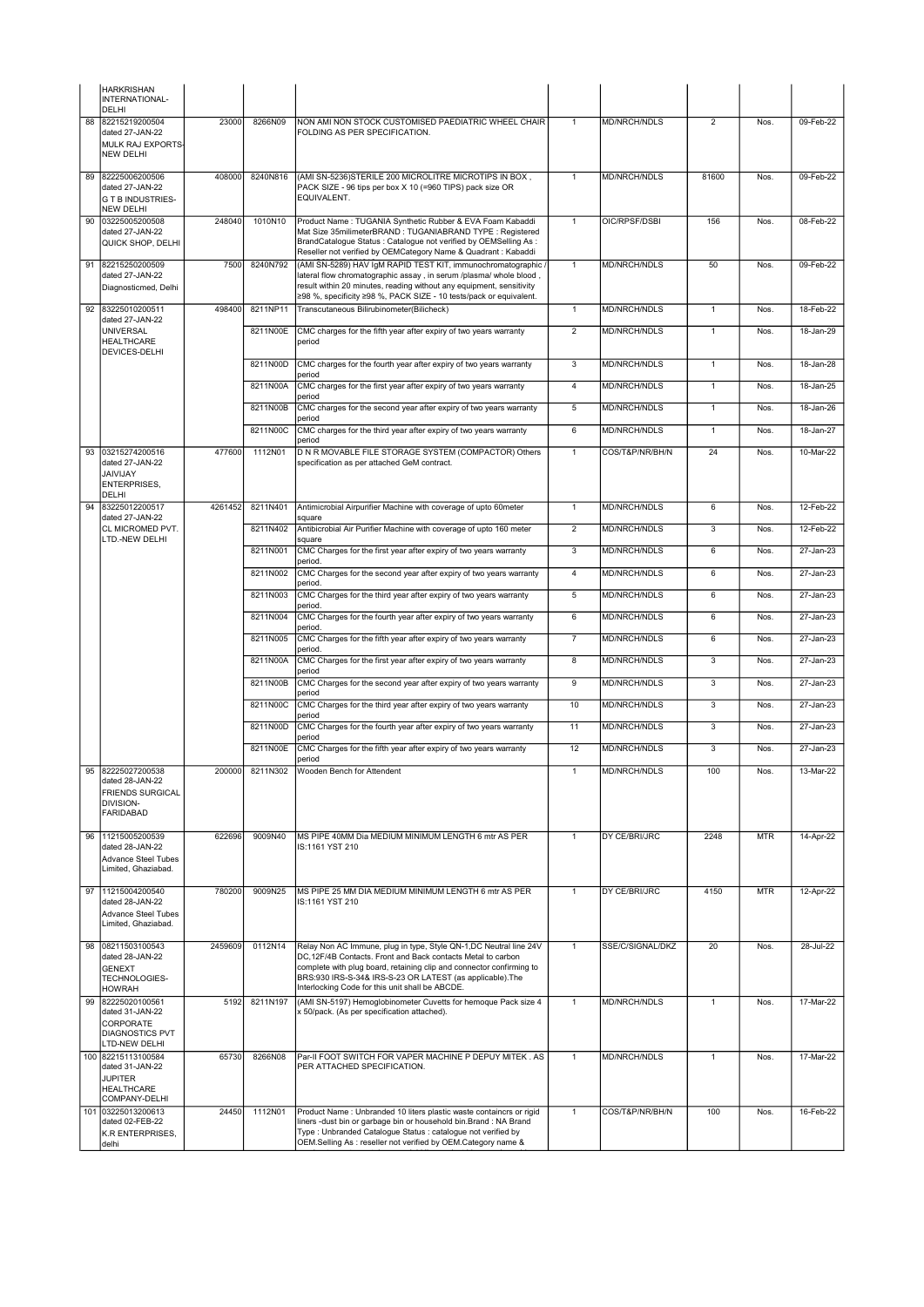|    | <b>HARKRISHAN</b><br>INTERNATIONAL-<br><b>DELHI</b>                                           |         |          |                                                                                                                                                                                                                                                                                                                          |                 |                     |                |            |               |
|----|-----------------------------------------------------------------------------------------------|---------|----------|--------------------------------------------------------------------------------------------------------------------------------------------------------------------------------------------------------------------------------------------------------------------------------------------------------------------------|-----------------|---------------------|----------------|------------|---------------|
| 88 | 82215219200504<br>dated 27-JAN-22<br>MULK RAJ EXPORTS-<br><b>NEW DELHI</b>                    | 23000   | 8266N09  | NON AMI NON STOCK CUSTOMISED PAEDIATRIC WHEEL CHAIR<br>FOLDING AS PER SPECIFICATION.                                                                                                                                                                                                                                     | $\mathbf{1}$    | <b>MD/NRCH/NDLS</b> | $\overline{2}$ | Nos.       | 09-Feb-22     |
| 89 | 82225006200506<br>dated 27-JAN-22<br><b>G T B INDUSTRIES-</b><br><b>NEW DELHI</b>             | 408000  | 8240N816 | (AMI SN-5236) STERILE 200 MICROLITRE MICROTIPS IN BOX,<br>PACK SIZE - 96 tips per box X 10 (=960 TIPS) pack size OR<br>EQUIVALENT.                                                                                                                                                                                       | $\mathbf{1}$    | MD/NRCH/NDLS        | 81600          | Nos.       | 09-Feb-22     |
| 90 | 03225005200508<br>dated 27-JAN-22<br>QUICK SHOP, DELHI                                        | 248040  | 1010N10  | Product Name: TUGANIA Synthetic Rubber & EVA Foam Kabaddi<br>Mat Size 35milimeterBRAND : TUGANIABRAND TYPE : Registered<br>BrandCatalogue Status : Catalogue not verified by OEMSelling As :<br>Reseller not verified by OEMCategory Name & Quadrant : Kabaddi                                                           | $\mathbf{1}$    | OIC/RPSF/DSBI       | 156            | Nos.       | 08-Feb-22     |
| 91 | 82215250200509<br>dated 27-JAN-22<br>Diagnosticmed, Delhi                                     | 7500    | 8240N792 | (AMI SN-5289) HAV IgM RAPID TEST KIT, immunochromatographic /<br>lateral flow chromatographic assay, in serum /plasma/ whole blood,<br>result within 20 minutes, reading without any equipment, sensitivity<br>≥98 %, specificity ≥98 %, PACK SIZE - 10 tests/pack or equivalent.                                        | $\mathbf{1}$    | <b>MD/NRCH/NDLS</b> | 50             | Nos.       | 09-Feb-22     |
| 92 | 83225010200511<br>dated 27-JAN-22                                                             | 498400  | 8211NP11 | Transcutaneous Bilirubinometer(Bilicheck)                                                                                                                                                                                                                                                                                | $\mathbf{1}$    | <b>MD/NRCH/NDLS</b> | $\mathbf{1}$   | Nos.       | 18-Feb-22     |
|    | <b>UNIVERSAL</b><br><b>HEALTHCARE</b><br>DEVICES-DELHI                                        |         | 8211N00E | CMC charges for the fifth year after expiry of two years warranty<br>period                                                                                                                                                                                                                                              | $\overline{2}$  | MD/NRCH/NDLS        | $\overline{1}$ | Nos.       | 18-Jan-29     |
|    |                                                                                               |         | 8211N00D | CMC charges for the fourth year after expiry of two years warranty<br>period                                                                                                                                                                                                                                             | 3               | MD/NRCH/NDLS        | $\mathbf{1}$   | Nos.       | 18-Jan-28     |
|    |                                                                                               |         | 8211N00A | CMC charges for the first year after expiry of two years warranty<br>period                                                                                                                                                                                                                                              | $\overline{4}$  | MD/NRCH/NDLS        | $\mathbf{1}$   | Nos.       | 18-Jan-25     |
|    |                                                                                               |         | 8211N00B | CMC charges for the second year after expiry of two years warranty<br>period                                                                                                                                                                                                                                             | 5               | MD/NRCH/NDLS        | $\mathbf{1}$   | Nos.       | 18-Jan-26     |
|    |                                                                                               |         | 8211N00C | CMC charges for the third year after expiry of two years warranty<br>period                                                                                                                                                                                                                                              | 6               | <b>MD/NRCH/NDLS</b> | $\mathbf{1}$   | Nos.       | 18-Jan-27     |
| 93 | 03215274200516<br>dated 27-JAN-22<br><b>JAIVIJAY</b><br>ENTERPRISES,<br>DELHI                 | 477600  | 1112N01  | D N R MOVABLE FILE STORAGE SYSTEM (COMPACTOR) Others<br>specification as per attached GeM contract.                                                                                                                                                                                                                      | $\mathbf{1}$    | COS/T&P/NR/BH/N     | 24             | Nos.       | 10-Mar-22     |
| 94 | 83225012200517<br>dated 27-JAN-22                                                             | 4261452 | 8211N401 | Antimicrobial Airpurifier Machine with coverage of upto 60meter<br>square                                                                                                                                                                                                                                                | $\mathbf{1}$    | <b>MD/NRCH/NDLS</b> | 6              | Nos.       | 12-Feb-22     |
|    | CL MICROMED PVT.<br>LTD.-NEW DELHI                                                            |         | 8211N402 | Antibicrobial Air Purifier Machine with coverage of upto 160 meter<br>square                                                                                                                                                                                                                                             | $\overline{2}$  | MD/NRCH/NDLS        | 3              | Nos.       | 12-Feb-22     |
|    |                                                                                               |         | 8211N001 | CMC Charges for the first year after expiry of two years warranty<br>period.                                                                                                                                                                                                                                             | 3               | MD/NRCH/NDLS        | 6              | Nos.       | 27-Jan-23     |
|    |                                                                                               |         | 8211N002 | CMC Charges for the second year after expiry of two years warranty<br>period.                                                                                                                                                                                                                                            | $\overline{4}$  | MD/NRCH/NDLS        | 6              | Nos.       | 27-Jan-23     |
|    |                                                                                               |         | 8211N003 | CMC Charges for the third year after expiry of two years warranty<br>period.                                                                                                                                                                                                                                             | 5               | MD/NRCH/NDLS        | 6              | Nos.       | 27-Jan-23     |
|    |                                                                                               |         | 8211N004 | CMC Charges for the fourth year after expiry of two years warranty<br>period.                                                                                                                                                                                                                                            | $6\overline{6}$ | <b>MD/NRCH/NDLS</b> | $6\phantom{1}$ | Nos.       | 27-Jan-23     |
|    |                                                                                               |         | 8211N005 | CMC Charges for the fifth year after expiry of two years warranty<br>period.                                                                                                                                                                                                                                             | $\overline{7}$  | MD/NRCH/NDLS        | 6              | Nos.       | 27-Jan-23     |
|    |                                                                                               |         | 8211N00A | CMC Charges for the first year after expiry of two years warranty<br>period                                                                                                                                                                                                                                              | 8               | MD/NRCH/NDLS        | 3              | Nos.       | 27-Jan-23     |
|    |                                                                                               |         | 8211N00B | CMC Charges for the second year after expiry of two years warranty<br>period                                                                                                                                                                                                                                             | $\overline{9}$  | MD/NRCH/NDLS        | 3              | Nos.       | 27-Jan-23     |
|    |                                                                                               |         | 8211N00C | CMC Charges for the third year after expiry of two years warranty<br>period                                                                                                                                                                                                                                              | 10              | <b>MD/NRCH/NDLS</b> | $\overline{3}$ | Nos.       | $27 - Jan-23$ |
|    |                                                                                               |         | 8211N00D | CMC Charges for the fourth year after expiry of two years warranty<br>period                                                                                                                                                                                                                                             | 11              | MD/NRCH/NDLS        | 3              | Nos.       | 27-Jan-23     |
|    |                                                                                               |         | 8211N00E | CMC Charges for the fifth year after expiry of two years warranty<br>period                                                                                                                                                                                                                                              | 12              | MD/NRCH/NDLS        | 3              | Nos.       | $27 - Jan-23$ |
| 95 | 82225027200538<br>dated 28-JAN-22<br>FRIENDS SURGICAL<br>DIVISION-<br><b>FARIDABAD</b>        | 200000  | 8211N302 | Wooden Bench for Attendent                                                                                                                                                                                                                                                                                               | $\mathbf{1}$    | MD/NRCH/NDLS        | 100            | Nos.       | 13-Mar-22     |
| 96 | 11215005200539<br>dated 28-JAN-22<br>Advance Steel Tubes<br>Limited, Ghaziabad.               | 622696  | 9009N40  | MS PIPE 40MM Dia MEDIUM MINIMUM LENGTH 6 mtr AS PER<br>IS:1161 YST 210                                                                                                                                                                                                                                                   | $\mathbf{1}$    | DY CE/BRI/JRC       | 2248           | <b>MTR</b> | 14-Apr-22     |
| 97 | 11215004200540<br>dated 28-JAN-22<br>Advance Steel Tubes<br>Limited, Ghaziabad,               | 780200  | 9009N25  | MS PIPE 25 MM DIA MEDIUM MINIMUM LENGTH 6 mtr AS PER<br>IS:1161 YST 210                                                                                                                                                                                                                                                  | $\mathbf{1}$    | DY CE/BRI/JRC       | 4150           | <b>MTR</b> | 12-Apr-22     |
| 98 | 08211503100543<br>dated 28-JAN-22<br><b>GENEXT</b><br>TECHNOLOGIES-<br><b>HOWRAH</b>          | 2459609 | 0112N14  | Relay Non AC Immune, plug in type, Style QN-1,DC Neutral line 24V<br>DC,12F/4B Contacts. Front and Back contacts Metal to carbon<br>complete with plug board, retaining clip and connector confirming to<br>BRS:930 IRS-S-34& IRS-S-23 OR LATEST (as applicable). The<br>Interlocking Code for this unit shall be ABCDE. | $\mathbf{1}$    | SSE/C/SIGNAL/DKZ    | 20             | Nos.       | 28-Jul-22     |
| 99 | 82225020100561<br>dated 31-JAN-22<br>CORPORATE<br><b>DIAGNOSTICS PVT</b><br>LTD-NEW DELHI     | 5192    | 8211N197 | (AMI SN-5197) Hemoglobinometer Cuvetts for hemoque Pack size 4<br>x 50/pack. (As per specification attached).                                                                                                                                                                                                            | $\overline{1}$  | MD/NRCH/NDLS        | $\overline{1}$ | Nos.       | 17-Mar-22     |
|    | 100 82215113100584<br>dated 31-JAN-22<br><b>JUPITER</b><br><b>HEALTHCARE</b><br>COMPANY-DELHI | 65730   | 8266N08  | Par-II FOOT SWITCH FOR VAPER MACHINE P DEPUY MITEK . AS<br>PER ATTACHED SPECIFICATION.                                                                                                                                                                                                                                   | $\mathbf{1}$    | MD/NRCH/NDLS        | $\mathbf{1}$   | Nos.       | 17-Mar-22     |
|    | 101 03225013200613<br>dated 02-FEB-22<br>K.R ENTERPRISES,<br>delhi                            | 24450   | 1112N01  | Product Name : Unbranded 10 liters plastic waste containcrs or rigid<br>liners -dust bin or garbage bin or household bin.Brand: NA Brand<br>Type: Unbranded Catalogue Status: catalogue not verified by<br>OEM.Selling As : reseller not verified by OEM.Category name &                                                 | $\overline{1}$  | COS/T&P/NR/BH/N     | 100            | Nos.       | 16-Feb-22     |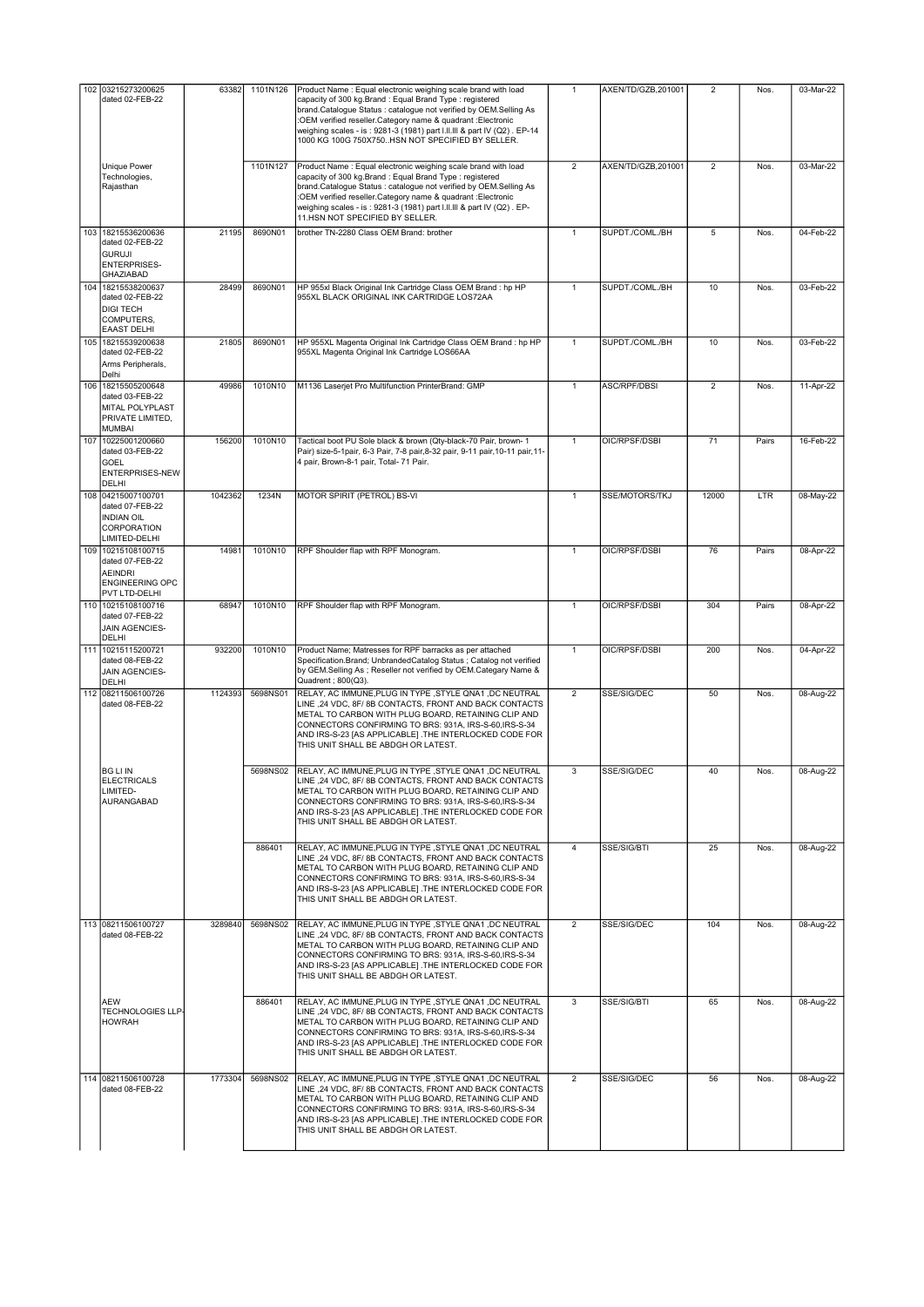|     | 102 03215273200625                                                                                 | 63382   | 1101N126 | Product Name: Equal electronic weighing scale brand with load                                                                                                                                                                                                                                                                                                          | $\mathbf{1}$   | AXEN/TD/GZB,201001 | 2                       | Nos.  | 03-Mar-22 |
|-----|----------------------------------------------------------------------------------------------------|---------|----------|------------------------------------------------------------------------------------------------------------------------------------------------------------------------------------------------------------------------------------------------------------------------------------------------------------------------------------------------------------------------|----------------|--------------------|-------------------------|-------|-----------|
|     | dated 02-FEB-22                                                                                    |         |          | capacity of 300 kg.Brand: Equal Brand Type: registered<br>brand.Catalogue Status : catalogue not verified by OEM.Selling As<br>:OEM verified reseller.Category name & quadrant :Electronic<br>weighing scales - is: 9281-3 (1981) part I.II.III & part IV (Q2). EP-14<br>1000 KG 100G 750X750HSN NOT SPECIFIED BY SELLER.                                              |                |                    |                         |       |           |
|     | <b>Unique Power</b><br>Technologies,<br>Rajasthan                                                  |         | 1101N127 | Product Name: Equal electronic weighing scale brand with load<br>capacity of 300 kg.Brand: Equal Brand Type: registered<br>brand.Catalogue Status: catalogue not verified by OEM.Selling As<br>:OEM verified reseller.Category name & quadrant :Electronic<br>weighing scales - is: 9281-3 (1981) part I.II.III & part IV (Q2). EP-<br>11.HSN NOT SPECIFIED BY SELLER. | $\overline{2}$ | AXEN/TD/GZB,201001 | $\overline{2}$          | Nos.  | 03-Mar-22 |
|     | 103 18215536200636<br>dated 02-FEB-22<br><b>GURUJI</b><br>ENTERPRISES-<br><b>GHAZIABAD</b>         | 21195   | 8690N01  | brother TN-2280 Class OEM Brand: brother                                                                                                                                                                                                                                                                                                                               | $\mathbf{1}$   | SUPDT./COML./BH    | 5                       | Nos.  | 04-Feb-22 |
|     | 104 18215538200637<br>dated 02-FEB-22<br><b>DIGI TECH</b><br>COMPUTERS,<br><b>EAAST DELHI</b>      | 28499   | 8690N01  | HP 955xl Black Original Ink Cartridge Class OEM Brand : hp HP<br>955XL BLACK ORIGINAL INK CARTRIDGE LOS72AA                                                                                                                                                                                                                                                            | $\mathbf{1}$   | SUPDT./COML./BH    | 10                      | Nos.  | 03-Feb-22 |
|     | 105 18215539200638<br>dated 02-FEB-22<br>Arms Peripherals,<br>Delhi                                | 21805   | 8690N01  | HP 955XL Magenta Original Ink Cartridge Class OEM Brand : hp HP<br>955XL Magenta Original Ink Cartridge LOS66AA                                                                                                                                                                                                                                                        | 1              | SUPDT./COML./BH    | 10                      | Nos.  | 03-Feb-22 |
| 106 | 18215505200648<br>dated 03-FEB-22<br>MITAL POLYPLAST<br>PRIVATE LIMITED,<br><b>MUMBAI</b>          | 49986   | 1010N10  | M1136 Laserjet Pro Multifunction PrinterBrand: GMP                                                                                                                                                                                                                                                                                                                     | $\mathbf{1}$   | ASC/RPF/DBSI       | $\overline{\mathbf{c}}$ | Nos.  | 11-Apr-22 |
| 107 | 10225001200660<br>dated 03-FEB-22<br>GOEL<br>ENTERPRISES-NEW<br>DELHI                              | 156200  | 1010N10  | Tactical boot PU Sole black & brown (Qty-black-70 Pair, brown- 1<br>Pair) size-5-1pair, 6-3 Pair, 7-8 pair, 8-32 pair, 9-11 pair, 10-11 pair, 11-<br>4 pair, Brown-8-1 pair, Total- 71 Pair.                                                                                                                                                                           | $\mathbf{1}$   | OIC/RPSF/DSBI      | 71                      | Pairs | 16-Feb-22 |
|     | 108 04215007100701<br>dated 07-FEB-22<br><b>INDIAN OIL</b><br>CORPORATION<br>LIMITED-DELHI         | 1042362 | 1234N    | MOTOR SPIRIT (PETROL) BS-VI                                                                                                                                                                                                                                                                                                                                            | $\mathbf{1}$   | SSE/MOTORS/TKJ     | 12000                   | LTR   | 08-May-22 |
|     | 109 10215108100715<br>dated 07-FEB-22<br><b>AEINDRI</b><br><b>ENGINEERING OPC</b><br>PVT LTD-DELHI | 14981   | 1010N10  | RPF Shoulder flap with RPF Monogram.                                                                                                                                                                                                                                                                                                                                   | $\mathbf{1}$   | OIC/RPSF/DSBI      | 76                      | Pairs | 08-Apr-22 |
|     | 110 10215108100716<br>dated 07-FEB-22<br>JAIN AGENCIES-<br>DELHI                                   | 68947   | 1010N10  | RPF Shoulder flap with RPF Monogram.                                                                                                                                                                                                                                                                                                                                   | $\mathbf{1}$   | OIC/RPSF/DSBI      | 304                     | Pairs | 08-Apr-22 |
|     | 111 10215115200721<br>dated 08-FEB-22<br>JAIN AGENCIES-<br>DELHI                                   | 932200  | 1010N10  | Product Name; Matresses for RPF barracks as per attached<br>Specification.Brand; UnbrandedCatalog Status ; Catalog not verified<br>by GEM.Selling As ; Reseller not verified by OEM.Categary Name &<br>Quadrent ; 800(Q3).                                                                                                                                             | $\mathbf{1}$   | OIC/RPSF/DSBI      | 200                     | Nos.  | 04-Apr-22 |
|     | 112 08211506100726<br>dated 08-FEB-22                                                              | 1124393 | 5698NS01 | RELAY, AC IMMUNE, PLUG IN TYPE, STYLE QNA1, DC NEUTRAL<br>LINE, 24 VDC, 8F/8B CONTACTS, FRONT AND BACK CONTACTS<br>METAL TO CARBON WITH PLUG BOARD, RETAINING CLIP AND<br>CONNECTORS CONFIRMING TO BRS: 931A, IRS-S-60, IRS-S-34<br>AND IRS-S-23 [AS APPLICABLE] .THE INTERLOCKED CODE FOR<br>THIS UNIT SHALL BE ABDGH OR LATEST.                                      | $\overline{2}$ | SSE/SIG/DEC        | 50                      | Nos.  | 08-Aug-22 |
|     | <b>BG LI IN</b><br><b>ELECTRICALS</b><br>LIMITED-<br>AURANGABAD                                    |         |          | 5698NS02 RELAY, AC IMMUNE, PLUG IN TYPE, STYLE QNA1, DC NEUTRAL<br>LINE, 24 VDC, 8F/8B CONTACTS, FRONT AND BACK CONTACTS<br>METAL TO CARBON WITH PLUG BOARD, RETAINING CLIP AND<br>CONNECTORS CONFIRMING TO BRS: 931A, IRS-S-60, IRS-S-34<br>AND IRS-S-23 [AS APPLICABLE] .THE INTERLOCKED CODE FOR<br>THIS UNIT SHALL BE ABDGH OR LATEST.                             | 3              | SSE/SIG/DEC        | 40                      | Nos.  | 08-Aug-22 |
|     |                                                                                                    |         | 886401   | RELAY, AC IMMUNE PLUG IN TYPE .STYLE QNA1 .DC NEUTRAL<br>LINE, 24 VDC, 8F/8B CONTACTS, FRONT AND BACK CONTACTS<br>METAL TO CARBON WITH PLUG BOARD, RETAINING CLIP AND<br>CONNECTORS CONFIRMING TO BRS: 931A, IRS-S-60, IRS-S-34<br>AND IRS-S-23 [AS APPLICABLE] .THE INTERLOCKED CODE FOR<br>THIS UNIT SHALL BE ABDGH OR LATEST.                                       | $\overline{4}$ | SSE/SIG/BTI        | 25                      | Nos.  | 08-Aug-22 |
|     | 113 08211506100727<br>dated 08-FEB-22                                                              | 3289840 | 5698NS02 | RELAY, AC IMMUNE, PLUG IN TYPE, STYLE QNA1, DC NEUTRAL<br>LINE, 24 VDC, 8F/8B CONTACTS, FRONT AND BACK CONTACTS<br>METAL TO CARBON WITH PLUG BOARD, RETAINING CLIP AND<br>CONNECTORS CONFIRMING TO BRS: 931A, IRS-S-60, IRS-S-34<br>AND IRS-S-23 [AS APPLICABLE] .THE INTERLOCKED CODE FOR<br>THIS UNIT SHALL BE ABDGH OR LATEST.                                      | $\overline{2}$ | SSE/SIG/DEC        | 104                     | Nos.  | 08-Aug-22 |
|     | AEW<br>TECHNOLOGIES LLP-<br><b>HOWRAH</b>                                                          |         | 886401   | RELAY, AC IMMUNE, PLUG IN TYPE, STYLE QNA1, DC NEUTRAL<br>LINE ,24 VDC, 8F/8B CONTACTS, FRONT AND BACK CONTACTS<br>METAL TO CARBON WITH PLUG BOARD, RETAINING CLIP AND<br>CONNECTORS CONFIRMING TO BRS: 931A, IRS-S-60, IRS-S-34<br>AND IRS-S-23 [AS APPLICABLE] .THE INTERLOCKED CODE FOR<br>THIS UNIT SHALL BE ABDGH OR LATEST.                                      | 3              | SSE/SIG/BTI        | 65                      | Nos.  | 08-Aug-22 |
|     | 114 08211506100728<br>dated 08-FEB-22                                                              | 1773304 | 5698NS02 | RELAY, AC IMMUNE, PLUG IN TYPE, STYLE QNA1, DC NEUTRAL<br>LINE, 24 VDC, 8F/8B CONTACTS, FRONT AND BACK CONTACTS<br>METAL TO CARBON WITH PLUG BOARD, RETAINING CLIP AND<br>CONNECTORS CONFIRMING TO BRS: 931A, IRS-S-60, IRS-S-34<br>AND IRS-S-23 [AS APPLICABLE] .THE INTERLOCKED CODE FOR<br>THIS UNIT SHALL BE ABDGH OR LATEST.                                      | $\overline{2}$ | SSE/SIG/DEC        | 56                      | Nos.  | 08-Aug-22 |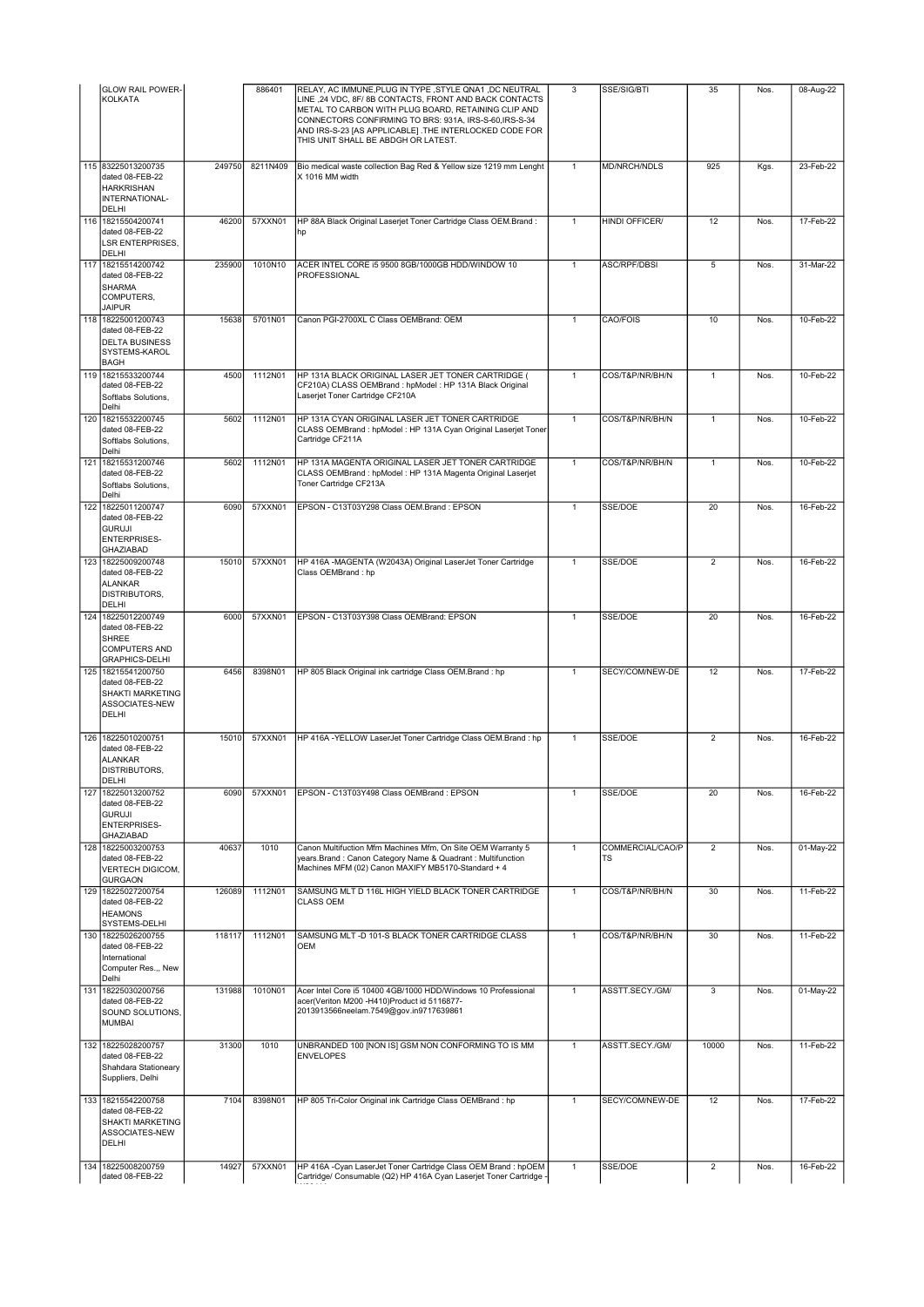|     | <b>GLOW RAIL POWER-</b><br><b>KOLKATA</b>                                                              |        | 886401   | RELAY, AC IMMUNE, PLUG IN TYPE, STYLE QNA1, DC NEUTRAL<br>LINE ,24 VDC, 8F/8B CONTACTS, FRONT AND BACK CONTACTS<br>METAL TO CARBON WITH PLUG BOARD, RETAINING CLIP AND<br>CONNECTORS CONFIRMING TO BRS: 931A, IRS-S-60, IRS-S-34<br>AND IRS-S-23 [AS APPLICABLE] .THE INTERLOCKED CODE FOR<br>THIS UNIT SHALL BE ABDGH OR LATEST. | 3              | SSE/SIG/BTI            | 35             | Nos. | 08-Aug-22    |
|-----|--------------------------------------------------------------------------------------------------------|--------|----------|-----------------------------------------------------------------------------------------------------------------------------------------------------------------------------------------------------------------------------------------------------------------------------------------------------------------------------------|----------------|------------------------|----------------|------|--------------|
|     | 115 83225013200735<br>dated 08-FEB-22<br><b>HARKRISHAN</b><br>INTERNATIONAL-<br><b>DELHI</b>           | 249750 | 8211N409 | Bio medical waste collection Bag Red & Yellow size 1219 mm Lenght<br>X 1016 MM width                                                                                                                                                                                                                                              | $\mathbf{1}$   | <b>MD/NRCH/NDLS</b>    | 925            | Kgs. | 23-Feb-22    |
|     | 116 18215504200741<br>dated 08-FEB-22<br><b>LSR ENTERPRISES.</b><br><b>DELHI</b>                       | 46200  | 57XXN01  | HP 88A Black Original Laserjet Toner Cartridge Class OEM.Brand:<br>hp                                                                                                                                                                                                                                                             | $\mathbf{1}$   | <b>HINDI OFFICER/</b>  | 12             | Nos. | 17-Feb-22    |
| 117 | 18215514200742<br>dated 08-FEB-22<br><b>SHARMA</b><br>COMPUTERS,<br><b>JAIPUR</b>                      | 235900 | 1010N10  | ACER INTEL CORE i5 9500 8GB/1000GB HDD/WINDOW 10<br>PROFESSIONAL                                                                                                                                                                                                                                                                  | $\mathbf{1}$   | ASC/RPF/DBSI           | 5              | Nos. | 31-Mar-22    |
|     | 118 18225001200743<br>dated 08-FEB-22<br><b>DELTA BUSINESS</b><br>SYSTEMS-KAROL<br><b>BAGH</b>         | 15638  | 5701N01  | Canon PGI-2700XL C Class OEMBrand: OEM                                                                                                                                                                                                                                                                                            | $\mathbf{1}$   | CAO/FOIS               | 10             | Nos. | 10-Feb-22    |
|     | 119 18215533200744<br>dated 08-FEB-22<br>Softlabs Solutions,<br>Delhi                                  | 4500   | 1112N01  | HP 131A BLACK ORIGINAL LASER JET TONER CARTRIDGE (<br>CF210A) CLASS OEMBrand : hpModel : HP 131A Black Original<br>Laserjet Toner Cartridge CF210A                                                                                                                                                                                | $\mathbf{1}$   | COS/T&P/NR/BH/N        | $\mathbf{1}$   | Nos. | $10$ -Feb-22 |
| 120 | 18215532200745<br>dated 08-FEB-22<br>Softlabs Solutions,<br>Delhi                                      | 5602   | 1112N01  | HP 131A CYAN ORIGINAL LASER JET TONER CARTRIDGE<br>CLASS OEMBrand : hpModel : HP 131A Cyan Original Laserjet Toner<br>Cartridge CF211A                                                                                                                                                                                            | $\overline{1}$ | COS/T&P/NR/BH/N        | $\mathbf{1}$   | Nos. | 10-Feb-22    |
| 121 | 18215531200746<br>dated 08-FEB-22<br>Softlabs Solutions,<br>Delhi                                      | 5602   | 1112N01  | HP 131A MAGENTA ORIGINAL LASER JET TONER CARTRIDGE<br>CLASS OEMBrand : hpModel : HP 131A Magenta Original Laserjet<br>Toner Cartridge CF213A                                                                                                                                                                                      | $\mathbf{1}$   | COS/T&P/NR/BH/N        | $\mathbf{1}$   | Nos. | 10-Feb-22    |
| 122 | 18225011200747<br>dated 08-FEB-22<br><b>GURUJI</b><br><b>ENTERPRISES-</b><br><b>GHAZIABAD</b>          | 6090   | 57XXN01  | EPSON - C13T03Y298 Class OEM.Brand: EPSON                                                                                                                                                                                                                                                                                         | $\mathbf{1}$   | SSE/DOE                | 20             | Nos. | 16-Feb-22    |
|     | 123 18225009200748<br>dated 08-FEB-22<br><b>ALANKAR</b><br>DISTRIBUTORS,<br><b>DELHI</b>               | 15010  | 57XXN01  | HP 416A -MAGENTA (W2043A) Original LaserJet Toner Cartridge<br>Class OEMBrand : hp                                                                                                                                                                                                                                                | $\mathbf{1}$   | SSE/DOE                | $\overline{2}$ | Nos. | 16-Feb-22    |
|     | 124 18225012200749<br>dated 08-FEB-22<br><b>SHREE</b><br><b>COMPUTERS AND</b><br><b>GRAPHICS-DELHI</b> | 6000   | 57XXN01  | EPSON - C13T03Y398 Class OEMBrand: EPSON                                                                                                                                                                                                                                                                                          | $\mathbf{1}$   | SSE/DOE                | 20             | Nos. | 16-Feb-22    |
|     | 125 18215541200750<br>dated 08-FEB-22<br>SHAKTI MARKETING<br>ASSOCIATES-NEW<br>DELHI                   | 6456   | 8398N01  | HP 805 Black Original ink cartridge Class OEM.Brand : hp                                                                                                                                                                                                                                                                          | $\mathbf{1}$   | SECY/COM/NEW-DE        | 12             | Nos. | 17-Feb-22    |
|     | 126 18225010200751<br>dated 08-FEB-22<br><b>ALANKAR</b><br>DISTRIBUTORS,<br>DELHI                      | 15010  | 57XXN01  | HP 416A -YELLOW LaserJet Toner Cartridge Class OEM.Brand : hp                                                                                                                                                                                                                                                                     | $\mathbf{1}$   | SSE/DOE                | $\overline{2}$ | Nos. | 16-Feb-22    |
| 127 | 18225013200752<br>dated 08-FEB-22<br><b>GURUJI</b><br><b>ENTERPRISES-</b><br>GHAZIABAD                 | 6090   | 57XXN01  | EPSON - C13T03Y498 Class OEMBrand: EPSON                                                                                                                                                                                                                                                                                          | $\mathbf{1}$   | SSE/DOE                | 20             | Nos. | 16-Feb-22    |
| 128 | 18225003200753<br>dated 08-FEB-22<br><b>VERTECH DIGICOM,</b><br><b>GURGAON</b>                         | 40637  | 1010     | Canon Multifuction Mfm Machines Mfm, On Site OEM Warranty 5<br>years. Brand: Canon Category Name & Quadrant: Multifunction<br>Machines MFM (02) Canon MAXIFY MB5170-Standard + 4                                                                                                                                                  | $\mathbf{1}$   | COMMERCIAL/CAO/P<br>TS | $\overline{2}$ | Nos. | $01-May-22$  |
| 129 | 18225027200754<br>dated 08-FEB-22<br><b>HEAMONS</b><br>SYSTEMS-DELHI                                   | 126089 | 1112N01  | SAMSUNG MLT D 116L HIGH YIELD BLACK TONER CARTRIDGE<br><b>CLASS OEM</b>                                                                                                                                                                                                                                                           | $\mathbf{1}$   | COS/T&P/NR/BH/N        | 30             | Nos. | 11-Feb-22    |
| 130 | 18225026200755<br>dated 08-FEB-22<br>International<br>Computer Res.,, New<br>Delhi                     | 118117 | 1112N01  | SAMSUNG MLT -D 101-S BLACK TONER CARTRIDGE CLASS<br>OEM                                                                                                                                                                                                                                                                           | $\mathbf{1}$   | COS/T&P/NR/BH/N        | 30             | Nos. | 11-Feb-22    |
| 131 | 18225030200756<br>dated 08-FEB-22<br>SOUND SOLUTIONS.<br><b>MUMBAI</b>                                 | 131988 | 1010N01  | Acer Intel Core i5 10400 4GB/1000 HDD/Windows 10 Professional<br>acer(Veriton M200 -H410)Product id 5116877-<br>2013913566neelam.7549@gov.in9717639861                                                                                                                                                                            | $\mathbf{1}$   | ASSTT.SECY./GM/        | 3              | Nos. | 01-May-22    |
| 132 | 18225028200757<br>dated 08-FEB-22<br>Shahdara Stationeary<br>Suppliers, Delhi                          | 31300  | 1010     | UNBRANDED 100 [NON IS] GSM NON CONFORMING TO IS MM<br><b>ENVELOPES</b>                                                                                                                                                                                                                                                            | $\mathbf{1}$   | ASSTT.SECY./GM/        | 10000          | Nos. | 11-Feb-22    |
|     | 133 18215542200758<br>dated 08-FEB-22<br>SHAKTI MARKETING<br>ASSOCIATES-NEW<br>DELHI                   | 7104   | 8398N01  | HP 805 Tri-Color Original ink Cartridge Class OEMBrand : hp                                                                                                                                                                                                                                                                       | $\mathbf{1}$   | SECY/COM/NEW-DE        | 12             | Nos. | 17-Feb-22    |
| 134 | 18225008200759<br>dated 08-FEB-22                                                                      | 14927  | 57XXN01  | HP 416A - Cyan LaserJet Toner Cartridge Class OEM Brand: hpOEM<br>Cartridge/ Consumable (Q2) HP 416A Cyan Laserjet Toner Cartridge -                                                                                                                                                                                              | $\mathbf{1}$   | SSE/DOE                | 2              | Nos. | 16-Feb-22    |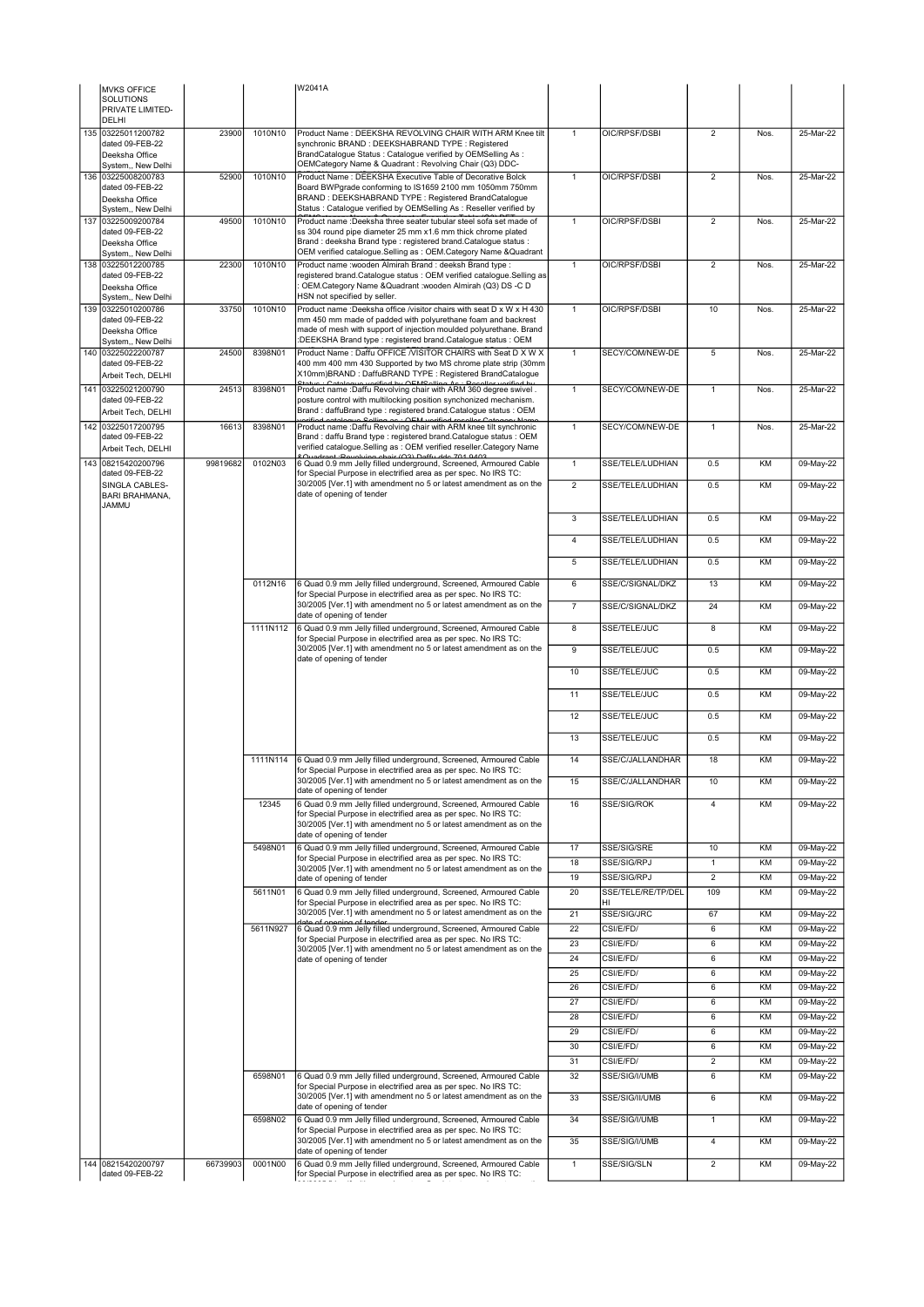| <b>MVKS OFFICE</b>                       |          |          | W2041A                                                                                                                               |                         |                          |                      |           |                        |
|------------------------------------------|----------|----------|--------------------------------------------------------------------------------------------------------------------------------------|-------------------------|--------------------------|----------------------|-----------|------------------------|
| <b>SOLUTIONS</b><br>PRIVATE LIMITED-     |          |          |                                                                                                                                      |                         |                          |                      |           |                        |
| <b>DELHI</b>                             |          |          |                                                                                                                                      |                         |                          |                      |           |                        |
| 135 03225011200782<br>dated 09-FEB-22    | 23900    | 1010N10  | Product Name : DEEKSHA REVOLVING CHAIR WITH ARM Knee tilt<br>synchronic BRAND : DEEKSHABRAND TYPE : Registered                       | $\overline{1}$          | OIC/RPSF/DSBI            | $\overline{2}$       | Nos.      | 25-Mar-22              |
| Deeksha Office                           |          |          | BrandCatalogue Status : Catalogue verified by OEMSelling As :                                                                        |                         |                          |                      |           |                        |
| System,, New Delhi<br>136 03225008200783 | 52900    | 1010N10  | OEMCategory Name & Quadrant: Revolving Chair (Q3) DDC-<br>Product Name: DEEKSHA Executive Table of Decorative Bolck                  | $\mathbf{1}$            | OIC/RPSF/DSBI            | $\overline{2}$       | Nos.      | 25-Mar-22              |
| dated 09-FEB-22                          |          |          | Board BWPgrade conforming to IS1659 2100 mm 1050mm 750mm                                                                             |                         |                          |                      |           |                        |
| Deeksha Office<br>System,, New Delhi     |          |          | BRAND: DEEKSHABRAND TYPE: Registered BrandCatalogue<br>Status: Catalogue verified by OEMSelling As: Reseller verified by             |                         |                          |                      |           |                        |
| 137 03225009200784                       | 49500    | 1010N10  | Product name :Deeksha three seater tubular steel sofa set made of                                                                    | $\mathbf{1}$            | OIC/RPSF/DSBI            | $\overline{2}$       | Nos.      | 25-Mar-22              |
| dated 09-FEB-22<br>Deeksha Office        |          |          | ss 304 round pipe diameter 25 mm x1.6 mm thick chrome plated<br>Brand: deeksha Brand type: registered brand. Catalogue status:       |                         |                          |                      |           |                        |
| System,, New Delhi                       |          |          | OEM verified catalogue.Selling as : OEM.Category Name &Quadrant                                                                      |                         |                          |                      |           |                        |
| 138 03225012200785<br>dated 09-FEB-22    | 22300    | 1010N10  | Product name : wooden Almirah Brand : deeksh Brand type :<br>registered brand.Catalogue status: OEM verified catalogue.Selling as    | $\mathbf{1}$            | OIC/RPSF/DSBI            | $\overline{2}$       | Nos.      | 25-Mar-22              |
| Deeksha Office                           |          |          | OEM.Category Name &Quadrant :wooden Almirah (Q3) DS -C D                                                                             |                         |                          |                      |           |                        |
| System,, New Delhi<br>139 03225010200786 | 33750    | 1010N10  | HSN not specified by seller.<br>Product name :Deeksha office /visitor chairs with seat D x W x H 430                                 | $\mathbf{1}$            | OIC/RPSF/DSBI            | 10                   | Nos.      | 25-Mar-22              |
| dated 09-FEB-22                          |          |          | mm 450 mm made of padded with polyurethane foam and backrest                                                                         |                         |                          |                      |           |                        |
| Deeksha Office<br>System,, New Delhi     |          |          | made of mesh with support of injection moulded polyurethane. Brand<br>:DEEKSHA Brand type : registered brand.Catalogue status : OEM  |                         |                          |                      |           |                        |
| 140 03225022200787                       | 24500    | 8398N01  | Product Name : Daffu OFFICE /VISITOR CHAIRS with Seat D X W X                                                                        | $\mathbf{1}$            | SECY/COM/NEW-DE          | 5                    | Nos.      | 25-Mar-22              |
| dated 09-FEB-22<br>Arbeit Tech, DELHI    |          |          | 400 mm 400 mm 430 Supported by two MS chrome plate strip (30mm<br>X10mm)BRAND: DaffuBRAND TYPE: Registered BrandCatalogue            |                         |                          |                      |           |                        |
| 141 03225021200790                       | 24513    | 8398N01  | Product name : Daffu Revolving chair with ARM 360 degree swivel.                                                                     | $\mathbf{1}$            | SECY/COM/NEW-DE          | $\mathbf{1}$         | Nos.      | 25-Mar-22              |
| dated 09-FEB-22                          |          |          | posture control with multilocking position synchonized mechanism.<br>Brand: daffuBrand type: registered brand.Catalogue status: OEM  |                         |                          |                      |           |                        |
| Arbeit Tech, DELHI<br>142 03225017200795 | 16613    | 8398N01  | $\cdot$ OEM verified resoller Case<br>Product name :Daffu Revolving chair with ARM knee tilt synchronic                              | $\mathbf{1}$            | SECY/COM/NEW-DE          | $\mathbf{1}$         | Nos.      | 25-Mar-22              |
| dated 09-FEB-22                          |          |          | Brand: daffu Brand type: registered brand. Catalogue status: OEM                                                                     |                         |                          |                      |           |                        |
| Arbeit Tech, DELHI                       |          | 0102N03  | verified catalogue.Selling as : OEM verified reseller.Category Name<br>2.Quadrant : Pevolving chair (Q3) Daffu dde 701 0403          |                         |                          |                      |           |                        |
| 143 08215420200796<br>dated 09-FEB-22    | 99819682 |          | 6 Quad 0.9 mm Jelly filled underground, Screened, Armoured Cable<br>for Special Purpose in electrified area as per spec. No IRS TC:  | $\overline{1}$          | SSE/TELE/LUDHIAN         | 0.5                  | KM        | 09-May-22              |
| SINGLA CABLES-<br><b>BARI BRAHMANA,</b>  |          |          | 30/2005 [Ver.1] with amendment no 5 or latest amendment as on the<br>date of opening of tender                                       | $\overline{2}$          | SSE/TELE/LUDHIAN         | 0.5                  | KM        | 09-May-22              |
| <b>JAMMU</b>                             |          |          |                                                                                                                                      | $\overline{\mathbf{3}}$ | SSE/TELE/LUDHIAN         | 0.5                  | KM        |                        |
|                                          |          |          |                                                                                                                                      |                         |                          |                      |           | 09-May-22              |
|                                          |          |          |                                                                                                                                      | $\overline{4}$          | SSE/TELE/LUDHIAN         | 0.5                  | KM        | 09-May-22              |
|                                          |          |          |                                                                                                                                      | 5                       | SSE/TELE/LUDHIAN         | 0.5                  | KM        | 09-May-22              |
|                                          |          | 0112N16  | 6 Quad 0.9 mm Jelly filled underground, Screened, Armoured Cable                                                                     | 6                       | SSE/C/SIGNAL/DKZ         | 13                   | KM        | 09-May-22              |
|                                          |          |          | for Special Purpose in electrified area as per spec. No IRS TC:                                                                      |                         |                          |                      |           |                        |
|                                          |          |          | 30/2005 [Ver.1] with amendment no 5 or latest amendment as on the<br>date of opening of tender                                       | $\overline{7}$          | SSE/C/SIGNAL/DKZ         | 24                   | KM        | 09-May-22              |
|                                          |          | 1111N112 | 6 Quad 0.9 mm Jelly filled underground, Screened, Armoured Cable<br>for Special Purpose in electrified area as per spec. No IRS TC:  | 8                       | SSE/TELE/JUC             | 8                    | KM        | 09-May-22              |
|                                          |          |          | 30/2005 [Ver.1] with amendment no 5 or latest amendment as on the                                                                    | $\overline{9}$          | SSE/TELE/JUC             | 0.5                  | KM        | 09-May-22              |
|                                          |          |          | date of opening of tender                                                                                                            | 10                      | SSE/TELE/JUC             | 0.5                  | KM        | 09-May-22              |
|                                          |          |          |                                                                                                                                      |                         |                          |                      |           |                        |
|                                          |          |          |                                                                                                                                      | 11                      | SSE/TELE/JUC             | 0.5                  | KM        | 09-May-22              |
|                                          |          |          |                                                                                                                                      | 12                      | SSE/TELE/JUC             | 0.5                  | KM        | 09-May-22              |
|                                          |          |          |                                                                                                                                      | 13                      | SSE/TELE/JUC             | 0.5                  | KM        | 09-May-22              |
|                                          |          | 1111N114 | 6 Quad 0.9 mm Jelly filled underground, Screened, Armoured Cable                                                                     | 14                      | SSE/C/JALLANDHAR         | 18                   | KM        | 09-May-22              |
|                                          |          |          | for Special Purpose in electrified area as per spec. No IRS TC:<br>30/2005 [Ver.1] with amendment no 5 or latest amendment as on the |                         |                          |                      |           |                        |
|                                          |          |          | date of opening of tender                                                                                                            | 15                      | SSE/C/JALLANDHAR         | 10                   | KM        | 09-May-22              |
|                                          |          | 12345    | 6 Quad 0.9 mm Jelly filled underground, Screened, Armoured Cable<br>for Special Purpose in electrified area as per spec. No IRS TC:  | 16                      | SSE/SIG/ROK              | $\overline{4}$       | KM        | 09-May-22              |
|                                          |          |          | 30/2005 [Ver.1] with amendment no 5 or latest amendment as on the                                                                    |                         |                          |                      |           |                        |
|                                          |          | 5498N01  | date of opening of tender<br>6 Quad 0.9 mm Jelly filled underground, Screened, Armoured Cable                                        | 17                      | SSE/SIG/SRE              | 10                   | KM        | 09-May-22              |
|                                          |          |          | for Special Purpose in electrified area as per spec. No IRS TC:                                                                      | 18                      | SSE/SIG/RPJ              | $\mathbf{1}$         | <b>KM</b> | 09-May-22              |
|                                          |          |          | 30/2005 [Ver.1] with amendment no 5 or latest amendment as on the<br>date of opening of tender                                       | 19                      | SSE/SIG/RPJ              | $\overline{2}$       | KM        | 09-May-22              |
|                                          |          | 5611N01  | 6 Quad 0.9 mm Jelly filled underground, Screened, Armoured Cable<br>for Special Purpose in electrified area as per spec. No IRS TC:  | 20                      | SSE/TELE/RE/TP/DEL<br>HI | 109                  | KM        | 09-May-22              |
|                                          |          |          | 30/2005 [Ver.1] with amendment no 5 or latest amendment as on the                                                                    | 21                      | SSE/SIG/JRC              | 67                   | KM        | 09-May-22              |
|                                          |          | 5611N927 | 6 Quad 0.9 mm Jelly filled underground, Screened, Armoured Cable                                                                     | $\overline{22}$         | CSI/E/FD/                | 6                    | KM        | 09-May-22              |
|                                          |          |          | for Special Purpose in electrified area as per spec. No IRS TC:<br>30/2005 [Ver.1] with amendment no 5 or latest amendment as on the | 23                      | CSI/E/FD/                | 6                    | KM        | 09-May-22              |
|                                          |          |          | date of opening of tender                                                                                                            | 24                      | CSI/E/FD/                | 6                    | KM        | 09-May-22              |
|                                          |          |          |                                                                                                                                      | 25                      | CSI/E/FD/                | 6                    | KM<br>KM  | 09-May-22              |
|                                          |          |          |                                                                                                                                      | 26<br>27                | CSI/E/FD/<br>CSI/E/FD/   | $6\overline{6}$<br>6 | KM        | 09-May-22<br>09-May-22 |
|                                          |          |          |                                                                                                                                      | 28                      | CSI/E/FD/                | 6                    | KM        | 09-May-22              |
|                                          |          |          |                                                                                                                                      | 29                      | CSI/E/FD/                | 6                    | KM        | 09-May-22              |
|                                          |          |          |                                                                                                                                      | 30                      | CSI/E/FD/                | 6                    | KM        | 09-May-22              |
|                                          |          |          |                                                                                                                                      | 31                      | CSI/E/FD/                | $\overline{2}$       | KM        | 09-May-22              |
|                                          |          | 6598N01  | 6 Quad 0.9 mm Jelly filled underground, Screened, Armoured Cable<br>for Special Purpose in electrified area as per spec. No IRS TC:  | 32                      | SSE/SIG/I/UMB            | 6                    | KM        | 09-May-22              |
|                                          |          |          | 30/2005 [Ver.1] with amendment no 5 or latest amendment as on the<br>date of opening of tender                                       | 33                      | SSE/SIG/II/UMB           | 6                    | KM        | 09-May-22              |
|                                          |          | 6598N02  | 6 Quad 0.9 mm Jelly filled underground, Screened, Armoured Cable                                                                     | 34                      | SSE/SIG/I/UMB            | $\mathbf{1}$         | KM        | 09-May-22              |
|                                          |          |          | for Special Purpose in electrified area as per spec. No IRS TC:<br>30/2005 [Ver.1] with amendment no 5 or latest amendment as on the | $\overline{35}$         | SSE/SIG/I/UMB            | 4                    | KM        | 09-May-22              |
|                                          |          |          | date of opening of tender                                                                                                            |                         |                          |                      |           |                        |
| 144 08215420200797<br>dated 09-FEB-22    | 66739903 | 0001N00  | 6 Quad 0.9 mm Jelly filled underground, Screened, Armoured Cable<br>for Special Purpose in electrified area as per spec. No IRS TC:  | $\mathbf{1}$            | SSE/SIG/SLN              | $\overline{2}$       | KM        | 09-May-22              |
|                                          |          |          |                                                                                                                                      |                         |                          |                      |           |                        |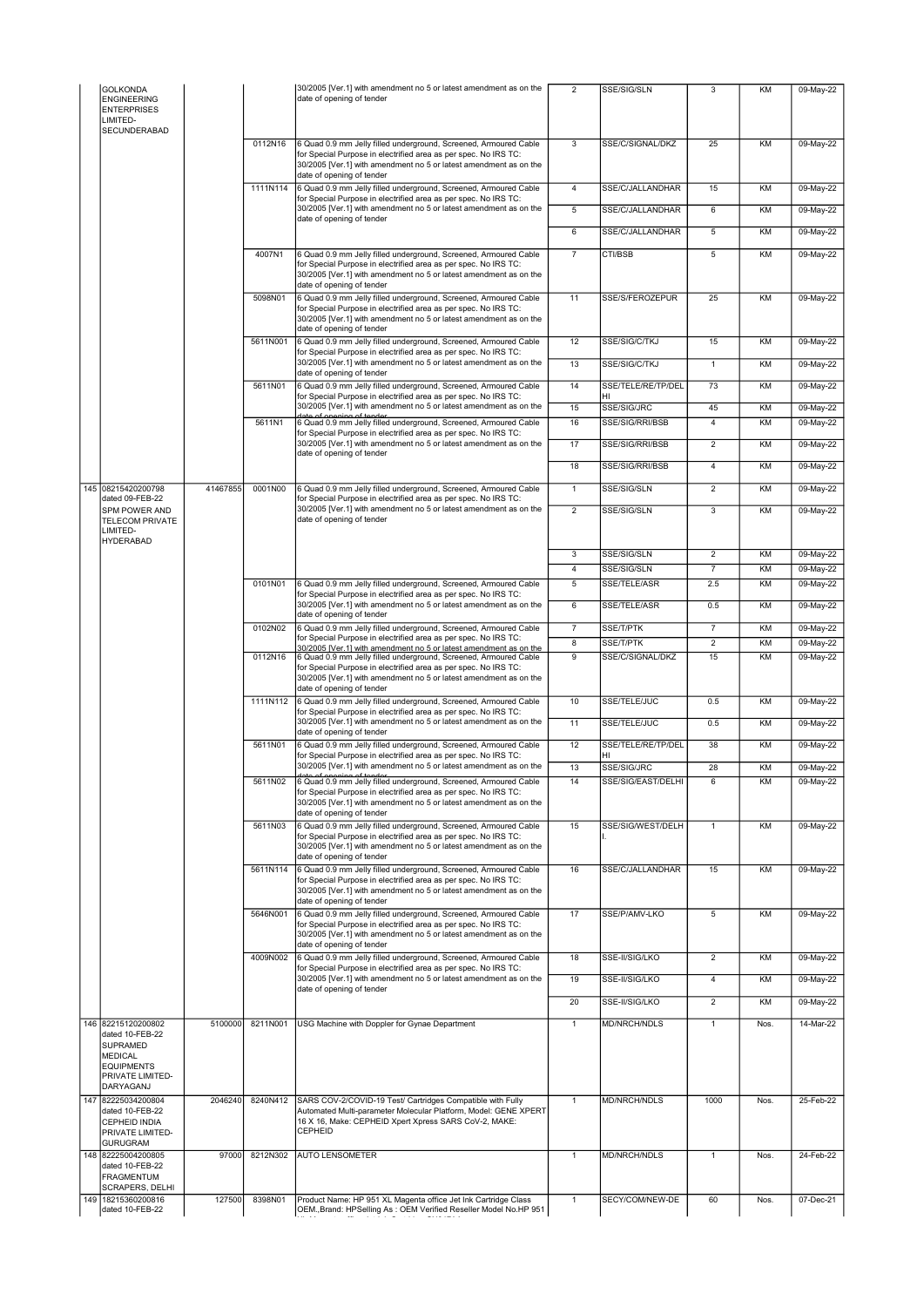| GOLKONDA<br><b>ENGINEERING</b><br><b>ENTERPRISES</b><br>LIMITED-                                           |          |          | 30/2005 [Ver.1] with amendment no 5 or latest amendment as on the<br>date of opening of tender                                                                                                                                        | $\overline{2}$      | SSE/SIG/SLN                   | 3                    | KM       | 09-May-22              |
|------------------------------------------------------------------------------------------------------------|----------|----------|---------------------------------------------------------------------------------------------------------------------------------------------------------------------------------------------------------------------------------------|---------------------|-------------------------------|----------------------|----------|------------------------|
| <b>SECUNDERABAD</b>                                                                                        |          | 0112N16  | 6 Quad 0.9 mm Jelly filled underground, Screened, Armoured Cable<br>for Special Purpose in electrified area as per spec. No IRS TC:                                                                                                   | 3                   | SSE/C/SIGNAL/DKZ              | 25                   | KM       | 09-May-22              |
|                                                                                                            |          |          | 30/2005 [Ver.1] with amendment no 5 or latest amendment as on the<br>date of opening of tender                                                                                                                                        |                     |                               |                      |          |                        |
|                                                                                                            |          | 1111N114 | 6 Quad 0.9 mm Jelly filled underground, Screened, Armoured Cable<br>for Special Purpose in electrified area as per spec. No IRS TC:                                                                                                   | $\overline{4}$      | SSE/C/JALLANDHAR              | 15                   | KM       | 09-May-22              |
|                                                                                                            |          |          | 30/2005 [Ver.1] with amendment no 5 or latest amendment as on the<br>date of opening of tender                                                                                                                                        | 5                   | SSE/C/JALLANDHAR              | 6                    | KM       | 09-May-22              |
|                                                                                                            |          |          |                                                                                                                                                                                                                                       | 6                   | SSE/C/JALLANDHAR              | 5                    | KM       | 09-May-22              |
|                                                                                                            |          | 4007N1   | 6 Quad 0.9 mm Jelly filled underground, Screened, Armoured Cable<br>for Special Purpose in electrified area as per spec. No IRS TC:<br>30/2005 [Ver.1] with amendment no 5 or latest amendment as on the<br>date of opening of tender | $\overline{7}$      | CTI/BSB                       | 5                    | KM       | 09-May-22              |
|                                                                                                            |          | 5098N01  | 6 Quad 0.9 mm Jelly filled underground, Screened, Armoured Cable<br>for Special Purpose in electrified area as per spec. No IRS TC:<br>30/2005 [Ver.1] with amendment no 5 or latest amendment as on the<br>date of opening of tender | 11                  | SSE/S/FEROZEPUR               | 25                   | KM       | 09-May-22              |
|                                                                                                            |          | 5611N001 | 6 Quad 0.9 mm Jelly filled underground, Screened, Armoured Cable<br>for Special Purpose in electrified area as per spec. No IRS TC:                                                                                                   | 12                  | SSE/SIG/C/TKJ                 | 15                   | KM       | 09-May-22              |
|                                                                                                            |          |          | 30/2005 [Ver.1] with amendment no 5 or latest amendment as on the<br>date of opening of tender                                                                                                                                        | 13                  | SSE/SIG/C/TKJ                 | $\mathbf{1}$         | KM       | 09-May-22              |
|                                                                                                            |          | 5611N01  | 6 Quad 0.9 mm Jelly filled underground, Screened, Armoured Cable<br>for Special Purpose in electrified area as per spec. No IRS TC:                                                                                                   | 14                  | SSE/TELE/RE/TP/DEL<br>HI      | 73                   | KM       | 09-May-22              |
|                                                                                                            |          |          | 30/2005 [Ver.1] with amendment no 5 or latest amendment as on the                                                                                                                                                                     | 15                  | SSE/SIG/JRC                   | 45                   | KM       | 09-May-22              |
|                                                                                                            |          | 5611N1   | 6 Quad 0.9 mm Jelly filled underground, Screened, Armoured Cable<br>for Special Purpose in electrified area as per spec. No IRS TC:                                                                                                   | 16                  | SSE/SIG/RRI/BSB               | 4                    | KM       | 09-May-22              |
|                                                                                                            |          |          | 30/2005 [Ver.1] with amendment no 5 or latest amendment as on the<br>date of opening of tender                                                                                                                                        | 17                  | SSE/SIG/RRI/BSB               | $\overline{2}$       | KM       | 09-May-22              |
|                                                                                                            |          |          |                                                                                                                                                                                                                                       | 18                  | SSE/SIG/RRI/BSB               | $\overline{4}$       | KM       | 09-May-22              |
| 145 08215420200798<br>dated 09-FEB-22                                                                      | 41467855 | 0001N00  | 6 Quad 0.9 mm Jelly filled underground, Screened, Armoured Cable                                                                                                                                                                      | $\mathbf{1}$        | SSE/SIG/SLN                   | $\overline{2}$       | KM       | 09-May-22              |
| SPM POWER AND<br><b>TELECOM PRIVATE</b><br>LIMITED-<br><b>HYDERABAD</b>                                    |          |          | for Special Purpose in electrified area as per spec. No IRS TC:<br>30/2005 [Ver.1] with amendment no 5 or latest amendment as on the<br>date of opening of tender                                                                     | $\overline{2}$      | SSE/SIG/SLN                   | 3                    | KM       | 09-May-22              |
|                                                                                                            |          |          |                                                                                                                                                                                                                                       | 3                   | SSE/SIG/SLN                   | $\overline{2}$       | KM       | 09-May-22              |
|                                                                                                            |          |          |                                                                                                                                                                                                                                       | $\overline{4}$      | SSE/SIG/SLN                   | $\overline{7}$       | KM       | 09-May-22              |
|                                                                                                            |          | 0101N01  | 6 Quad 0.9 mm Jelly filled underground, Screened, Armoured Cable<br>for Special Purpose in electrified area as per spec. No IRS TC:                                                                                                   | 5                   | SSE/TELE/ASR                  | 2.5                  | KM       | 09-May-22              |
|                                                                                                            |          |          | 30/2005 [Ver.1] with amendment no 5 or latest amendment as on the<br>date of opening of tender                                                                                                                                        | $6\overline{6}$     | SSE/TELE/ASR                  | 0.5                  | KM       | 09-May-22              |
|                                                                                                            |          | 0102N02  | 6 Quad 0.9 mm Jelly filled underground, Screened, Armoured Cable<br>for Special Purpose in electrified area as per spec. No IRS TC:                                                                                                   | $\overline{7}$      | SSE/T/PTK                     | $\overline{7}$       | KM       | 09-May-22              |
|                                                                                                            |          | 0112N16  | 30/2005 [Ver.1] with amendment no 5 or latest amendment as on the<br>6 Quad 0.9 mm Jelly filled underground, Screened, Armoured Cable                                                                                                 | 8<br>$\overline{9}$ | SSE/T/PTK<br>SSE/C/SIGNAL/DKZ | $\overline{2}$<br>15 | KM<br>KM | 09-May-22<br>09-May-22 |
|                                                                                                            |          |          | for Special Purpose in electrified area as per spec. No IRS TC:<br>30/2005 [Ver.1] with amendment no 5 or latest amendment as on the<br>date of opening of tender                                                                     |                     |                               |                      |          |                        |
|                                                                                                            |          | 1111N112 | 6 Quad 0.9 mm Jelly filled underground, Screened, Armoured Cable<br>for Special Purpose in electrified area as per spec. No IRS TC:                                                                                                   | 10                  | SSE/TELE/JUC                  | 0.5                  | KM       | 09-May-22              |
|                                                                                                            |          |          | 30/2005 [Ver.1] with amendment no 5 or latest amendment as on the<br>date of opening of tender                                                                                                                                        | 11                  | SSE/TELE/JUC                  | 0.5                  | KM       | 09-May-22              |
|                                                                                                            |          | 5611N01  | 6 Quad 0.9 mm Jelly filled underground, Screened, Armoured Cable<br>for Special Purpose in electrified area as per spec. No IRS TC:                                                                                                   | 12                  | SSE/TELE/RE/TP/DEL<br>HI      | 38                   | KM       | 09-May-22              |
|                                                                                                            |          | 5611N02  | 30/2005 [Ver.1] with amendment no 5 or latest amendment as on the<br>data of anoning of tander<br>6 Quad 0.9 mm Jelly filled underground, Screened, Armoured Cable                                                                    | 13<br>14            | SSE/SIG/JRC                   | 28<br>6              | KM<br>KM | 09-May-22              |
|                                                                                                            |          |          | for Special Purpose in electrified area as per spec. No IRS TC:<br>30/2005 [Ver.1] with amendment no 5 or latest amendment as on the<br>date of opening of tender                                                                     |                     | SSE/SIG/EAST/DELHI            |                      |          | 09-May-22              |
|                                                                                                            |          | 5611N03  | 6 Quad 0.9 mm Jelly filled underground, Screened, Armoured Cable<br>for Special Purpose in electrified area as per spec. No IRS TC:<br>30/2005 [Ver.1] with amendment no 5 or latest amendment as on the<br>date of opening of tender | 15                  | SSE/SIG/WEST/DELH             | $\mathbf{1}$         | KM       | 09-May-22              |
|                                                                                                            |          | 5611N114 | 6 Quad 0.9 mm Jelly filled underground, Screened, Armoured Cable<br>for Special Purpose in electrified area as per spec. No IRS TC:<br>30/2005 [Ver.1] with amendment no 5 or latest amendment as on the<br>date of opening of tender | 16                  | SSE/C/JALLANDHAR              | 15                   | KM       | 09-May-22              |
|                                                                                                            |          | 5646N001 | 6 Quad 0.9 mm Jelly filled underground. Screened. Armoured Cable<br>for Special Purpose in electrified area as per spec. No IRS TC:<br>30/2005 [Ver.1] with amendment no 5 or latest amendment as on the<br>date of opening of tender | 17                  | SSE/P/AMV-LKO                 | 5                    | KM       | $09-May-22$            |
|                                                                                                            |          | 4009N002 | 6 Quad 0.9 mm Jelly filled underground, Screened, Armoured Cable<br>for Special Purpose in electrified area as per spec. No IRS TC:                                                                                                   | 18                  | SSE-II/SIG/LKO                | $\overline{2}$       | KM       | 09-May-22              |
|                                                                                                            |          |          | 30/2005 [Ver.1] with amendment no 5 or latest amendment as on the<br>date of opening of tender                                                                                                                                        | 19                  | SSE-II/SIG/LKO                | $\overline{4}$       | KM       | 09-May-22              |
|                                                                                                            |          |          |                                                                                                                                                                                                                                       | 20                  | SSE-II/SIG/LKO                | $\overline{2}$       | KM       | 09-May-22              |
| 146 82215120200802                                                                                         | 5100000  | 8211N001 | USG Machine with Doppler for Gynae Department                                                                                                                                                                                         | $\mathbf{1}$        | <b>MD/NRCH/NDLS</b>           | $\mathbf{1}$         | Nos.     | 14-Mar-22              |
| dated 10-FEB-22<br><b>SUPRAMED</b><br><b>MEDICAL</b><br><b>EQUIPMENTS</b><br>PRIVATE LIMITED-<br>DARYAGANJ |          |          |                                                                                                                                                                                                                                       |                     |                               |                      |          |                        |
| 147 82225034200804<br>dated 10-FEB-22<br>CEPHEID INDIA<br>PRIVATE LIMITED-<br><b>GURUGRAM</b>              | 2046240  | 8240N412 | SARS COV-2/COVID-19 Test/ Cartridges Compatible with Fully<br>Automated Multi-parameter Molecular Platform, Model: GENE XPERT<br>16 X 16, Make: CEPHEID Xpert Xpress SARS CoV-2, MAKE:<br>CEPHEID                                     | $\mathbf{1}$        | <b>MD/NRCH/NDLS</b>           | 1000                 | Nos.     | 25-Feb-22              |
| 148 82225004200805                                                                                         | 97000    | 8212N302 | <b>AUTO LENSOMETER</b>                                                                                                                                                                                                                | $\mathbf{1}$        | MD/NRCH/NDLS                  | $\mathbf{1}$         | Nos.     | 24-Feb-22              |
| dated 10-FEB-22<br><b>FRAGMENTUM</b><br>SCRAPERS, DELHI                                                    |          |          |                                                                                                                                                                                                                                       |                     |                               |                      |          |                        |
| 149 18215360200816<br>dated 10-FEB-22                                                                      | 127500   | 8398N01  | Product Name: HP 951 XL Magenta office Jet Ink Cartridge Class<br>OEM., Brand: HPSelling As: OEM Verified Reseller Model No.HP 951                                                                                                    | $\overline{1}$      | SECY/COM/NEW-DE               | 60                   | Nos.     | 07-Dec-21              |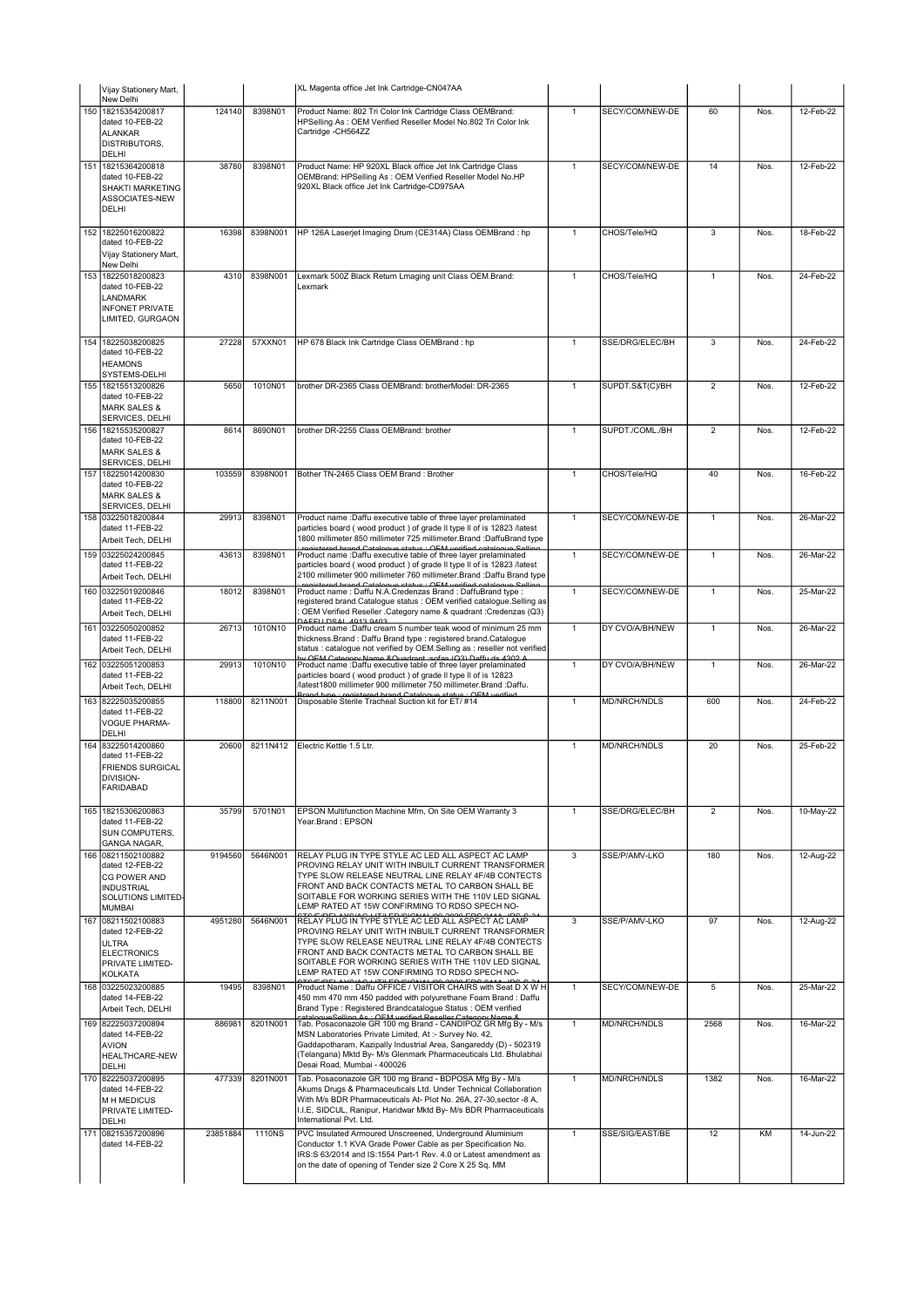|     | Vijay Stationery Mart,                                                                                            |          |          | XL Magenta office Jet Ink Cartridge-CN047AA                                                                                                                                                                                                                                                                                                                    |                |                     |                |      |           |
|-----|-------------------------------------------------------------------------------------------------------------------|----------|----------|----------------------------------------------------------------------------------------------------------------------------------------------------------------------------------------------------------------------------------------------------------------------------------------------------------------------------------------------------------------|----------------|---------------------|----------------|------|-----------|
| 150 | New Delhi<br>18215354200817                                                                                       | 124140   | 8398N01  | Product Name: 802 Tri Color Ink Cartridge Class OEMBrand:                                                                                                                                                                                                                                                                                                      | $\mathbf{1}$   | SECY/COM/NEW-DE     | 60             | Nos. | 12-Feb-22 |
|     | dated 10-FEB-22<br><b>ALANKAR</b><br><b>DISTRIBUTORS,</b><br><b>DELHI</b>                                         |          |          | HPSelling As: OEM Verified Reseller Model No.802 Tri Color Ink<br>Cartridge -CH564ZZ                                                                                                                                                                                                                                                                           |                |                     |                |      |           |
| 151 | 18215364200818                                                                                                    | 38780    | 8398N01  | Product Name: HP 920XL Black office Jet Ink Cartridge Class                                                                                                                                                                                                                                                                                                    | $\mathbf{1}$   | SECY/COM/NEW-DE     | 14             | Nos. | 12-Feb-22 |
|     | dated 10-FEB-22<br>SHAKTI MARKETING<br>ASSOCIATES-NEW<br>DELHI                                                    |          |          | OEMBrand: HPSelling As: OEM Verified Reseller Model No.HP<br>920XL Black office Jet Ink Cartridge-CD975AA                                                                                                                                                                                                                                                      |                |                     |                |      |           |
|     | 152 18225016200822                                                                                                | 16398    | 8398N001 | HP 126A Laserjet Imaging Drum (CE314A) Class OEMBrand : hp                                                                                                                                                                                                                                                                                                     | $\overline{1}$ | CHOS/Tele/HQ        | $\overline{3}$ | Nos. | 18-Feb-22 |
|     | dated 10-FEB-22<br>Vijay Stationery Mart,<br>New Delhi                                                            |          |          |                                                                                                                                                                                                                                                                                                                                                                |                |                     |                |      |           |
| 153 | 18225018200823<br>dated 10-FEB-22<br><b>LANDMARK</b><br><b>INFONET PRIVATE</b><br>LIMITED, GURGAON                | 4310     | 8398N001 | Lexmark 500Z Black Return Lmaging unit Class OEM.Brand:<br>Lexmark                                                                                                                                                                                                                                                                                             | $\mathbf{1}$   | CHOS/Tele/HQ        | $\mathbf{1}$   | Nos. | 24-Feb-22 |
|     | 154 18225038200825<br>dated 10-FEB-22<br><b>HEAMONS</b><br>SYSTEMS-DELHI                                          | 27228    | 57XXN01  | HP 678 Black Ink Cartridge Class OEMBrand : hp                                                                                                                                                                                                                                                                                                                 | $\mathbf{1}$   | SSE/DRG/ELEC/BH     | 3              | Nos. | 24-Feb-22 |
|     | 155 18215513200826<br>dated 10-FEB-22<br><b>MARK SALES &amp;</b><br>SERVICES, DELHI                               | 5650     | 1010N01  | brother DR-2365 Class OEMBrand: brotherModel: DR-2365                                                                                                                                                                                                                                                                                                          | $\mathbf{1}$   | SUPDT.S&T(C)/BH     | $\overline{2}$ | Nos. | 12-Feb-22 |
| 156 | 18215535200827<br>dated 10-FEB-22<br><b>MARK SALES &amp;</b><br>SERVICES, DELHI                                   | 8614     | 8690N01  | brother DR-2255 Class OEMBrand: brother                                                                                                                                                                                                                                                                                                                        | $\overline{1}$ | SUPDT./COML./BH     | $\overline{2}$ | Nos. | 12-Feb-22 |
| 157 | 18225014200830<br>dated 10-FEB-22<br><b>MARK SALES &amp;</b><br>SERVICES, DELHI                                   | 103559   | 8398N001 | Bother TN-2465 Class OEM Brand : Brother                                                                                                                                                                                                                                                                                                                       | 1              | CHOS/Tele/HQ        | 40             | Nos. | 16-Feb-22 |
|     | 158 03225018200844<br>dated 11-FEB-22<br>Arbeit Tech, DELHI                                                       | 29913    | 8398N01  | Product name : Daffu executive table of three layer prelaminated<br>particles board (wood product) of grade II type II of is 12823 /latest<br>1800 millimeter 850 millimeter 725 millimeter. Brand : DaffuBrand type                                                                                                                                           | $\overline{1}$ | SECY/COM/NEW-DE     | $\mathbf{1}$   | Nos. | 26-Mar-22 |
|     | 159 03225024200845<br>dated 11-FEB-22<br>Arbeit Tech, DELHI                                                       | 43613    | 8398N01  | registered brand Catalogue status : OEM verified catalogue Sel<br>Product name : Daffu executive table of three layer prelaminated<br>particles board (wood product) of grade II type II of is 12823 /latest<br>2100 millimeter 900 millimeter 760 millimeter. Brand : Daffu Brand type<br>d brand Catalogue status : OEM verified                             | $\overline{1}$ | SECY/COM/NEW-DE     | $\mathbf{1}$   | Nos. | 26-Mar-22 |
|     | 160 03225019200846<br>dated 11-FEB-22<br>Arbeit Tech, DELHI                                                       | 18012    | 8398N01  | Product name: Daffu N.A.Credenzas Brand: DaffuBrand type:<br>registered brand.Catalogue status : OEM verified catalogue.Selling as<br>OEM Verified Reseller . Category name & quadrant : Credenzas (Q3)<br><b>DAEELL DSAL 4913 9403</b>                                                                                                                        | $\mathbf{1}$   | SECY/COM/NEW-DE     | $\mathbf{1}$   | Nos. | 25-Mar-22 |
|     | 161 03225050200852<br>dated 11-FEB-22<br>Arbeit Tech, DELHI                                                       | 26713    | 1010N10  | Product name :Daffu cream 5 number teak wood of minimum 25 mm<br>thickness.Brand: Daffu Brand type: registered brand.Catalogue<br>status : catalogue not verified by OEM.Selling as : reseller not verified<br>by OEM Category Name & Quadrant reafas (O3) Daffu de 1302 1                                                                                     | $\mathbf{1}$   | DY CVO/A/BH/NEW     | $\mathbf{1}$   | Nos. | 26-Mar-22 |
|     | 162 03225051200853<br>dated 11-FEB-22<br>Arbeit Tech, DELHI                                                       | 29913    | 1010N10  | Product name : Daffu executive table of three layer prelaminated<br>particles board (wood product) of grade II type II of is 12823<br>/latest1800 millimeter 900 millimeter 750 millimeter.Brand :Daffu.<br>registered brand Catalogue status . OEM                                                                                                            | $\mathbf{1}$   | DY CVO/A/BH/NEW     | $\mathbf{1}$   | Nos. | 26-Mar-22 |
|     | 163 82225035200855<br>dated 11-FEB-22<br><b>VOGUE PHARMA-</b><br><b>DELHI</b>                                     | 118800   | 8211N001 | Disposable Sterile Tracheal Suction kit for ET/ #14                                                                                                                                                                                                                                                                                                            | $\mathbf{1}$   | MD/NRCH/NDLS        | 600            | Nos. | 24-Feb-22 |
| 164 | 83225014200860<br>dated 11-FEB-22<br><b>FRIENDS SURGICAL</b><br>DIVISION-<br><b>FARIDABAD</b>                     | 20600    | 8211N412 | Flectric Kettle 1.5 Ltr.                                                                                                                                                                                                                                                                                                                                       | $\mathbf{1}$   | <b>MD/NRCH/NDLS</b> | 20             | Nos. | 25-Feb-22 |
| 165 | 18215306200863<br>dated 11-FEB-22<br><b>SUN COMPUTERS,</b><br>GANGA NAGAR,                                        | 35799    | 5701N01  | EPSON Multifunction Machine Mfm, On Site OEM Warranty 3<br>Year.Brand: EPSON                                                                                                                                                                                                                                                                                   | $\mathbf{1}$   | SSE/DRG/ELEC/BH     | $\overline{2}$ | Nos. | 10-May-22 |
|     | 166 08211502100882<br>dated 12-FEB-22<br>CG POWER AND<br><b>INDUSTRIAL</b><br>SOLUTIONS LIMITED-<br><b>MUMBAI</b> | 9194560  | 5646N001 | RELAY PLUG IN TYPE STYLE AC LED ALL ASPECT AC LAMP<br>PROVING RELAY UNIT WITH INBUILT CURRENT TRANSFORMER<br>TYPE SLOW RELEASE NEUTRAL LINE RELAY 4F/4B CONTECTS<br>FRONT AND BACK CONTACTS METAL TO CARBON SHALL BE<br>SOITABLE FOR WORKING SERIES WITH THE 110V LED SIGNAL<br>LEMP RATED AT 15W CONFIRMING TO RDSO SPECH NO-                                 | 3              | SSE/P/AMV-LKO       | 180            | Nos. | 12-Aug-22 |
| 167 | 08211502100883<br>dated 12-FEB-22<br><b>ULTRA</b><br><b>ELECTRONICS</b><br>PRIVATE LIMITED-<br><b>KOLKATA</b>     | 4951280  | 5646N001 | RELAY PLUG IN TYPE STYLE AC LED ALL ASPECT AC LAMP<br>PROVING RELAY UNIT WITH INBUILT CURRENT TRANSFORMER<br>TYPE SLOW RELEASE NEUTRAL LINE RELAY 4F/4B CONTECTS<br>FRONT AND BACK CONTACTS METAL TO CARBON SHALL BE<br>SOITABLE FOR WORKING SERIES WITH THE 110V LED SIGNAL<br>LEMP RATED AT 15W CONFIRMING TO RDSO SPECH NO-                                 | $\overline{3}$ | SSE/P/AMV-LKO       | 97             | Nos. | 12-Aug-22 |
|     | 168 03225023200885<br>dated 14-FEB-22<br>Arbeit Tech, DELHI                                                       | 19495    | 8398N01  | Product Name : Daffu OFFICE / VISITOR CHAIRS with Seat D X W H<br>450 mm 470 mm 450 padded with polyurethane Foam Brand : Daffu<br>Brand Type : Registered Brandcatalogue Status : OEM verified                                                                                                                                                                | $\mathbf{1}$   | SECY/COM/NEW-DE     | 5              | Nos. | 25-Mar-22 |
|     | 169 82225037200894<br>dated 14-FEB-22<br><b>AVION</b><br>HEALTHCARE-NEW<br><b>DELHI</b>                           | 886981   | 8201N001 | estelecus Selling As : OFM verified Pescller Category Name &<br>Tab. Posaconazole GR 100 mg Brand - CANDIPOZ GR Mfg By - M/s<br>MSN Laboratories Private Limited, At :- Survey No. 42,<br>Gaddapotharam, Kazipally Industrial Area, Sangareddy (D) - 502319<br>(Telangana) Mktd By- M/s Glenmark Pharmaceuticals Ltd. Bhulabhai<br>Desai Road, Mumbai - 400026 | $\mathbf{1}$   | MD/NRCH/NDLS        | 2568           | Nos. | 16-Mar-22 |
|     | 170 82225037200895<br>dated 14-FEB-22<br><b>MH MEDICUS</b><br>PRIVATE LIMITED-<br>DELHI                           | 477339   | 8201N001 | Tab. Posaconazole GR 100 mg Brand - BDPOSA Mfg By - M/s<br>Akums Drugs & Pharmaceuticals Ltd. Under Technical Collaboration<br>With M/s BDR Pharmaceuticals At- Plot No. 26A, 27-30, sector -8 A,<br>I.I.E, SIDCUL, Ranipur, Haridwar Mktd By- M/s BDR Pharmaceuticals<br>International Pvt. Ltd.                                                              | $\mathbf{1}$   | MD/NRCH/NDLS        | 1382           | Nos. | 16-Mar-22 |
| 171 | 08215357200896<br>dated 14-FEB-22                                                                                 | 23851884 | 1110NS   | PVC Insulated Armoured Unscreened, Underground Aluminium<br>Conductor 1.1 KVA Grade Power Cable as per Specification No.<br>IRS:S 63/2014 and IS:1554 Part-1 Rev. 4.0 or Latest amendment as<br>on the date of opening of Tender size 2 Core X 25 Sq. MM                                                                                                       | $\mathbf{1}$   | SSE/SIG/EAST/BE     | 12             | KM   | 14-Jun-22 |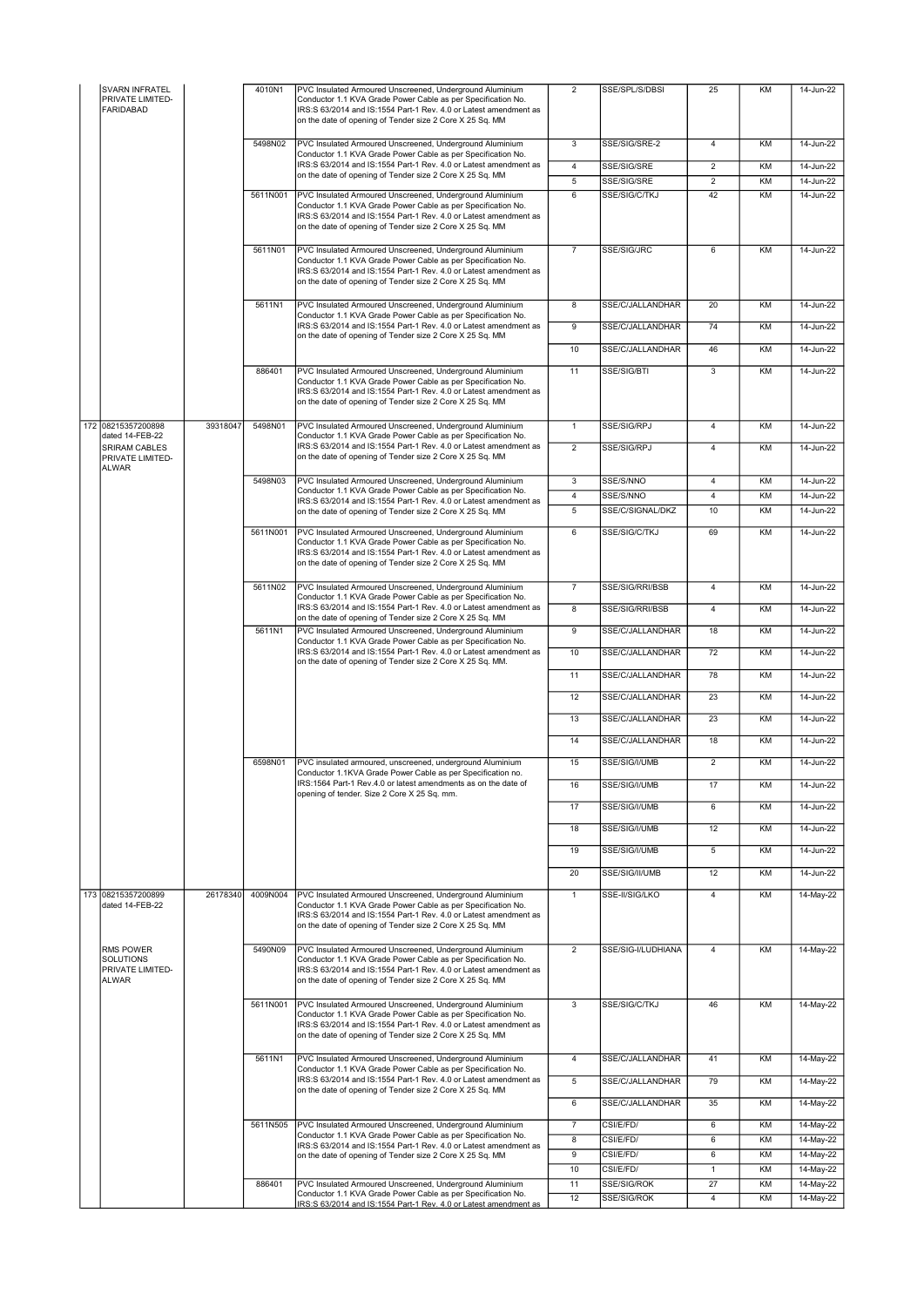| SVARN INFRATEL<br>PRIVATE LIMITED-<br><b>FARIDABAD</b>            | 4010N1   | PVC Insulated Armoured Unscreened, Underground Aluminium<br>Conductor 1.1 KVA Grade Power Cable as per Specification No.<br>IRS:S 63/2014 and IS:1554 Part-1 Rev. 4.0 or Latest amendment as<br>on the date of opening of Tender size 2 Core X 25 Sq. MM | $\overline{2}$          | SSE/SPL/S/DBSI                       | 25                               | KM        | 14-Jun-22              |
|-------------------------------------------------------------------|----------|----------------------------------------------------------------------------------------------------------------------------------------------------------------------------------------------------------------------------------------------------------|-------------------------|--------------------------------------|----------------------------------|-----------|------------------------|
|                                                                   | 5498N02  | PVC Insulated Armoured Unscreened, Underground Aluminium<br>Conductor 1.1 KVA Grade Power Cable as per Specification No.                                                                                                                                 | $\overline{3}$          | SSE/SIG/SRE-2                        | 4                                | KM        | 14-Jun-22              |
|                                                                   |          | IRS:S 63/2014 and IS:1554 Part-1 Rev. 4.0 or Latest amendment as<br>on the date of opening of Tender size 2 Core X 25 Sq. MM                                                                                                                             | $\overline{4}$          | SSE/SIG/SRE                          | $\overline{2}$<br>$\overline{2}$ | KM        | 14-Jun-22              |
|                                                                   | 5611N001 | PVC Insulated Armoured Unscreened, Underground Aluminium<br>Conductor 1.1 KVA Grade Power Cable as per Specification No.<br>IRS:S 63/2014 and IS:1554 Part-1 Rev. 4.0 or Latest amendment as<br>on the date of opening of Tender size 2 Core X 25 Sq. MM | 5<br>6                  | SSE/SIG/SRE<br>SSE/SIG/C/TKJ         | 42                               | KM<br>KM  | 14-Jun-22<br>14-Jun-22 |
|                                                                   | 5611N01  | PVC Insulated Armoured Unscreened, Underground Aluminium<br>Conductor 1.1 KVA Grade Power Cable as per Specification No.<br>IRS:S 63/2014 and IS:1554 Part-1 Rev. 4.0 or Latest amendment as<br>on the date of opening of Tender size 2 Core X 25 Sq. MM | $\overline{7}$          | SSE/SIG/JRC                          | 6                                | <b>KM</b> | 14-Jun-22              |
|                                                                   | 5611N1   | PVC Insulated Armoured Unscreened, Underground Aluminium<br>Conductor 1.1 KVA Grade Power Cable as per Specification No.                                                                                                                                 | $\overline{8}$          | SSE/C/JALLANDHAR                     | 20                               | KM        | 14-Jun-22              |
|                                                                   |          | IRS:S 63/2014 and IS:1554 Part-1 Rev. 4.0 or Latest amendment as<br>on the date of opening of Tender size 2 Core X 25 Sq. MM                                                                                                                             | 9                       | SSE/C/JALLANDHAR                     | 74                               | KM        | 14-Jun-22              |
|                                                                   |          |                                                                                                                                                                                                                                                          | 10                      | SSE/C/JALLANDHAR                     | 46                               | KM        | 14-Jun-22              |
|                                                                   | 886401   | PVC Insulated Armoured Unscreened, Underground Aluminium<br>Conductor 1.1 KVA Grade Power Cable as per Specification No.<br>IRS:S 63/2014 and IS:1554 Part-1 Rev. 4.0 or Latest amendment as<br>on the date of opening of Tender size 2 Core X 25 Sq. MM | 11                      | SSE/SIG/BTI                          | 3                                | KM        | 14-Jun-22              |
| 172 08215357200898<br>39318047<br>dated 14-FEB-22                 | 5498N01  | PVC Insulated Armoured Unscreened, Underground Aluminium<br>Conductor 1.1 KVA Grade Power Cable as per Specification No.                                                                                                                                 | $\mathbf{1}$            | SSE/SIG/RPJ                          | 4                                | KM        | 14-Jun-22              |
| <b>SRIRAM CABLES</b><br>PRIVATE LIMITED-                          |          | IRS:S 63/2014 and IS:1554 Part-1 Rev. 4.0 or Latest amendment as<br>on the date of opening of Tender size 2 Core X 25 Sq. MM                                                                                                                             | $\overline{2}$          | SSE/SIG/RPJ                          | 4                                | KM        | 14-Jun-22              |
| <b>ALWAR</b>                                                      | 5498N03  | PVC Insulated Armoured Unscreened, Underground Aluminium                                                                                                                                                                                                 | $\overline{\mathbf{3}}$ | SSE/S/NNO                            | $\overline{4}$                   | KM        | 14-Jun-22              |
|                                                                   |          | Conductor 1.1 KVA Grade Power Cable as per Specification No.<br>IRS:S 63/2014 and IS:1554 Part-1 Rev. 4.0 or Latest amendment as                                                                                                                         | $\overline{4}$          | SSE/S/NNO                            | 4                                | KM        | 14-Jun-22              |
|                                                                   | 5611N001 | on the date of opening of Tender size 2 Core X 25 Sq. MM<br>PVC Insulated Armoured Unscreened, Underground Aluminium<br>Conductor 1.1 KVA Grade Power Cable as per Specification No.<br>IRS:S 63/2014 and IS:1554 Part-1 Rev. 4.0 or Latest amendment as | $\overline{5}$<br>6     | SSE/C/SIGNAL/DKZ<br>SSE/SIG/C/TKJ    | 10<br>69                         | KM<br>KM  | 14-Jun-22<br>14-Jun-22 |
|                                                                   | 5611N02  | on the date of opening of Tender size 2 Core X 25 Sq. MM<br>PVC Insulated Armoured Unscreened, Underground Aluminium                                                                                                                                     | $\overline{7}$          | SSE/SIG/RRI/BSB                      | 4                                | KM        | 14-Jun-22              |
|                                                                   |          | Conductor 1.1 KVA Grade Power Cable as per Specification No.                                                                                                                                                                                             |                         |                                      |                                  |           |                        |
|                                                                   |          | IRS:S 63/2014 and IS:1554 Part-1 Rev. 4.0 or Latest amendment as<br>on the date of opening of Tender size 2 Core X 25 Sq. MM                                                                                                                             | 8                       | SSE/SIG/RRI/BSB                      | 4                                | KM        | 14-Jun-22              |
|                                                                   | 5611N1   | PVC Insulated Armoured Unscreened, Underground Aluminium<br>Conductor 1.1 KVA Grade Power Cable as per Specification No.                                                                                                                                 | $\overline{9}$          | SSE/C/JALLANDHAR                     | 18                               | KM        | 14-Jun-22              |
|                                                                   |          | IRS:S 63/2014 and IS:1554 Part-1 Rev. 4.0 or Latest amendment as<br>on the date of opening of Tender size 2 Core X 25 Sq. MM.                                                                                                                            | 10<br>11                | SSE/C/JALLANDHAR<br>SSE/C/JALLANDHAR | 72<br>78                         | KM<br>KM  | 14-Jun-22<br>14-Jun-22 |
|                                                                   |          |                                                                                                                                                                                                                                                          | 12                      | SSE/C/JALLANDHAR                     | 23                               | KM        | 14-Jun-22              |
|                                                                   |          |                                                                                                                                                                                                                                                          | 13                      | SSE/C/JALLANDHAR                     | 23                               | KM        | 14-Jun-22              |
|                                                                   |          |                                                                                                                                                                                                                                                          | 14                      | SSE/C/JALLANDHAR                     | 18                               | KM        | 14-Jun-22              |
|                                                                   | 6598N01  | PVC insulated armoured, unscreened, underground Aluminium<br>Conductor 1.1KVA Grade Power Cable as per Specification no.                                                                                                                                 | 15                      | SSE/SIG/I/UMB                        | $\overline{2}$                   | KM        | 14-Jun-22              |
|                                                                   |          | IRS:1564 Part-1 Rev.4.0 or latest amendments as on the date of<br>opening of tender. Size 2 Core X 25 Sq. mm.                                                                                                                                            | 16                      | SSE/SIG/I/UMB                        | 17                               | KM        | 14-Jun-22              |
|                                                                   |          |                                                                                                                                                                                                                                                          | 17                      | SSE/SIG/I/UMB                        | 6                                | KM        | 14-Jun-22              |
|                                                                   |          |                                                                                                                                                                                                                                                          | 18                      | SSE/SIG/I/UMB                        | 12                               | KM        | 14-Jun-22              |
|                                                                   |          |                                                                                                                                                                                                                                                          | 19                      | SSE/SIG/I/UMB                        | 5                                | KM        | 14-Jun-22              |
|                                                                   |          |                                                                                                                                                                                                                                                          | 20                      | SSE/SIG/II/UMB                       | 12                               | KM        | 14-Jun-22              |
| 173 08215357200899<br>26178340<br>dated 14-FEB-22                 | 4009N004 | PVC Insulated Armoured Unscreened, Underground Aluminium<br>Conductor 1.1 KVA Grade Power Cable as per Specification No.<br>IRS:S 63/2014 and IS:1554 Part-1 Rev. 4.0 or Latest amendment as<br>on the date of opening of Tender size 2 Core X 25 Sq. MM | $\mathbf{1}$            | SSE-II/SIG/LKO                       | $\overline{4}$                   | KM        | 14-May-22              |
| RMS POWER<br><b>SOLUTIONS</b><br>PRIVATE LIMITED-<br><b>ALWAR</b> | 5490N09  | PVC Insulated Armoured Unscreened, Underground Aluminium<br>Conductor 1.1 KVA Grade Power Cable as per Specification No.<br>IRS:S 63/2014 and IS:1554 Part-1 Rev. 4.0 or Latest amendment as<br>on the date of opening of Tender size 2 Core X 25 Sq. MM | $\overline{2}$          | SSE/SIG-I/LUDHIANA                   | $\overline{4}$                   | KM        | 14-May-22              |
|                                                                   | 5611N001 | PVC Insulated Armoured Unscreened, Underground Aluminium<br>Conductor 1.1 KVA Grade Power Cable as per Specification No.<br>IRS:S 63/2014 and IS:1554 Part-1 Rev. 4.0 or Latest amendment as<br>on the date of opening of Tender size 2 Core X 25 Sq. MM | 3                       | SSE/SIG/C/TKJ                        | 46                               | <b>KM</b> | 14-May-22              |
|                                                                   | 5611N1   | PVC Insulated Armoured Unscreened, Underground Aluminium<br>Conductor 1.1 KVA Grade Power Cable as per Specification No.                                                                                                                                 | $\overline{4}$          | SSE/C/JALLANDHAR                     | 41                               | KM        | 14-May-22              |
|                                                                   |          | IRS:S 63/2014 and IS:1554 Part-1 Rev. 4.0 or Latest amendment as<br>on the date of opening of Tender size 2 Core X 25 Sq. MM                                                                                                                             | 5                       | SSE/C/JALLANDHAR                     | 79                               | KM        | 14-May-22              |
|                                                                   |          |                                                                                                                                                                                                                                                          | 6                       | SSE/C/JALLANDHAR                     | 35                               | KM        | 14-May-22              |
|                                                                   | 5611N505 | PVC Insulated Armoured Unscreened, Underground Aluminium<br>Conductor 1.1 KVA Grade Power Cable as per Specification No.                                                                                                                                 | $\overline{7}$          | CSI/E/FD/                            | 6                                | KM        | 14-May-22              |
|                                                                   |          | IRS:S 63/2014 and IS:1554 Part-1 Rev. 4.0 or Latest amendment as                                                                                                                                                                                         | 8                       | CSI/E/FD/                            | 6                                | KM        | 14-May-22              |
|                                                                   |          | on the date of opening of Tender size 2 Core X 25 Sq. MM                                                                                                                                                                                                 | 9<br>10                 | CSI/E/FD/<br>CSI/E/FD/               | 6<br>$\mathbf{1}$                | KM<br>KM  | 14-May-22<br>14-May-22 |
|                                                                   | 886401   | PVC Insulated Armoured Unscreened, Underground Aluminium                                                                                                                                                                                                 | 11                      | SSE/SIG/ROK                          | 27                               | KM        | 14-May-22              |
|                                                                   |          | Conductor 1.1 KVA Grade Power Cable as per Specification No.<br>IRS:S 63/2014 and IS:1554 Part-1 Rev. 4.0 or Latest amendment as                                                                                                                         | 12                      | SSE/SIG/ROK                          | $\overline{4}$                   | KM        | 14-May-22              |
|                                                                   |          |                                                                                                                                                                                                                                                          |                         |                                      |                                  |           |                        |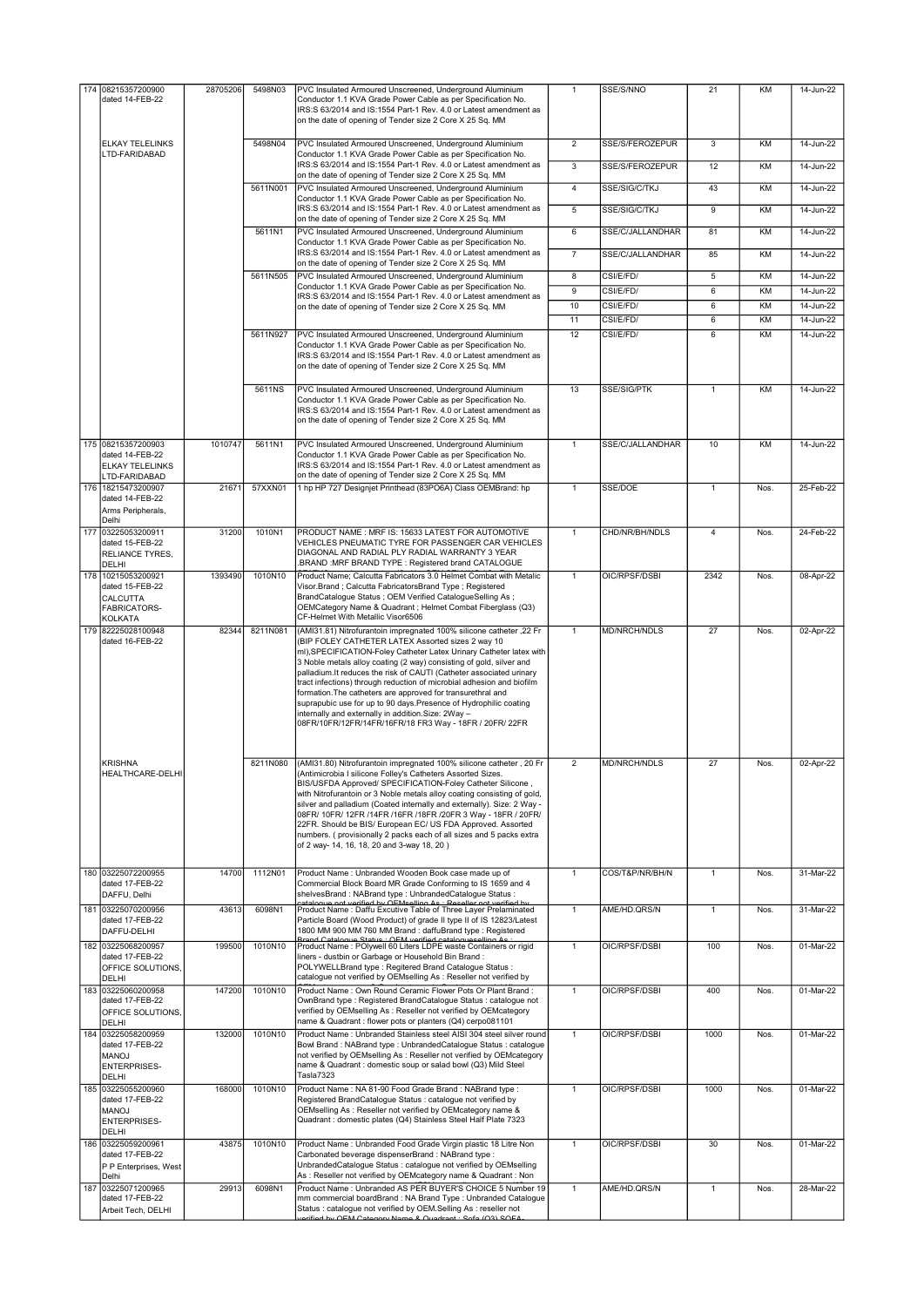| 174 08215357200900                                                                    | 28705206 | 5498N03  | PVC Insulated Armoured Unscreened, Underground Aluminium                                                                                                                                                                                                                                                                                                                                                                                                                                                                                                                                                                                                                    | $\mathbf{1}$            | SSE/S/NNO              | 21             | KM       | 14-Jun-22              |
|---------------------------------------------------------------------------------------|----------|----------|-----------------------------------------------------------------------------------------------------------------------------------------------------------------------------------------------------------------------------------------------------------------------------------------------------------------------------------------------------------------------------------------------------------------------------------------------------------------------------------------------------------------------------------------------------------------------------------------------------------------------------------------------------------------------------|-------------------------|------------------------|----------------|----------|------------------------|
| dated 14-FEB-22                                                                       |          |          | Conductor 1.1 KVA Grade Power Cable as per Specification No.<br>IRS:S 63/2014 and IS:1554 Part-1 Rev. 4.0 or Latest amendment as<br>on the date of opening of Tender size 2 Core X 25 Sq. MM                                                                                                                                                                                                                                                                                                                                                                                                                                                                                |                         |                        |                |          |                        |
| <b>ELKAY TELELINKS</b>                                                                |          | 5498N04  | PVC Insulated Armoured Unscreened, Underground Aluminium                                                                                                                                                                                                                                                                                                                                                                                                                                                                                                                                                                                                                    | $\overline{2}$          | SSE/S/FEROZEPUR        | 3              | KM       | 14-Jun-22              |
| LTD-FARIDABAD                                                                         |          |          | Conductor 1.1 KVA Grade Power Cable as per Specification No.<br>IRS:S 63/2014 and IS:1554 Part-1 Rev. 4.0 or Latest amendment as                                                                                                                                                                                                                                                                                                                                                                                                                                                                                                                                            | $\overline{\mathbf{3}}$ | SSE/S/FEROZEPUR        | 12             | KM       | 14-Jun-22              |
|                                                                                       |          | 5611N001 | on the date of opening of Tender size 2 Core X 25 Sq. MM<br>PVC Insulated Armoured Unscreened, Underground Aluminium                                                                                                                                                                                                                                                                                                                                                                                                                                                                                                                                                        | $\overline{4}$          | SSE/SIG/C/TKJ          | 43             | KM       | 14-Jun-22              |
|                                                                                       |          |          | Conductor 1.1 KVA Grade Power Cable as per Specification No.                                                                                                                                                                                                                                                                                                                                                                                                                                                                                                                                                                                                                |                         |                        |                |          |                        |
|                                                                                       |          |          | IRS:S 63/2014 and IS:1554 Part-1 Rev. 4.0 or Latest amendment as<br>on the date of opening of Tender size 2 Core X 25 Sq. MM                                                                                                                                                                                                                                                                                                                                                                                                                                                                                                                                                | 5                       | SSE/SIG/C/TKJ          | 9              | KM       | 14-Jun-22              |
|                                                                                       |          | 5611N1   | PVC Insulated Armoured Unscreened, Underground Aluminium                                                                                                                                                                                                                                                                                                                                                                                                                                                                                                                                                                                                                    | 6                       | SSE/C/JALLANDHAR       | 81             | KM       | 14-Jun-22              |
|                                                                                       |          |          | Conductor 1.1 KVA Grade Power Cable as per Specification No.<br>IRS:S 63/2014 and IS:1554 Part-1 Rev. 4.0 or Latest amendment as<br>on the date of opening of Tender size 2 Core X 25 Sq. MM                                                                                                                                                                                                                                                                                                                                                                                                                                                                                | $\overline{7}$          | SSE/C/JALLANDHAR       | 85             | KM       | 14-Jun-22              |
|                                                                                       |          | 5611N505 | PVC Insulated Armoured Unscreened, Underground Aluminium                                                                                                                                                                                                                                                                                                                                                                                                                                                                                                                                                                                                                    | 8                       | CSI/E/FD/              | $\overline{5}$ | KM       | 14-Jun-22              |
|                                                                                       |          |          | Conductor 1.1 KVA Grade Power Cable as per Specification No.<br>IRS:S 63/2014 and IS:1554 Part-1 Rev. 4.0 or Latest amendment as                                                                                                                                                                                                                                                                                                                                                                                                                                                                                                                                            | 9                       | CSI/E/FD/              | 6              | KM       | 14-Jun-22              |
|                                                                                       |          |          | on the date of opening of Tender size 2 Core X 25 Sq. MM                                                                                                                                                                                                                                                                                                                                                                                                                                                                                                                                                                                                                    | 10<br>11                | CSI/E/FD/<br>CSI/E/FD/ | 6<br>6         | KM<br>KM | 14-Jun-22<br>14-Jun-22 |
|                                                                                       |          | 5611N927 | PVC Insulated Armoured Unscreened, Underground Aluminium                                                                                                                                                                                                                                                                                                                                                                                                                                                                                                                                                                                                                    | 12                      | CSI/E/FD/              | 6              | KM       | 14-Jun-22              |
|                                                                                       |          |          | Conductor 1.1 KVA Grade Power Cable as per Specification No.<br>IRS:S 63/2014 and IS:1554 Part-1 Rev. 4.0 or Latest amendment as<br>on the date of opening of Tender size 2 Core X 25 Sq. MM                                                                                                                                                                                                                                                                                                                                                                                                                                                                                |                         |                        |                |          |                        |
|                                                                                       |          | 5611NS   | PVC Insulated Armoured Unscreened, Underground Aluminium<br>Conductor 1.1 KVA Grade Power Cable as per Specification No.<br>IRS:S 63/2014 and IS:1554 Part-1 Rev. 4.0 or Latest amendment as<br>on the date of opening of Tender size 2 Core X 25 Sq. MM                                                                                                                                                                                                                                                                                                                                                                                                                    | 13                      | SSE/SIG/PTK            | 1              | KM       | $14$ -Jun- $22$        |
| 175 08215357200903<br>dated 14-FEB-22<br><b>ELKAY TELELINKS</b><br>LTD-FARIDABAD      | 1010747  | 5611N1   | PVC Insulated Armoured Unscreened, Underground Aluminium<br>Conductor 1.1 KVA Grade Power Cable as per Specification No.<br>IRS:S 63/2014 and IS:1554 Part-1 Rev. 4.0 or Latest amendment as<br>on the date of opening of Tender size 2 Core X 25 Sq. MM                                                                                                                                                                                                                                                                                                                                                                                                                    | $\mathbf{1}$            | SSE/C/JALLANDHAR       | 10             | KM       | 14-Jun-22              |
| 176 18215473200907<br>dated 14-FEB-22<br>Arms Peripherals,                            | 21671    | 57XXN01  | 1 hp HP 727 Designjet Printhead (83PO6A) Class OEMBrand: hp                                                                                                                                                                                                                                                                                                                                                                                                                                                                                                                                                                                                                 | $\mathbf{1}$            | SSE/DOE                | $\mathbf{1}$   | Nos.     | 25-Feb-22              |
| Delhi<br>177 03225053200911<br>dated 15-FEB-22<br><b>RELIANCE TYRES,</b><br>DELHI     | 31200    | 1010N1   | PRODUCT NAME: MRF IS: 15633 LATEST FOR AUTOMOTIVE<br>VEHICLES PNEUMATIC TYRE FOR PASSENGER CAR VEHICLES<br>DIAGONAL AND RADIAL PLY RADIAL WARRANTY 3 YEAR<br>BRAND : MRF BRAND TYPE : Registered brand CATALOGUE                                                                                                                                                                                                                                                                                                                                                                                                                                                            | $\mathbf{1}$            | CHD/NR/BH/NDLS         | $\overline{4}$ | Nos.     | 24-Feb-22              |
| 178 10215053200921                                                                    | 1393490  | 1010N10  | Product Name; Calcutta Fabricators 3.0 Helmet Combat with Metalic                                                                                                                                                                                                                                                                                                                                                                                                                                                                                                                                                                                                           | $\mathbf{1}$            | OIC/RPSF/DSBI          | 2342           | Nos.     | 08-Apr-22              |
| dated 15-FEB-22<br>CALCUTTA<br>FABRICATORS-<br><b>KOLKATA</b>                         |          |          | Visor.Brand ; Calcutta FabricatorsBrand Type ; Registered<br>BrandCatalogue Status ; OEM Verified CatalogueSelling As ;<br>OEMCategory Name & Quadrant; Helmet Combat Fiberglass (Q3)<br>CF-Helmet With Metallic Visor6506                                                                                                                                                                                                                                                                                                                                                                                                                                                  |                         |                        |                |          |                        |
| 179 82225028100948<br>dated 16-FEB-22                                                 | 82344    | 8211N081 | (AMI31.81) Nitrofurantoin impregnated 100% silicone catheter ,22 Fr<br>(BIP FOLEY CATHETER LATEX Assorted sizes 2 way 10<br>ml), SPECIFICATION-Foley Catheter Latex Urinary Catheter latex with<br>3 Noble metals alloy coating (2 way) consisting of gold, silver and<br>palladium.It reduces the risk of CAUTI (Catheter associated urinary<br>tract infections) through reduction of microbial adhesion and biofilm<br>formation. The catheters are approved for transurethral and<br>suprapubic use for up to 90 days.Presence of Hydrophilic coating<br>internally and externally in addition. Size: 2Way -<br>08FR/10FR/12FR/14FR/16FR/18 FR3 Way - 18FR / 20FR/ 22FR | $\mathbf{1}$            | <b>MD/NRCH/NDLS</b>    | 27             | Nos.     | 02-Apr-22              |
| <b>KRISHNA</b><br>HEALTHCARE-DELHI                                                    |          | 8211N080 | (AMI31.80) Nitrofurantoin impregnated 100% silicone catheter, 20 Fr<br>(Antimicrobia I silicone Folley's Catheters Assorted Sizes.<br>BIS/USFDA Approved/ SPECIFICATION-Foley Catheter Silicone,<br>with Nitrofurantoin or 3 Noble metals alloy coating consisting of gold,<br>silver and palladium (Coated internally and externally). Size: 2 Way -<br>08FR/ 10FR/ 12FR /14FR /16FR /18FR /20FR 3 Way - 18FR / 20FR/<br>22FR. Should be BIS/ European EC/ US FDA Approved. Assorted<br>numbers. (provisionally 2 packs each of all sizes and 5 packs extra<br>of 2 way- 14, 16, 18, 20 and 3-way 18, 20)                                                                  | $\overline{2}$          | <b>MD/NRCH/NDLS</b>    | 27             | Nos.     | 02-Apr-22              |
| 180 03225072200955<br>dated 17-FEB-22<br>DAFFU, Delhi                                 | 14700    | 1112N01  | Product Name: Unbranded Wooden Book case made up of<br>Commercial Block Board MR Grade Conforming to IS 1659 and 4<br>shelvesBrand: NABrand type: UnbrandedCatalogue Status:<br>fied by OEMeelling As                                                                                                                                                                                                                                                                                                                                                                                                                                                                       | $\mathbf{1}$            | COS/T&P/NR/BH/N        | $\mathbf{1}$   | Nos.     | 31-Mar-22              |
| 181 03225070200956<br>dated 17-FEB-22<br>DAFFU-DELHI                                  | 43613    | 6098N1   | Product Name: Daffu Excutive Table of Three Layer Prelaminated<br>Particle Board (Wood Product) of grade II type II of IS 12823/Latest<br>1800 MM 900 MM 760 MM Brand : daffuBrand type : Registered<br>Brand Catalogue Status - OEM verified catalogueselling As                                                                                                                                                                                                                                                                                                                                                                                                           | $\mathbf{1}$            | AME/HD.QRS/N           | 1              | Nos.     | 31-Mar-22              |
| 182 03225068200957<br>dated 17-FEB-22<br>OFFICE SOLUTIONS,                            | 199500   | 1010N10  | Product Name : POlywell 60 Liters LDPE waste Containers or rigid<br>liners - dustbin or Garbage or Household Bin Brand:<br>POLYWELLBrand type : Regitered Brand Catalogue Status :                                                                                                                                                                                                                                                                                                                                                                                                                                                                                          | $\mathbf{1}$            | OIC/RPSF/DSBI          | 100            | Nos.     | 01-Mar-22              |
| DELHI<br>183 03225060200958<br>dated 17-FEB-22<br>OFFICE SOLUTIONS,<br>DELHI          | 147200   | 1010N10  | catalogue not verified by OEMselling As : Reseller not verified by<br>Product Name: Own Round Ceramic Flower Pots Or Plant Brand:<br>OwnBrand type: Registered BrandCatalogue Status: catalogue not<br>verified by OEMselling As : Reseller not verified by OEMcategory<br>name & Quadrant: flower pots or planters (Q4) cerpo081101                                                                                                                                                                                                                                                                                                                                        | 1                       | OIC/RPSF/DSBI          | 400            | Nos.     | 01-Mar-22              |
| 184 03225058200959<br>dated 17-FEB-22<br><b>MANOJ</b><br><b>ENTERPRISES-</b><br>DELHI | 132000   | 1010N10  | Product Name : Unbranded Stainless steel AISI 304 steel silver round<br>Bowl Brand: NABrand type: UnbrandedCatalogue Status: catalogue<br>not verified by OEMselling As : Reseller not verified by OEMcategory<br>name & Quadrant : domestic soup or salad bowl (Q3) Mild Steel<br>Tasla7323                                                                                                                                                                                                                                                                                                                                                                                | $\mathbf{1}$            | OIC/RPSF/DSBI          | 1000           | Nos.     | 01-Mar-22              |
| 185 03225055200960<br>dated 17-FEB-22<br><b>MANOJ</b><br><b>ENTERPRISES-</b><br>DELHI | 168000   | 1010N10  | Product Name: NA 81-90 Food Grade Brand: NABrand type:<br>Registered BrandCatalogue Status : catalogue not verified by<br>OEMselling As : Reseller not verified by OEMcategory name &<br>Quadrant : domestic plates (Q4) Stainless Steel Half Plate 7323                                                                                                                                                                                                                                                                                                                                                                                                                    | $\mathbf{1}$            | OIC/RPSF/DSBI          | 1000           | Nos.     | 01-Mar-22              |
| 186 03225059200961<br>dated 17-FEB-22<br>P P Enterprises, West<br>Delhi               | 43875    | 1010N10  | Product Name: Unbranded Food Grade Virgin plastic 18 Litre Non<br>Carbonated beverage dispenserBrand : NABrand type :<br>UnbrandedCatalogue Status : catalogue not verified by OEMselling<br>As : Reseller not verified by OEMcategory name & Quadrant : Non                                                                                                                                                                                                                                                                                                                                                                                                                | $\mathbf{1}$            | OIC/RPSF/DSBI          | 30             | Nos.     | 01-Mar-22              |
| 187 03225071200965<br>dated 17-FEB-22<br>Arbeit Tech, DELHI                           | 29913    | 6098N1   | Product Name : Unbranded AS PER BUYER'S CHOICE 5 Number 19<br>mm commercial boardBrand : NA Brand Type : Unbranded Catalogue<br>Status : catalogue not verified by OEM.Selling As : reseller not<br>erified by OEM Category Name & Quadrant - Sofa (O3) SOEA                                                                                                                                                                                                                                                                                                                                                                                                                | $\mathbf{1}$            | AME/HD.QRS/N           | 1              | Nos.     | 28-Mar-22              |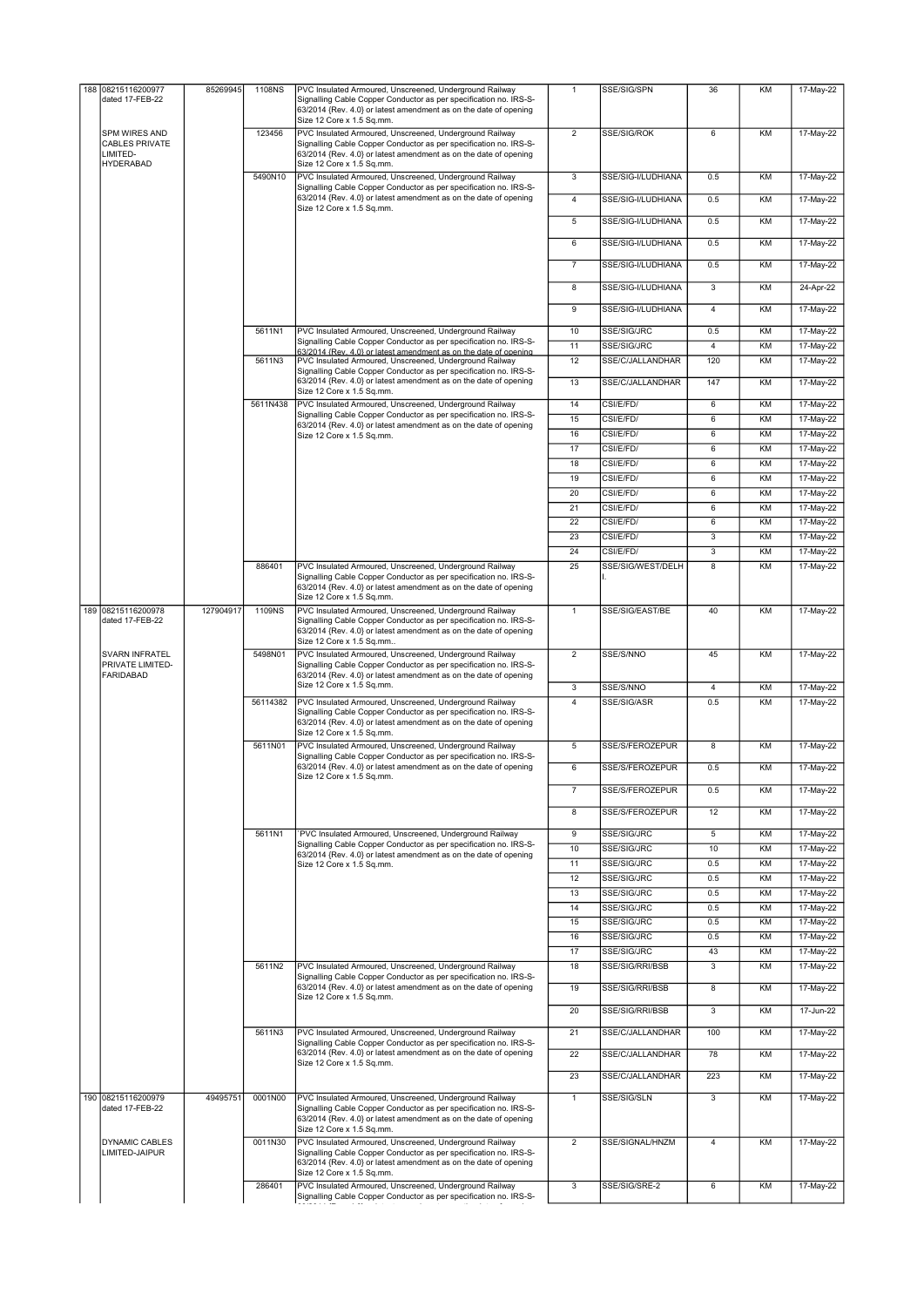|  | 188 08215116200977                                     | 85269945  | 1108NS   | PVC Insulated Armoured, Unscreened, Underground Railway                                                                                                                                                                       | $\mathbf{1}$        | SSE/SIG/SPN                        | 36              | KM       | 17-May-22              |
|--|--------------------------------------------------------|-----------|----------|-------------------------------------------------------------------------------------------------------------------------------------------------------------------------------------------------------------------------------|---------------------|------------------------------------|-----------------|----------|------------------------|
|  | dated 17-FEB-22                                        |           |          | Signalling Cable Copper Conductor as per specification no. IRS-S-<br>63/2014 {Rev. 4.0} or latest amendment as on the date of opening<br>Size 12 Core x 1.5 Sq.mm.                                                            |                     |                                    |                 |          |                        |
|  | SPM WIRES AND<br><b>CABLES PRIVATE</b><br>LIMITED-     |           | 123456   | PVC Insulated Armoured, Unscreened, Underground Railway<br>Signalling Cable Copper Conductor as per specification no. IRS-S-<br>63/2014 {Rev. 4.0} or latest amendment as on the date of opening                              | $\overline{2}$      | SSE/SIG/ROK                        | 6               | KM       | 17-May-22              |
|  | <b>HYDERABAD</b>                                       |           | 5490N10  | Size 12 Core x 1.5 Sq.mm.<br>PVC Insulated Armoured, Unscreened, Underground Railway                                                                                                                                          | 3                   | SSE/SIG-I/LUDHIANA                 | 0.5             | KM       | 17-May-22              |
|  |                                                        |           |          | Signalling Cable Copper Conductor as per specification no. IRS-S-<br>63/2014 {Rev. 4.0} or latest amendment as on the date of opening                                                                                         | $\overline{4}$      | SSE/SIG-I/LUDHIANA                 | 0.5             | KM       | 17-May-22              |
|  |                                                        |           |          | Size 12 Core x 1.5 Sq.mm.                                                                                                                                                                                                     | 5                   | SSE/SIG-I/LUDHIANA                 | 0.5             | KM       | 17-May-22              |
|  |                                                        |           |          |                                                                                                                                                                                                                               | 6                   | SSE/SIG-I/LUDHIANA                 | 0.5             | KM       | 17-May-22              |
|  |                                                        |           |          |                                                                                                                                                                                                                               | $\overline{7}$      | SSE/SIG-I/LUDHIANA                 | 0.5             | KM       | 17-May-22              |
|  |                                                        |           |          |                                                                                                                                                                                                                               | 8                   | SSE/SIG-I/LUDHIANA                 | 3               | KM       | 24-Apr-22              |
|  |                                                        |           |          |                                                                                                                                                                                                                               |                     |                                    |                 |          |                        |
|  |                                                        |           |          |                                                                                                                                                                                                                               | 9                   | SSE/SIG-I/LUDHIANA                 | 4               | KM       | 17-May-22              |
|  |                                                        |           | 5611N1   | PVC Insulated Armoured, Unscreened, Underground Railway<br>Signalling Cable Copper Conductor as per specification no. IRS-S-                                                                                                  | 10<br>11            | SSE/SIG/JRC<br>SSE/SIG/JRC         | 0.5<br>4        | KM<br>KM | 17-May-22<br>17-May-22 |
|  |                                                        |           | 5611N3   | 63/2014 {Rev. 4.0} or latest amendment as on the date of opening<br>PVC Insulated Armoured, Unscreened, Underground Railway                                                                                                   | 12                  | SSE/C/JALLANDHAR                   | 120             | KM       | 17-May-22              |
|  |                                                        |           |          | Signalling Cable Copper Conductor as per specification no. IRS-S-<br>63/2014 {Rev. 4.0} or latest amendment as on the date of opening                                                                                         |                     |                                    |                 |          |                        |
|  |                                                        |           |          | Size 12 Core x 1.5 Sq.mm.                                                                                                                                                                                                     | 13                  | SSE/C/JALLANDHAR                   | 147             | KM       | 17-May-22              |
|  |                                                        |           | 5611N438 | PVC Insulated Armoured, Unscreened, Underground Railway<br>Signalling Cable Copper Conductor as per specification no. IRS-S-                                                                                                  | 14<br>15            | CSI/E/FD/<br>CSI/E/FD/             | 6<br>6          | KM<br>KM | 17-May-22              |
|  |                                                        |           |          | 63/2014 {Rev. 4.0} or latest amendment as on the date of opening<br>Size 12 Core x 1.5 Sq.mm.                                                                                                                                 | 16                  | CSI/E/FD/                          | 6               | KM       | 17-May-22<br>17-May-22 |
|  |                                                        |           |          |                                                                                                                                                                                                                               | 17                  | CSI/E/FD/                          | 6               | KM       | 17-May-22              |
|  |                                                        |           |          |                                                                                                                                                                                                                               | 18                  | CSI/E/FD/                          | 6               | KM       | 17-May-22              |
|  |                                                        |           |          |                                                                                                                                                                                                                               | 19                  | CSI/E/FD/                          | 6               | KM       | 17-May-22              |
|  |                                                        |           |          |                                                                                                                                                                                                                               | 20                  | CSI/E/FD/                          | 6               | KM       | 17-May-22              |
|  |                                                        |           |          |                                                                                                                                                                                                                               | 21                  | CSI/E/FD/                          | $6\overline{6}$ | KM       | 17-May-22              |
|  |                                                        |           |          |                                                                                                                                                                                                                               | $\overline{22}$     | CSI/E/FD/                          | 6               | KM       | 17-May-22              |
|  |                                                        |           |          |                                                                                                                                                                                                                               | 23                  | CSI/E/FD/                          | $\overline{3}$  | KM       | 17-May-22              |
|  |                                                        |           | 886401   | PVC Insulated Armoured, Unscreened, Underground Railway                                                                                                                                                                       | 24<br>25            | CSI/E/FD/<br>SSE/SIG/WEST/DELH     | 3<br>8          | KM<br>KM | 17-May-22<br>17-May-22 |
|  |                                                        |           |          | Signalling Cable Copper Conductor as per specification no. IRS-S-<br>63/2014 {Rev. 4.0} or latest amendment as on the date of opening<br>Size 12 Core x 1.5 Sq.mm.                                                            |                     |                                    |                 |          |                        |
|  | 189 08215116200978<br>dated 17-FEB-22                  | 127904917 | 1109NS   | PVC Insulated Armoured, Unscreened, Underground Railway<br>Signalling Cable Copper Conductor as per specification no. IRS-S-<br>63/2014 {Rev. 4.0} or latest amendment as on the date of opening                              | $\mathbf{1}$        | SSE/SIG/EAST/BE                    | 40              | KM       | 17-May-22              |
|  | SVARN INFRATEL<br>PRIVATE LIMITED-<br><b>FARIDABAD</b> |           | 5498N01  | Size 12 Core x 1.5 Sq.mm<br>PVC Insulated Armoured, Unscreened, Underground Railway<br>Signalling Cable Copper Conductor as per specification no. IRS-S-<br>63/2014 {Rev. 4.0} or latest amendment as on the date of opening  | $\overline{2}$      | SSE/S/NNO                          | 45              | KM       | 17-May-22              |
|  |                                                        |           |          | Size 12 Core x 1.5 Sq.mm.                                                                                                                                                                                                     | 3                   | SSE/S/NNO                          | 4               | KM       | 17-May-22              |
|  |                                                        |           | 56114382 | PVC Insulated Armoured, Unscreened, Underground Railway<br>Signalling Cable Copper Conductor as per specification no. IRS-S-<br>63/2014 {Rev. 4.0} or latest amendment as on the date of opening<br>Size 12 Core x 1.5 Sq.mm. | $\overline{4}$      | SSE/SIG/ASR                        | 0.5             | KM       | 17-May-22              |
|  |                                                        |           | 5611N01  | PVC Insulated Armoured, Unscreened, Underground Railway<br>Signalling Cable Copper Conductor as per specification no. IRS-S-                                                                                                  | 5                   | SSE/S/FEROZEPUR                    | 8               | KM       | 17-May-22              |
|  |                                                        |           |          | 63/2014 {Rev. 4.0} or latest amendment as on the date of opening<br>Size 12 Core x 1.5 Sq.mm.                                                                                                                                 | 6<br>$\overline{7}$ | SSE/S/FEROZEPUR<br>SSE/S/FEROZEPUR | 0.5<br>0.5      | KM<br>KM | 17-May-22<br>17-May-22 |
|  |                                                        |           |          |                                                                                                                                                                                                                               |                     |                                    |                 |          |                        |
|  |                                                        |           |          |                                                                                                                                                                                                                               | 8                   | SSE/S/FEROZEPUR                    | 12              | KM       | 17-May-22              |
|  |                                                        |           | 5611N1   | PVC Insulated Armoured, Unscreened, Underground Railway<br>Signalling Cable Copper Conductor as per specification no. IRS-S-                                                                                                  | 9<br>10             | SSE/SIG/JRC<br>SSE/SIG/JRC         | 5<br>10         | KM<br>KM | 17-May-22<br>17-May-22 |
|  |                                                        |           |          | 63/2014 {Rev. 4.0} or latest amendment as on the date of opening<br>Size 12 Core x 1.5 Sq.mm.                                                                                                                                 | 11                  | SSE/SIG/JRC                        | 0.5             | KM       | 17-May-22              |
|  |                                                        |           |          |                                                                                                                                                                                                                               | 12                  | SSE/SIG/JRC                        | 0.5             | KM       | 17-May-22              |
|  |                                                        |           |          |                                                                                                                                                                                                                               | 13                  | SSE/SIG/JRC                        | 0.5             | KM       | 17-May-22              |
|  |                                                        |           |          |                                                                                                                                                                                                                               | 14                  | SSE/SIG/JRC                        | 0.5             | KM       | 17-May-22              |
|  |                                                        |           |          |                                                                                                                                                                                                                               | 15                  | SSE/SIG/JRC                        | 0.5             | KM       | 17-May-22              |
|  |                                                        |           |          |                                                                                                                                                                                                                               | 16                  | SSE/SIG/JRC                        | 0.5             | KM       | 17-May-22              |
|  |                                                        |           |          |                                                                                                                                                                                                                               | 17                  | SSE/SIG/JRC                        | 43              | KM       | 17-May-22              |
|  |                                                        |           | 5611N2   | PVC Insulated Armoured, Unscreened, Underground Railway<br>Signalling Cable Copper Conductor as per specification no. IRS-S-                                                                                                  | 18                  | SSE/SIG/RRI/BSB                    | 3               | KM       | 17-May-22              |
|  |                                                        |           |          | 63/2014 {Rev. 4.0} or latest amendment as on the date of opening<br>Size 12 Core x 1.5 Sq.mm.                                                                                                                                 | 19                  | SSE/SIG/RRI/BSB                    | 8               | KM       | 17-May-22              |
|  |                                                        |           |          |                                                                                                                                                                                                                               | 20                  | SSE/SIG/RRI/BSB                    | $\overline{3}$  | KM       | 17-Jun-22              |
|  |                                                        |           | 5611N3   | PVC Insulated Armoured, Unscreened, Underground Railway<br>Signalling Cable Copper Conductor as per specification no. IRS-S-                                                                                                  | 21                  | SSE/C/JALLANDHAR                   | 100             | KM       | 17-May-22              |
|  |                                                        |           |          | 63/2014 {Rev. 4.0} or latest amendment as on the date of opening<br>Size 12 Core x 1.5 Sq.mm.                                                                                                                                 | 22                  | SSE/C/JALLANDHAR                   | 78              | KM       | 17-May-22              |
|  |                                                        |           |          |                                                                                                                                                                                                                               | 23                  | SSE/C/JALLANDHAR                   | 223             | KM       | 17-May-22              |
|  | 190 08215116200979<br>dated 17-FEB-22                  | 49495751  | 0001N00  | PVC Insulated Armoured, Unscreened, Underground Railway<br>Signalling Cable Copper Conductor as per specification no. IRS-S-<br>63/2014 {Rev. 4.0} or latest amendment as on the date of opening<br>Size 12 Core x 1.5 Sq.mm. | $\mathbf{1}$        | SSE/SIG/SLN                        | 3               | KM       | 17-May-22              |
|  | <b>DYNAMIC CABLES</b><br>LIMITED-JAIPUR                |           | 0011N30  | PVC Insulated Armoured, Unscreened, Underground Railway<br>Signalling Cable Copper Conductor as per specification no. IRS-S-<br>63/2014 {Rev. 4.0} or latest amendment as on the date of opening<br>Size 12 Core x 1.5 Sq.mm. | $\overline{2}$      | SSE/SIGNAL/HNZM                    | $\overline{4}$  | KM       | 17-May-22              |
|  |                                                        |           | 286401   | PVC Insulated Armoured, Unscreened, Underground Railway<br>Signalling Cable Copper Conductor as per specification no. IRS-S-                                                                                                  | 3                   | SSE/SIG/SRE-2                      | 6               | KM       | 17-May-22              |
|  |                                                        |           |          |                                                                                                                                                                                                                               |                     |                                    |                 |          |                        |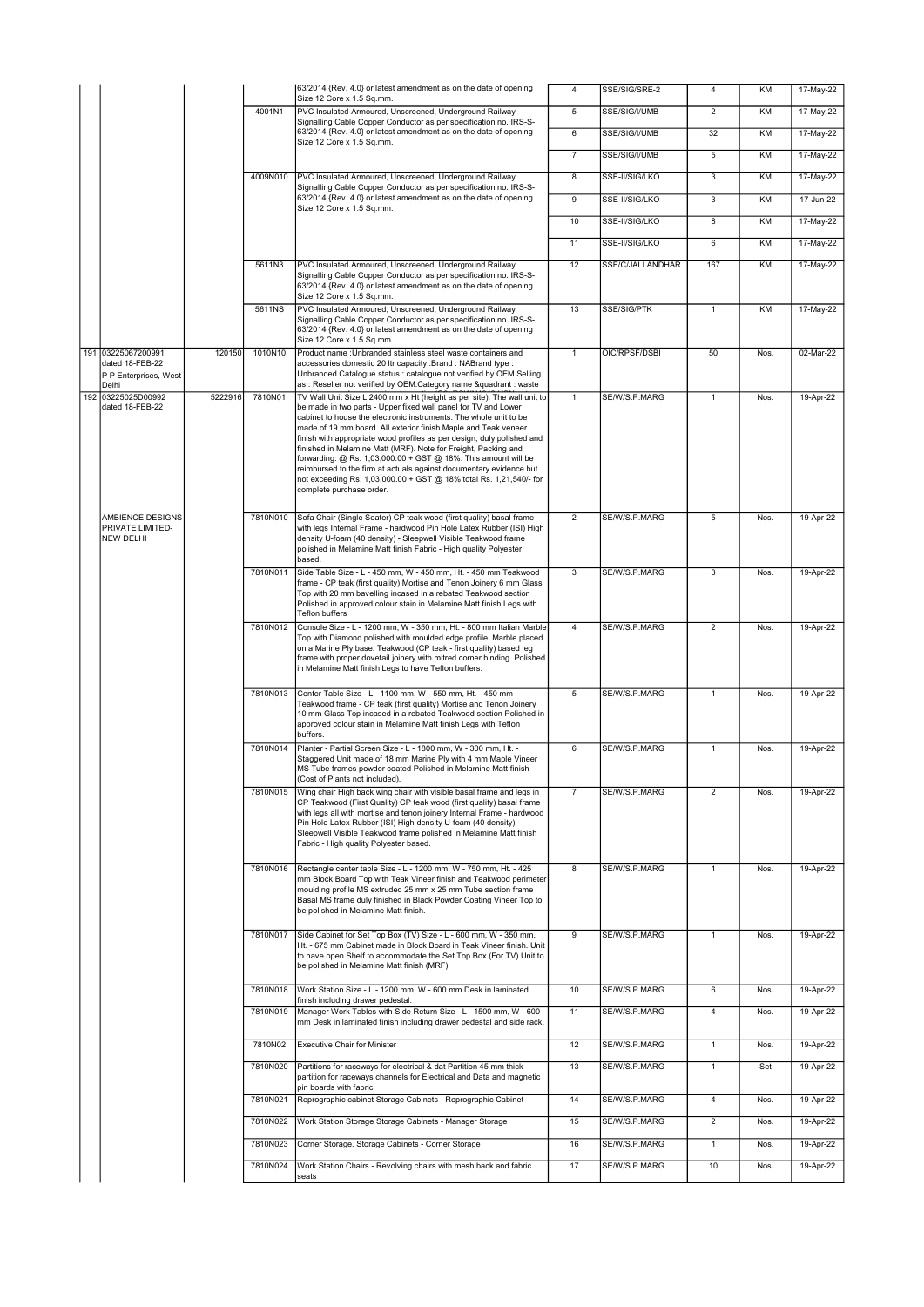|                                                                         |         |          | 63/2014 {Rev. 4.0} or latest amendment as on the date of opening<br>Size 12 Core x 1.5 Sq.mm.                                                                                                                                                                                                                                                                                                                                                                                                                                                                                                                                                                          | 4              | SSE/SIG/SRE-2    | 4                       | KM   | 17-May-22 |
|-------------------------------------------------------------------------|---------|----------|------------------------------------------------------------------------------------------------------------------------------------------------------------------------------------------------------------------------------------------------------------------------------------------------------------------------------------------------------------------------------------------------------------------------------------------------------------------------------------------------------------------------------------------------------------------------------------------------------------------------------------------------------------------------|----------------|------------------|-------------------------|------|-----------|
|                                                                         |         | 4001N1   | PVC Insulated Armoured, Unscreened, Underground Railway                                                                                                                                                                                                                                                                                                                                                                                                                                                                                                                                                                                                                | $\overline{5}$ | SSE/SIG/I/UMB    | $\overline{2}$          | KM   | 17-May-22 |
|                                                                         |         |          | Signalling Cable Copper Conductor as per specification no. IRS-S-<br>63/2014 {Rev. 4.0} or latest amendment as on the date of opening                                                                                                                                                                                                                                                                                                                                                                                                                                                                                                                                  | 6              | SSE/SIG/I/UMB    | 32                      | KM   | 17-May-22 |
|                                                                         |         |          | Size 12 Core x 1.5 Sq.mm.                                                                                                                                                                                                                                                                                                                                                                                                                                                                                                                                                                                                                                              | $\overline{7}$ | SSE/SIG/I/UMB    | 5                       | KM   | 17-May-22 |
|                                                                         |         | 4009N010 | PVC Insulated Armoured, Unscreened, Underground Railway                                                                                                                                                                                                                                                                                                                                                                                                                                                                                                                                                                                                                | $\overline{8}$ | SSE-II/SIG/LKO   | $\overline{3}$          | KM   | 17-May-22 |
|                                                                         |         |          | Signalling Cable Copper Conductor as per specification no. IRS-S-<br>63/2014 {Rev. 4.0} or latest amendment as on the date of opening                                                                                                                                                                                                                                                                                                                                                                                                                                                                                                                                  | 9              | SSE-II/SIG/LKO   | 3                       | KM   | 17-Jun-22 |
|                                                                         |         |          | Size 12 Core x 1.5 Sq.mm.                                                                                                                                                                                                                                                                                                                                                                                                                                                                                                                                                                                                                                              | 10             | SSE-II/SIG/LKO   | $\overline{8}$          | KM   | 17-May-22 |
|                                                                         |         |          |                                                                                                                                                                                                                                                                                                                                                                                                                                                                                                                                                                                                                                                                        | 11             | SSE-II/SIG/LKO   | 6                       | KM   | 17-May-22 |
|                                                                         |         | 5611N3   | PVC Insulated Armoured, Unscreened, Underground Railway                                                                                                                                                                                                                                                                                                                                                                                                                                                                                                                                                                                                                | 12             | SSE/C/JALLANDHAR | 167                     | KM   | 17-May-22 |
|                                                                         |         |          | Signalling Cable Copper Conductor as per specification no. IRS-S-<br>63/2014 {Rev. 4.0} or latest amendment as on the date of opening<br>Size 12 Core x 1.5 Sq.mm.                                                                                                                                                                                                                                                                                                                                                                                                                                                                                                     |                |                  |                         |      |           |
|                                                                         |         | 5611NS   | PVC Insulated Armoured, Unscreened, Underground Railway<br>Signalling Cable Copper Conductor as per specification no. IRS-S-<br>63/2014 {Rev. 4.0} or latest amendment as on the date of opening<br>Size 12 Core x 1.5 Sq.mm.                                                                                                                                                                                                                                                                                                                                                                                                                                          | 13             | SSE/SIG/PTK      | $\mathbf{1}$            | KM   | 17-May-22 |
| 191 03225067200991<br>dated 18-FEB-22<br>P P Enterprises, West<br>Delhi | 120150  | 1010N10  | Product name : Unbranded stainless steel waste containers and<br>accessories domestic 20 Itr capacity .Brand : NABrand type :<br>Unbranded.Catalogue status : catalogue not verified by OEM.Selling<br>as : Reseller not verified by OEM.Category name &quadrant : waste                                                                                                                                                                                                                                                                                                                                                                                               | $\mathbf{1}$   | OIC/RPSF/DSBI    | 50                      | Nos. | 02-Mar-22 |
| 192 03225025D00992<br>dated 18-FEB-22                                   | 5222916 | 7810N01  | TV Wall Unit Size L 2400 mm x Ht (height as per site). The wall unit to<br>be made in two parts - Upper fixed wall panel for TV and Lower<br>cabinet to house the electronic instruments. The whole unit to be<br>made of 19 mm board. All exterior finish Maple and Teak veneer<br>finish with appropriate wood profiles as per design, duly polished and<br>finished in Melamine Matt (MRF). Note for Freight, Packing and<br>forwarding: @ Rs. 1,03,000.00 + GST @ 18%. This amount will be<br>reimbursed to the firm at actuals against documentary evidence but<br>not exceeding Rs. 1,03,000.00 + GST @ 18% total Rs. 1,21,540/- for<br>complete purchase order. | $\mathbf{1}$   | SE/W/S.P.MARG    | $\mathbf{1}$            | Nos. | 19-Apr-22 |
| AMBIENCE DESIGNS<br>PRIVATE LIMITED-<br><b>NEW DELHI</b>                |         | 7810N010 | Sofa Chair (Single Seater) CP teak wood (first quality) basal frame<br>with legs Internal Frame - hardwood Pin Hole Latex Rubber (ISI) High<br>density U-foam (40 density) - Sleepwell Visible Teakwood frame<br>polished in Melamine Matt finish Fabric - High quality Polyester<br>based.                                                                                                                                                                                                                                                                                                                                                                            | $\overline{2}$ | SE/W/S.P.MARG    | 5                       | Nos. | 19-Apr-22 |
|                                                                         |         | 7810N011 | Side Table Size - L - 450 mm, W - 450 mm, Ht. - 450 mm Teakwood<br>frame - CP teak (first quality) Mortise and Tenon Joinery 6 mm Glass<br>Top with 20 mm bavelling incased in a rebated Teakwood section<br>Polished in approved colour stain in Melamine Matt finish Legs with<br><b>Teflon buffers</b>                                                                                                                                                                                                                                                                                                                                                              | $\overline{3}$ | SE/W/S.P.MARG    | $\overline{\mathbf{3}}$ | Nos. | 19-Apr-22 |
|                                                                         |         | 7810N012 | Console Size - L - 1200 mm, W - 350 mm, Ht. - 800 mm Italian Marble<br>Top with Diamond polished with moulded edge profile. Marble placed<br>on a Marine Ply base. Teakwood (CP teak - first quality) based leg<br>frame with proper dovetail joinery with mitred corner binding. Polished<br>in Melamine Matt finish Legs to have Teflon buffers.                                                                                                                                                                                                                                                                                                                     | 4              | SE/W/S.P.MARG    | $\overline{2}$          | Nos. | 19-Apr-22 |
|                                                                         |         | 7810N013 | Center Table Size - L - 1100 mm, W - 550 mm, Ht. - 450 mm<br>Teakwood frame - CP teak (first quality) Mortise and Tenon Joinery<br>10 mm Glass Top incased in a rebated Teakwood section Polished in<br>approved colour stain in Melamine Matt finish Legs with Teflon<br>buffers.                                                                                                                                                                                                                                                                                                                                                                                     | $\overline{5}$ | SE/W/S.P.MARG    | $\mathbf{1}$            | Nos. | 19-Apr-22 |
|                                                                         |         | 7810N014 | Planter - Partial Screen Size - L - 1800 mm, W - 300 mm, Ht. -<br>Staggered Unit made of 18 mm Marine Ply with 4 mm Maple Vineer<br>MS Tube frames powder coated Polished in Melamine Matt finish<br>(Cost of Plants not included).                                                                                                                                                                                                                                                                                                                                                                                                                                    | 6              | SE/W/S.P.MARG    | $\mathbf{1}$            | Nos. | 19-Apr-22 |
|                                                                         |         | 7810N015 | Wing chair High back wing chair with visible basal frame and legs in<br>CP Teakwood (First Quality) CP teak wood (first quality) basal frame<br>with legs all with mortise and tenon joinery Internal Frame - hardwood<br>Pin Hole Latex Rubber (ISI) High density U-foam (40 density) -<br>Sleepwell Visible Teakwood frame polished in Melamine Matt finish<br>Fabric - High quality Polyester based.                                                                                                                                                                                                                                                                | $\overline{7}$ | SE/W/S.P.MARG    | $\overline{2}$          | Nos. | 19-Apr-22 |
|                                                                         |         | 7810N016 | Rectangle center table Size - L - 1200 mm, W - 750 mm, Ht. - 425<br>mm Block Board Top with Teak Vineer finish and Teakwood perimeter<br>moulding profile MS extruded 25 mm x 25 mm Tube section frame<br>Basal MS frame duly finished in Black Powder Coating Vineer Top to<br>be polished in Melamine Matt finish.                                                                                                                                                                                                                                                                                                                                                   | 8              | SE/W/S.P.MARG    | $\mathbf{1}$            | Nos. | 19-Apr-22 |
|                                                                         |         | 7810N017 | Side Cabinet for Set Top Box (TV) Size - L - 600 mm, W - 350 mm,<br>Ht. - 675 mm Cabinet made in Block Board in Teak Vineer finish. Unit<br>to have open Shelf to accommodate the Set Top Box (For TV) Unit to<br>be polished in Melamine Matt finish (MRF).                                                                                                                                                                                                                                                                                                                                                                                                           | 9              | SE/W/S.P.MARG    | $\mathbf{1}$            | Nos. | 19-Apr-22 |
|                                                                         |         | 7810N018 | Work Station Size - L - 1200 mm, W - 600 mm Desk in laminated<br>finish including drawer pedestal.                                                                                                                                                                                                                                                                                                                                                                                                                                                                                                                                                                     | 10             | SE/W/S.P.MARG    | 6                       | Nos. | 19-Apr-22 |
|                                                                         |         | 7810N019 | Manager Work Tables with Side Return Size - L - 1500 mm, W - 600<br>mm Desk in laminated finish including drawer pedestal and side rack.                                                                                                                                                                                                                                                                                                                                                                                                                                                                                                                               | 11             | SE/W/S.P.MARG    | $\overline{4}$          | Nos. | 19-Apr-22 |
|                                                                         |         | 7810N02  | <b>Executive Chair for Minister</b>                                                                                                                                                                                                                                                                                                                                                                                                                                                                                                                                                                                                                                    | 12             | SE/W/S.P.MARG    | $\mathbf{1}$            | Nos. | 19-Apr-22 |
|                                                                         |         | 7810N020 | Partitions for raceways for electrical & dat Partition 45 mm thick<br>partition for raceways channels for Electrical and Data and magnetic                                                                                                                                                                                                                                                                                                                                                                                                                                                                                                                             | 13             | SE/W/S.P.MARG    | $\mathbf{1}$            | Set  | 19-Apr-22 |
|                                                                         |         | 7810N021 | pin boards with fabric<br>Reprographic cabinet Storage Cabinets - Reprographic Cabinet                                                                                                                                                                                                                                                                                                                                                                                                                                                                                                                                                                                 | 14             | SE/W/S.P.MARG    | $\overline{4}$          | Nos. | 19-Apr-22 |
|                                                                         |         | 7810N022 | Work Station Storage Storage Cabinets - Manager Storage                                                                                                                                                                                                                                                                                                                                                                                                                                                                                                                                                                                                                | 15             | SE/W/S.P.MARG    | $\overline{2}$          |      | 19-Apr-22 |
|                                                                         |         |          |                                                                                                                                                                                                                                                                                                                                                                                                                                                                                                                                                                                                                                                                        |                |                  |                         | Nos. |           |
|                                                                         |         | 7810N023 | Corner Storage. Storage Cabinets - Corner Storage                                                                                                                                                                                                                                                                                                                                                                                                                                                                                                                                                                                                                      | 16             | SE/W/S.P.MARG    | $\mathbf{1}$            | Nos. | 19-Apr-22 |
|                                                                         |         | 7810N024 | Work Station Chairs - Revolving chairs with mesh back and fabric<br>seats                                                                                                                                                                                                                                                                                                                                                                                                                                                                                                                                                                                              | 17             | SE/W/S.P.MARG    | 10                      | Nos. | 19-Apr-22 |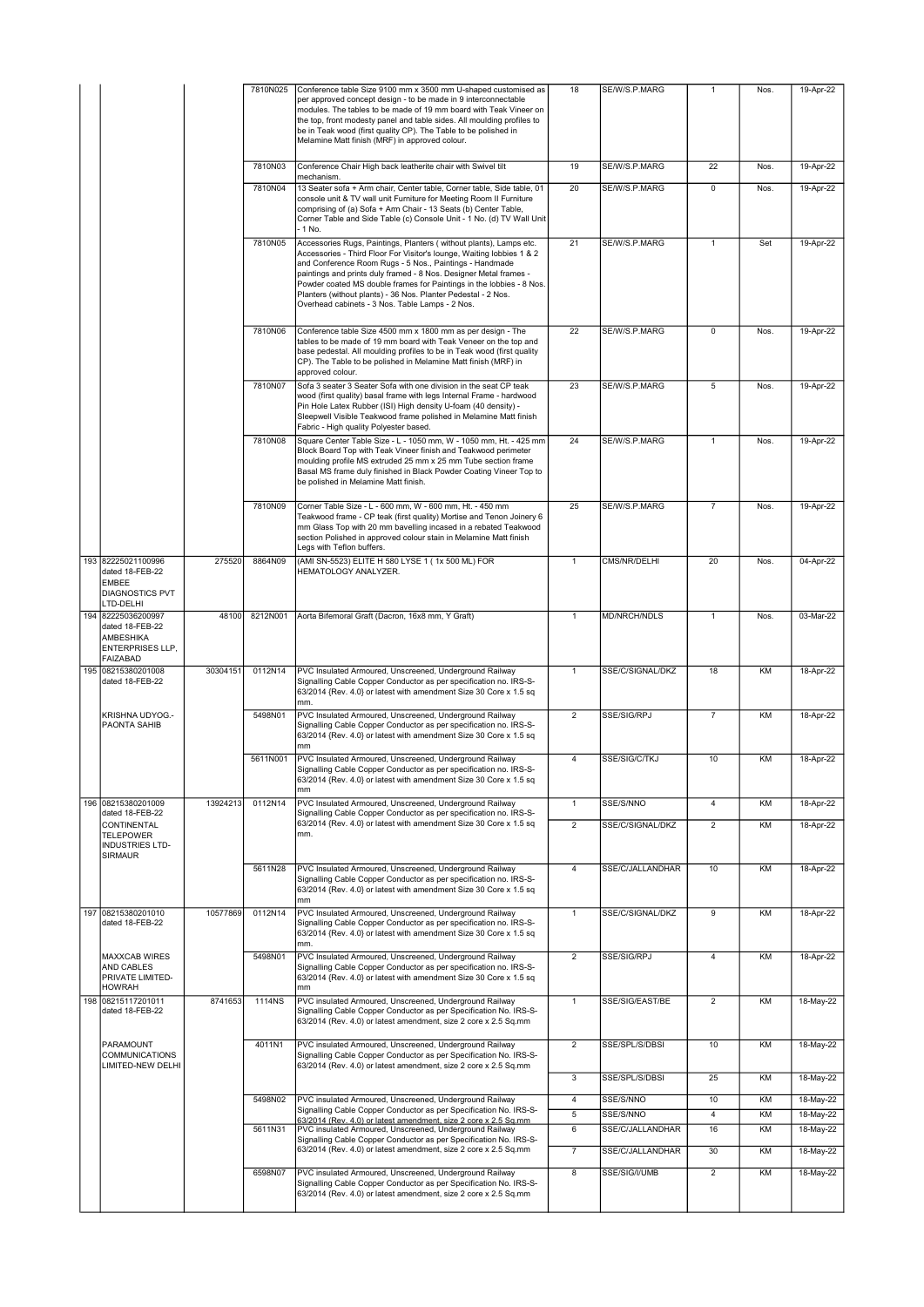|                                                                                              |          | 7810N025 | Conference table Size 9100 mm x 3500 mm U-shaped customised as<br>per approved concept design - to be made in 9 interconnectable<br>modules. The tables to be made of 19 mm board with Teak Vineer on<br>the top, front modesty panel and table sides. All moulding profiles to<br>be in Teak wood (first quality CP). The Table to be polished in<br>Melamine Matt finish (MRF) in approved colour.                                                                    | 18                  | SE/W/S.P.MARG                    | 1              | Nos.      | 19-Apr-22              |
|----------------------------------------------------------------------------------------------|----------|----------|-------------------------------------------------------------------------------------------------------------------------------------------------------------------------------------------------------------------------------------------------------------------------------------------------------------------------------------------------------------------------------------------------------------------------------------------------------------------------|---------------------|----------------------------------|----------------|-----------|------------------------|
|                                                                                              |          | 7810N03  | Conference Chair High back leatherite chair with Swivel tilt<br>mechanism.                                                                                                                                                                                                                                                                                                                                                                                              | 19                  | SE/W/S.P.MARG                    | 22             | Nos.      | 19-Apr-22              |
|                                                                                              |          | 7810N04  | 13 Seater sofa + Arm chair, Center table, Corner table, Side table, 01<br>console unit & TV wall unit Furniture for Meeting Room II Furniture<br>comprising of (a) Sofa + Arm Chair - 13 Seats (b) Center Table,<br>Corner Table and Side Table (c) Console Unit - 1 No. (d) TV Wall Unit<br>- 1 No.                                                                                                                                                                    | 20                  | SE/W/S.P.MARG                    | 0              | Nos.      | 19-Apr-22              |
|                                                                                              |          | 7810N05  | Accessories Rugs, Paintings, Planters (without plants), Lamps etc.<br>Accessories - Third Floor For Visitor's lounge, Waiting lobbies 1 & 2<br>and Conference Room Rugs - 5 Nos., Paintings - Handmade<br>paintings and prints duly framed - 8 Nos. Designer Metal frames -<br>Powder coated MS double frames for Paintings in the lobbies - 8 Nos.<br>Planters (without plants) - 36 Nos. Planter Pedestal - 2 Nos.<br>Overhead cabinets - 3 Nos. Table Lamps - 2 Nos. | 21                  | SE/W/S.P.MARG                    | $\mathbf{1}$   | Set       | 19-Apr-22              |
|                                                                                              |          | 7810N06  | Conference table Size 4500 mm x 1800 mm as per design - The<br>tables to be made of 19 mm board with Teak Veneer on the top and<br>base pedestal. All moulding profiles to be in Teak wood (first quality<br>CP). The Table to be polished in Melamine Matt finish (MRF) in<br>approved colour.                                                                                                                                                                         | 22                  | SE/W/S.P.MARG                    | $\mathbf 0$    | Nos.      | 19-Apr-22              |
|                                                                                              |          | 7810N07  | Sofa 3 seater 3 Seater Sofa with one division in the seat CP teak<br>wood (first quality) basal frame with legs Internal Frame - hardwood<br>Pin Hole Latex Rubber (ISI) High density U-foam (40 density) -<br>Sleepwell Visible Teakwood frame polished in Melamine Matt finish<br>Fabric - High quality Polyester based.                                                                                                                                              | 23                  | SE/W/S.P.MARG                    | 5              | Nos.      | 19-Apr-22              |
|                                                                                              |          | 7810N08  | Square Center Table Size - L - 1050 mm, W - 1050 mm, Ht. - 425 mm<br>Block Board Top with Teak Vineer finish and Teakwood perimeter<br>moulding profile MS extruded 25 mm x 25 mm Tube section frame<br>Basal MS frame duly finished in Black Powder Coating Vineer Top to<br>be polished in Melamine Matt finish.                                                                                                                                                      | 24                  | SE/W/S.P.MARG                    | $\mathbf{1}$   | Nos.      | 19-Apr-22              |
|                                                                                              |          | 7810N09  | Corner Table Size - L - 600 mm, W - 600 mm, Ht. - 450 mm<br>Teakwood frame - CP teak (first quality) Mortise and Tenon Joinery 6<br>mm Glass Top with 20 mm bavelling incased in a rebated Teakwood<br>section Polished in approved colour stain in Melamine Matt finish<br>Legs with Teflon buffers.                                                                                                                                                                   | 25                  | SE/W/S.P.MARG                    | $\overline{7}$ | Nos.      | 19-Apr-22              |
| 193 82225021100996<br>dated 18-FEB-22<br><b>EMBEE</b><br><b>DIAGNOSTICS PVT</b><br>LTD-DELHI | 275520   | 8864N09  | (AMI SN-5523) ELITE H 580 LYSE 1 (1x 500 ML) FOR<br>HEMATOLOGY ANALYZER.                                                                                                                                                                                                                                                                                                                                                                                                | $\mathbf{1}$        | CMS/NR/DELHI                     | 20             | Nos.      | 04-Apr-22              |
| 194 82225036200997<br>dated 18-FEB-22<br>AMBESHIKA<br>ENTERPRISES LLP,<br>FAIZABAD           | 48100    | 8212N001 | Aorta Bifemoral Graft (Dacron, 16x8 mm, Y Graft)                                                                                                                                                                                                                                                                                                                                                                                                                        | $\mathbf{1}$        | <b>MD/NRCH/NDLS</b>              | $\mathbf{1}$   | Nos.      | 03-Mar-22              |
| 195 08215380201008<br>dated 18-FEB-22                                                        | 30304151 | 0112N14  | PVC Insulated Armoured, Unscreened, Underground Railway<br>Signalling Cable Copper Conductor as per specification no. IRS-S-<br>63/2014 {Rev. 4.0} or latest with amendment Size 30 Core x 1.5 sq<br>mm.                                                                                                                                                                                                                                                                | $\mathbf{1}$        | SSE/C/SIGNAL/DKZ                 | 18             | <b>KM</b> | 18-Apr-22              |
| KRISHNA UDYOG.-<br>PAONTA SAHIB                                                              |          | 5498N01  | PVC Insulated Armoured, Unscreened, Underground Railway<br>Signalling Cable Copper Conductor as per specification no. IRS-S-<br>63/2014 {Rev. 4.0} or latest with amendment Size 30 Core x 1.5 sq<br>mm                                                                                                                                                                                                                                                                 | $\overline{2}$      | SSE/SIG/RPJ                      | $\overline{7}$ | KM        | 18-Apr-22              |
|                                                                                              |          | 5611N001 | PVC Insulated Armoured, Unscreened, Underground Railway<br>Signalling Cable Copper Conductor as per specification no. IRS-S-<br>63/2014 {Rev. 4.0} or latest with amendment Size 30 Core x 1.5 sq<br>mm                                                                                                                                                                                                                                                                 | 4                   | SSE/SIG/C/TKJ                    | 10             | KM        | 18-Apr-22              |
| 196 08215380201009<br>dated 18-FEB-22                                                        | 13924213 | 0112N14  | PVC Insulated Armoured, Unscreened, Underground Railway<br>Signalling Cable Copper Conductor as per specification no. IRS-S-                                                                                                                                                                                                                                                                                                                                            | $\mathbf{1}$        | SSE/S/NNO                        | $\overline{4}$ | KM        | 18-Apr-22              |
| <b>CONTINENTAL</b><br><b>TELEPOWER</b><br>INDUSTRIES LTD-<br>SIRMAUR                         |          |          | 63/2014 {Rev. 4.0} or latest with amendment Size 30 Core x 1.5 sq<br>mm.                                                                                                                                                                                                                                                                                                                                                                                                | $\overline{2}$      | SSE/C/SIGNAL/DKZ                 | $\overline{2}$ | <b>KM</b> | 18-Apr-22              |
|                                                                                              |          | 5611N28  | PVC Insulated Armoured, Unscreened, Underground Railway<br>Signalling Cable Copper Conductor as per specification no. IRS-S-<br>63/2014 {Rev. 4.0} or latest with amendment Size 30 Core x 1.5 sq<br>mm                                                                                                                                                                                                                                                                 | $\overline{4}$      | SSE/C/JALLANDHAR                 | 10             | <b>KM</b> | 18-Apr-22              |
| 197 08215380201010<br>dated 18-FEB-22                                                        | 10577869 | 0112N14  | PVC Insulated Armoured, Unscreened, Underground Railway<br>Signalling Cable Copper Conductor as per specification no. IRS-S-<br>63/2014 {Rev. 4.0} or latest with amendment Size 30 Core x 1.5 sq<br>mm.                                                                                                                                                                                                                                                                | $\mathbf{1}$        | SSE/C/SIGNAL/DKZ                 | 9              | KM        | 18-Apr-22              |
| <b>MAXXCAB WIRES</b><br>AND CABLES<br>PRIVATE LIMITED-<br><b>HOWRAH</b>                      |          | 5498N01  | PVC Insulated Armoured, Unscreened, Underground Railway<br>Signalling Cable Copper Conductor as per specification no. IRS-S-<br>63/2014 {Rev. 4.0} or latest with amendment Size 30 Core x 1.5 sq<br>mm                                                                                                                                                                                                                                                                 | $\overline{2}$      | SSE/SIG/RPJ                      | $\overline{4}$ | KM        | 18-Apr-22              |
| 198 08215117201011<br>dated 18-FEB-22                                                        | 8741653  | 1114NS   | PVC insulated Armoured, Unscreened, Underground Railway<br>Signalling Cable Copper Conductor as per Specification No. IRS-S-<br>63/2014 (Rev. 4.0) or latest amendment, size 2 core x 2.5 Sq.mm                                                                                                                                                                                                                                                                         | $\mathbf{1}$        | SSE/SIG/EAST/BE                  | $\overline{2}$ | KM        | 18-May-22              |
| PARAMOUNT<br><b>COMMUNICATIONS</b><br>LIMITED-NEW DELHI                                      |          | 4011N1   | PVC insulated Armoured, Unscreened, Underground Railway<br>Signalling Cable Copper Conductor as per Specification No. IRS-S-<br>63/2014 (Rev. 4.0) or latest amendment, size 2 core x 2.5 Sq.mm                                                                                                                                                                                                                                                                         | $\overline{2}$<br>3 | SSE/SPL/S/DBSI<br>SSE/SPL/S/DBSI | 10<br>25       | KM<br>KM  | 18-May-22<br>18-May-22 |
|                                                                                              |          | 5498N02  | PVC insulated Armoured, Unscreened, Underground Railway                                                                                                                                                                                                                                                                                                                                                                                                                 | $\overline{4}$      | SSE/S/NNO                        | 10             | KM        | 18-May-22              |
|                                                                                              |          |          | Signalling Cable Copper Conductor as per Specification No. IRS-S-<br>63/2014 (Rev. 4.0) or latest amendment, size 2 core x 2.5 Sq.mm                                                                                                                                                                                                                                                                                                                                    | 5                   | SSE/S/NNO                        | $\overline{4}$ | KM        | 18-May-22              |
|                                                                                              |          | 5611N31  | PVC insulated Armoured, Unscreened, Underground Railway<br>Signalling Cable Copper Conductor as per Specification No. IRS-S-                                                                                                                                                                                                                                                                                                                                            | 6                   | SSE/C/JALLANDHAR                 | 16             | KM        | 18-May-22              |
|                                                                                              |          |          | 63/2014 (Rev. 4.0) or latest amendment, size 2 core x 2.5 Sq.mm                                                                                                                                                                                                                                                                                                                                                                                                         | $\overline{7}$      | SSE/C/JALLANDHAR                 | 30             | <b>KM</b> | 18-May-22              |
|                                                                                              |          | 6598N07  | PVC insulated Armoured, Unscreened, Underground Railway<br>Signalling Cable Copper Conductor as per Specification No. IRS-S-<br>63/2014 (Rev. 4.0) or latest amendment, size 2 core x 2.5 Sq.mm                                                                                                                                                                                                                                                                         | $\overline{8}$      | SSE/SIG/I/UMB                    | $\overline{2}$ | KM        | 18-May-22              |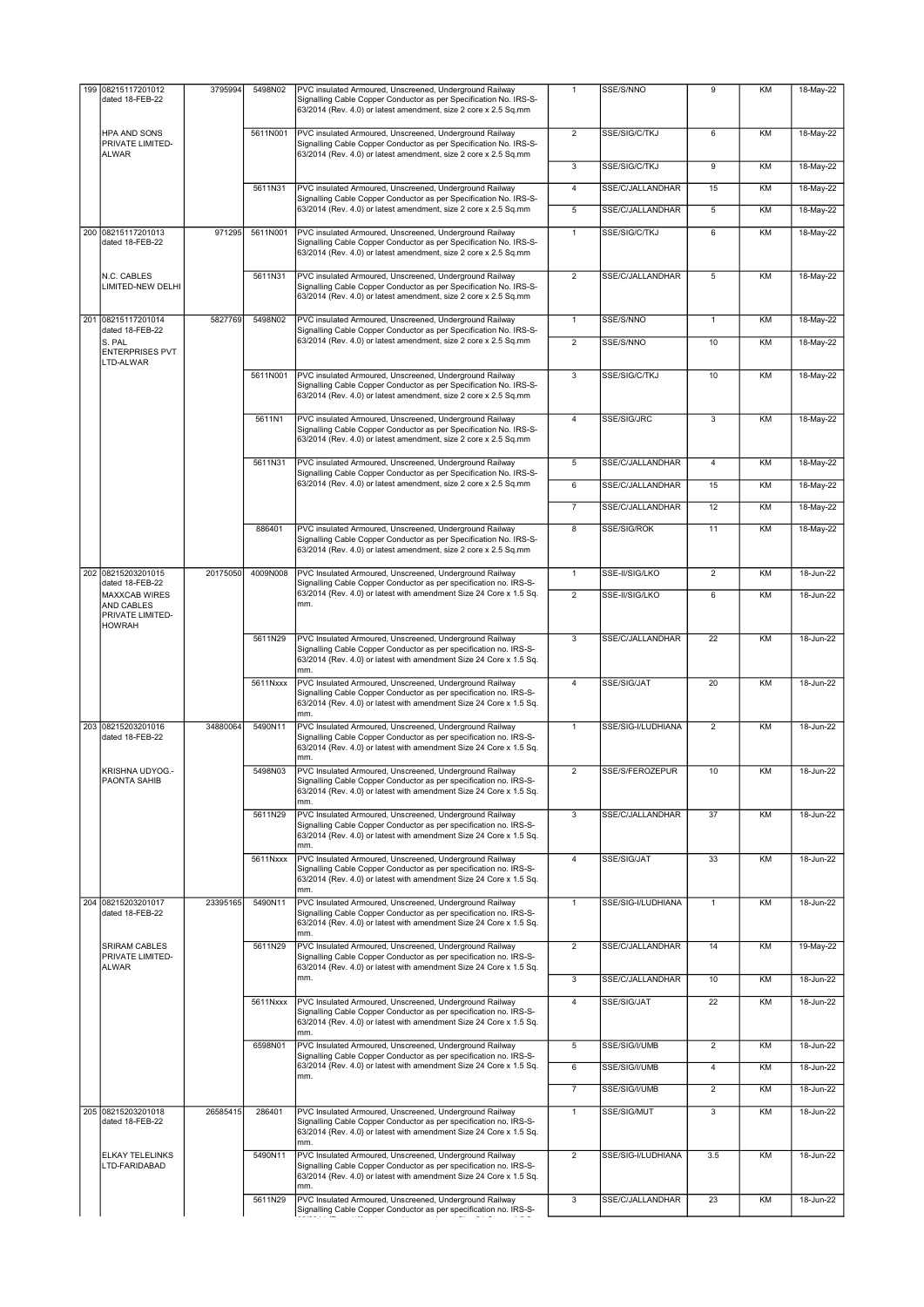| 199 | 08215117201012<br>dated 18-FEB-22                                       | 3795994  | 5498N02  | PVC insulated Armoured, Unscreened, Underground Railway<br>Signalling Cable Copper Conductor as per Specification No. IRS-S-<br>63/2014 (Rev. 4.0) or latest amendment, size 2 core x 2.5 Sq.mm           | $\mathbf{1}$   | SSE/S/NNO          | 9              | KM        | 18-May-22 |
|-----|-------------------------------------------------------------------------|----------|----------|-----------------------------------------------------------------------------------------------------------------------------------------------------------------------------------------------------------|----------------|--------------------|----------------|-----------|-----------|
|     | HPA AND SONS<br>PRIVATE LIMITED-<br><b>ALWAR</b>                        |          | 5611N001 | PVC insulated Armoured, Unscreened, Underground Railway<br>Signalling Cable Copper Conductor as per Specification No. IRS-S-<br>63/2014 (Rev. 4.0) or latest amendment, size 2 core x 2.5 Sq.mm           | $\overline{2}$ | SSE/SIG/C/TKJ      | 6              | KM        | 18-May-22 |
|     |                                                                         |          |          |                                                                                                                                                                                                           | 3              | SSE/SIG/C/TKJ      | 9              | KM        | 18-May-22 |
|     |                                                                         |          | 5611N31  | PVC insulated Armoured, Unscreened, Underground Railway<br>Signalling Cable Copper Conductor as per Specification No. IRS-S-                                                                              | $\overline{4}$ | SSE/C/JALLANDHAR   | 15             | KM        | 18-May-22 |
|     |                                                                         |          |          | 63/2014 (Rev. 4.0) or latest amendment, size 2 core x 2.5 Sq.mm                                                                                                                                           | 5              | SSE/C/JALLANDHAR   | 5              | KM        | 18-May-22 |
|     | 200 08215117201013<br>dated 18-FEB-22                                   | 971295   | 5611N001 | PVC insulated Armoured, Unscreened, Underground Railway<br>Signalling Cable Copper Conductor as per Specification No. IRS-S-<br>63/2014 (Rev. 4.0) or latest amendment, size 2 core x 2.5 Sq.mm           | $\mathbf{1}$   | SSE/SIG/C/TKJ      | 6              | KM        | 18-May-22 |
|     | N.C. CABLES<br>LIMITED-NEW DELHI                                        |          | 5611N31  | PVC insulated Armoured, Unscreened, Underground Railway<br>Signalling Cable Copper Conductor as per Specification No. IRS-S-<br>63/2014 (Rev. 4.0) or latest amendment, size 2 core x 2.5 Sq.mm           | $\overline{2}$ | SSE/C/JALLANDHAR   | 5              | KM        | 18-May-22 |
|     | 201 08215117201014                                                      | 5827769  | 5498N02  | PVC insulated Armoured, Unscreened, Underground Railway                                                                                                                                                   | $\mathbf{1}$   | SSE/S/NNO          | $\mathbf{1}$   | <b>KM</b> | 18-May-22 |
|     | dated 18-FEB-22<br>S. PAL<br><b>ENTERPRISES PVT</b><br>LTD-ALWAR        |          |          | Signalling Cable Copper Conductor as per Specification No. IRS-S-<br>63/2014 (Rev. 4.0) or latest amendment, size 2 core x 2.5 Sq.mm                                                                      | $\overline{2}$ | SSE/S/NNO          | 10             | KM        | 18-May-22 |
|     |                                                                         |          | 5611N001 | PVC insulated Armoured, Unscreened, Underground Railway<br>Signalling Cable Copper Conductor as per Specification No. IRS-S-<br>63/2014 (Rev. 4.0) or latest amendment, size 2 core x 2.5 Sq.mm           | 3              | SSE/SIG/C/TKJ      | 10             | KM        | 18-May-22 |
|     |                                                                         |          | 5611N1   | PVC insulated Armoured, Unscreened, Underground Railway<br>Signalling Cable Copper Conductor as per Specification No. IRS-S-<br>63/2014 (Rev. 4.0) or latest amendment, size 2 core x 2.5 Sq.mm           | $\overline{4}$ | SSE/SIG/JRC        | $\overline{3}$ | KM        | 18-May-22 |
|     |                                                                         |          | 5611N31  | PVC insulated Armoured, Unscreened, Underground Railway<br>Signalling Cable Copper Conductor as per Specification No. IRS-S-                                                                              | 5              | SSE/C/JALLANDHAR   | $\overline{4}$ | KM        | 18-May-22 |
|     |                                                                         |          |          | 63/2014 (Rev. 4.0) or latest amendment, size 2 core x 2.5 Sq.mm                                                                                                                                           | 6              | SSE/C/JALLANDHAR   | 15             | KM        | 18-May-22 |
|     |                                                                         |          |          |                                                                                                                                                                                                           | $\overline{7}$ | SSE/C/JALLANDHAR   | 12             | KM        | 18-May-22 |
|     |                                                                         |          | 886401   | PVC insulated Armoured, Unscreened, Underground Railway<br>Signalling Cable Copper Conductor as per Specification No. IRS-S-<br>63/2014 (Rev. 4.0) or latest amendment, size 2 core x 2.5 Sq.mm           | 8              | SSE/SIG/ROK        | 11             | KM        | 18-May-22 |
|     | 202 08215203201015<br>dated 18-FEB-22                                   | 20175050 | 4009N008 | PVC Insulated Armoured, Unscreened, Underground Railway<br>Signalling Cable Copper Conductor as per specification no. IRS-S-                                                                              | $\mathbf{1}$   | SSE-II/SIG/LKO     | $\overline{2}$ | KM        | 18-Jun-22 |
|     | <b>MAXXCAB WIRES</b><br>AND CABLES<br>PRIVATE LIMITED-<br><b>HOWRAH</b> |          |          | 63/2014 {Rev. 4.0} or latest with amendment Size 24 Core x 1.5 Sq.<br>mm.                                                                                                                                 | $\overline{2}$ | SSE-II/SIG/LKO     | 6              | KM        | 18-Jun-22 |
|     |                                                                         |          | 5611N29  | PVC Insulated Armoured, Unscreened, Underground Railway<br>Signalling Cable Copper Conductor as per specification no. IRS-S-<br>63/2014 {Rev. 4.0} or latest with amendment Size 24 Core x 1.5 Sq.<br>mm. | 3              | SSE/C/JALLANDHAR   | 22             | KM        | 18-Jun-22 |
|     |                                                                         |          | 5611Nxxx | PVC Insulated Armoured, Unscreened, Underground Railway<br>Signalling Cable Copper Conductor as per specification no. IRS-S-<br>63/2014 {Rev. 4.0} or latest with amendment Size 24 Core x 1.5 Sq.<br>mm. | $\overline{4}$ | SSE/SIG/JAT        | 20             | KM        | 18-Jun-22 |
|     | 203 08215203201016<br>dated 18-FEB-22                                   | 34880064 | 5490N11  | PVC Insulated Armoured, Unscreened, Underground Railway<br>Signalling Cable Copper Conductor as per specification no. IRS-S-<br>63/2014 {Rev. 4.0} or latest with amendment Size 24 Core x 1.5 Sq.<br>mm. | $\mathbf{1}$   | SSE/SIG-I/LUDHIANA | $\overline{2}$ | KM        | 18-Jun-22 |
|     | KRISHNA UDYOG .-<br>PAONTA SAHIB                                        |          | 5498N03  | PVC Insulated Armoured, Unscreened, Underground Railway<br>Signalling Cable Copper Conductor as per specification no. IRS-S-<br>63/2014 {Rev. 4.0} or latest with amendment Size 24 Core x 1.5 Sq.<br>mm. | $\overline{2}$ | SSE/S/FEROZEPUR    | 10             | KM        | 18-Jun-22 |
|     |                                                                         |          | 5611N29  | PVC Insulated Armoured, Unscreened, Underground Railway<br>Signalling Cable Copper Conductor as per specification no. IRS-S-<br>63/2014 {Rev. 4.0} or latest with amendment Size 24 Core x 1.5 Sq.<br>mm. | $\overline{3}$ | SSE/C/JALLANDHAR   | 37             | KM        | 18-Jun-22 |
|     |                                                                         |          | 5611Nxxx | PVC Insulated Armoured, Unscreened, Underground Railway<br>Signalling Cable Copper Conductor as per specification no. IRS-S-<br>63/2014 {Rev. 4.0} or latest with amendment Size 24 Core x 1.5 Sq.<br>mm. | $\overline{4}$ | SSE/SIG/JAT        | 33             | KM        | 18-Jun-22 |
|     | 204 08215203201017<br>dated 18-FEB-22                                   | 23395165 | 5490N11  | PVC Insulated Armoured, Unscreened, Underground Railway<br>Signalling Cable Copper Conductor as per specification no. IRS-S-<br>63/2014 {Rev. 4.0} or latest with amendment Size 24 Core x 1.5 Sq.<br>mm. | $\mathbf{1}$   | SSE/SIG-I/LUDHIANA | $\mathbf{1}$   | KM        | 18-Jun-22 |
|     | <b>SRIRAM CABLES</b><br>PRIVATE LIMITED-<br><b>ALWAR</b>                |          | 5611N29  | PVC Insulated Armoured, Unscreened, Underground Railway<br>Signalling Cable Copper Conductor as per specification no. IRS-S-<br>63/2014 {Rev. 4.0} or latest with amendment Size 24 Core x 1.5 Sq.<br>mm. | $\overline{2}$ | SSE/C/JALLANDHAR   | 14             | KM        | 19-May-22 |
|     |                                                                         |          |          |                                                                                                                                                                                                           | 3              | SSE/C/JALLANDHAR   | 10             | KM        | 18-Jun-22 |
|     |                                                                         |          | 5611Nxxx | PVC Insulated Armoured, Unscreened, Underground Railway<br>Signalling Cable Copper Conductor as per specification no. IRS-S-<br>63/2014 {Rev. 4.0} or latest with amendment Size 24 Core x 1.5 Sq.<br>mm. | $\overline{4}$ | SSE/SIG/JAT        | 22             | KM        | 18-Jun-22 |
|     |                                                                         |          | 6598N01  | PVC Insulated Armoured, Unscreened, Underground Railway<br>Signalling Cable Copper Conductor as per specification no. IRS-S-                                                                              | 5              | SSE/SIG/I/UMB      | $\overline{2}$ | KM        | 18-Jun-22 |
|     |                                                                         |          |          | 63/2014 {Rev. 4.0} or latest with amendment Size 24 Core x 1.5 Sq.<br>mm.                                                                                                                                 | 6              | SSE/SIG/I/UMB      | $\overline{4}$ | KM        | 18-Jun-22 |
|     |                                                                         |          |          |                                                                                                                                                                                                           | $\overline{7}$ | SSE/SIG/I/UMB      | $\overline{2}$ | KM        | 18-Jun-22 |
|     | 205 08215203201018<br>dated 18-FEB-22                                   | 26585415 | 286401   | PVC Insulated Armoured, Unscreened, Underground Railway<br>Signalling Cable Copper Conductor as per specification no. IRS-S-<br>63/2014 {Rev. 4.0} or latest with amendment Size 24 Core x 1.5 Sq.<br>mm. | $\overline{1}$ | SSE/SIG/MUT        | $\overline{3}$ | KM        | 18-Jun-22 |
|     | ELKAY TELELINKS<br>LTD-FARIDABAD                                        |          | 5490N11  | PVC Insulated Armoured, Unscreened, Underground Railway<br>Signalling Cable Copper Conductor as per specification no. IRS-S-<br>63/2014 {Rev. 4.0} or latest with amendment Size 24 Core x 1.5 Sq.<br>mm. | $\overline{2}$ | SSE/SIG-I/LUDHIANA | 3.5            | KM        | 18-Jun-22 |
|     |                                                                         |          | 5611N29  | PVC Insulated Armoured, Unscreened, Underground Railway<br>Signalling Cable Copper Conductor as per specification no. IRS-S-                                                                              | $\overline{3}$ | SSE/C/JALLANDHAR   | 23             | KM        | 18-Jun-22 |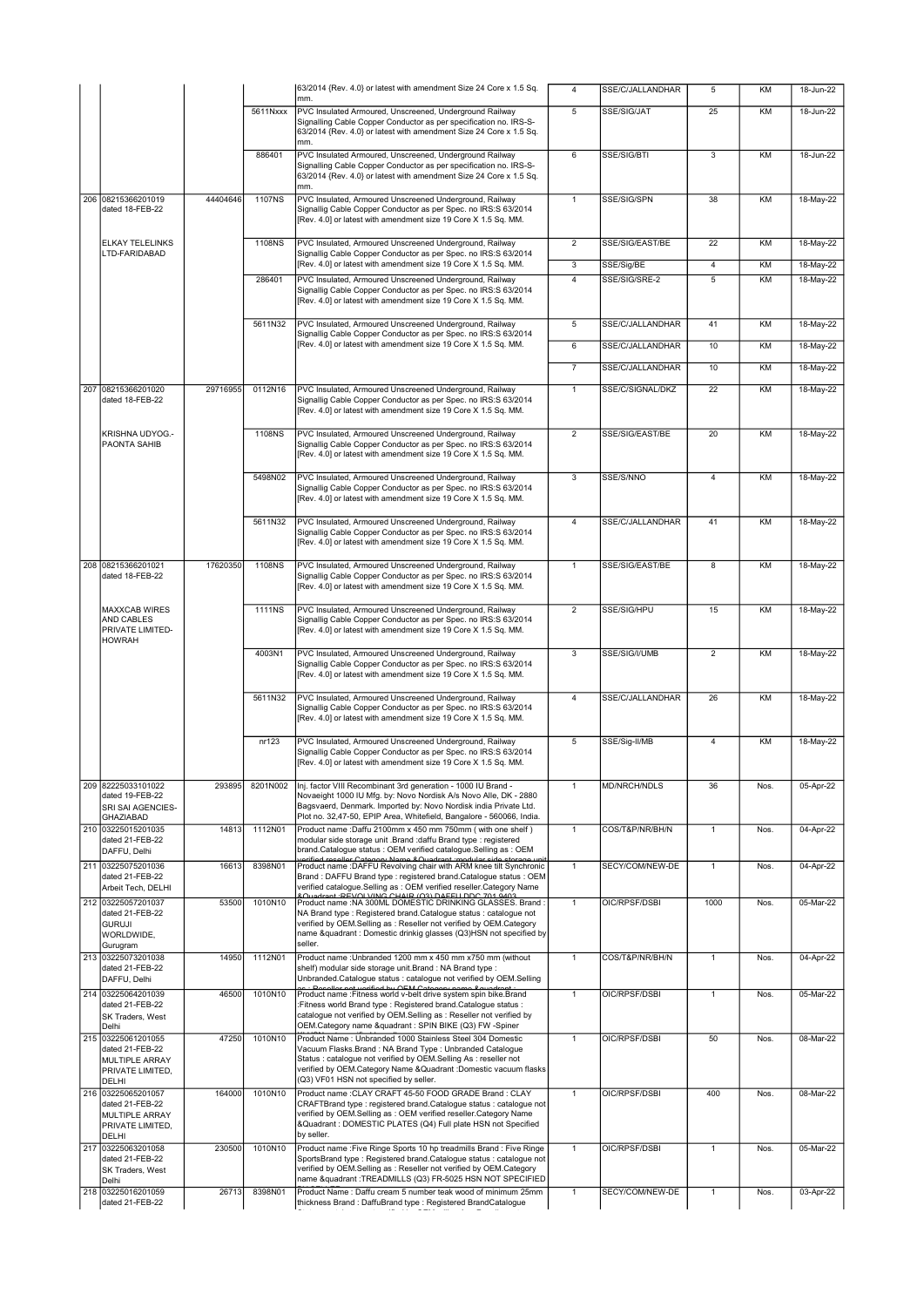|                                                                                               |          |               | 63/2014 {Rev. 4.0} or latest with amendment Size 24 Core x 1.5 Sq.<br>mm.                                                                                                                                                                                                                                  | 4                                | SSE/C/JALLANDHAR            | 5                   | KM        | 18-Jun-22              |
|-----------------------------------------------------------------------------------------------|----------|---------------|------------------------------------------------------------------------------------------------------------------------------------------------------------------------------------------------------------------------------------------------------------------------------------------------------------|----------------------------------|-----------------------------|---------------------|-----------|------------------------|
|                                                                                               |          | 5611Nxxx      | PVC Insulated Armoured, Unscreened, Underground Railway                                                                                                                                                                                                                                                    | $\overline{5}$                   | SSE/SIG/JAT                 | 25                  | KM        | 18-Jun-22              |
|                                                                                               |          |               | Signalling Cable Copper Conductor as per specification no. IRS-S-<br>63/2014 {Rev. 4.0} or latest with amendment Size 24 Core x 1.5 Sq.<br>mm.                                                                                                                                                             |                                  |                             |                     |           |                        |
|                                                                                               |          | 886401        | PVC Insulated Armoured, Unscreened, Underground Railway<br>Signalling Cable Copper Conductor as per specification no. IRS-S-<br>63/2014 {Rev. 4.0} or latest with amendment Size 24 Core x 1.5 Sq.<br>mm.                                                                                                  | 6                                | SSE/SIG/BTI                 | 3                   | KM        | 18-Jun-22              |
| 206 08215366201019<br>dated 18-FEB-22                                                         | 44404646 | <b>1107NS</b> | PVC Insulated, Armoured Unscreened Underground, Railway<br>Signallig Cable Copper Conductor as per Spec. no IRS:S 63/2014<br>[Rev. 4.0] or latest with amendment size 19 Core X 1.5 Sq. MM.                                                                                                                | $\mathbf{1}$                     | SSE/SIG/SPN                 | 38                  | KM        | 18-May-22              |
| <b>ELKAY TELELINKS</b><br>LTD-FARIDABAD                                                       |          | 1108NS        | PVC Insulated, Armoured Unscreened Underground, Railway<br>Signallig Cable Copper Conductor as per Spec. no IRS:S 63/2014<br>[Rev. 4.0] or latest with amendment size 19 Core X 1.5 Sq. MM.                                                                                                                | $\overline{2}$                   | SSE/SIG/EAST/BE             | $\overline{22}$     | KM        | 18-May-22              |
|                                                                                               |          | 286401        | PVC Insulated, Armoured Unscreened Underground, Railway                                                                                                                                                                                                                                                    | $\overline{3}$<br>$\overline{4}$ | SSE/Sig/BE<br>SSE/SIG/SRE-2 | $\overline{4}$<br>5 | KM<br>KM  | 18-May-22<br>18-May-22 |
|                                                                                               |          |               | Signallig Cable Copper Conductor as per Spec, no IRS:S 63/2014<br>[Rev. 4.0] or latest with amendment size 19 Core X 1.5 Sq. MM.                                                                                                                                                                           |                                  |                             |                     |           |                        |
|                                                                                               |          | 5611N32       | PVC Insulated, Armoured Unscreened Underground, Railway                                                                                                                                                                                                                                                    | 5                                | SSE/C/JALLANDHAR            | 41                  | KM        | 18-May-22              |
|                                                                                               |          |               | Signallig Cable Copper Conductor as per Spec. no IRS:S 63/2014<br>[Rev. 4.0] or latest with amendment size 19 Core X 1.5 Sq. MM.                                                                                                                                                                           | 6                                | SSE/C/JALLANDHAR            | 10                  | <b>KM</b> | 18-May-22              |
|                                                                                               |          |               |                                                                                                                                                                                                                                                                                                            | $\overline{7}$                   | SSE/C/JALLANDHAR            | 10                  | KM        | 18-May-22              |
| 207 08215366201020<br>dated 18-FEB-22                                                         | 29716955 | 0112N16       | PVC Insulated, Armoured Unscreened Underground, Railway<br>Signallig Cable Copper Conductor as per Spec. no IRS:S 63/2014<br>[Rev. 4.0] or latest with amendment size 19 Core X 1.5 Sq. MM.                                                                                                                | $\mathbf{1}$                     | SSE/C/SIGNAL/DKZ            | 22                  | KM        | 18-May-22              |
| KRISHNA UDYOG .-<br>PAONTA SAHIB                                                              |          | 1108NS        | PVC Insulated, Armoured Unscreened Underground, Railway<br>Signallig Cable Copper Conductor as per Spec. no IRS:S 63/2014<br>[Rev. 4.0] or latest with amendment size 19 Core X 1.5 Sq. MM.                                                                                                                | $\overline{2}$                   | SSE/SIG/EAST/BE             | $\overline{20}$     | KM        | 18-May-22              |
|                                                                                               |          | 5498N02       | PVC Insulated, Armoured Unscreened Underground, Railway<br>Signallig Cable Copper Conductor as per Spec. no IRS:S 63/2014<br>[Rev. 4.0] or latest with amendment size 19 Core X 1.5 Sq. MM.                                                                                                                | 3                                | SSE/S/NNO                   | $\overline{4}$      | KM        | 18-May-22              |
|                                                                                               |          | 5611N32       | PVC Insulated, Armoured Unscreened Underground, Railway<br>Signallig Cable Copper Conductor as per Spec. no IRS:S 63/2014<br>[Rev. 4.0] or latest with amendment size 19 Core X 1.5 Sq. MM.                                                                                                                | $\overline{4}$                   | SSE/C/JALLANDHAR            | 41                  | KM        | 18-May-22              |
| 208 08215366201021<br>dated 18-FEB-22                                                         | 17620350 | 1108NS        | PVC Insulated, Armoured Unscreened Underground, Railway<br>Signallig Cable Copper Conductor as per Spec. no IRS:S 63/2014<br>[Rev. 4.0] or latest with amendment size 19 Core X 1.5 Sq. MM.                                                                                                                | $\overline{1}$                   | SSE/SIG/EAST/BE             | 8                   | KM        | 18-May-22              |
| <b>MAXXCAB WIRES</b><br>AND CABLES<br>PRIVATE LIMITED-<br><b>HOWRAH</b>                       |          | <b>1111NS</b> | PVC Insulated, Armoured Unscreened Underground, Railway<br>Signallig Cable Copper Conductor as per Spec. no IRS:S 63/2014<br>[Rev. 4.0] or latest with amendment size 19 Core X 1.5 Sq. MM.                                                                                                                | $\overline{2}$                   | SSE/SIG/HPU                 | 15                  | KM        | 18-May-22              |
|                                                                                               |          | 4003N1        | PVC Insulated, Armoured Unscreened Underground, Railway<br>Signallig Cable Copper Conductor as per Spec. no IRS:S 63/2014<br>[Rev. 4.0] or latest with amendment size 19 Core X 1.5 Sq. MM.                                                                                                                | $\overline{3}$                   | SSE/SIG/I/UMB               | $\overline{2}$      | <b>KM</b> | 18-May-22              |
|                                                                                               |          | 5611N32       | PVC Insulated, Armoured Unscreened Underground, Railway<br>Signallig Cable Copper Conductor as per Spec. no IRS:S 63/2014<br>[Rev. 4.0] or latest with amendment size 19 Core X 1.5 Sq. MM.                                                                                                                | $\overline{4}$                   | SSE/C/JALLANDHAR            | 26                  | KM        | 18-May-22              |
|                                                                                               |          | nr123         | PVC Insulated, Armoured Unscreened Underground, Railway<br>Signallig Cable Copper Conductor as per Spec. no IRS:S 63/2014<br>[Rev. 4.0] or latest with amendment size 19 Core X 1.5 Sq. MM.                                                                                                                | 5                                | SSE/Sig-II/MB               | $\overline{4}$      | KM        | 18-May-22              |
| 209 82225033101022<br>dated 19-FEB-22<br>SRI SAI AGENCIES-<br>GHAZIABAD                       | 293895   | 8201N002      | Inj. factor VIII Recombinant 3rd generation - 1000 IU Brand -                                                                                                                                                                                                                                              | $\mathbf{1}$                     | <b>MD/NRCH/NDLS</b>         | 36                  | Nos.      |                        |
|                                                                                               |          |               | Novaeight 1000 IU Mfg. by: Novo Nordisk A/s Novo Alle, DK - 2880<br>Bagsvaerd, Denmark. Imported by: Novo Nordisk india Private Ltd.                                                                                                                                                                       |                                  |                             |                     |           | 05-Apr-22              |
| 210 03225015201035<br>dated 21-FEB-22<br>DAFFU, Delhi                                         | 14813    | 1112N01       | Plot no. 32,47-50, EPIP Area, Whitefield, Bangalore - 560066, India.<br>Product name: Daffu 2100mm x 450 mm 750mm (with one shelf)<br>modular side storage unit .Brand :daffu Brand type : registered<br>brand.Catalogue status: OEM verified catalogue.Selling as: OEM                                    | $\mathbf{1}$                     | COS/T&P/NR/BH/N             | $\mathbf{1}$        | Nos.      | 04-Apr-22              |
| 211 03225075201036<br>dated 21-FEB-22<br>Arbeit Tech, DELHI                                   | 16613    | 8398N01       | rentied reseller Category Name & Quadrant : modular side storage<br>Product name :DAFFU Revolving chair with ARM knee tilt Synchronic<br>Brand: DAFFU Brand type: registered brand.Catalogue status: OEM<br>verified catalogue.Selling as : OEM verified reseller.Category Name                            | $\mathbf{1}$                     | SECY/COM/NEW-DE             | $\overline{1}$      | Nos.      | 04-Apr-22              |
| 212 03225057201037<br>dated 21-FEB-22<br><b>GURUJI</b><br>WORLDWIDE,<br>Gurugram              | 53500    | 1010N10       | Product name : NA 300ML DOMESTIC DRINKING GLASSES. Brand<br>NA Brand type : Registered brand. Catalogue status : catalogue not<br>verified by OEM.Selling as : Reseller not verified by OEM.Category<br>name &quadrant : Domestic drinkig glasses (Q3)HSN not specified by<br>seller.                      | $\mathbf{1}$                     | OIC/RPSF/DSBI               | 1000                | Nos.      | 05-Mar-22              |
| 213 03225073201038<br>dated 21-FEB-22<br>DAFFU, Delhi                                         | 14950    | 1112N01       | Product name : Unbranded 1200 mm x 450 mm x 750 mm (without<br>shelf) modular side storage unit. Brand: NA Brand type:<br>Unbranded.Catalogue status : catalogue not verified by OEM.Selling                                                                                                               | $\mathbf{1}$                     | COS/T&P/NR/BH/N             | $\mathbf{1}$        | Nos.      | 04-Apr-22              |
| 214 03225064201039<br>dated 21-FEB-22<br>SK Traders, West                                     | 46500    | 1010N10       | not varified by OEM Category nor<br>Product name : Fitness world v-belt drive system spin bike. Brand<br>:Fitness world Brand type : Registered brand.Catalogue status :<br>catalogue not verified by OEM.Selling as : Reseller not verified by<br>OEM.Category name &quadrant : SPIN BIKE (Q3) FW -Spiner | $\mathbf{1}$                     | OIC/RPSF/DSBI               | 1                   | Nos.      | 05-Mar-22              |
| Delhi<br>215 03225061201055<br>dated 21-FEB-22<br>MULTIPLE ARRAY<br>PRIVATE LIMITED,<br>DELHI | 47250    | 1010N10       | Product Name : Unbranded 1000 Stainless Steel 304 Domestic<br>Vacuum Flasks.Brand: NA Brand Type: Unbranded Catalogue<br>Status : catalogue not verified by OEM.Selling As : reseller not<br>verified by OEM.Category Name & Quadrant : Domestic vacuum flasks<br>(Q3) VF01 HSN not specified by seller.   | $\mathbf{1}$                     | OIC/RPSF/DSBI               | 50                  | Nos.      | 08-Mar-22              |
| 216 03225065201057<br>dated 21-FEB-22<br>MULTIPLE ARRAY<br>PRIVATE LIMITED,<br>DELHI          | 164000   | 1010N10       | Product name : CLAY CRAFT 45-50 FOOD GRADE Brand : CLAY<br>CRAFTBrand type : registered brand.Catalogue status : catalogue not<br>verified by OEM.Selling as : OEM verified reseller.Category Name<br>&Quadrant : DOMESTIC PLATES (Q4) Full plate HSN not Specified<br>by seller.                          | $\mathbf{1}$                     | OIC/RPSF/DSBI               | 400                 | Nos.      | 08-Mar-22              |
| 217 03225063201058<br>dated 21-FEB-22<br>SK Traders, West<br>Delhi                            | 230500   | 1010N10       | Product name : Five Ringe Sports 10 hp treadmills Brand : Five Ringe<br>SportsBrand type : Registered brand.Catalogue status : catalogue not<br>verified by OEM.Selling as : Reseller not verified by OEM.Category<br>name &quadrant :TREADMILLS (Q3) FR-5025 HSN NOT SPECIFIED                            | $\mathbf{1}$                     | OIC/RPSF/DSBI               | $\mathbf{1}$        | Nos.      | 05-Mar-22              |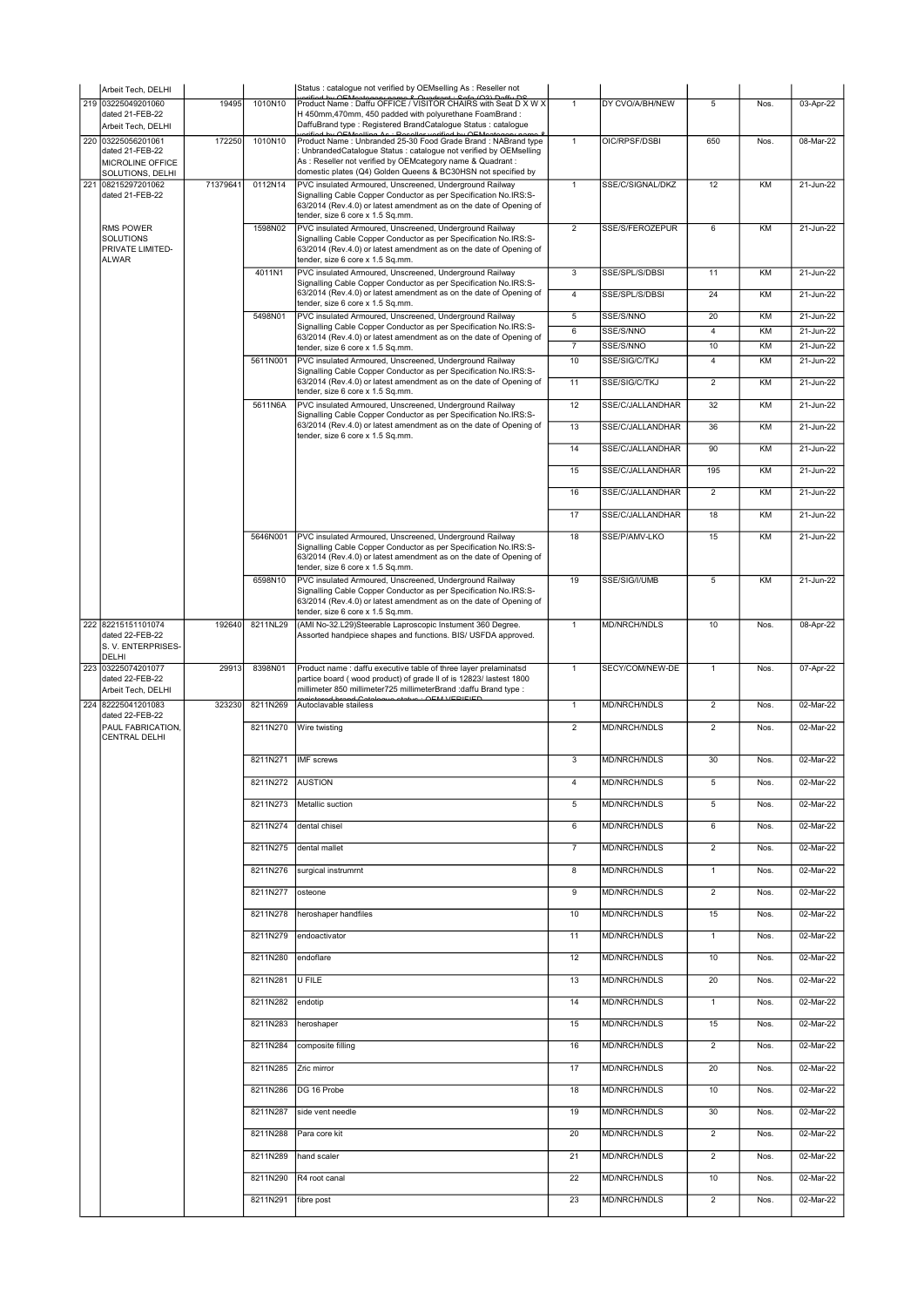|     | Arbeit Tech, DELHI                                                            |          |                  | Status : catalogue not verified by OEMselling As : Reseller not<br>vrified by OEMostogony name & Quadrant - Sofo (Q3) Doffy DS                                                                                                                                   |                         |                                  |                      |          |                        |
|-----|-------------------------------------------------------------------------------|----------|------------------|------------------------------------------------------------------------------------------------------------------------------------------------------------------------------------------------------------------------------------------------------------------|-------------------------|----------------------------------|----------------------|----------|------------------------|
|     | 219 03225049201060<br>dated 21-FEB-22<br>Arbeit Tech, DELHI                   | 19495    | 1010N10          | Product Name: Daffu OFFICE / VISITOR CHAIRS with Seat D X W X<br>H 450mm, 470mm, 450 padded with polyurethane FoamBrand:<br>DaffuBrand type: Registered BrandCatalogue Status: catalogue<br>vrified by OEMeelling Ac - Receller verified by OEMeetr              | $\mathbf{1}$            | DY CVO/A/BH/NEW                  | 5                    | Nos.     | 03-Apr-22              |
|     | 220 03225056201061<br>dated 21-FEB-22<br>MICROLINE OFFICE<br>SOLUTIONS, DELHI | 172250   | 1010N10          | Product Name: Unbranded 25-30 Food Grade Brand: NABrand type<br>UnbrandedCatalogue Status : catalogue not verified by OEMselling<br>As : Reseller not verified by OEMcategory name & Quadrant :<br>domestic plates (Q4) Golden Queens & BC30HSN not specified by | $\mathbf{1}$            | OIC/RPSF/DSBI                    | 650                  | Nos.     | 08-Mar-22              |
| 221 | 08215297201062<br>dated 21-FEB-22                                             | 71379641 | 0112N14          | PVC insulated Armoured, Unscreened, Underground Railway<br>Signalling Cable Copper Conductor as per Specification No.IRS:S-<br>63/2014 (Rev.4.0) or latest amendment as on the date of Opening of<br>tender, size 6 core x 1.5 Sq.mm.                            | $\mathbf{1}$            | SSE/C/SIGNAL/DKZ                 | 12                   | KM       | 21-Jun-22              |
|     | RMS POWER<br><b>SOLUTIONS</b><br>PRIVATE LIMITED-<br>ALWAR                    |          | 1598N02          | PVC insulated Armoured, Unscreened, Underground Railway<br>Signalling Cable Copper Conductor as per Specification No.IRS:S-<br>63/2014 (Rev.4.0) or latest amendment as on the date of Opening of<br>tender, size 6 core x 1.5 Sq.mm.                            | $\overline{2}$          | SSE/S/FEROZEPUR                  | 6                    | KM       | 21-Jun-22              |
|     |                                                                               |          | 4011N1           | PVC insulated Armoured, Unscreened, Underground Railway<br>Signalling Cable Copper Conductor as per Specification No.IRS:S-<br>63/2014 (Rev.4.0) or latest amendment as on the date of Opening of                                                                | 3                       | SSE/SPL/S/DBSI<br>SSE/SPL/S/DBSI | 11<br>24             | KM<br>KM | 21-Jun-22              |
|     |                                                                               |          |                  | tender, size 6 core x 1.5 Sq.mm.                                                                                                                                                                                                                                 | $\overline{4}$          |                                  |                      |          | 21-Jun-22              |
|     |                                                                               |          | 5498N01          | PVC insulated Armoured, Unscreened, Underground Railway<br>Signalling Cable Copper Conductor as per Specification No.IRS:S-                                                                                                                                      | $\sqrt{5}$<br>6         | SSE/S/NNO<br>SSE/S/NNO           | 20<br>$\overline{4}$ | KM<br>KM | 21-Jun-22<br>21-Jun-22 |
|     |                                                                               |          |                  | 63/2014 (Rev.4.0) or latest amendment as on the date of Opening of<br>tender, size 6 core x 1.5 Sq.mm.                                                                                                                                                           | $\overline{7}$          | SSE/S/NNO                        | 10                   | KM       | 21-Jun-22              |
|     |                                                                               |          | 5611N001         | PVC insulated Armoured, Unscreened, Underground Railway<br>Signalling Cable Copper Conductor as per Specification No.IRS:S-                                                                                                                                      | 10                      | SSE/SIG/C/TKJ                    | $\overline{4}$       | KM       | 21-Jun-22              |
|     |                                                                               |          |                  | 63/2014 (Rev.4.0) or latest amendment as on the date of Opening of<br>tender, size 6 core x 1.5 Sq.mm.                                                                                                                                                           | 11                      | SSE/SIG/C/TKJ                    | $\overline{2}$       | KM       | 21-Jun-22              |
|     |                                                                               |          | 5611N6A          | PVC insulated Armoured, Unscreened, Underground Railway<br>Signalling Cable Copper Conductor as per Specification No.IRS:S-                                                                                                                                      | 12                      | SSE/C/JALLANDHAR                 | 32                   | KM       | 21-Jun-22              |
|     |                                                                               |          |                  | 63/2014 (Rev.4.0) or latest amendment as on the date of Opening of<br>tender, size 6 core x 1.5 Sq.mm.                                                                                                                                                           | 13                      | SSE/C/JALLANDHAR                 | 36                   | KM       | 21-Jun-22              |
|     |                                                                               |          |                  |                                                                                                                                                                                                                                                                  | 14                      | SSE/C/JALLANDHAR                 | 90                   | KM       | $21$ -Jun-22           |
|     |                                                                               |          |                  |                                                                                                                                                                                                                                                                  | 15                      | SSE/C/JALLANDHAR                 | 195                  | KM       | 21-Jun-22              |
|     |                                                                               |          |                  |                                                                                                                                                                                                                                                                  | 16                      | SSE/C/JALLANDHAR                 | $\overline{2}$       | KM       | 21-Jun-22              |
|     |                                                                               |          |                  |                                                                                                                                                                                                                                                                  | 17                      | SSE/C/JALLANDHAR                 | 18                   | KM       | 21-Jun-22              |
|     |                                                                               |          | 5646N001         | PVC insulated Armoured, Unscreened, Underground Railway<br>Signalling Cable Copper Conductor as per Specification No.IRS:S-<br>63/2014 (Rev.4.0) or latest amendment as on the date of Opening of<br>tender, size 6 core x 1.5 Sq.mm.                            | 18                      | SSE/P/AMV-LKO                    | 15                   | KM       | 21-Jun-22              |
|     |                                                                               |          | 6598N10          | PVC insulated Armoured, Unscreened, Underground Railway<br>Signalling Cable Copper Conductor as per Specification No.IRS:S-<br>63/2014 (Rev.4.0) or latest amendment as on the date of Opening of<br>tender, size 6 core x 1.5 Sq.mm.                            | 19                      | SSE/SIG/I/UMB                    | 5                    | KM       | 21-Jun-22              |
|     | 222 82215151101074<br>dated 22-FEB-22                                         | 192640   | 8211NL29         | (AMI No-32.L29)Steerable Laproscopic Instument 360 Degree.<br>Assorted handpiece shapes and functions. BIS/ USFDA approved.                                                                                                                                      | $\overline{1}$          | MD/NRCH/NDLS                     | 10                   | Nos.     | 08-Apr-22              |
|     | S. V. ENTERPRISES-<br>DELHI                                                   |          |                  |                                                                                                                                                                                                                                                                  |                         |                                  |                      |          |                        |
|     | 223 03225074201077<br>dated 22-FEB-22<br>Arbeit Tech, DELHI                   | 29913    | 8398N01          | Product name : daffu executive table of three layer prelaminatsd<br>partice board (wood product) of grade II of is 12823/ lastest 1800<br>millimeter 850 millimeter725 millimeterBrand :daffu Brand type :<br><b>OEM VEDICIED</b><br>que etatur                  | $\mathbf{1}$            | SECY/COM/NEW-DE                  | $\overline{1}$       | Nos.     | 07-Apr-22              |
|     | 224 82225041201083<br>dated 22-FEB-22                                         | 323230   | 8211N269         | Autoclavable stailess                                                                                                                                                                                                                                            | $\mathbf{1}$            | MD/NRCH/NDLS                     | $\overline{2}$       | Nos.     | 02-Mar-22              |
|     | PAUL FABRICATION,<br><b>CENTRAL DELHI</b>                                     |          | 8211N270         | Wire twisting                                                                                                                                                                                                                                                    | $\overline{2}$          | MD/NRCH/NDLS                     | $\overline{2}$       | Nos.     | 02-Mar-22              |
|     |                                                                               |          | 8211N271         | <b>IMF</b> screws                                                                                                                                                                                                                                                | $\overline{\mathbf{3}}$ | MD/NRCH/NDLS                     | 30                   | Nos.     | 02-Mar-22              |
|     |                                                                               |          | 8211N272 AUSTION |                                                                                                                                                                                                                                                                  | 4                       | MD/NRCH/NDLS                     | 5                    | Nos.     | 02-Mar-22              |
|     |                                                                               |          | 8211N273         | Metallic suction                                                                                                                                                                                                                                                 | 5                       | MD/NRCH/NDLS                     | 5                    | Nos.     | 02-Mar-22              |
|     |                                                                               |          | 8211N274         | dental chisel                                                                                                                                                                                                                                                    | 6                       | MD/NRCH/NDLS                     | 6                    | Nos.     | 02-Mar-22              |
|     |                                                                               |          | 8211N275         | dental mallet                                                                                                                                                                                                                                                    | $\overline{7}$          | MD/NRCH/NDLS                     | $\overline{2}$       | Nos.     | 02-Mar-22              |
|     |                                                                               |          | 8211N276         | surgical instrumrnt                                                                                                                                                                                                                                              | 8                       | MD/NRCH/NDLS                     | $\mathbf{1}$         | Nos.     | 02-Mar-22              |
|     |                                                                               |          | 8211N277         | osteone                                                                                                                                                                                                                                                          | 9                       | <b>MD/NRCH/NDLS</b>              | $\overline{2}$       | Nos.     | 02-Mar-22              |
|     |                                                                               |          | 8211N278         | heroshaper handfiles                                                                                                                                                                                                                                             | 10                      | MD/NRCH/NDLS                     | 15                   | Nos.     | 02-Mar-22              |
|     |                                                                               |          | 8211N279         | endoactivator                                                                                                                                                                                                                                                    | 11                      | MD/NRCH/NDLS                     | $\mathbf{1}$         | Nos.     | 02-Mar-22              |
|     |                                                                               |          | 8211N280         | lendoflare                                                                                                                                                                                                                                                       | 12                      | <b>MD/NRCH/NDLS</b>              | 10                   | Nos.     | 02-Mar-22              |
|     |                                                                               |          | 8211N281         | U FILE                                                                                                                                                                                                                                                           | 13                      | MD/NRCH/NDLS                     | 20                   | Nos.     | 02-Mar-22              |
|     |                                                                               |          | 8211N282         | endotip                                                                                                                                                                                                                                                          | 14                      | MD/NRCH/NDLS                     | $\mathbf{1}$         | Nos.     | 02-Mar-22              |
|     |                                                                               |          | 8211N283         | heroshaper                                                                                                                                                                                                                                                       | 15                      | MD/NRCH/NDLS                     | 15                   | Nos.     | 02-Mar-22              |
|     |                                                                               |          | 8211N284         | composite filling                                                                                                                                                                                                                                                | 16                      | MD/NRCH/NDLS                     | $\overline{2}$       | Nos.     | 02-Mar-22              |
|     |                                                                               |          | 8211N285         | Zric mirror                                                                                                                                                                                                                                                      | 17                      | MD/NRCH/NDLS                     | 20                   | Nos.     | 02-Mar-22              |
|     |                                                                               |          | 8211N286         | DG 16 Probe                                                                                                                                                                                                                                                      | 18                      | MD/NRCH/NDLS                     | 10                   | Nos.     | 02-Mar-22              |
|     |                                                                               |          | 8211N287         | side vent needle                                                                                                                                                                                                                                                 | 19                      | MD/NRCH/NDLS                     | 30                   | Nos.     | 02-Mar-22              |
|     |                                                                               |          | 8211N288         | Para core kit                                                                                                                                                                                                                                                    | 20                      | MD/NRCH/NDLS                     | $\overline{2}$       | Nos.     | 02-Mar-22              |
|     |                                                                               |          | 8211N289         | hand scaler                                                                                                                                                                                                                                                      | 21                      | MD/NRCH/NDLS                     | $\overline{2}$       | Nos.     | 02-Mar-22              |
|     |                                                                               |          | 8211N290         | R4 root canal                                                                                                                                                                                                                                                    | 22                      | MD/NRCH/NDLS                     | 10                   | Nos.     | 02-Mar-22              |
|     |                                                                               |          | 8211N291         | fibre post                                                                                                                                                                                                                                                       | 23                      | MD/NRCH/NDLS                     | $\overline{2}$       | Nos.     | 02-Mar-22              |
|     |                                                                               |          |                  |                                                                                                                                                                                                                                                                  |                         |                                  |                      |          |                        |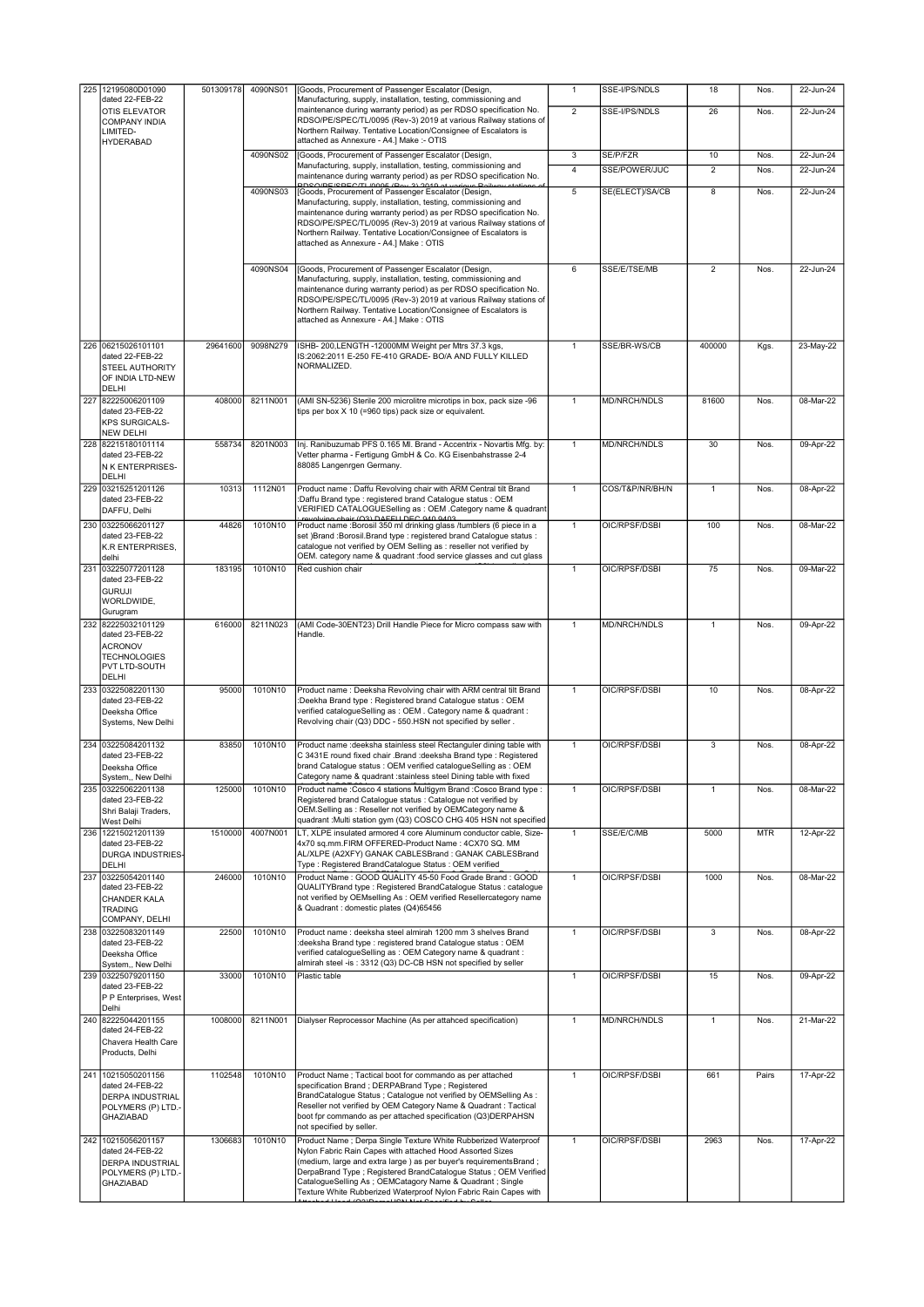| 225 12195080D01090                           | 501309178 | 4090NS01 | [Goods, Procurement of Passenger Escalator (Design,                                                                                          | $\mathbf{1}$   | SSE-I/PS/NDLS   | 18             | Nos.       | 22-Jun-24    |
|----------------------------------------------|-----------|----------|----------------------------------------------------------------------------------------------------------------------------------------------|----------------|-----------------|----------------|------------|--------------|
| dated 22-FEB-22<br>OTIS ELEVATOR             |           |          | Manufacturing, supply, installation, testing, commissioning and<br>maintenance during warranty period) as per RDSO specification No.         | $\overline{2}$ | SSE-I/PS/NDLS   | 26             | Nos.       | $22$ -Jun-24 |
| <b>COMPANY INDIA</b>                         |           |          | RDSO/PE/SPEC/TL/0095 (Rev-3) 2019 at various Railway stations of                                                                             |                |                 |                |            |              |
| LIMITED-<br><b>HYDERABAD</b>                 |           |          | Northern Railway. Tentative Location/Consignee of Escalators is<br>attached as Annexure - A4.] Make :- OTIS                                  |                |                 |                |            |              |
|                                              |           | 4090NS02 | [Goods, Procurement of Passenger Escalator (Design,                                                                                          | 3              | SE/P/FZR        | 10             | Nos.       | 22-Jun-24    |
|                                              |           |          | Manufacturing, supply, installation, testing, commissioning and<br>maintenance during warranty period) as per RDSO specification No.         | $\overline{4}$ | SSE/POWER/JUC   | $\overline{2}$ | Nos.       | 22-Jun-24    |
|                                              |           | 4090NS03 | <b>PDSO/DE/SPEC/TL/000E/Pou 2) 2010 of various Poil</b><br>[Goods, Procurement of Passenger Escalator (Design,                               | 5              | SE(ELECT)/SA/CB | 8              | Nos.       | 22-Jun-24    |
|                                              |           |          | Manufacturing, supply, installation, testing, commissioning and                                                                              |                |                 |                |            |              |
|                                              |           |          | maintenance during warranty period) as per RDSO specification No.<br>RDSO/PE/SPEC/TL/0095 (Rev-3) 2019 at various Railway stations of        |                |                 |                |            |              |
|                                              |           |          | Northern Railway. Tentative Location/Consignee of Escalators is                                                                              |                |                 |                |            |              |
|                                              |           |          | attached as Annexure - A4.] Make: OTIS                                                                                                       |                |                 |                |            |              |
|                                              |           | 4090NS04 | [Goods, Procurement of Passenger Escalator (Design,                                                                                          | 6              | SSE/E/TSE/MB    | $\overline{2}$ | Nos.       | 22-Jun-24    |
|                                              |           |          | Manufacturing, supply, installation, testing, commissioning and<br>maintenance during warranty period) as per RDSO specification No.         |                |                 |                |            |              |
|                                              |           |          | RDSO/PE/SPEC/TL/0095 (Rev-3) 2019 at various Railway stations of                                                                             |                |                 |                |            |              |
|                                              |           |          | Northern Railway. Tentative Location/Consignee of Escalators is<br>attached as Annexure - A4.] Make: OTIS                                    |                |                 |                |            |              |
|                                              |           |          |                                                                                                                                              |                |                 |                |            |              |
| 226 06215026101101<br>dated 22-FEB-22        | 29641600  | 9098N279 | ISHB- 200, LENGTH - 12000MM Weight per Mtrs 37.3 kgs,<br>IS:2062:2011 E-250 FE-410 GRADE- BO/A AND FULLY KILLED                              | $\mathbf{1}$   | SSE/BR-WS/CB    | 400000         | Kgs.       | 23-May-22    |
| STEEL AUTHORITY                              |           |          | NORMALIZED.                                                                                                                                  |                |                 |                |            |              |
| OF INDIA LTD-NEW<br>DELHI                    |           |          |                                                                                                                                              |                |                 |                |            |              |
| 227 82225006201109                           | 408000    | 8211N001 | (AMI SN-5236) Sterile 200 microlitre microtips in box, pack size -96                                                                         | $\mathbf{1}$   | MD/NRCH/NDLS    | 81600          | Nos.       | 08-Mar-22    |
| dated 23-FEB-22<br><b>KPS SURGICALS-</b>     |           |          | tips per box X 10 (=960 tips) pack size or equivalent.                                                                                       |                |                 |                |            |              |
| <b>NEW DELHI</b>                             |           |          |                                                                                                                                              |                |                 |                |            |              |
| 228 82215180101114<br>dated 23-FEB-22        | 558734    | 8201N003 | Inj. Ranibuzumab PFS 0.165 MI. Brand - Accentrix - Novartis Mfg. by:<br>Vetter pharma - Fertigung GmbH & Co. KG Eisenbahstrasse 2-4          | $\mathbf{1}$   | MD/NRCH/NDLS    | 30             | Nos.       | 09-Apr-22    |
| <b>N K ENTERPRISES-</b>                      |           |          | 88085 Langenrgen Germany.                                                                                                                    |                |                 |                |            |              |
| DELHI<br>229 03215251201126                  | 10313     | 1112N01  | Product name: Daffu Revolving chair with ARM Central tilt Brand                                                                              | $\mathbf{1}$   | COS/T&P/NR/BH/N | 1              | Nos.       | 08-Apr-22    |
| dated 23-FEB-22                              |           |          | :Daffu Brand type : registered brand Catalogue status : OEM                                                                                  |                |                 |                |            |              |
| DAFFU, Delhi                                 | 44826     | 1010N10  | VERIFIED CATALOGUESelling as : OEM .Category name & quadrant<br>revolving chair (O3) DAEEU DEC 040 0403                                      | $\mathbf{1}$   | OIC/RPSF/DSBI   | 100            |            | 08-Mar-22    |
| 230 03225066201127<br>dated 23-FEB-22        |           |          | Product name : Borosil 350 ml drinking glass /tumblers (6 piece in a<br>set )Brand :Borosil.Brand type : registered brand Catalogue status : |                |                 |                | Nos.       |              |
| K.R ENTERPRISES,<br>delhi                    |           |          | catalogue not verified by OEM Selling as : reseller not verified by<br>OEM. category name & quadrant :food service glasses and cut glass     |                |                 |                |            |              |
| 231 03225077201128                           | 183195    | 1010N10  | Red cushion chair                                                                                                                            | 1              | OIC/RPSF/DSBI   | 75             | Nos.       | 09-Mar-22    |
| dated 23-FEB-22<br><b>GURUJI</b>             |           |          |                                                                                                                                              |                |                 |                |            |              |
| WORLDWIDE,                                   |           |          |                                                                                                                                              |                |                 |                |            |              |
| Gurugram<br>232 82225032101129               | 616000    | 8211N023 | (AMI Code-30ENT23) Drill Handle Piece for Micro compass saw with                                                                             | $\mathbf{1}$   | MD/NRCH/NDLS    | $\mathbf{1}$   | Nos.       | 09-Apr-22    |
| dated 23-FEB-22                              |           |          | Handle.                                                                                                                                      |                |                 |                |            |              |
| <b>ACRONOV</b><br><b>TECHNOLOGIES</b>        |           |          |                                                                                                                                              |                |                 |                |            |              |
| PVT LTD-SOUTH<br>DELHI                       |           |          |                                                                                                                                              |                |                 |                |            |              |
| 233 03225082201130                           | 95000     | 1010N10  | Product name : Deeksha Revolving chair with ARM central tilt Brand                                                                           | 1              | OIC/RPSF/DSBI   | 10             | Nos.       | 08-Apr-22    |
| dated 23-FEB-22<br>Deeksha Office            |           |          | :Deekha Brand type : Registered brand Catalogue status : OEM<br>verified catalogueSelling as : OEM. Category name & quadrant :               |                |                 |                |            |              |
| Systems, New Delhi                           |           |          | Revolving chair (Q3) DDC - 550.HSN not specified by seller.                                                                                  |                |                 |                |            |              |
| 234 03225084201132                           | 83850     | 1010N10  | Product name : deeksha stainless steel Rectanguler dining table with                                                                         | $\mathbf{1}$   | OIC/RPSF/DSBI   | 3              | Nos.       | $08-Apr-22$  |
| dated 23-FEB-22<br>Deeksha Office            |           |          | C 3431E round fixed chair .Brand :deeksha Brand type : Registered<br>brand Catalogue status : OEM verified catalogueSelling as : OEM         |                |                 |                |            |              |
| System,, New Delhi                           |           |          | Category name & quadrant : stainless steel Dining table with fixed                                                                           |                |                 |                |            |              |
| 235 03225062201138<br>dated 23-FEB-22        | 125000    | 1010N10  | Product name : Cosco 4 stations Multigym Brand : Cosco Brand type :<br>Registered brand Catalogue status : Catalogue not verified by         | $\mathbf{1}$   | OIC/RPSF/DSBI   | 1              | Nos.       | 08-Mar-22    |
| Shri Balaji Traders,                         |           |          | OEM.Selling as : Reseller not verified by OEMCategory name &                                                                                 |                |                 |                |            |              |
| West Delhi<br>236 12215021201139             | 1510000   | 4007N001 | quadrant : Multi station gym (Q3) COSCO CHG 405 HSN not specified<br>LT, XLPE insulated armored 4 core Aluminum conductor cable, Size-       | $\mathbf{1}$   | SSE/E/C/MB      | 5000           | <b>MTR</b> | 12-Apr-22    |
| dated 23-FEB-22                              |           |          | 4x70 sq.mm.FIRM OFFERED-Product Name: 4CX70 SQ. MM                                                                                           |                |                 |                |            |              |
| <b>DURGA INDUSTRIES</b><br>DELHI             |           |          | AL/XLPE (A2XFY) GANAK CABLESBrand : GANAK CABLESBrand<br>Type: Registered BrandCatalogue Status: OEM verified                                |                |                 |                |            |              |
| 237 03225054201140                           | 246000    | 1010N10  | Product Name: GOOD QUALITY 45-50 Food Grade Brand: GOOD                                                                                      | 1              | OIC/RPSF/DSBI   | 1000           | Nos.       | 08-Mar-22    |
| dated 23-FEB-22<br><b>CHANDER KALA</b>       |           |          | QUALITYBrand type: Registered BrandCatalogue Status: catalogue<br>not verified by OEMselling As : OEM verified Resellercategory name         |                |                 |                |            |              |
| <b>TRADING</b><br>COMPANY, DELHI             |           |          | & Quadrant : domestic plates (Q4)65456                                                                                                       |                |                 |                |            |              |
| 238 03225083201149                           | 22500     | 1010N10  | Product name : deeksha steel almirah 1200 mm 3 shelves Brand                                                                                 | 1              | OIC/RPSF/DSBI   | 3              | Nos.       | 08-Apr-22    |
| dated 23-FEB-22<br>Deeksha Office            |           |          | :deeksha Brand type : registered brand Catalogue status : OEM<br>verified catalogueSelling as : OEM Category name & quadrant :               |                |                 |                |            |              |
| System,, New Delhi                           |           |          | almirah steel -is : 3312 (Q3) DC-CB HSN not specified by seller                                                                              |                |                 |                |            |              |
| 239 03225079201150<br>dated 23-FEB-22        | 33000     | 1010N10  | Plastic table                                                                                                                                | $\mathbf{1}$   | OIC/RPSF/DSBI   | 15             | Nos.       | 09-Apr-22    |
| P P Enterprises, West<br>Delhi               |           |          |                                                                                                                                              |                |                 |                |            |              |
| 240 82225044201155                           | 1008000   | 8211N001 | Dialyser Reprocessor Machine (As per attahced specification)                                                                                 | $\mathbf{1}$   | MD/NRCH/NDLS    | 1              | Nos.       | 21-Mar-22    |
| dated 24-FEB-22<br>Chavera Health Care       |           |          |                                                                                                                                              |                |                 |                |            |              |
| Products, Delhi                              |           |          |                                                                                                                                              |                |                 |                |            |              |
| 241 10215050201156                           | 1102548   | 1010N10  | Product Name ; Tactical boot for commando as per attached                                                                                    | $\mathbf{1}$   | OIC/RPSF/DSBI   | 661            | Pairs      | 17-Apr-22    |
| dated 24-FEB-22                              |           |          | specification Brand; DERPABrand Type; Registered<br>BrandCatalogue Status ; Catalogue not verified by OEMSelling As :                        |                |                 |                |            |              |
| <b>DERPA INDUSTRIAL</b><br>POLYMERS (P) LTD. |           |          | Reseller not verified by OEM Category Name & Quadrant : Tactical                                                                             |                |                 |                |            |              |
| <b>GHAZIABAD</b>                             |           |          | boot fpr commando as per attached specification (Q3)DERPAHSN<br>not specified by seller.                                                     |                |                 |                |            |              |
| 242 10215056201157                           | 1306683   | 1010N10  | Product Name ; Derpa Single Texture White Rubberized Waterproof                                                                              | $\mathbf{1}$   | OIC/RPSF/DSBI   | 2963           | Nos.       | 17-Apr-22    |
| dated 24-FEB-22<br><b>DERPA INDUSTRIAL</b>   |           |          | Nylon Fabric Rain Capes with attached Hood Assorted Sizes<br>(medium, large and extra large) as per buyer's requirementsBrand;               |                |                 |                |            |              |
| POLYMERS (P) LTD.                            |           |          | DerpaBrand Type ; Registered BrandCatalogue Status ; OEM Verified                                                                            |                |                 |                |            |              |
| GHAZIABAD                                    |           |          | CatalogueSelling As; OEMCatagory Name & Quadrant; Single<br>Texture White Rubberized Waterproof Nylon Fabric Rain Capes with                 |                |                 |                |            |              |
|                                              |           |          |                                                                                                                                              |                |                 |                |            |              |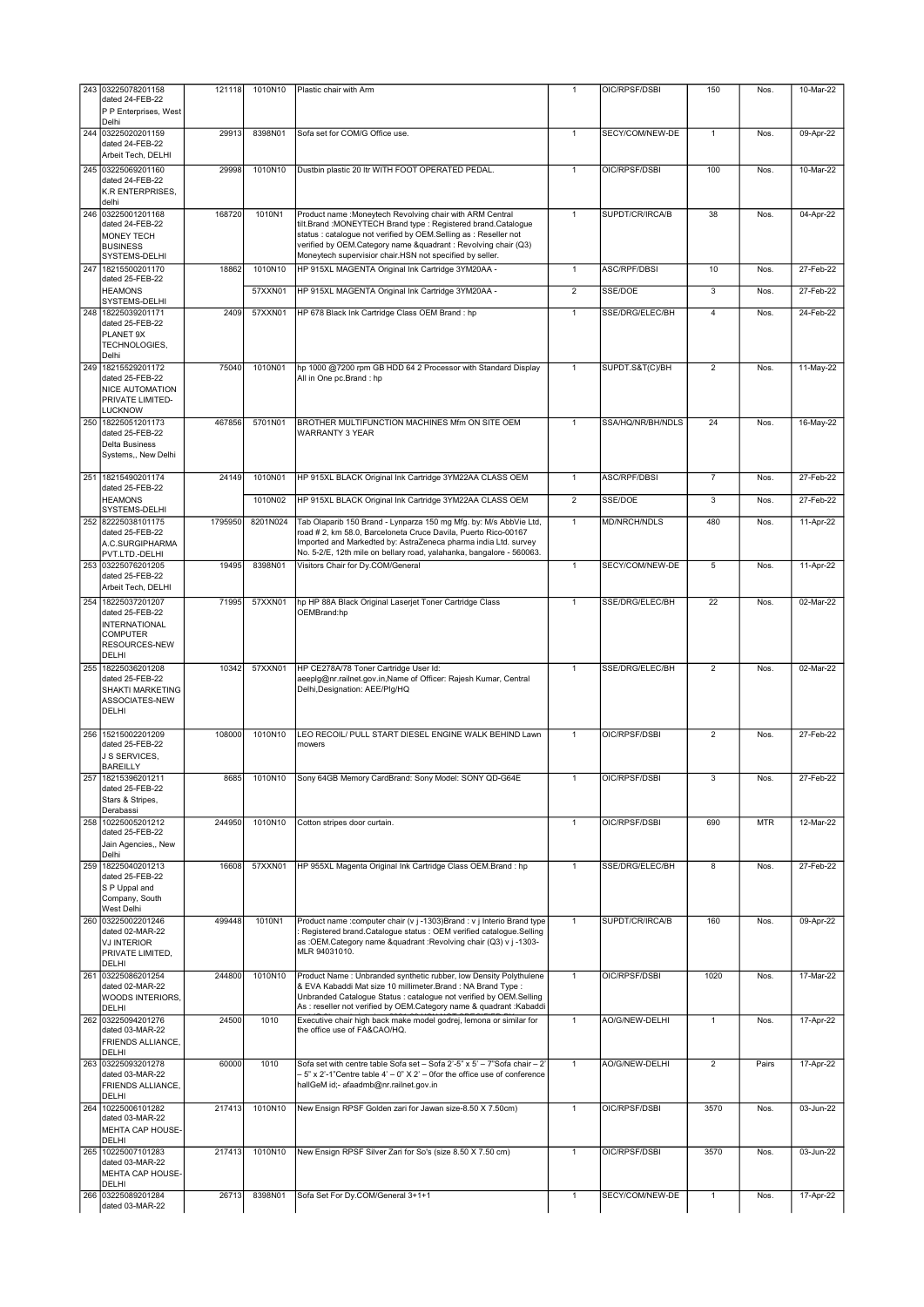|     | 243 03225078201158<br>dated 24-FEB-22<br>P P Enterprises, West                                        | 121118  | 1010N10  | Plastic chair with Arm                                                                                                                                                                                                                                                                                                       | $\mathbf{1}$   | OIC/RPSF/DSBI       | 150                     | Nos.       | 10-Mar-22 |
|-----|-------------------------------------------------------------------------------------------------------|---------|----------|------------------------------------------------------------------------------------------------------------------------------------------------------------------------------------------------------------------------------------------------------------------------------------------------------------------------------|----------------|---------------------|-------------------------|------------|-----------|
|     | Delhi<br>244 03225020201159<br>dated 24-FEB-22                                                        | 29913   | 8398N01  | Sofa set for COM/G Office use.                                                                                                                                                                                                                                                                                               | $\mathbf{1}$   | SECY/COM/NEW-DE     | 1                       | Nos.       | 09-Apr-22 |
|     | Arbeit Tech, DELHI<br>245 03225069201160<br>dated 24-FEB-22                                           | 29998   | 1010N10  | Dustbin plastic 20 Itr WITH FOOT OPERATED PEDAL.                                                                                                                                                                                                                                                                             | $\mathbf{1}$   | OIC/RPSF/DSBI       | 100                     | Nos.       | 10-Mar-22 |
|     | K.R ENTERPRISES.<br>delhi                                                                             |         |          |                                                                                                                                                                                                                                                                                                                              |                |                     |                         |            |           |
|     | 246 03225001201168<br>dated 24-FEB-22<br>MONEY TECH<br><b>BUSINESS</b><br>SYSTEMS-DELHI               | 168720  | 1010N1   | Product name : Moneytech Revolving chair with ARM Central<br>tilt.Brand :MONEYTECH Brand type : Registered brand.Catalogue<br>status : catalogue not verified by OEM.Selling as : Reseller not<br>verified by OEM.Category name &quadrant : Revolving chair (Q3)<br>Moneytech supervisior chair.HSN not specified by seller. | $\mathbf{1}$   | SUPDT/CR/IRCA/B     | 38                      | Nos.       | 04-Apr-22 |
| 247 | 18215500201170<br>dated 25-FEB-22                                                                     | 18862   | 1010N10  | HP 915XL MAGENTA Original Ink Cartridge 3YM20AA -                                                                                                                                                                                                                                                                            | $\mathbf{1}$   | ASC/RPF/DBSI        | 10                      | Nos.       | 27-Feb-22 |
|     | <b>HEAMONS</b><br>SYSTEMS-DELHI                                                                       |         | 57XXN01  | HP 915XL MAGENTA Original Ink Cartridge 3YM20AA -                                                                                                                                                                                                                                                                            | $\overline{2}$ | SSE/DOE             | 3                       | Nos.       | 27-Feb-22 |
|     | 248 18225039201171<br>dated 25-FEB-22<br>PLANET 9X<br>TECHNOLOGIES,<br>Delhi                          | 2409    | 57XXN01  | HP 678 Black Ink Cartridge Class OEM Brand : hp                                                                                                                                                                                                                                                                              | $\mathbf{1}$   | SSE/DRG/ELEC/BH     | 4                       | Nos.       | 24-Feb-22 |
|     | 249 18215529201172<br>dated 25-FEB-22<br><b>NICE AUTOMATION</b><br>PRIVATE LIMITED-<br><b>LUCKNOW</b> | 75040   | 1010N01  | hp 1000 @7200 rpm GB HDD 64 2 Processor with Standard Display<br>All in One pc.Brand : hp                                                                                                                                                                                                                                    | $\mathbf{1}$   | SUPDT.S&T(C)/BH     | $\overline{2}$          | Nos.       | 11-May-22 |
|     | 250 18225051201173<br>dated 25-FEB-22<br><b>Delta Business</b><br>Systems,, New Delhi                 | 467856  | 5701N01  | BROTHER MULTIFUNCTION MACHINES Mfm ON SITE OEM<br><b>WARRANTY 3 YEAR</b>                                                                                                                                                                                                                                                     | $\mathbf{1}$   | SSA/HQ/NR/BH/NDLS   | 24                      | Nos.       | 16-May-22 |
|     | 251 18215490201174<br>dated 25-FEB-22                                                                 | 24149   | 1010N01  | HP 915XL BLACK Original Ink Cartridge 3YM22AA CLASS OEM                                                                                                                                                                                                                                                                      | $\mathbf{1}$   | <b>ASC/RPF/DBSI</b> | $\overline{7}$          | Nos.       | 27-Feb-22 |
|     | <b>HEAMONS</b><br>SYSTEMS-DELHI                                                                       |         | 1010N02  | HP 915XL BLACK Original Ink Cartridge 3YM22AA CLASS OEM                                                                                                                                                                                                                                                                      | $\overline{2}$ | SSE/DOE             | 3                       | Nos.       | 27-Feb-22 |
|     | 252 82225038101175<br>dated 25-FEB-22<br>A.C.SURGIPHARMA<br>PVT.LTD.-DELHI                            | 1795950 | 8201N024 | Tab Olaparib 150 Brand - Lynparza 150 mg Mfg. by: M/s AbbVie Ltd,<br>road # 2, km 58.0, Barceloneta Cruce Davila, Puerto Rico-00167<br>Imported and Markedted by: AstraZeneca pharma india Ltd. survey<br>No. 5-2/E, 12th mile on bellary road, yalahanka, bangalore - 560063.                                               | $\mathbf{1}$   | MD/NRCH/NDLS        | 480                     | Nos.       | 11-Apr-22 |
|     | 253 03225076201205<br>dated 25-FEB-22<br>Arbeit Tech, DELHI                                           | 19495   | 8398N01  | Visitors Chair for Dy.COM/General                                                                                                                                                                                                                                                                                            | $\mathbf{1}$   | SECY/COM/NEW-DE     | 5                       | Nos.       | 11-Apr-22 |
|     | 254 18225037201207<br>dated 25-FEB-22<br>INTERNATIONAL<br><b>COMPUTER</b><br>RESOURCES-NEW<br>DELHI   | 71995   | 57XXN01  | hp HP 88A Black Original Laserjet Toner Cartridge Class<br>OEMBrand:hp                                                                                                                                                                                                                                                       | $\mathbf{1}$   | SSE/DRG/ELEC/BH     | 22                      | Nos.       | 02-Mar-22 |
| 255 | 18225036201208<br>dated 25-FEB-22<br>SHAKTI MARKETING<br>ASSOCIATES-NEW<br>DELHI                      | 10342   | 57XXN01  | HP CE278A/78 Toner Cartridge User Id:<br>aeeplg@nr.railnet.gov.in,Name of Officer: Rajesh Kumar, Central<br>Delhi, Designation: AEE/Plg/HQ                                                                                                                                                                                   | $\mathbf{1}$   | SSE/DRG/ELEC/BH     | $\overline{c}$          | Nos.       | 02-Mar-22 |
|     | 256 15215002201209<br>dated 25-FEB-22<br>J S SERVICES.<br>BAREILLY                                    | 108000  | 1010N10  | LEO RECOIL/ PULL START DIESEL ENGINE WALK BEHIND Lawn<br>mowers                                                                                                                                                                                                                                                              | $\mathbf{1}$   | OIC/RPSF/DSBI       | $\overline{\mathbf{c}}$ | Nos.       | 27-Feb-22 |
|     | 18215396201211<br>dated 25-FEB-22<br>Stars & Stripes,<br>Derabassi                                    | 8685    | 1010N10  | Sony 64GB Memory CardBrand: Sony Model: SONY QD-G64E                                                                                                                                                                                                                                                                         |                | OIC/RPSF/DSBI       |                         |            | 27-Feb-22 |
|     | 258 10225005201212<br>dated 25-FEB-22<br>Jain Agencies,, New<br>Delhi                                 | 244950  | 1010N10  | Cotton stripes door curtain.                                                                                                                                                                                                                                                                                                 | $\mathbf{1}$   | OIC/RPSF/DSBI       | 690                     | <b>MTR</b> | 12-Mar-22 |
|     | 259 18225040201213<br>dated 25-FEB-22<br>S P Uppal and<br>Company, South<br>West Delhi                | 16608   | 57XXN01  | HP 955XL Magenta Original Ink Cartridge Class OEM.Brand: hp                                                                                                                                                                                                                                                                  | $\mathbf{1}$   | SSE/DRG/ELEC/BH     | 8                       | Nos.       | 27-Feb-22 |
|     | 260 03225002201246<br>dated 02-MAR-22<br><b>VJ INTERIOR</b><br>PRIVATE LIMITED,<br>DELHI              | 499448  | 1010N1   | Product name :computer chair (v j -1303) Brand : v j Interio Brand type<br>Registered brand.Catalogue status : OEM verified catalogue.Selling<br>as :OEM.Category name &quadrant :Revolving chair (Q3) v j -1303-<br>MLR 94031010.                                                                                           | $\mathbf{1}$   | SUPDT/CR/IRCA/B     | 160                     | Nos.       | 09-Apr-22 |
|     | 261 03225086201254<br>dated 02-MAR-22<br>WOODS INTERIORS,<br><b>DELHI</b>                             | 244800  | 1010N10  | Product Name: Unbranded synthetic rubber, low Density Polythulene<br>& EVA Kabaddi Mat size 10 millimeter.Brand : NA Brand Type :<br>Unbranded Catalogue Status : catalogue not verified by OEM.Selling<br>As : reseller not verified by OEM.Category name & quadrant :Kabaddi                                               | $\mathbf{1}$   | OIC/RPSF/DSBI       | 1020                    | Nos.       | 17-Mar-22 |
|     | 262 03225094201276<br>dated 03-MAR-22<br>FRIENDS ALLIANCE,<br>DELHI                                   | 24500   | 1010     | Executive chair high back make model godrej, lemona or similar for<br>the office use of FA&CAO/HQ.                                                                                                                                                                                                                           | $\mathbf{1}$   | AO/G/NEW-DELHI      | $\mathbf{1}$            | Nos.       | 17-Apr-22 |
|     | 263 03225093201278<br>dated 03-MAR-22<br>FRIENDS ALLIANCE,<br>DELHI                                   | 60000   | 1010     | Sofa set with centre table Sofa set - Sofa 2'-5" x 5' - 7"Sofa chair - 2'<br>- 5" x 2'-1"Centre table 4' - 0" X 2' - 0for the office use of conference<br>hallGeM id;- afaadmb@nr.railnet.gov.in                                                                                                                             | $\mathbf{1}$   | AO/G/NEW-DELHI      | $\overline{2}$          | Pairs      | 17-Apr-22 |
|     | 264 10225006101282<br>dated 03-MAR-22<br>MEHTA CAP HOUSE-<br>DELHI                                    | 217413  | 1010N10  | New Ensign RPSF Golden zari for Jawan size-8.50 X 7.50cm)                                                                                                                                                                                                                                                                    | $\mathbf{1}$   | OIC/RPSF/DSBI       | 3570                    | Nos.       | 03-Jun-22 |
| 265 | 10225007101283<br>dated 03-MAR-22<br>MEHTA CAP HOUSE-<br>DELHI                                        | 217413  | 1010N10  | New Ensign RPSF Silver Zari for So's (size 8.50 X 7.50 cm)                                                                                                                                                                                                                                                                   | $\mathbf{1}$   | OIC/RPSF/DSBI       | 3570                    | Nos.       | 03-Jun-22 |
|     | 266 03225089201284                                                                                    | 26713   | 8398N01  | Sofa Set For Dy.COM/General 3+1+1                                                                                                                                                                                                                                                                                            | $\mathbf{1}$   | SECY/COM/NEW-DE     | $\mathbf{1}$            | Nos.       | 17-Apr-22 |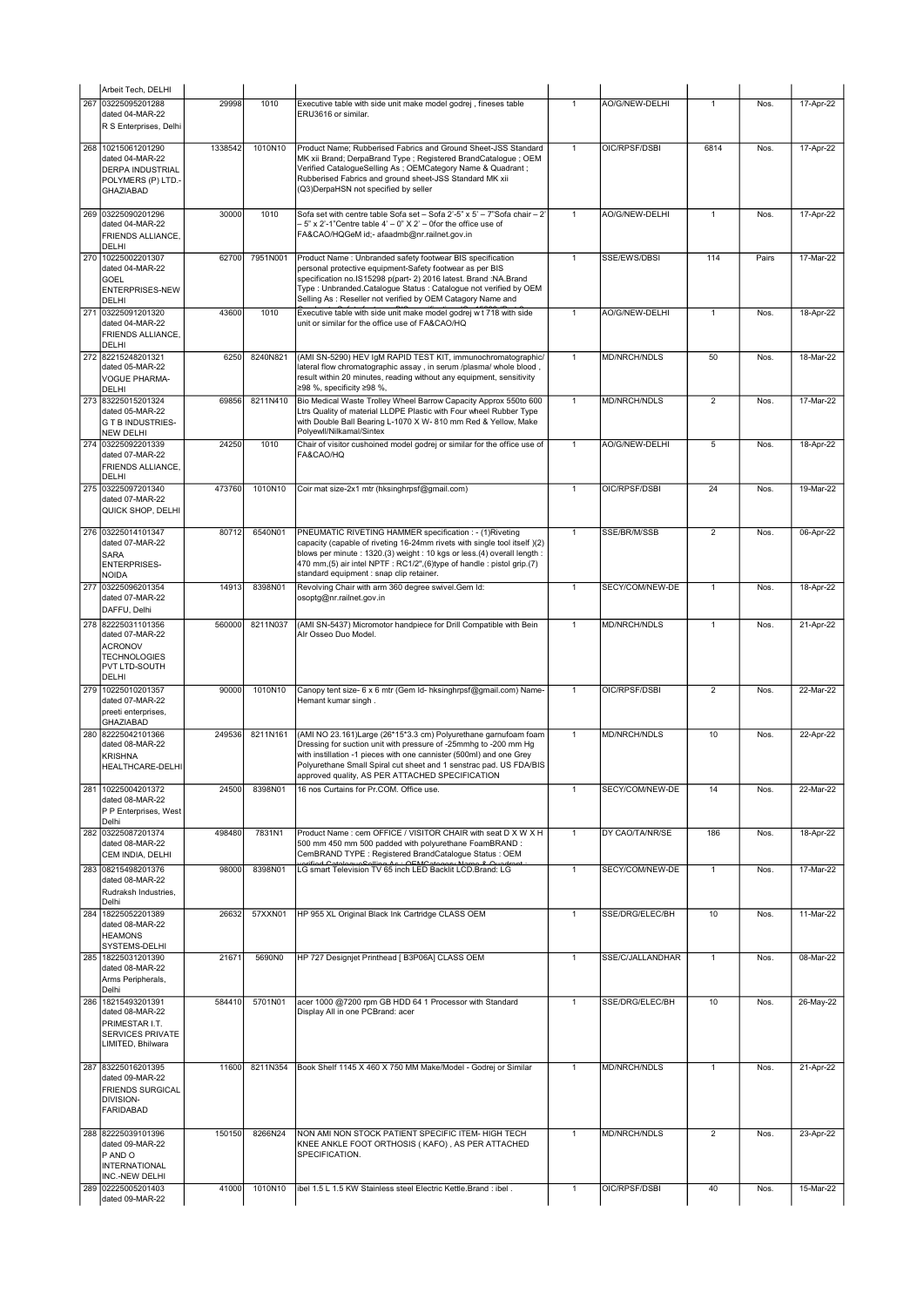| Arbeit Tech, DELHI                                                                                              |         |          |                                                                                                                                                                                                                                                                                                                                            |                |                     |                |       |           |
|-----------------------------------------------------------------------------------------------------------------|---------|----------|--------------------------------------------------------------------------------------------------------------------------------------------------------------------------------------------------------------------------------------------------------------------------------------------------------------------------------------------|----------------|---------------------|----------------|-------|-----------|
| 267 03225095201288<br>dated 04-MAR-22<br>R S Enterprises, Delhi                                                 | 29998   | 1010     | Executive table with side unit make model godrej, fineses table<br>ERU3616 or similar.                                                                                                                                                                                                                                                     | $\mathbf{1}$   | AO/G/NEW-DELHI      | 1              | Nos.  | 17-Apr-22 |
| 268 10215061201290<br>dated 04-MAR-22<br><b>DERPA INDUSTRIAL</b><br>POLYMERS (P) LTD.-<br><b>GHAZIABAD</b>      | 1338542 | 1010N10  | Product Name; Rubberised Fabrics and Ground Sheet-JSS Standard<br>MK xii Brand; DerpaBrand Type; Registered BrandCatalogue; OEM<br>Verified CatalogueSelling As; OEMCategory Name & Quadrant;<br>Rubberised Fabrics and ground sheet-JSS Standard MK xii<br>(Q3)DerpaHSN not specified by seller                                           | $\mathbf{1}$   | OIC/RPSF/DSBI       | 6814           | Nos.  | 17-Apr-22 |
| 269 03225090201296<br>dated 04-MAR-22<br>FRIENDS ALLIANCE,<br><b>DELHI</b>                                      | 30000   | 1010     | Sofa set with centre table Sofa set - Sofa 2'-5" x 5' - 7"Sofa chair - 2'<br>$-5$ " x 2'-1"Centre table 4' $-0$ " X 2' $-$ 0for the office use of<br>FA&CAO/HQGeM id;- afaadmb@nr.railnet.gov.in                                                                                                                                           | $\mathbf{1}$   | AO/G/NEW-DELHI      | $\mathbf{1}$   | Nos.  | 17-Apr-22 |
| 270 10225002201307<br>dated 04-MAR-22<br><b>GOEL</b><br><b>ENTERPRISES-NEW</b><br>DELHI                         | 62700   | 7951N001 | Product Name: Unbranded safety footwear BIS specification<br>personal protective equipment-Safety footwear as per BIS<br>specification no.IS15298 p(part-2) 2016 latest. Brand :NA.Brand<br>Type: Unbranded.Catalogue Status: Catalogue not verified by OEM<br>Selling As : Reseller not verified by OEM Catagory Name and                 | $\overline{1}$ | SSE/EWS/DBSI        | 114            | Pairs | 17-Mar-22 |
| 271 03225091201320<br>dated 04-MAR-22<br>FRIENDS ALLIANCE,<br>DELHI                                             | 43600   | 1010     | Executive table with side unit make model godrej w t 718 with side<br>unit or similar for the office use of FA&CAO/HQ                                                                                                                                                                                                                      | $\mathbf{1}$   | AO/G/NEW-DELHI      | $\mathbf{1}$   | Nos.  | 18-Apr-22 |
| 272 82215248201321<br>dated 05-MAR-22<br><b>VOGUE PHARMA-</b><br>DELHI                                          | 6250    | 8240N821 | (AMI SN-5290) HEV IgM RAPID TEST KIT, immunochromatographic/<br>ateral flow chromatographic assay, in serum /plasma/ whole blood,<br>result within 20 minutes, reading without any equipment, sensitivity<br>≥98 %, specificity ≥98 %,                                                                                                     | $\mathbf{1}$   | MD/NRCH/NDLS        | 50             | Nos.  | 18-Mar-22 |
| 273 83225015201324<br>dated 05-MAR-22<br><b>GTB INDUSTRIES-</b><br><b>NEW DELHI</b>                             | 69856   | 8211N410 | Bio Medical Waste Trolley Wheel Barrow Capacity Approx 550to 600<br>Ltrs Quality of material LLDPE Plastic with Four wheel Rubber Type<br>with Double Ball Bearing L-1070 X W- 810 mm Red & Yellow, Make<br>Polyewll/Nilkamal/Sintex                                                                                                       | $\mathbf{1}$   | <b>MD/NRCH/NDLS</b> | $\overline{2}$ | Nos.  | 17-Mar-22 |
| 274 03225092201339<br>dated 07-MAR-22<br><b>FRIENDS ALLIANCE.</b><br>DELHI                                      | 24250   | 1010     | Chair of visitor cushoined model godrej or similar for the office use of<br>FA&CAO/HQ                                                                                                                                                                                                                                                      | $\mathbf{1}$   | AO/G/NEW-DELHI      | $\overline{5}$ | Nos.  | 18-Apr-22 |
| 275 03225097201340<br>dated 07-MAR-22<br>QUICK SHOP, DELHI                                                      | 473760  | 1010N10  | Coir mat size-2x1 mtr (hksinghrpsf@gmail.com)                                                                                                                                                                                                                                                                                              | $\mathbf{1}$   | OIC/RPSF/DSBI       | 24             | Nos.  | 19-Mar-22 |
| 276 03225014101347<br>dated 07-MAR-22<br><b>SARA</b><br><b>ENTERPRISES-</b><br><b>NOIDA</b>                     | 80712   | 6540N01  | PNEUMATIC RIVETING HAMMER specification : - (1)Riveting<br>capacity (capable of riveting 16-24mm rivets with single tool itself) (2)<br>blows per minute : 1320.(3) weight : 10 kgs or less.(4) overall length :<br>470 mm, (5) air intel NPTF : RC1/2", (6) type of handle : pistol grip. (7)<br>standard equipment : snap clip retainer. | $\mathbf{1}$   | SSE/BR/M/SSB        | $\overline{2}$ | Nos.  | 06-Apr-22 |
| 277 03225096201354<br>dated 07-MAR-22<br>DAFFU, Delhi                                                           | 14913   | 8398N01  | Revolving Chair with arm 360 degree swivel. Gem Id:<br>osoptg@nr.railnet.gov.in                                                                                                                                                                                                                                                            | $\mathbf{1}$   | SECY/COM/NEW-DE     | 1              | Nos.  | 18-Apr-22 |
| 278 82225031101356<br>dated 07-MAR-22<br><b>ACRONOV</b><br><b>TECHNOLOGIES</b><br>PVT LTD-SOUTH<br><b>DELHI</b> | 560000  | 8211N037 | (AMI SN-5437) Micromotor handpiece for Drill Compatible with Bein<br>Alr Osseo Duo Model.                                                                                                                                                                                                                                                  | $\mathbf{1}$   | MD/NRCH/NDLS        | $\mathbf{1}$   | Nos.  | 21-Apr-22 |
| 279 10225010201357<br>dated 07-MAR-22<br>preeti enterprises,<br><b>GHAZIABAD</b>                                | 90000   | 1010N10  | Canopy tent size- 6 x 6 mtr (Gem Id- hksinghrpsf@gmail.com) Name-<br>Hemant kumar singh.                                                                                                                                                                                                                                                   | $\mathbf{1}$   | OIC/RPSF/DSBI       | $\overline{2}$ | Nos.  | 22-Mar-22 |
| 280 82225042101366<br>dated 08-MAR-22<br><b>KRISHNA</b><br>HEALTHCARE-DELHI                                     | 249536  | 8211N161 | (AMI NO 23.161)Large (26*15*3.3 cm) Polyurethane garnufoam foam<br>Dressing for suction unit with pressure of -25mmhg to -200 mm Hg<br>with instillation -1 pieces with one cannister (500ml) and one Grey<br>Polyurethane Small Spiral cut sheet and 1 senstrac pad. US FDA/BIS<br>approved quality, AS PER ATTACHED SPECIFICATION        | $\mathbf{1}$   | MD/NRCH/NDLS        | 10             | Nos.  | 22-Apr-22 |
| 281 10225004201372<br>dated 08-MAR-22<br>P P Enterprises, West<br>Delhi                                         | 24500   | 8398N01  | 16 nos Curtains for Pr.COM. Office use.                                                                                                                                                                                                                                                                                                    | $\mathbf{1}$   | SECY/COM/NEW-DE     | 14             | Nos.  | 22-Mar-22 |
| 282 03225087201374<br>dated 08-MAR-22<br>CEM INDIA, DELHI                                                       | 498480  | 7831N1   | Product Name: cem OFFICE / VISITOR CHAIR with seat D X W X H<br>500 mm 450 mm 500 padded with polyurethane FoamBRAND :<br>CemBRAND TYPE: Registered BrandCatalogue Status: OEM<br>d CatalogueSelling Ac : OEMCategory Name & Quadro                                                                                                        | $\mathbf{1}$   | DY CAO/TA/NR/SE     | 186            | Nos.  | 18-Apr-22 |
| 283 08215498201376<br>dated 08-MAR-22<br>Rudraksh Industries.<br>Delhi                                          | 98000   | 8398N01  | LG smart Television TV 65 inch LED Backlit LCD.Brand: LG                                                                                                                                                                                                                                                                                   | $\mathbf{1}$   | SECY/COM/NEW-DE     | $\mathbf{1}$   | Nos.  | 17-Mar-22 |
| 284 18225052201389<br>dated 08-MAR-22<br><b>HEAMONS</b><br>SYSTEMS-DELHI                                        | 26632   | 57XXN01  | HP 955 XL Original Black Ink Cartridge CLASS OEM                                                                                                                                                                                                                                                                                           | $\mathbf{1}$   | SSE/DRG/ELEC/BH     | 10             | Nos.  | 11-Mar-22 |
| 285 18225031201390<br>dated 08-MAR-22<br>Arms Peripherals,<br>Delhi                                             | 21671   | 5690N0   | HP 727 Designiet Printhead [ B3P06A] CLASS OEM                                                                                                                                                                                                                                                                                             | $\mathbf{1}$   | SSE/C/JALLANDHAR    | 1              | Nos.  | 08-Mar-22 |
| 286 18215493201391<br>dated 08-MAR-22<br>PRIMESTAR I.T.<br><b>SERVICES PRIVATE</b><br>LIMITED, Bhilwara         | 584410  | 5701N01  | acer 1000 @7200 rpm GB HDD 64 1 Processor with Standard<br>Display All in one PCBrand: acer                                                                                                                                                                                                                                                | $\mathbf{1}$   | SSE/DRG/ELEC/BH     | 10             | Nos.  | 26-May-22 |
| 287 83225016201395<br>dated 09-MAR-22<br><b>FRIENDS SURGICAL</b><br>DIVISION-<br>FARIDABAD                      | 11600   | 8211N354 | Book Shelf 1145 X 460 X 750 MM Make/Model - Godrej or Similar                                                                                                                                                                                                                                                                              | $\mathbf{1}$   | <b>MD/NRCH/NDLS</b> | $\mathbf{1}$   | Nos.  | 21-Apr-22 |
| 288 82225039101396<br>dated 09-MAR-22<br>P AND O<br><b>INTERNATIONAL</b><br>INC.-NEW DELHI                      | 150150  | 8266N24  | NON AMI NON STOCK PATIENT SPECIFIC ITEM- HIGH TECH<br>KNEE ANKLE FOOT ORTHOSIS (KAFO), AS PER ATTACHED<br>SPECIFICATION.                                                                                                                                                                                                                   | $\mathbf{1}$   | MD/NRCH/NDLS        | $\overline{2}$ | Nos.  | 23-Apr-22 |
| 289 02225005201403<br>dated 09-MAR-22                                                                           | 41000   | 1010N10  | ibel 1.5 L 1.5 KW Stainless steel Electric Kettle.Brand : ibel.                                                                                                                                                                                                                                                                            | $\mathbf{1}$   | OIC/RPSF/DSBI       | 40             | Nos.  | 15-Mar-22 |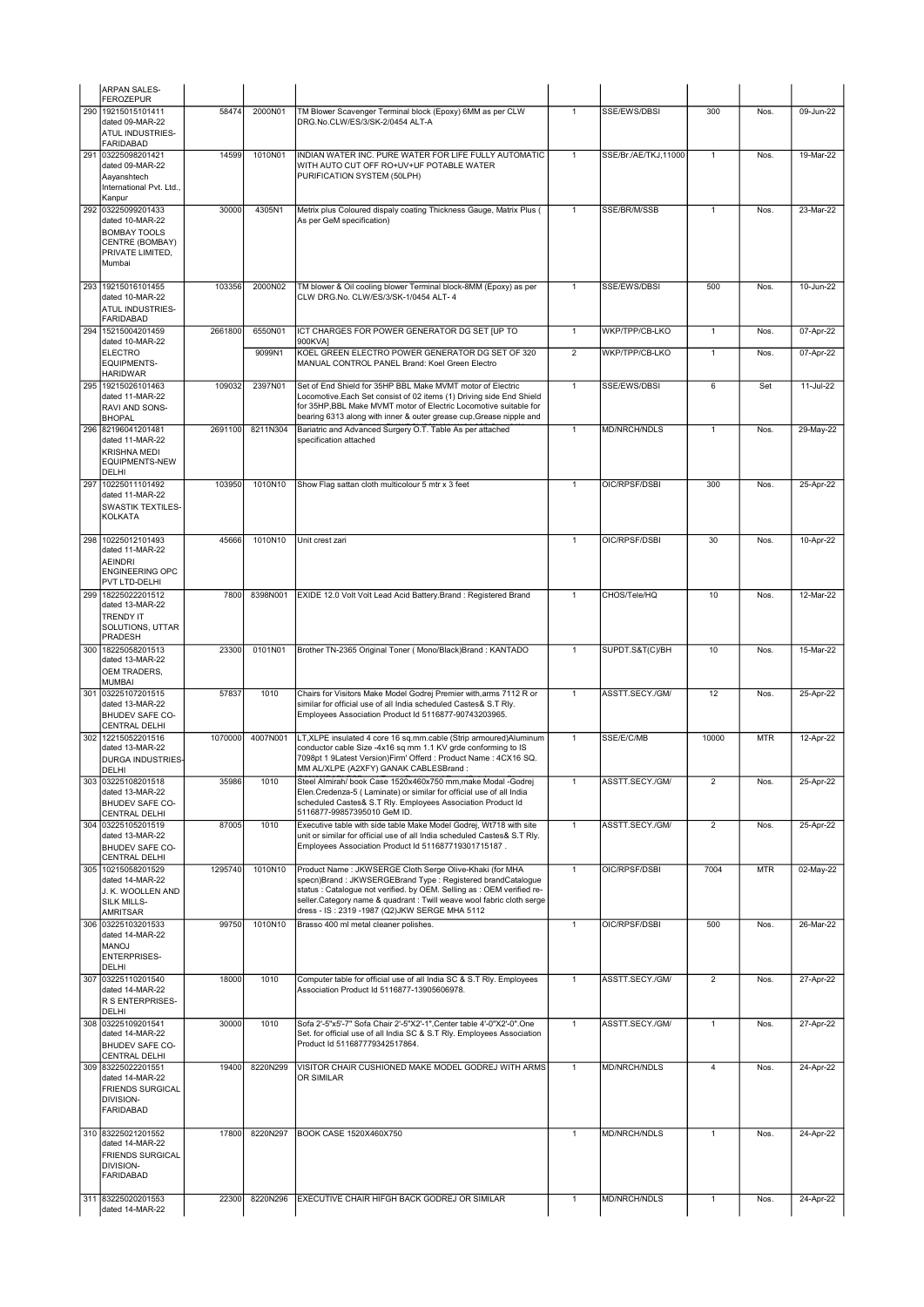|     | <b>ARPAN SALES-</b><br><b>FEROZEPUR</b>                                                               |                   |          |                                                                                                                                                                                                                                                                                                                           |                |                      |                         |            |              |
|-----|-------------------------------------------------------------------------------------------------------|-------------------|----------|---------------------------------------------------------------------------------------------------------------------------------------------------------------------------------------------------------------------------------------------------------------------------------------------------------------------------|----------------|----------------------|-------------------------|------------|--------------|
| 290 | 19215015101411                                                                                        | 58474             | 2000N01  | TM Blower Scavenger Terminal block (Epoxy) 6MM as per CLW                                                                                                                                                                                                                                                                 | $\mathbf{1}$   | SSE/EWS/DBSI         | 300                     | Nos.       | 09-Jun-22    |
|     | dated 09-MAR-22<br>ATUL INDUSTRIES-<br><b>FARIDABAD</b>                                               |                   |          | DRG.No.CLW/ES/3/SK-2/0454 ALT-A                                                                                                                                                                                                                                                                                           |                |                      |                         |            |              |
| 291 | 03225098201421<br>dated 09-MAR-22<br>Aayanshtech<br>International Pvt. Ltd.,<br>Kanpur                | 14599             | 1010N01  | INDIAN WATER INC. PURE WATER FOR LIFE FULLY AUTOMATIC<br>WITH AUTO CUT OFF RO+UV+UF POTABLE WATER<br>PURIFICATION SYSTEM (50LPH)                                                                                                                                                                                          | $\mathbf{1}$   | SSE/Br./AE/TKJ,11000 | 1                       | Nos.       | 19-Mar-22    |
| 292 | 03225099201433<br>dated 10-MAR-22                                                                     | 30000             | 4305N1   | Metrix plus Coloured dispaly coating Thickness Gauge, Matrix Plus (<br>As per GeM specification)                                                                                                                                                                                                                          | $\mathbf{1}$   | SSE/BR/M/SSB         | $\mathbf{1}$            | Nos.       | $23-Mar-22$  |
|     | <b>BOMBAY TOOLS</b><br>CENTRE (BOMBAY)<br>PRIVATE LIMITED,<br>Mumbai                                  |                   |          |                                                                                                                                                                                                                                                                                                                           |                |                      |                         |            |              |
|     | 293 19215016101455<br>dated 10-MAR-22<br>ATUL INDUSTRIES-                                             | 103356            | 2000N02  | TM blower & Oil cooling blower Terminal block-8MM (Epoxy) as per<br>CLW DRG.No. CLW/ES/3/SK-1/0454 ALT- 4                                                                                                                                                                                                                 | $\mathbf{1}$   | SSE/EWS/DBSI         | 500                     | Nos.       | 10-Jun-22    |
| 294 | <b>FARIDABAD</b><br>15215004201459                                                                    | 2661800           | 6550N01  | ICT CHARGES FOR POWER GENERATOR DG SET [UP TO                                                                                                                                                                                                                                                                             | $\mathbf{1}$   | WKP/TPP/CB-LKO       | $\mathbf{1}$            | Nos.       | 07-Apr-22    |
|     | dated 10-MAR-22                                                                                       |                   |          | 900KVA1                                                                                                                                                                                                                                                                                                                   |                |                      |                         |            |              |
|     | <b>ELECTRO</b><br><b>EQUIPMENTS-</b><br><b>HARIDWAR</b>                                               |                   | 9099N1   | KOEL GREEN ELECTRO POWER GENERATOR DG SET OF 320<br>MANUAL CONTROL PANEL Brand: Koel Green Electro                                                                                                                                                                                                                        | $\overline{2}$ | WKP/TPP/CB-LKO       | 1                       | Nos.       | 07-Apr-22    |
|     | 295 19215026101463<br>dated 11-MAR-22<br>RAVI AND SONS-<br><b>BHOPAL</b>                              | 109032<br>2691100 | 2397N01  | Set of End Shield for 35HP BBL Make MVMT motor of Electric<br>Locomotive.Each Set consist of 02 items (1) Driving side End Shield<br>for 35HP, BBL Make MVMT motor of Electric Locomotive suitable for<br>bearing 6313 along with inner & outer grease cup, Grease nipple and                                             | $\mathbf{1}$   | SSE/EWS/DBSI         | $6\overline{6}$         | Set        | 11-Jul-22    |
|     | 296 82196041201481<br>dated 11-MAR-22<br><b>KRISHNA MEDI</b><br><b>EQUIPMENTS-NEW</b><br><b>DELHI</b> |                   | 8211N304 | Bariatric and Advanced Surgery O.T. Table As per attached<br>specification attached                                                                                                                                                                                                                                       | $\mathbf{1}$   | <b>MD/NRCH/NDLS</b>  | 1                       | Nos.       | 29-May-22    |
| 297 | 10225011101492<br>dated 11-MAR-22<br><b>SWASTIK TEXTILES-</b><br><b>KOLKATA</b>                       | 103950            | 1010N10  | Show Flag sattan cloth multicolour 5 mtr x 3 feet                                                                                                                                                                                                                                                                         | $\mathbf{1}$   | OIC/RPSF/DSBI        | 300                     | Nos.       | 25-Apr-22    |
| 298 | 10225012101493<br>dated 11-MAR-22<br><b>AEINDRI</b><br><b>ENGINEERING OPC</b><br>PVT LTD-DELHI        | 45666             | 1010N10  | Unit crest zari                                                                                                                                                                                                                                                                                                           | $\mathbf{1}$   | OIC/RPSF/DSBI        | 30                      | Nos.       | 10-Apr-22    |
| 299 | 18225022201512<br>dated 13-MAR-22<br><b>TRENDY IT</b><br>SOLUTIONS, UTTAR<br>PRADESH                  | 7800              | 8398N001 | EXIDE 12.0 Volt Volt Lead Acid Battery. Brand: Registered Brand                                                                                                                                                                                                                                                           | $\mathbf{1}$   | CHOS/Tele/HQ         | 10                      | Nos.       | 12-Mar-22    |
| 300 | 18225058201513<br>dated 13-MAR-22<br>OEM TRADERS,<br><b>MUMBAI</b>                                    | 23300             | 0101N01  | Brother TN-2365 Original Toner (Mono/Black)Brand: KANTADO                                                                                                                                                                                                                                                                 | $\mathbf{1}$   | SUPDT.S&T(C)/BH      | 10                      | Nos.       | 15-Mar-22    |
|     | 301 03225107201515<br>dated 13-MAR-22<br><b>BHUDEV SAFE CO-</b><br>CENTRAL DELHI                      | 57837             | 1010     | Chairs for Visitors Make Model Godrej Premier with, arms 7112 R or<br>similar for official use of all India scheduled Castes& S.T Rly.<br>Employees Association Product Id 5116877-90743203965.                                                                                                                           | $\mathbf{1}$   | ASSTT.SECY./GM/      | 12                      | Nos.       | 25-Apr-22    |
| 302 | 12215052201516<br>dated 13-MAR-22<br>DURGA INDUSTRIES-<br><b>DELHI</b>                                | 1070000           | 4007N001 | LT, XLPE insulated 4 core 16 sq.mm.cable (Strip armoured)Aluminum<br>conductor cable Size -4x16 sq mm 1.1 KV grde conforming to IS<br>7098pt 1 9Latest Version)Firm' Offerd : Product Name : 4CX16 SQ.<br>MM AL/XLPE (A2XFY) GANAK CABLESBrand:                                                                           | $\mathbf{1}$   | SSE/E/C/MB           | 10000                   | <b>MTR</b> | $12$ -Apr-22 |
|     | 303103225108201518<br>dated 13-MAR-22<br>BHUDEV SAFE CO-<br><b>CENTRAL DELHI</b>                      | 35986             | 1010     | Steel Almirah/ book Case 1520x460x750 mm,make Modal -Godrej<br>Elen.Credenza-5 (Laminate) or similar for official use of all India<br>scheduled Castes& S.T Rly. Employees Association Product Id<br>5116877-99857395010 GeM ID.                                                                                          |                | ASSTT.SECY./GM/      |                         | NOS.       | 25-Apr-22    |
|     | 304 03225105201519<br>dated 13-MAR-22<br><b>BHUDEV SAFE CO-</b><br><b>CENTRAL DELHI</b>               | 87005             | 1010     | Executive table with side table Make Model Godrej, Wt718 with site<br>unit or similar for official use of all India scheduled Castes& S.T Rly.<br>Employees Association Product Id 511687719301715187.                                                                                                                    | $\mathbf{1}$   | ASSTT.SECY./GM/      | $\overline{\mathbf{c}}$ | Nos.       | 25-Apr-22    |
|     | 305 10215058201529<br>dated 14-MAR-22<br>J. K. WOOLLEN AND<br>SILK MILLS-<br>AMRITSAR                 | 1295740           | 1010N10  | Product Name: JKWSERGE Cloth Serge Olive-Khaki (for MHA<br>specn)Brand: JKWSERGEBrand Type: Registered brandCatalogue<br>status : Catalogue not verified. by OEM. Selling as : OEM verified re-<br>seller.Category name & quadrant : Twill weave wool fabric cloth serge<br>dress - IS: 2319 -1987 (Q2)JKW SERGE MHA 5112 | $\mathbf{1}$   | OIC/RPSF/DSBI        | 7004                    | <b>MTR</b> | 02-May-22    |
|     | 306 03225103201533<br>dated 14-MAR-22<br>MANOJ<br><b>ENTERPRISES-</b><br>DELHI                        | 99750             | 1010N10  | Brasso 400 ml metal cleaner polishes.                                                                                                                                                                                                                                                                                     | $\mathbf{1}$   | OIC/RPSF/DSBI        | 500                     | Nos.       | 26-Mar-22    |
|     | 307 03225110201540<br>dated 14-MAR-22<br>R S ENTERPRISES-<br><b>DELHI</b>                             | 18000             | 1010     | Computer table for official use of all India SC & S.T Rly. Employees<br>Association Product Id 5116877-13905606978.                                                                                                                                                                                                       | $\mathbf{1}$   | ASSTT.SECY./GM/      | $\overline{2}$          | Nos.       | 27-Apr-22    |
|     | 308 03225109201541<br>dated 14-MAR-22<br>BHUDEV SAFE CO-<br><b>CENTRAL DELHI</b>                      | 30000             | 1010     | Sofa 2'-5"x5'-7" Sofa Chair 2'-5"X2'-1", Center table 4'-0"X2'-0". One<br>Set. for official use of all India SC & S.T Rly. Employees Association<br>Product Id 511687779342517864.                                                                                                                                        | $\mathbf{1}$   | ASSTT.SECY./GM/      | $\mathbf{1}$            | Nos.       | 27-Apr-22    |
|     | 309 83225022201551<br>dated 14-MAR-22<br><b>FRIENDS SURGICAL</b><br>DIVISION-<br><b>FARIDABAD</b>     | 19400             | 8220N299 | VISITOR CHAIR CUSHIONED MAKE MODEL GODREJ WITH ARMS<br>OR SIMILAR                                                                                                                                                                                                                                                         | $\mathbf{1}$   | <b>MD/NRCH/NDLS</b>  | $\overline{4}$          | Nos.       | 24-Apr-22    |
|     | 310 83225021201552<br>dated 14-MAR-22<br><b>FRIENDS SURGICAL</b><br>DIVISION-<br><b>FARIDABAD</b>     | 17800             | 8220N297 | BOOK CASE 1520X460X750                                                                                                                                                                                                                                                                                                    | $\mathbf{1}$   | <b>MD/NRCH/NDLS</b>  | 1                       | Nos.       | 24-Apr-22    |
|     | 311 83225020201553<br>dated 14-MAR-22                                                                 | 22300             | 8220N296 | EXECUTIVE CHAIR HIFGH BACK GODREJ OR SIMILAR                                                                                                                                                                                                                                                                              | $\mathbf{1}$   | MD/NRCH/NDLS         | $\mathbf{1}$            | Nos.       | 24-Apr-22    |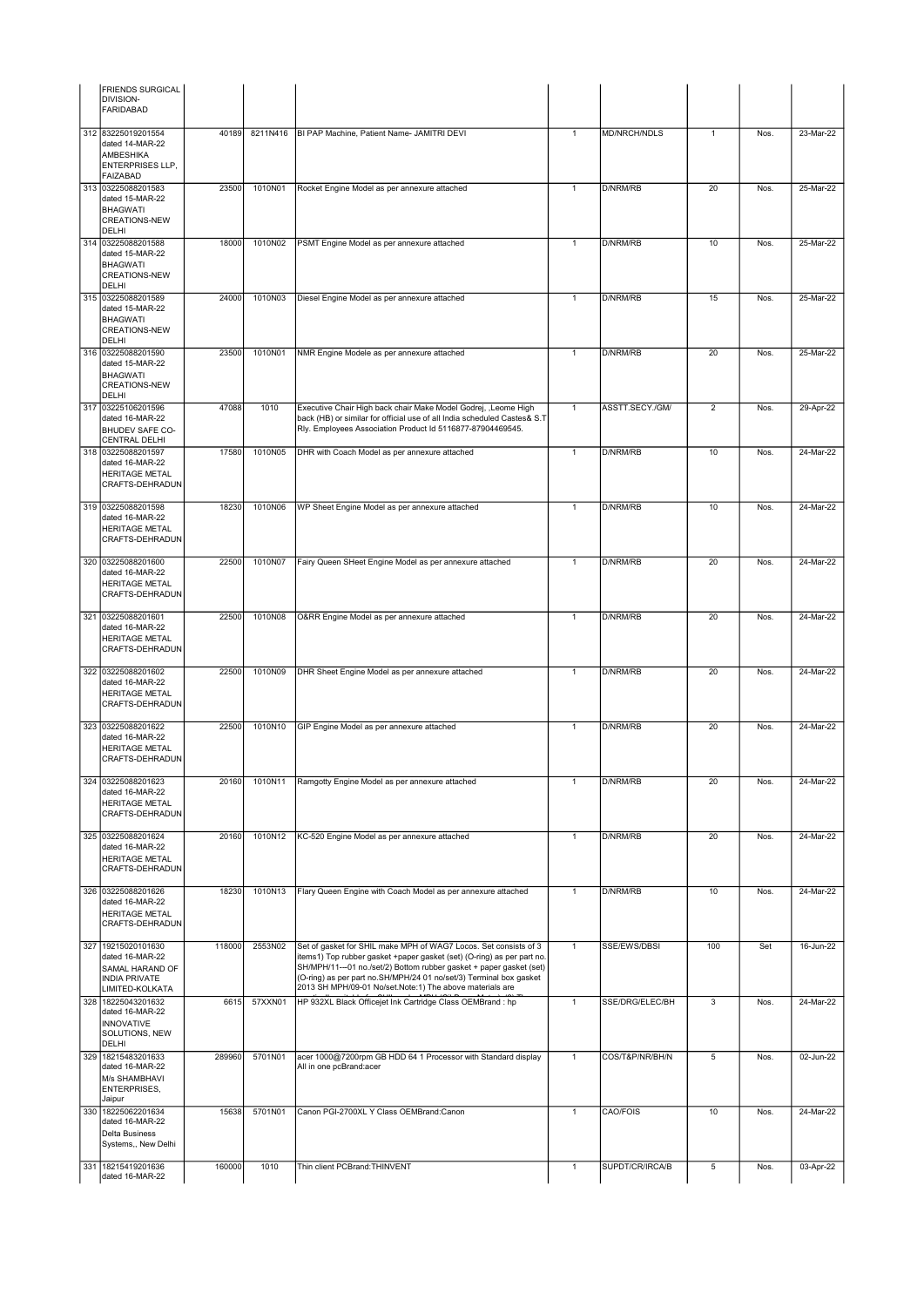| <b>FRIENDS SURGICAL</b><br>DIVISION-<br><b>FARIDABAD</b>                                                |        |          |                                                                                                                                                                                                                                                                                                                                                     |              |                     |                |      |           |
|---------------------------------------------------------------------------------------------------------|--------|----------|-----------------------------------------------------------------------------------------------------------------------------------------------------------------------------------------------------------------------------------------------------------------------------------------------------------------------------------------------------|--------------|---------------------|----------------|------|-----------|
| 312 83225019201554<br>dated 14-MAR-22<br><b>AMBESHIKA</b><br><b>ENTERPRISES LLP,</b><br><b>FAIZABAD</b> | 40189  | 8211N416 | BI PAP Machine, Patient Name- JAMITRI DEVI                                                                                                                                                                                                                                                                                                          | $\mathbf{1}$ | <b>MD/NRCH/NDLS</b> | $\mathbf{1}$   | Nos. | 23-Mar-22 |
| 313 03225088201583<br>dated 15-MAR-22<br><b>BHAGWATI</b><br><b>CREATIONS-NEW</b><br>DELHI               | 23500  | 1010N01  | Rocket Engine Model as per annexure attached                                                                                                                                                                                                                                                                                                        | $\mathbf{1}$ | D/NRM/RB            | 20             | Nos. | 25-Mar-22 |
| 314 03225088201588<br>dated 15-MAR-22<br>BHAGWATI<br><b>CREATIONS-NEW</b><br>DELHI                      | 18000  | 1010N02  | PSMT Engine Model as per annexure attached                                                                                                                                                                                                                                                                                                          | $\mathbf{1}$ | D/NRM/RB            | 10             | Nos. | 25-Mar-22 |
| 315 03225088201589<br>dated 15-MAR-22<br><b>BHAGWATI</b><br><b>CREATIONS-NEW</b><br>DELHI               | 24000  | 1010N03  | Diesel Engine Model as per annexure attached                                                                                                                                                                                                                                                                                                        | $\mathbf{1}$ | D/NRM/RB            | 15             | Nos. | 25-Mar-22 |
| 316 03225088201590<br>dated 15-MAR-22<br><b>BHAGWATI</b><br><b>CREATIONS-NEW</b><br>DELHI               | 23500  | 1010N01  | NMR Engine Modele as per annexure attached                                                                                                                                                                                                                                                                                                          | $\mathbf{1}$ | D/NRM/RB            | 20             | Nos. | 25-Mar-22 |
| 317 03225106201596<br>dated 16-MAR-22<br><b>BHUDEV SAFE CO-</b><br>CENTRAL DELHI                        | 47088  | 1010     | Executive Chair High back chair Make Model Godrej, ,Leome High<br>back (HB) or similar for official use of all India scheduled Castes& S.T<br>Rly. Employees Association Product Id 5116877-87904469545.                                                                                                                                            | $\mathbf{1}$ | ASSTT.SECY./GM/     | $\overline{2}$ | Nos. | 29-Apr-22 |
| 318 03225088201597<br>dated 16-MAR-22<br>HERITAGE METAL<br>CRAFTS-DEHRADUN                              | 17580  | 1010N05  | DHR with Coach Model as per annexure attached                                                                                                                                                                                                                                                                                                       | $\mathbf{1}$ | D/NRM/RB            | 10             | Nos. | 24-Mar-22 |
| 319 03225088201598<br>dated 16-MAR-22<br><b>HERITAGE METAL</b><br>CRAFTS-DEHRADUN                       | 18230  | 1010N06  | WP Sheet Engine Model as per annexure attached                                                                                                                                                                                                                                                                                                      | $\mathbf{1}$ | D/NRM/RB            | 10             | Nos. | 24-Mar-22 |
| 320 03225088201600<br>dated 16-MAR-22<br><b>HERITAGE METAL</b><br>CRAFTS-DEHRADUN                       | 22500  | 1010N07  | Fairy Queen SHeet Engine Model as per annexure attached                                                                                                                                                                                                                                                                                             | $\mathbf{1}$ | D/NRM/RB            | 20             | Nos. | 24-Mar-22 |
| 321 03225088201601<br>dated 16-MAR-22<br><b>HERITAGE METAL</b><br>CRAFTS-DEHRADUN                       | 22500  | 1010N08  | O&RR Engine Model as per annexure attached                                                                                                                                                                                                                                                                                                          | $\mathbf{1}$ | D/NRM/RB            | 20             | Nos. | 24-Mar-22 |
| 322 03225088201602<br>dated 16-MAR-22<br><b>HERITAGE METAL</b><br>CRAFTS-DEHRADUN                       | 22500  | 1010N09  | DHR Sheet Engine Model as per annexure attached                                                                                                                                                                                                                                                                                                     | $\mathbf{1}$ | D/NRM/RB            | 20             | Nos. | 24-Mar-22 |
| 323 03225088201622<br>dated 16-MAR-22<br><b>HERITAGE METAL</b><br><b>CRAFTS-DEHRADUN</b>                | 22500  | 1010N10  | GIP Engine Model as per annexure attached                                                                                                                                                                                                                                                                                                           | $\mathbf{1}$ | D/NRM/RB            | 20             | Nos. | 24-Mar-22 |
| 324   03225088201623<br>dated 16-MAR-22<br><b>HERITAGE METAL</b><br>CRAFTS-DEHRADUN                     | 20160  | 1010N11  | Ramgotty Engine Model as per annexure attached                                                                                                                                                                                                                                                                                                      |              | D/NRM/RB            | 20             | Nos. | 24-Mar-22 |
| 325 03225088201624<br>dated 16-MAR-22<br><b>HERITAGE METAL</b><br>CRAFTS-DEHRADUN                       | 20160  | 1010N12  | KC-520 Engine Model as per annexure attached                                                                                                                                                                                                                                                                                                        | $\mathbf{1}$ | D/NRM/RB            | 20             | Nos. | 24-Mar-22 |
| 326 03225088201626<br>dated 16-MAR-22<br><b>HERITAGE METAL</b><br>CRAFTS-DEHRADUN                       | 18230  | 1010N13  | Flary Queen Engine with Coach Model as per annexure attached                                                                                                                                                                                                                                                                                        | $\mathbf{1}$ | <b>D/NRM/RB</b>     | 10             | Nos. | 24-Mar-22 |
| 327 19215020101630<br>dated 16-MAR-22<br>SAMAL HARAND OF<br>INDIA PRIVATE<br>LIMITED-KOLKATA            | 118000 | 2553N02  | Set of gasket for SHIL make MPH of WAG7 Locos. Set consists of 3<br>items1) Top rubber gasket +paper gasket (set) (O-ring) as per part no.<br>SH/MPH/11---01 no./set/2) Bottom rubber gasket + paper gasket (set)<br>(O-ring) as per part no.SH/MPH/24 01 no/set/3) Terminal box gasket<br>2013 SH MPH/09-01 No/set.Note:1) The above materials are | $\mathbf{1}$ | SSE/EWS/DBSI        | 100            | Set  | 16-Jun-22 |
| 328 18225043201632<br>dated 16-MAR-22<br><b>INNOVATIVE</b><br>SOLUTIONS, NEW<br>DELHI                   | 6615   | 57XXN01  | HP 932XL Black Officejet Ink Cartridge Class OEMBrand : hp                                                                                                                                                                                                                                                                                          | $\mathbf{1}$ | SSE/DRG/ELEC/BH     | 3              | Nos. | 24-Mar-22 |
| 329 18215483201633<br>dated 16-MAR-22<br>M/s SHAMBHAVI<br>ENTERPRISES,<br>Jaipur                        | 289960 | 5701N01  | acer 1000@7200rpm GB HDD 64 1 Processor with Standard display<br>All in one pcBrand:acer                                                                                                                                                                                                                                                            | $\mathbf{1}$ | COS/T&P/NR/BH/N     | 5              | Nos. | 02-Jun-22 |
| 330 18225062201634<br>dated 16-MAR-22<br>Delta Business<br>Systems,, New Delhi                          | 15638  | 5701N01  | Canon PGI-2700XL Y Class OEMBrand:Canon                                                                                                                                                                                                                                                                                                             | $\mathbf{1}$ | CAO/FOIS            | 10             | Nos. | 24-Mar-22 |
| 331 18215419201636<br>dated 16-MAR-22                                                                   | 160000 | 1010     | Thin client PCBrand: THINVENT                                                                                                                                                                                                                                                                                                                       | $\mathbf{1}$ | SUPDT/CR/IRCA/B     | 5              | Nos. | 03-Apr-22 |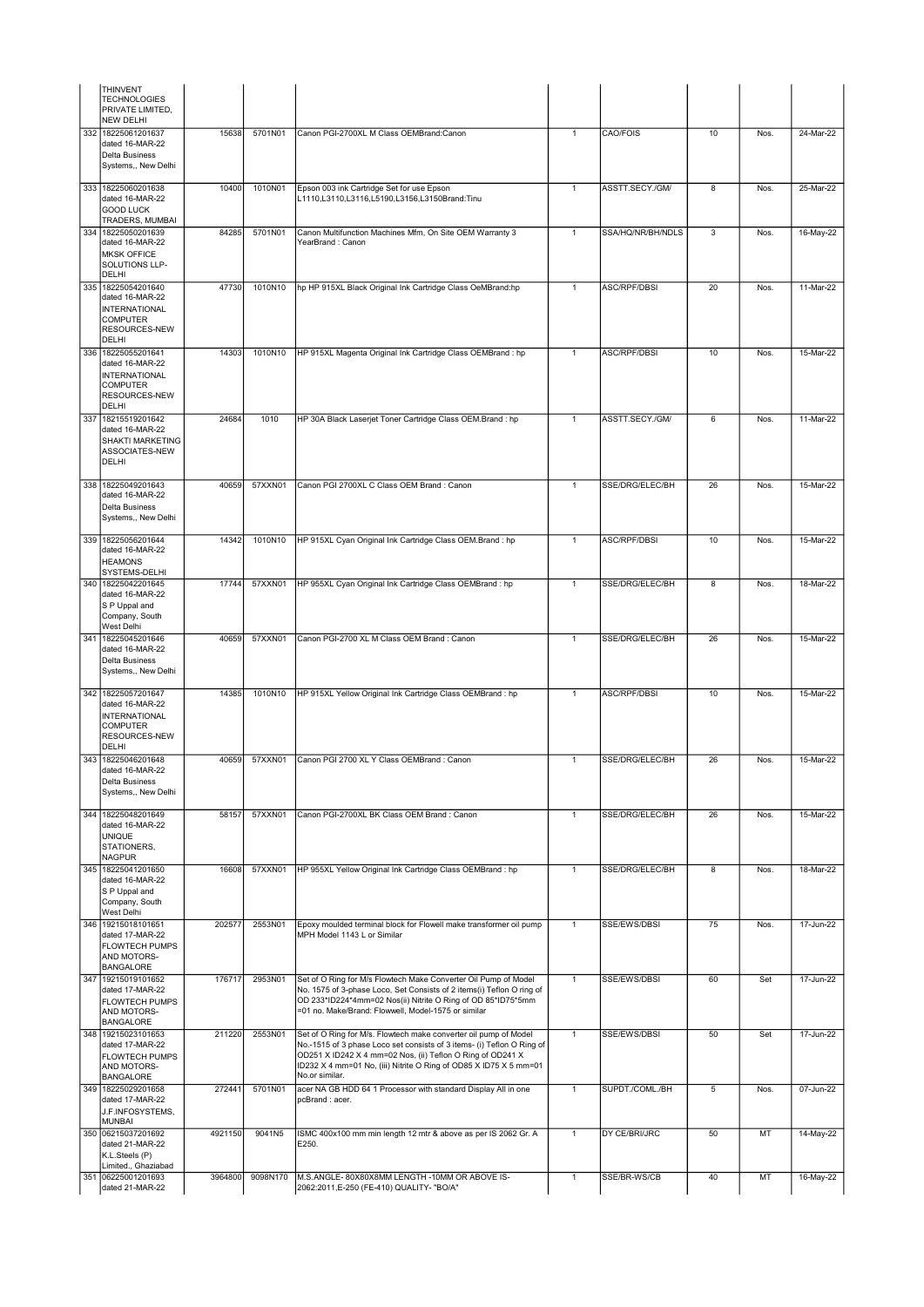|     | THINVENT<br><b>TECHNOLOGIES</b><br>PRIVATE LIMITED,<br><b>NEW DELHI</b>                                    |         |          |                                                                                                                                                                                                                                                                                                 |                |                     |                 |      |           |
|-----|------------------------------------------------------------------------------------------------------------|---------|----------|-------------------------------------------------------------------------------------------------------------------------------------------------------------------------------------------------------------------------------------------------------------------------------------------------|----------------|---------------------|-----------------|------|-----------|
|     | 332 18225061201637<br>dated 16-MAR-22<br>Delta Business<br>Systems,, New Delhi                             | 15638   | 5701N01  | Canon PGI-2700XL M Class OEMBrand:Canon                                                                                                                                                                                                                                                         | $\overline{1}$ | CAO/FOIS            | 10              | Nos. | 24-Mar-22 |
| 333 | 18225060201638<br>dated 16-MAR-22                                                                          | 10400   | 1010N01  | Epson 003 ink Cartridge Set for use Epson<br>L1110,L3110,L3116,L5190,L3156,L3150Brand:Tinu                                                                                                                                                                                                      | $\mathbf{1}$   | ASSTT.SECY./GM/     | 8               | Nos. | 25-Mar-22 |
|     | <b>GOOD LUCK</b>                                                                                           |         |          |                                                                                                                                                                                                                                                                                                 |                |                     |                 |      |           |
| 334 | TRADERS, MUMBAI<br>18225050201639                                                                          | 84285   | 5701N01  | Canon Multifunction Machines Mfm, On Site OEM Warranty 3                                                                                                                                                                                                                                        | $\mathbf{1}$   | SSA/HQ/NR/BH/NDLS   | 3               | Nos. | 16-May-22 |
|     | dated 16-MAR-22<br><b>MKSK OFFICE</b><br>SOLUTIONS LLP-<br>DELHI                                           |         |          | YearBrand: Canon                                                                                                                                                                                                                                                                                |                |                     |                 |      |           |
|     | 335 18225054201640<br>dated 16-MAR-22<br><b>INTERNATIONAL</b><br><b>COMPUTER</b><br>RESOURCES-NEW<br>DELHI | 47730   | 1010N10  | hp HP 915XL Black Original Ink Cartridge Class OeMBrand:hp                                                                                                                                                                                                                                      | $\mathbf{1}$   | <b>ASC/RPF/DBSI</b> | 20              | Nos. | 11-Mar-22 |
| 336 | 18225055201641<br>dated 16-MAR-22                                                                          | 14303   | 1010N10  | HP 915XL Magenta Original Ink Cartridge Class OEMBrand : hp                                                                                                                                                                                                                                     | $\mathbf{1}$   | <b>ASC/RPF/DBSI</b> | 10              | Nos. | 15-Mar-22 |
|     | <b>INTERNATIONAL</b><br><b>COMPUTER</b><br>RESOURCES-NEW<br>DELHI                                          |         |          |                                                                                                                                                                                                                                                                                                 |                |                     |                 |      |           |
| 337 | 18215519201642                                                                                             | 24684   | 1010     | HP 30A Black Laserjet Toner Cartridge Class OEM.Brand : hp                                                                                                                                                                                                                                      | $\mathbf{1}$   | ASSTT.SECY./GM/     | $6\overline{6}$ | Nos. | 11-Mar-22 |
|     | dated 16-MAR-22<br>SHAKTI MARKETING<br>ASSOCIATES-NEW<br>DELHI                                             |         |          |                                                                                                                                                                                                                                                                                                 |                |                     |                 |      |           |
|     | 338 18225049201643<br>dated 16-MAR-22                                                                      | 40659   | 57XXN01  | Canon PGI 2700XL C Class OEM Brand : Canon                                                                                                                                                                                                                                                      | $\mathbf{1}$   | SSE/DRG/ELEC/BH     | 26              | Nos. | 15-Mar-22 |
|     | Delta Business<br>Systems,, New Delhi                                                                      |         |          |                                                                                                                                                                                                                                                                                                 |                |                     |                 |      |           |
|     | 339 18225056201644<br>dated 16-MAR-22                                                                      | 14342   | 1010N10  | HP 915XL Cyan Original Ink Cartridge Class OEM.Brand : hp                                                                                                                                                                                                                                       | $\mathbf{1}$   | ASC/RPF/DBSI        | 10              | Nos. | 15-Mar-22 |
|     | <b>HEAMONS</b>                                                                                             |         |          |                                                                                                                                                                                                                                                                                                 |                |                     |                 |      |           |
|     | SYSTEMS-DELHI<br>340 18225042201645                                                                        | 17744   | 57XXN01  | HP 955XL Cyan Original Ink Cartridge Class OEMBrand : hp                                                                                                                                                                                                                                        | $\mathbf{1}$   | SSE/DRG/ELEC/BH     | 8               | Nos. | 18-Mar-22 |
|     | dated 16-MAR-22<br>S P Uppal and<br>Company, South<br>West Delhi                                           |         |          |                                                                                                                                                                                                                                                                                                 |                |                     |                 |      |           |
|     | 341 18225045201646<br>dated 16-MAR-22<br>Delta Business<br>Systems,, New Delhi                             | 40659   | 57XXN01  | Canon PGI-2700 XL M Class OEM Brand : Canon                                                                                                                                                                                                                                                     | $\mathbf{1}$   | SSE/DRG/ELEC/BH     | 26              | Nos. | 15-Mar-22 |
| 342 | 18225057201647<br>dated 16-MAR-22<br><b>INTERNATIONAL</b><br><b>COMPUTER</b><br>RESOURCES-NEW              | 14385   | 1010N10  | HP 915XL Yellow Original Ink Cartridge Class OEMBrand : hp                                                                                                                                                                                                                                      | $\mathbf{1}$   | <b>ASC/RPF/DBSI</b> | 10              | Nos. | 15-Mar-22 |
|     | DELHI<br>18225046201648                                                                                    | 40659   | 57XXN01  |                                                                                                                                                                                                                                                                                                 | $\mathbf{1}$   | SSE/DRG/ELEC/BH     | 26              |      | 15-Mar-22 |
| 343 | dated 16-MAR-22<br>Delta Business<br>Systems,, New Delhi                                                   |         |          | Canon PGI 2700 XL Y Class OEMBrand : Canon                                                                                                                                                                                                                                                      |                |                     |                 | Nos. |           |
|     | 344 18225048201649<br>dated 16-MAR-22                                                                      | 58157   | 57XXN01  | Canon PGI-2700XL BK Class OEM Brand : Canon                                                                                                                                                                                                                                                     | $\overline{1}$ | SSE/DRG/ELEC/BH     | 26              | Nos. | 15-Mar-22 |
|     | <b>UNIQUE</b><br>STATIONERS,<br><b>NAGPUR</b>                                                              |         |          |                                                                                                                                                                                                                                                                                                 |                |                     |                 |      |           |
|     | 345 18225041201650<br>dated 16-MAR-22<br>S P Uppal and<br>Company, South<br>West Delhi                     | 16608   | 57XXN01  | HP 955XL Yellow Original Ink Cartridge Class OEMBrand : hp                                                                                                                                                                                                                                      | $\mathbf{1}$   | SSE/DRG/ELEC/BH     | $\overline{8}$  | Nos. | 18-Mar-22 |
|     | 346 19215018101651                                                                                         | 202577  | 2553N01  | Epoxy moulded terminal block for Flowell make transformer oil pump                                                                                                                                                                                                                              | $\overline{1}$ | SSE/EWS/DBSI        | 75              | Nos. | 17-Jun-22 |
|     | dated 17-MAR-22<br><b>FLOWTECH PUMPS</b><br>AND MOTORS-<br>BANGALORE                                       |         |          | MPH Model 1143 L or Similar                                                                                                                                                                                                                                                                     |                |                     |                 |      |           |
|     | 347 19215019101652<br>dated 17-MAR-22<br><b>FLOWTECH PUMPS</b><br>AND MOTORS-<br>BANGALORE                 | 176717  | 2953N01  | Set of O Ring for M/s Flowtech Make Converter Oil Pump of Model<br>No. 1575 of 3-phase Loco, Set Consists of 2 items(i) Teflon O ring of<br>OD 233*ID224*4mm=02 Nos(ii) Nitrite O Ring of OD 85*ID75*5mm<br>=01 no. Make/Brand: Flowwell, Model-1575 or similar                                 | $\mathbf{1}$   | SSE/EWS/DBSI        | 60              | Set  | 17-Jun-22 |
|     | 348 19215023101653<br>dated 17-MAR-22<br><b>FLOWTECH PUMPS</b><br>AND MOTORS-<br><b>BANGALORE</b>          | 211220  | 2553N01  | Set of O Ring for M/s. Flowtech make converter oil pump of Model<br>No.-1515 of 3 phase Loco set consists of 3 items- (i) Teflon O Ring of<br>OD251 X ID242 X 4 mm=02 Nos, (ii) Teflon O Ring of OD241 X<br>ID232 X 4 mm=01 No, (iii) Nitrite O Ring of OD85 X ID75 X 5 mm=01<br>No.or similar. | $\overline{1}$ | <b>SSE/EWS/DBSI</b> | 50              | Set  | 17-Jun-22 |
|     | 349 18225029201658<br>dated 17-MAR-22<br>J.F.INFOSYSTEMS,                                                  | 272441  | 5701N01  | acer NA GB HDD 64 1 Processor with standard Display All in one<br>pcBrand: acer.                                                                                                                                                                                                                | $\mathbf{1}$   | SUPDT./COML./BH     | $\overline{5}$  | Nos. | 07-Jun-22 |
|     | <b>MUNBAI</b><br>350 06215037201692                                                                        | 4921150 | 9041N5   | ISMC 400x100 mm min length 12 mtr & above as per IS 2062 Gr. A                                                                                                                                                                                                                                  | $\mathbf{1}$   | DY CE/BRI/JRC       | 50              | MT   | 14-May-22 |
|     | dated 21-MAR-22<br>K.L.Steels (P)<br>Limited., Ghaziabad                                                   |         |          | E250.                                                                                                                                                                                                                                                                                           |                |                     |                 |      |           |
|     | 351 06225001201693<br>dated 21-MAR-22                                                                      | 3964800 | 9098N170 | M.S.ANGLE- 80X80X8MM LENGTH -10MM OR ABOVE IS-<br>2062:2011, E-250 (FE-410) QUALITY- "BO/A"                                                                                                                                                                                                     | $\mathbf{1}$   | SSE/BR-WS/CB        | 40              | MT   | 16-May-22 |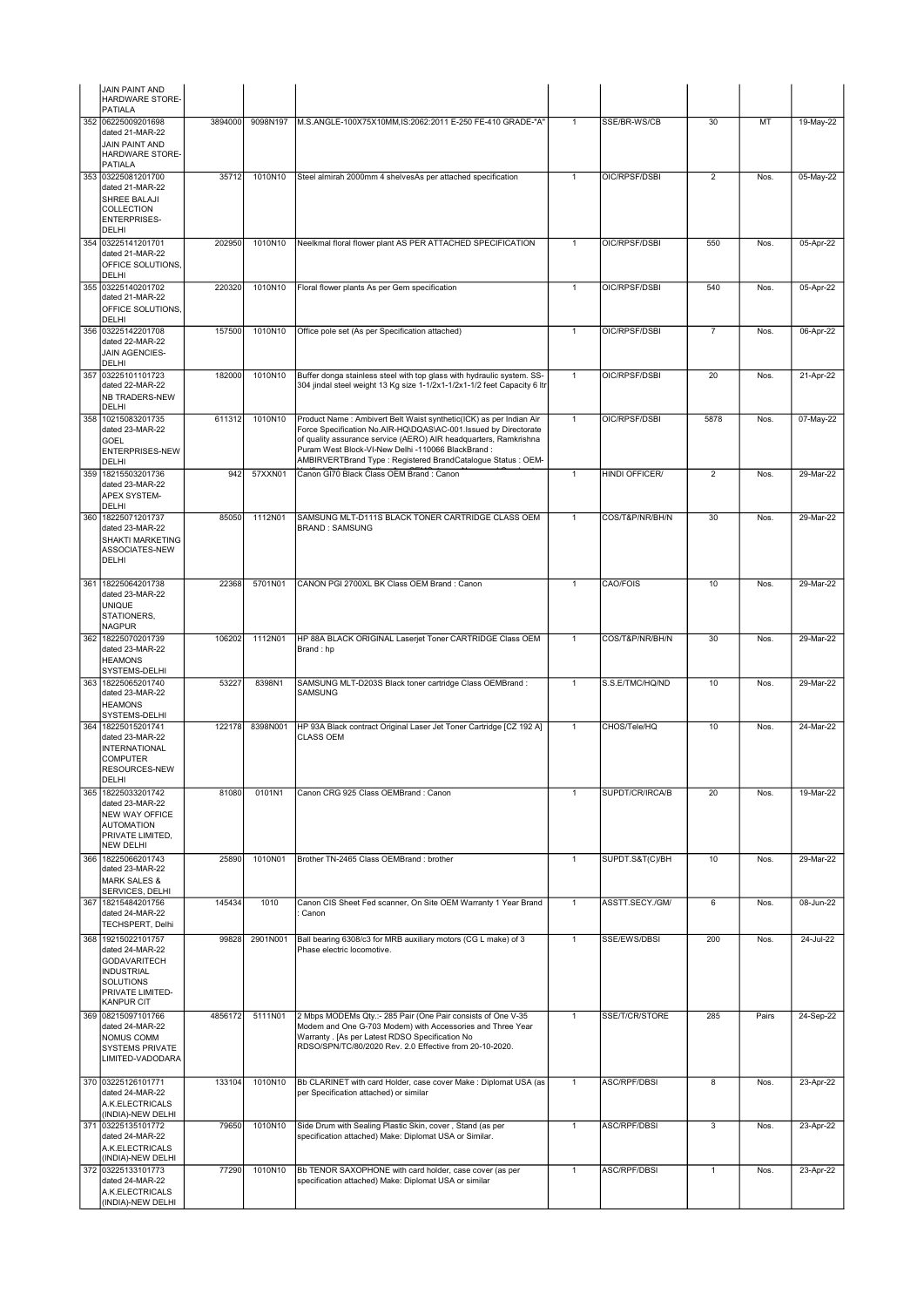|     | JAIN PAINT AND<br>HARDWARE STORE-<br><b>PATIALA</b>                                                                      |         |          |                                                                                                                                                                                       |                |                       |                 |       |           |
|-----|--------------------------------------------------------------------------------------------------------------------------|---------|----------|---------------------------------------------------------------------------------------------------------------------------------------------------------------------------------------|----------------|-----------------------|-----------------|-------|-----------|
| 352 | 06225009201698                                                                                                           | 3894000 | 9098N197 | M.S.ANGLE-100X75X10MM,IS:2062:2011 E-250 FE-410 GRADE-"A"                                                                                                                             | $\mathbf{1}$   | SSE/BR-WS/CB          | 30              | MT    | 19-May-22 |
|     | dated 21-MAR-22<br>JAIN PAINT AND<br>HARDWARE STORE-<br>PATIALA                                                          |         |          |                                                                                                                                                                                       |                |                       |                 |       |           |
| 353 | 03225081201700                                                                                                           | 35712   | 1010N10  | Steel almirah 2000mm 4 shelvesAs per attached specification                                                                                                                           | $\mathbf{1}$   | OIC/RPSF/DSBI         | $\overline{2}$  | Nos.  | 05-May-22 |
|     | dated 21-MAR-22<br>SHREE BALAJI<br>COLLECTION<br><b>ENTERPRISES-</b><br><b>DELHI</b>                                     |         |          |                                                                                                                                                                                       |                |                       |                 |       |           |
| 354 | 03225141201701                                                                                                           | 202950  | 1010N10  | Neelkmal floral flower plant AS PER ATTACHED SPECIFICATION                                                                                                                            | $\mathbf{1}$   | OIC/RPSF/DSBI         | 550             | Nos.  | 05-Apr-22 |
|     | dated 21-MAR-22<br>OFFICE SOLUTIONS<br>DELHI<br>355 03225140201702                                                       |         |          | Floral flower plants As per Gem specification                                                                                                                                         | $\mathbf{1}$   | OIC/RPSF/DSBI         | 540             |       |           |
|     | dated 21-MAR-22<br>OFFICE SOLUTIONS.<br>DELHI                                                                            | 220320  | 1010N10  |                                                                                                                                                                                       |                |                       |                 | Nos.  | 05-Apr-22 |
|     | 356 03225142201708<br>dated 22-MAR-22<br>JAIN AGENCIES-<br>DELHI                                                         | 157500  | 1010N10  | Office pole set (As per Specification attached)                                                                                                                                       | $\mathbf{1}$   | OIC/RPSF/DSBI         | $\overline{7}$  | Nos.  | 06-Apr-22 |
| 357 | 03225101101723                                                                                                           | 182000  | 1010N10  | Buffer donga stainless steel with top glass with hydraulic system. SS-                                                                                                                | $\overline{1}$ | OIC/RPSF/DSBI         | 20              | Nos.  | 21-Apr-22 |
|     | dated 22-MAR-22<br>NB TRADERS-NEW<br><b>DELHI</b>                                                                        |         |          | 304 jindal steel weight 13 Kg size 1-1/2x1-1/2x1-1/2 feet Capacity 6 Itr                                                                                                              |                |                       |                 |       |           |
| 358 | 10215083201735<br>dated 23-MAR-22                                                                                        | 611312  | 1010N10  | Product Name : Ambivert Belt Waist synthetic(ICK) as per Indian Air<br>Force Specification No.AIR-HQ\DQAS\AC-001.Issued by Directorate                                                | $\overline{1}$ | OIC/RPSF/DSBI         | 5878            | Nos.  | 07-May-22 |
|     | <b>GOEL</b><br><b>ENTERPRISES-NEW</b><br>DELHI                                                                           |         |          | of quality assurance service (AERO) AIR headquarters, Ramkrishna<br>Puram West Block-VI-New Delhi -110066 BlackBrand :<br>AMBIRVERTBrand Type: Registered BrandCatalogue Status: OEM- |                |                       |                 |       |           |
| 359 | 18215503201736<br>dated 23-MAR-22<br>APEX SYSTEM-                                                                        | 942     | 57XXN01  | Canon GI70 Black Class OEM Brand : Canon                                                                                                                                              | $\mathbf{1}$   | <b>HINDI OFFICER/</b> | $\overline{2}$  | Nos.  | 29-Mar-22 |
| 360 | <b>DELHI</b><br>18225071201737                                                                                           | 85050   | 1112N01  | SAMSUNG MLT-D111S BLACK TONER CARTRIDGE CLASS OEM                                                                                                                                     | $\mathbf{1}$   | COS/T&P/NR/BH/N       | 30              | Nos.  | 29-Mar-22 |
|     | dated 23-MAR-22<br><b>SHAKTI MARKETING</b><br>ASSOCIATES-NEW<br><b>DELHI</b>                                             |         |          | <b>BRAND: SAMSUNG</b>                                                                                                                                                                 |                |                       |                 |       |           |
| 361 | 18225064201738                                                                                                           | 22368   | 5701N01  | CANON PGI 2700XL BK Class OEM Brand : Canon                                                                                                                                           | $\mathbf{1}$   | CAO/FOIS              | 10              | Nos.  | 29-Mar-22 |
|     | dated 23-MAR-22<br><b>UNIQUE</b><br>STATIONERS,<br><b>NAGPUR</b>                                                         |         |          |                                                                                                                                                                                       |                |                       |                 |       |           |
| 362 | 18225070201739<br>dated 23-MAR-22<br><b>HEAMONS</b><br>SYSTEMS-DELHI                                                     | 106202  | 1112N01  | HP 88A BLACK ORIGINAL Laserjet Toner CARTRIDGE Class OEM<br>Brand: hp                                                                                                                 | $\mathbf{1}$   | COS/T&P/NR/BH/N       | 30              | Nos.  | 29-Mar-22 |
| 363 | 18225065201740<br>dated 23-MAR-22<br><b>HEAMONS</b>                                                                      | 53227   | 8398N1   | SAMSUNG MLT-D203S Black toner cartridge Class OEMBrand:<br>SAMSUNG                                                                                                                    | $\mathbf{1}$   | S.S.E/TMC/HQ/ND       | 10              | Nos.  | 29-Mar-22 |
| 364 | SYSTEMS-DELHI<br>18225015201741                                                                                          | 122178  | 8398N001 | HP 93A Black contract Original Laser Jet Toner Cartridge [CZ 192 A]                                                                                                                   | $\mathbf{1}$   | CHOS/Tele/HQ          | 10              | Nos.  | 24-Mar-22 |
|     | dated 23-MAR-22<br><b>INTERNATIONAL</b><br><b>COMPUTER</b><br>RESOURCES-NEW<br>DELHI                                     |         |          | <b>CLASS OEM</b>                                                                                                                                                                      |                |                       |                 |       |           |
| 365 | 18225033201742<br>dated 23-MAR-22<br>NEW WAY OFFICE<br><b>AUTOMATION</b><br>PRIVATE LIMITED,<br><b>NEW DELHI</b>         | 81080   | 0101N1   | Canon CRG 925 Class OEMBrand : Canon                                                                                                                                                  | $\mathbf{1}$   | SUPDT/CR/IRCA/B       | 20              | Nos.  | 19-Mar-22 |
| 366 | 18225066201743<br>dated 23-MAR-22<br><b>MARK SALES &amp;</b>                                                             | 25890   | 1010N01  | Brother TN-2465 Class OEMBrand : brother                                                                                                                                              | $\mathbf{1}$   | SUPDT.S&T(C)/BH       | 10              | Nos.  | 29-Mar-22 |
| 367 | SERVICES, DELHI<br>18215484201756<br>dated 24-MAR-22<br>TECHSPERT, Delhi                                                 | 145434  | 1010     | Canon CIS Sheet Fed scanner, On Site OEM Warranty 1 Year Brand<br>Canon                                                                                                               | $\overline{1}$ | ASSTT.SECY./GM/       | $6\overline{6}$ | Nos.  | 08-Jun-22 |
| 368 | 19215022101757                                                                                                           | 99828   | 2901N001 | Ball bearing 6308/c3 for MRB auxiliary motors (CG L make) of 3                                                                                                                        | $\mathbf{1}$   | SSE/EWS/DBSI          | 200             | Nos.  | 24-Jul-22 |
|     | dated 24-MAR-22<br><b>GODAVARITECH</b><br><b>INDUSTRIAL</b><br><b>SOLUTIONS</b><br>PRIVATE LIMITED-<br><b>KANPUR CIT</b> |         |          | Phase electric locomotive.                                                                                                                                                            |                |                       |                 |       |           |
| 369 | 08215097101766                                                                                                           | 4856172 | 5111N01  | 2 Mbps MODEMs Qty.:- 285 Pair (One Pair consists of One V-35                                                                                                                          | $\mathbf{1}$   | SSE/T/CR/STORE        | 285             | Pairs | 24-Sep-22 |
|     | dated 24-MAR-22<br>NOMUS COMM<br>SYSTEMS PRIVATE<br>LIMITED-VADODARA                                                     |         |          | Modem and One G-703 Modem) with Accessories and Three Year<br>Warranty . [As per Latest RDSO Specification No<br>RDSO/SPN/TC/80/2020 Rev. 2.0 Effective from 20-10-2020.              |                |                       |                 |       |           |
|     | 370 03225126101771<br>dated 24-MAR-22<br>A.K.ELECTRICALS                                                                 | 133104  | 1010N10  | Bb CLARINET with card Holder, case cover Make : Diplomat USA (as<br>per Specification attached) or similar                                                                            | 1              | ASC/RPF/DBSI          | 8               | Nos.  | 23-Apr-22 |
|     | (INDIA)-NEW DELHI<br>371 03225135101772                                                                                  | 79650   | 1010N10  | Side Drum with Sealing Plastic Skin, cover, Stand (as per                                                                                                                             | $\overline{1}$ | ASC/RPF/DBSI          | 3               | Nos.  | 23-Apr-22 |
|     | dated 24-MAR-22<br>A.K.ELECTRICALS<br>(INDIA)-NEW DELHI                                                                  |         |          | specification attached) Make: Diplomat USA or Similar.                                                                                                                                |                |                       |                 |       |           |
|     | 372 03225133101773<br>dated 24-MAR-22<br>A.K.ELECTRICALS<br>(INDIA)-NEW DELHI                                            | 77290   | 1010N10  | Bb TENOR SAXOPHONE with card holder, case cover (as per<br>specification attached) Make: Diplomat USA or similar                                                                      | $\mathbf{1}$   | <b>ASC/RPF/DBSI</b>   | $\mathbf{1}$    | Nos.  | 23-Apr-22 |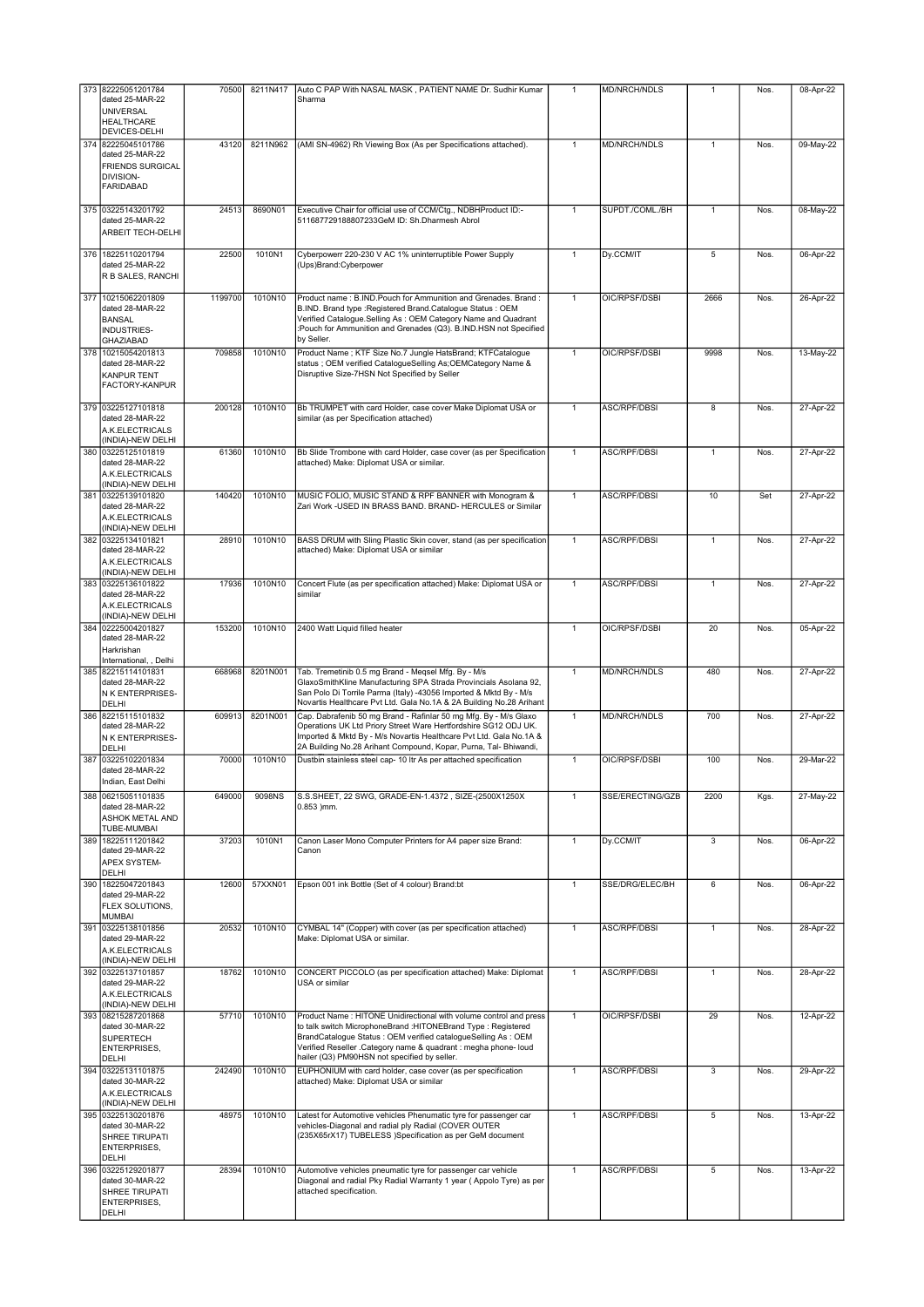| 373 | 82225051201784<br>dated 25-MAR-22<br><b>UNIVERSAL</b><br><b>HEALTHCARE</b><br>DEVICES-DELHI    | 70500   | 8211N417 | Auto C PAP With NASAL MASK, PATIENT NAME Dr. Sudhir Kumar<br>Sharma                                                                                                                                                                                                                                                     | $\mathbf{1}$ | <b>MD/NRCH/NDLS</b> | 1            | Nos. | 08-Apr-22     |
|-----|------------------------------------------------------------------------------------------------|---------|----------|-------------------------------------------------------------------------------------------------------------------------------------------------------------------------------------------------------------------------------------------------------------------------------------------------------------------------|--------------|---------------------|--------------|------|---------------|
| 374 | 82225045101786<br>dated 25-MAR-22<br><b>FRIENDS SURGICAL</b><br>DIVISION-<br><b>FARIDABAD</b>  | 43120   | 8211N962 | (AMI SN-4962) Rh Viewing Box (As per Specifications attached).                                                                                                                                                                                                                                                          | $\mathbf{1}$ | MD/NRCH/NDLS        | $\mathbf{1}$ | Nos. | 09-May-22     |
|     | 375 03225143201792<br>dated 25-MAR-22<br>ARBEIT TECH-DELHI                                     | 24513   | 8690N01  | Executive Chair for official use of CCM/Ctg., NDBHProduct ID:-<br>511687729188807233GeM ID: Sh.Dharmesh Abrol                                                                                                                                                                                                           | $\mathbf{1}$ | SUPDT./COML./BH     | 1            | Nos. | 08-May-22     |
| 376 | 18225110201794<br>dated 25-MAR-22<br>R B SALES, RANCHI                                         | 22500   | 1010N1   | Cyberpowerr 220-230 V AC 1% uninterruptible Power Supply<br>(Ups)Brand: Cyberpower                                                                                                                                                                                                                                      | 1            | Dy.CCM/IT           | 5            | Nos. | 06-Apr-22     |
| 377 | 10215062201809<br>dated 28-MAR-22<br><b>BANSAL</b><br>INDUSTRIES-<br>GHAZIABAD                 | 1199700 | 1010N10  | Product name: B.IND.Pouch for Ammunition and Grenades. Brand:<br>B.IND. Brand type : Registered Brand. Catalogue Status : OEM<br>Verified Catalogue.Selling As: OEM Category Name and Quadrant<br>:Pouch for Ammunition and Grenades (Q3). B.IND.HSN not Specified<br>by Seller.                                        | $\mathbf{1}$ | OIC/RPSF/DSBI       | 2666         | Nos. | 26-Apr-22     |
| 378 | 10215054201813<br>dated 28-MAR-22<br><b>KANPUR TENT</b><br>FACTORY-KANPUR                      | 709858  | 1010N10  | Product Name; KTF Size No.7 Jungle HatsBrand; KTFCatalogue<br>status ; OEM verified CatalogueSelling As;OEMCategory Name &<br>Disruptive Size-7HSN Not Specified by Seller                                                                                                                                              | 1            | OIC/RPSF/DSBI       | 9998         | Nos. | 13-May-22     |
|     | 379 03225127101818<br>dated 28-MAR-22<br>A.K.ELECTRICALS<br>(INDIA)-NEW DELHI                  | 200128  | 1010N10  | Bb TRUMPET with card Holder, case cover Make Diplomat USA or<br>similar (as per Specification attached)                                                                                                                                                                                                                 | $\mathbf{1}$ | ASC/RPF/DBSI        | 8            | Nos. | 27-Apr-22     |
|     | 380 03225125101819<br>dated 28-MAR-22<br>A.K.ELECTRICALS<br>(INDIA)-NEW DELHI                  | 61360   | 1010N10  | Bb Slide Trombone with card Holder, case cover (as per Specification<br>attached) Make: Diplomat USA or similar.                                                                                                                                                                                                        | $\mathbf{1}$ | ASC/RPF/DBSI        | 1            | Nos. | 27-Apr-22     |
|     | 381 03225139101820<br>dated 28-MAR-22<br>A.K.ELECTRICALS<br>(INDIA)-NEW DELHI                  | 140420  | 1010N10  | MUSIC FOLIO, MUSIC STAND & RPF BANNER with Monogram &<br>Zari Work -USED IN BRASS BAND. BRAND- HERCULES or Similar                                                                                                                                                                                                      | 1            | ASC/RPF/DBSI        | 10           | Set  | 27-Apr-22     |
| 382 | 03225134101821<br>dated 28-MAR-22<br>A.K.ELECTRICALS<br>(INDIA)-NEW DELHI                      | 28910   | 1010N10  | BASS DRUM with Sling Plastic Skin cover, stand (as per specification<br>attached) Make: Diplomat USA or similar                                                                                                                                                                                                         | $\mathbf{1}$ | ASC/RPF/DBSI        | $\mathbf{1}$ | Nos. | $27$ -Apr-22  |
| 383 | 03225136101822<br>dated 28-MAR-22<br>A.K.ELECTRICALS<br>(INDIA)-NEW DELHI                      | 17936   | 1010N10  | Concert Flute (as per specification attached) Make: Diplomat USA or<br>similar                                                                                                                                                                                                                                          | $\mathbf{1}$ | ASC/RPF/DBSI        | $\mathbf{1}$ | Nos. | 27-Apr-22     |
| 384 | 02225004201827<br>dated 28-MAR-22<br>Harkrishan<br>International, , Delhi                      | 153200  | 1010N10  | 2400 Watt Liquid filled heater                                                                                                                                                                                                                                                                                          | 1            | OIC/RPSF/DSBI       | 20           | Nos. | 05-Apr-22     |
| 385 | 82215114101831<br>dated 28-MAR-22<br>N K ENTERPRISES-<br>DELHI                                 | 668968  | 8201N001 | Tab. Tremetinib 0.5 mg Brand - Meqsel Mfg. By - M/s<br>GlaxoSmithKline Manufacturing SPA Strada Provincials Asolana 92,<br>San Polo Di Torrile Parma (Italy) -43056 Imported & Mktd By - M/s<br>Novartis Healthcare Pvt Ltd. Gala No.1A & 2A Building No.28 Arihant                                                     | $\mathbf{1}$ | MD/NRCH/NDLS        | 480          | Nos. | 27-Apr-22     |
|     | 386 82215115101832<br>dated 28-MAR-22<br>N K ENTERPRISES-<br>DELHI                             | 609913  | 8201N001 | Cap. Dabrafenib 50 mg Brand - Rafinlar 50 mg Mfg. By - M/s Glaxo<br>Operations UK Ltd Priory Street Ware Hertfordshire SG12 ODJ UK.<br>Imported & Mktd By - M/s Novartis Healthcare Pvt Ltd. Gala No.1A &<br>2A Building No.28 Arihant Compound, Kopar, Purna, Tal- Bhiwandi,                                           | $\mathbf{1}$ | MD/NRCH/NDLS        | 700          | Nos. | 27-Apr-22     |
| 387 | 03225102201834<br>dated 28-MAR-22<br>Indian, East Delhi                                        | 70000   | 1010N10  | Dustbin stainless steel cap- 10 ltr As per attached specification                                                                                                                                                                                                                                                       | $\mathbf{1}$ | OIC/RPSF/DSBI       | 100          | Nos. | 29-Mar-22     |
| 388 | 06215051101835<br>dated 28-MAR-22<br><b>ASHOK METAL AND</b><br><b>TUBE-MUMBAI</b>              | 649000  | 9098NS   | S.S.SHEET, 22 SWG, GRADE-EN-1.4372, SIZE-(2500X1250X<br>$0.853$ ) mm.                                                                                                                                                                                                                                                   | $\mathbf{1}$ | SSE/ERECTING/GZB    | 2200         | Kgs. | 27-May-22     |
| 389 | 18225111201842<br>dated 29-MAR-22<br>APEX SYSTEM-<br>DELHI                                     | 37203   | 1010N1   | Canon Laser Mono Computer Printers for A4 paper size Brand:<br>Canon                                                                                                                                                                                                                                                    | $\mathbf{1}$ | Dy.CCM/IT           | 3            | Nos. | 06-Apr-22     |
| 390 | 18225047201843<br>dated 29-MAR-22<br>FLEX SOLUTIONS,<br><b>MUMBAI</b>                          | 12600   | 57XXN01  | Epson 001 ink Bottle (Set of 4 colour) Brand:bt                                                                                                                                                                                                                                                                         | $\mathbf{1}$ | SSE/DRG/ELEC/BH     | 6            | Nos. | 06-Apr-22     |
| 391 | 03225138101856<br>dated 29-MAR-22<br>A.K.ELECTRICALS<br>(INDIA)-NEW DELHI                      | 20532   | 1010N10  | CYMBAL 14" (Copper) with cover (as per specification attached)<br>Make: Diplomat USA or similar.                                                                                                                                                                                                                        | 1            | <b>ASC/RPF/DBSI</b> | 1            | Nos. | $28 - Apr-22$ |
|     | 392 03225137101857<br>dated 29-MAR-22<br>A.K.ELECTRICALS<br>(INDIA)-NEW DELHI                  | 18762   | 1010N10  | CONCERT PICCOLO (as per specification attached) Make: Diplomat<br>USA or similar                                                                                                                                                                                                                                        | 1            | <b>ASC/RPF/DBSI</b> | 1            | Nos. | 28-Apr-22     |
| 393 | 08215287201868<br>dated 30-MAR-22<br><b>SUPERTECH</b><br><b>ENTERPRISES,</b><br>DELHI          | 57710   | 1010N10  | Product Name: HITONE Unidirectional with volume control and press<br>to talk switch MicrophoneBrand :HITONEBrand Type : Registered<br>BrandCatalogue Status : OEM verified catalogueSelling As : OEM<br>Verified Reseller .Category name & quadrant : megha phone- loud<br>hailer (Q3) PM90HSN not specified by seller. | $\mathbf{1}$ | OIC/RPSF/DSBI       | 29           | Nos. | 12-Apr-22     |
|     | 394 03225131101875<br>dated 30-MAR-22<br>A.K.ELECTRICALS<br>(INDIA)-NEW DELHI                  | 242490  | 1010N10  | EUPHONIUM with card holder, case cover (as per specification<br>attached) Make: Diplomat USA or similar                                                                                                                                                                                                                 | $\mathbf{1}$ | ASC/RPF/DBSI        | 3            | Nos. | 29-Apr-22     |
|     | 395 03225130201876<br>dated 30-MAR-22<br>SHREE TIRUPATI<br><b>ENTERPRISES,</b><br><b>DELHI</b> | 48975   | 1010N10  | Latest for Automotive vehicles Phenumatic tyre for passenger car<br>vehicles-Diagonal and radial ply Radial (COVER OUTER<br>(235X65rX17) TUBELESS )Specification as per GeM document                                                                                                                                    | $\mathbf{1}$ | ASC/RPF/DBSI        | 5            | Nos. | 13-Apr-22     |
| 396 | 03225129201877<br>dated 30-MAR-22<br>SHREE TIRUPATI<br>ENTERPRISES,<br>DELHI                   | 28394   | 1010N10  | Automotive vehicles pneumatic tyre for passenger car vehicle<br>Diagonal and radial Pky Radial Warranty 1 year (Appolo Tyre) as per<br>attached specification.                                                                                                                                                          | $\mathbf{1}$ | ASC/RPF/DBSI        | 5            | Nos. | 13-Apr-22     |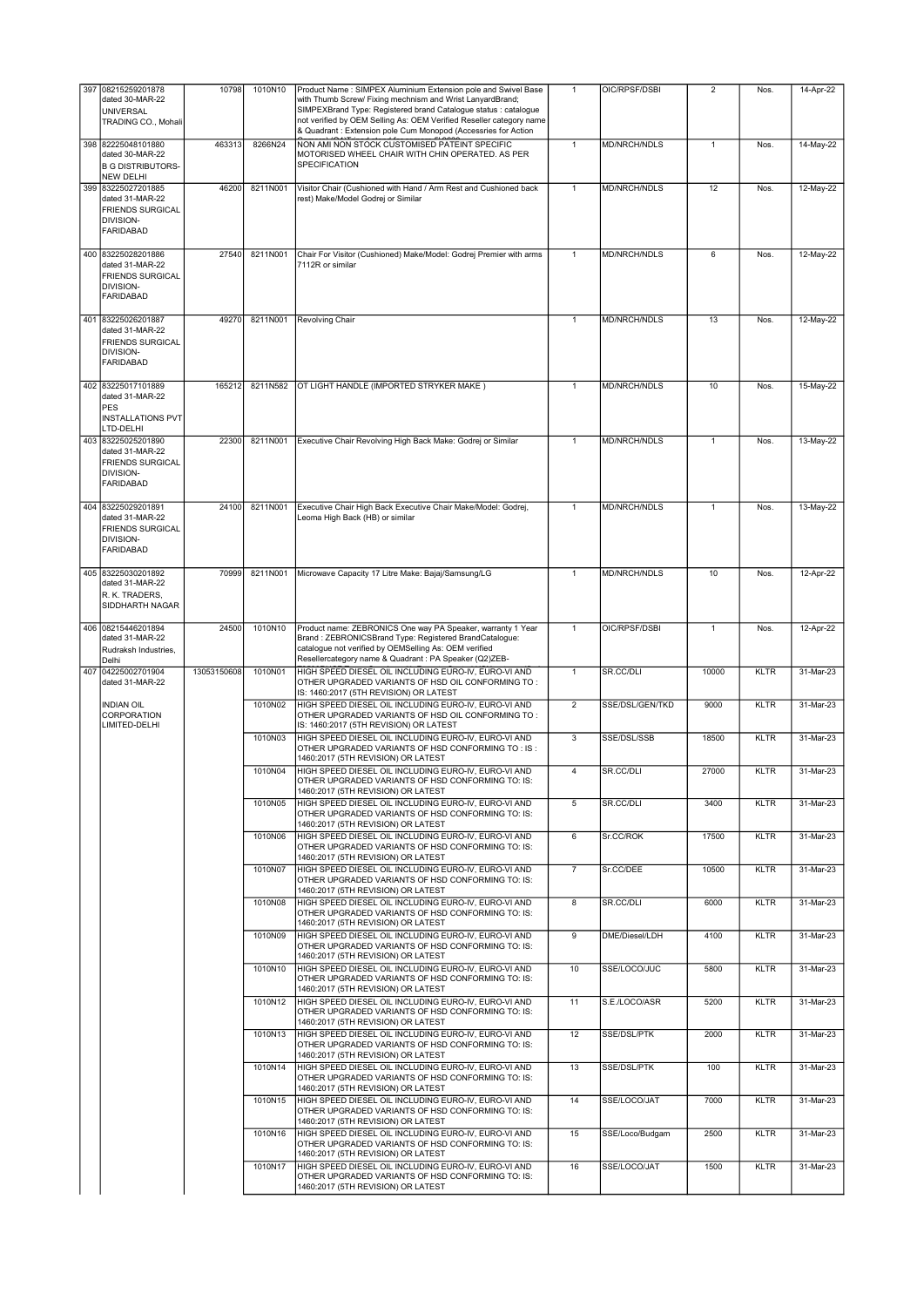| 397 08215259201878<br>dated 30-MAR-22<br><b>UNIVERSAL</b><br>TRADING CO., Mohali                  | 10798       | 1010N10  | Product Name: SIMPEX Aluminium Extension pole and Swivel Base<br>with Thumb Screw/ Fixing mechnism and Wrist LanyardBrand;<br>SIMPEXBrand Type: Registered brand Catalogue status : catalogue<br>not verified by OEM Selling As: OEM Verified Reseller category name<br>& Quadrant : Extension pole Cum Monopod (Accessries for Action | $\mathbf{1}$    | OIC/RPSF/DSBI       | $\overline{2}$ | Nos.        | 14-Apr-22 |
|---------------------------------------------------------------------------------------------------|-------------|----------|----------------------------------------------------------------------------------------------------------------------------------------------------------------------------------------------------------------------------------------------------------------------------------------------------------------------------------------|-----------------|---------------------|----------------|-------------|-----------|
| 398 82225048101880<br>dated 30-MAR-22<br><b>B G DISTRIBUTORS-</b><br><b>NEW DELHI</b>             | 463313      | 8266N24  | NON AMI NON STOCK CUSTOMISED PATEINT SPECIFIC<br>MOTORISED WHEEL CHAIR WITH CHIN OPERATED. AS PER<br>SPECIFICATION                                                                                                                                                                                                                     | $\mathbf{1}$    | MD/NRCH/NDLS        | $\mathbf{1}$   | Nos.        | 14-May-22 |
| 399 83225027201885<br>dated 31-MAR-22<br><b>FRIENDS SURGICAL</b><br>DIVISION-<br><b>FARIDABAD</b> | 46200       | 8211N001 | Visitor Chair (Cushioned with Hand / Arm Rest and Cushioned back<br>rest) Make/Model Godrej or Similar                                                                                                                                                                                                                                 | $\mathbf{1}$    | MD/NRCH/NDLS        | 12             | Nos.        | 12-May-22 |
| 400 83225028201886<br>dated 31-MAR-22<br><b>FRIENDS SURGICAL</b><br>DIVISION-<br><b>FARIDABAD</b> | 27540       | 8211N001 | Chair For Visitor (Cushioned) Make/Model: Godrej Premier with arms<br>7112R or similar                                                                                                                                                                                                                                                 | $\mathbf{1}$    | <b>MD/NRCH/NDLS</b> | 6              | Nos.        | 12-May-22 |
| 401 83225026201887<br>dated 31-MAR-22<br><b>FRIENDS SURGICAL</b><br>DIVISION-<br><b>FARIDABAD</b> | 49270       | 8211N001 | Revolving Chair                                                                                                                                                                                                                                                                                                                        | $\mathbf{1}$    | MD/NRCH/NDLS        | 13             | Nos.        | 12-May-22 |
| 402 83225017101889<br>dated 31-MAR-22<br><b>PES</b><br><b>INSTALLATIONS PVT</b><br>LTD-DELHI      | 165212      | 8211N582 | OT LIGHT HANDLE (IMPORTED STRYKER MAKE)                                                                                                                                                                                                                                                                                                | $\mathbf{1}$    | <b>MD/NRCH/NDLS</b> | 10             | Nos.        | 15-May-22 |
| 403 83225025201890<br>dated 31-MAR-22<br><b>FRIENDS SURGICAL</b><br>DIVISION-<br><b>FARIDABAD</b> | 22300       | 8211N001 | Executive Chair Revolving High Back Make: Godrej or Similar                                                                                                                                                                                                                                                                            | 1               | MD/NRCH/NDLS        | 1              | Nos.        | 13-May-22 |
| 404 83225029201891<br>dated 31-MAR-22<br><b>FRIENDS SURGICAL</b><br>DIVISION-<br><b>FARIDABAD</b> | 24100       | 8211N001 | Executive Chair High Back Executive Chair Make/Model: Godrej,<br>Leoma High Back (HB) or similar                                                                                                                                                                                                                                       | $\mathbf{1}$    | MD/NRCH/NDLS        | $\mathbf{1}$   | Nos.        | 13-May-22 |
| 405 83225030201892<br>dated 31-MAR-22<br>R. K. TRADERS,<br>SIDDHARTH NAGAR                        | 70999       | 8211N001 | Microwave Capacity 17 Litre Make: Bajaj/Samsung/LG                                                                                                                                                                                                                                                                                     | $\mathbf{1}$    | <b>MD/NRCH/NDLS</b> | 10             | Nos.        | 12-Apr-22 |
| 406 08215446201894<br>dated 31-MAR-22<br>Rudraksh Industries,<br>Delhi                            | 24500       | 1010N10  | Product name: ZEBRONICS One way PA Speaker, warranty 1 Year<br>Brand: ZEBRONICSBrand Type: Registered BrandCatalogue:<br>catalogue not verified by OEMSelling As: OEM verified<br>Resellercategory name & Quadrant : PA Speaker (Q2)ZEB-                                                                                               | $\mathbf{1}$    | OIC/RPSF/DSBI       | 1              | Nos.        | 12-Apr-22 |
| 407 04225002701904<br>dated 31-MAR-22                                                             | 13053150608 | 1010N01  | HIGH SPEED DIESEL OIL INCLUDING EURO-IV, EURO-VI AND<br>OTHER UPGRADED VARIANTS OF HSD OIL CONFORMING TO:                                                                                                                                                                                                                              | 1               | SR.CC/DLI           | 10000          | <b>KLTR</b> | 31-Mar-23 |
| <b>INDIAN OIL</b><br>CORPORATION<br>LIMITED-DELHI                                                 |             | 1010N02  | IS: 1460:2017 (5TH REVISION) OR LATEST<br>HIGH SPEED DIESEL OIL INCLUDING EURO-IV, EURO-VI AND<br>OTHER UPGRADED VARIANTS OF HSD OIL CONFORMING TO:<br>IS: 1460:2017 (5TH REVISION) OR LATEST                                                                                                                                          | $\overline{2}$  | SSE/DSL/GEN/TKD     | 9000           | <b>KLTR</b> | 31-Mar-23 |
|                                                                                                   |             | 1010N03  | HIGH SPEED DIESEL OIL INCLUDING EURO-IV, EURO-VI AND<br>OTHER UPGRADED VARIANTS OF HSD CONFORMING TO: IS:<br>1460:2017 (5TH REVISION) OR LATEST                                                                                                                                                                                        | 3               | SSE/DSL/SSB         | 18500          | <b>KLTR</b> | 31-Mar-23 |
|                                                                                                   |             | 1010N04  | HIGH SPEED DIESEL OIL INCLUDING EURO-IV, EURO-VI AND<br>OTHER UPGRADED VARIANTS OF HSD CONFORMING TO: IS:<br>1460:2017 (5TH REVISION) OR LATEST                                                                                                                                                                                        | 4               | SR.CC/DLI           | 27000          | <b>KLTR</b> | 31-Mar-23 |
|                                                                                                   |             | 1010N05  | HIGH SPEED DIESEL OIL INCLUDING EURO-IV, EURO-VI AND<br>OTHER UPGRADED VARIANTS OF HSD CONFORMING TO: IS:<br>1460:2017 (5TH REVISION) OR LATEST                                                                                                                                                                                        | $5\overline{)}$ | SR.CC/DLI           | 3400           | <b>KLTR</b> | 31-Mar-23 |
|                                                                                                   |             | 1010N06  | HIGH SPEED DIESEL OIL INCLUDING EURO-IV, EURO-VI AND<br>OTHER UPGRADED VARIANTS OF HSD CONFORMING TO: IS:<br>1460:2017 (5TH REVISION) OR LATEST                                                                                                                                                                                        | 6               | Sr.CC/ROK           | 17500          | <b>KLTR</b> | 31-Mar-23 |
|                                                                                                   |             | 1010N07  | HIGH SPEED DIESEL OIL INCLUDING EURO-IV, EURO-VI AND<br>OTHER UPGRADED VARIANTS OF HSD CONFORMING TO: IS:<br>1460:2017 (5TH REVISION) OR LATEST                                                                                                                                                                                        | $\overline{7}$  | Sr.CC/DEE           | 10500          | <b>KLTR</b> | 31-Mar-23 |
|                                                                                                   |             | 1010N08  | HIGH SPEED DIESEL OIL INCLUDING EURO-IV, EURO-VI AND<br>OTHER UPGRADED VARIANTS OF HSD CONFORMING TO: IS:<br>1460:2017 (5TH REVISION) OR LATEST                                                                                                                                                                                        | $\overline{8}$  | SR.CC/DLI           | 6000           | <b>KLTR</b> | 31-Mar-23 |
|                                                                                                   |             | 1010N09  | HIGH SPEED DIESEL OIL INCLUDING EURO-IV, EURO-VI AND<br>OTHER UPGRADED VARIANTS OF HSD CONFORMING TO: IS:<br>1460:2017 (5TH REVISION) OR LATEST                                                                                                                                                                                        | 9               | DME/Diesel/LDH      | 4100           | <b>KLTR</b> | 31-Mar-23 |
|                                                                                                   |             | 1010N10  | HIGH SPEED DIESEL OIL INCLUDING EURO-IV, EURO-VI AND<br>OTHER UPGRADED VARIANTS OF HSD CONFORMING TO: IS:<br>1460:2017 (5TH REVISION) OR LATEST                                                                                                                                                                                        | 10              | SSE/LOCO/JUC        | 5800           | <b>KLTR</b> | 31-Mar-23 |
|                                                                                                   |             | 1010N12  | HIGH SPEED DIESEL OIL INCLUDING EURO-IV, EURO-VI AND<br>OTHER UPGRADED VARIANTS OF HSD CONFORMING TO: IS:<br>1460:2017 (5TH REVISION) OR LATEST                                                                                                                                                                                        | 11              | S.E./LOCO/ASR       | 5200           | <b>KLTR</b> | 31-Mar-23 |
|                                                                                                   |             | 1010N13  | HIGH SPEED DIESEL OIL INCLUDING EURO-IV, EURO-VI AND<br>OTHER UPGRADED VARIANTS OF HSD CONFORMING TO: IS:<br>1460:2017 (5TH REVISION) OR LATEST                                                                                                                                                                                        | 12              | SSE/DSL/PTK         | 2000           | <b>KLTR</b> | 31-Mar-23 |
|                                                                                                   |             | 1010N14  | HIGH SPEED DIESEL OIL INCLUDING EURO-IV, EURO-VI AND<br>OTHER UPGRADED VARIANTS OF HSD CONFORMING TO: IS:<br>1460:2017 (5TH REVISION) OR LATEST                                                                                                                                                                                        | 13              | SSE/DSL/PTK         | 100            | <b>KLTR</b> | 31-Mar-23 |
|                                                                                                   |             |          |                                                                                                                                                                                                                                                                                                                                        |                 |                     |                |             |           |
|                                                                                                   |             | 1010N15  | HIGH SPEED DIESEL OIL INCLUDING EURO-IV, EURO-VI AND<br>OTHER UPGRADED VARIANTS OF HSD CONFORMING TO: IS:                                                                                                                                                                                                                              | 14              | SSE/LOCO/JAT        | 7000           | <b>KLTR</b> | 31-Mar-23 |
|                                                                                                   |             | 1010N16  | 1460:2017 (5TH REVISION) OR LATEST<br>HIGH SPEED DIESEL OIL INCLUDING EURO-IV, EURO-VI AND<br>OTHER UPGRADED VARIANTS OF HSD CONFORMING TO: IS:<br>1460:2017 (5TH REVISION) OR LATEST                                                                                                                                                  | 15              | SSE/Loco/Budgam     | 2500           | <b>KLTR</b> | 31-Mar-23 |